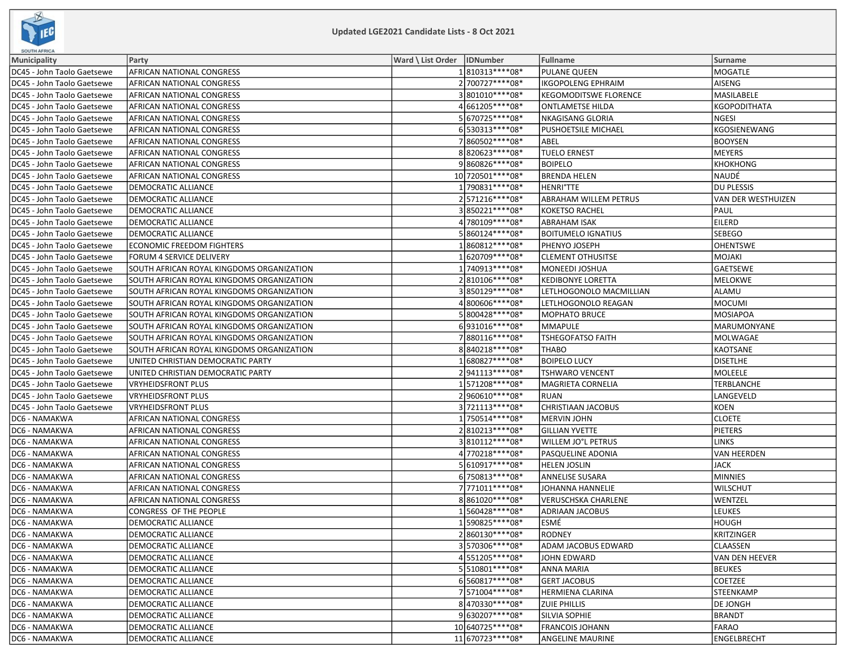

| <b>SOUTH AFRICA</b>        |                                           |                              |                    |                              |                           |
|----------------------------|-------------------------------------------|------------------------------|--------------------|------------------------------|---------------------------|
| <b>Municipality</b>        | Party                                     | Ward \ List Order   IDNumber |                    | <b>Fullname</b>              | Surname                   |
| DC45 - John Taolo Gaetsewe | <b>AFRICAN NATIONAL CONGRESS</b>          |                              | 1810313 **** 08*   | <b>PULANE QUEEN</b>          | MOGATLE                   |
| DC45 - John Taolo Gaetsewe | <b>AFRICAN NATIONAL CONGRESS</b>          |                              | 2700727****08*     | <b>IKGOPOLENG EPHRAIM</b>    | AISENG                    |
| DC45 - John Taolo Gaetsewe | <b>AFRICAN NATIONAL CONGRESS</b>          |                              | 3801010 **** 08*   | <b>KEGOMODITSWE FLORENCE</b> | MASILABELE                |
| DC45 - John Taolo Gaetsewe | <b>AFRICAN NATIONAL CONGRESS</b>          |                              | 4661205 **** 08*   | <b>ONTLAMETSE HILDA</b>      | KGOPODITHATA              |
| DC45 - John Taolo Gaetsewe | <b>AFRICAN NATIONAL CONGRESS</b>          |                              | 5670725 **** 08*   | <b>NKAGISANG GLORIA</b>      | NGESI                     |
| DC45 - John Taolo Gaetsewe | <b>AFRICAN NATIONAL CONGRESS</b>          |                              | 6530313 **** 08*   | PUSHOETSILE MICHAEL          | KGOSIENEWANG              |
| DC45 - John Taolo Gaetsewe | <b>AFRICAN NATIONAL CONGRESS</b>          |                              | 7860502 **** 08*   | ABEL                         | <b>BOOYSEN</b>            |
| DC45 - John Taolo Gaetsewe | <b>AFRICAN NATIONAL CONGRESS</b>          |                              | 8820623 **** 08*   | <b>TUELO ERNEST</b>          | MEYERS                    |
| DC45 - John Taolo Gaetsewe | <b>AFRICAN NATIONAL CONGRESS</b>          |                              | 9860826 **** 08*   | <b>BOIPELO</b>               | KHOKHONG                  |
| DC45 - John Taolo Gaetsewe | <b>AFRICAN NATIONAL CONGRESS</b>          |                              | 10 720501 **** 08* | <b>BRENDA HELEN</b>          | NAUDÉ                     |
| DC45 - John Taolo Gaetsewe | <b>DEMOCRATIC ALLIANCE</b>                |                              | 1790831 **** 08*   | <b>HENRI°TTE</b>             | DU PLESSIS                |
| DC45 - John Taolo Gaetsewe | <b>DEMOCRATIC ALLIANCE</b>                |                              | 2571216 **** 08*   | <b>ABRAHAM WILLEM PETRUS</b> | <b>VAN DER WESTHUIZEN</b> |
| DC45 - John Taolo Gaetsewe | DEMOCRATIC ALLIANCE                       |                              | 3850221 **** 08*   | <b>KOKETSO RACHEL</b>        | PAUL                      |
| DC45 - John Taolo Gaetsewe | <b>DEMOCRATIC ALLIANCE</b>                |                              | 4 780109 **** 08*  | <b>ABRAHAM ISAK</b>          | <b>EILERD</b>             |
| DC45 - John Taolo Gaetsewe | <b>DEMOCRATIC ALLIANCE</b>                |                              | 5860124 **** 08*   | <b>BOITUMELO IGNATIUS</b>    | <b>SEBEGO</b>             |
| DC45 - John Taolo Gaetsewe | <b>ECONOMIC FREEDOM FIGHTERS</b>          |                              | 1860812 **** 08*   | PHENYO JOSEPH                | <b>OHENTSWE</b>           |
| DC45 - John Taolo Gaetsewe | <b>FORUM 4 SERVICE DELIVERY</b>           |                              | 1 620709****08*    | <b>CLEMENT OTHUSITSE</b>     | MOJAKI                    |
| DC45 - John Taolo Gaetsewe | SOUTH AFRICAN ROYAL KINGDOMS ORGANIZATION |                              | 1740913 **** 08*   | MONEEDI JOSHUA               | GAETSEWE                  |
| DC45 - John Taolo Gaetsewe | SOUTH AFRICAN ROYAL KINGDOMS ORGANIZATION |                              | 2810106 **** 08*   | <b>KEDIBONYE LORETTA</b>     | MELOKWE                   |
| DC45 - John Taolo Gaetsewe | SOUTH AFRICAN ROYAL KINGDOMS ORGANIZATION |                              | 3850129 **** 08*   | LETLHOGONOLO MACMILLIAN      | ALAMU                     |
| DC45 - John Taolo Gaetsewe | SOUTH AFRICAN ROYAL KINGDOMS ORGANIZATION |                              | 4800606 **** 08*   | LETLHOGONOLO REAGAN          | MOCUMI                    |
| DC45 - John Taolo Gaetsewe | SOUTH AFRICAN ROYAL KINGDOMS ORGANIZATION |                              | 5800428 **** 08*   | <b>MOPHATO BRUCE</b>         | <b>MOSIAPOA</b>           |
| DC45 - John Taolo Gaetsewe | SOUTH AFRICAN ROYAL KINGDOMS ORGANIZATION |                              | 6931016 **** 08*   | <b>MMAPULE</b>               | MARUMONYANE               |
| DC45 - John Taolo Gaetsewe | SOUTH AFRICAN ROYAL KINGDOMS ORGANIZATION |                              | 7880116 **** 08*   | <b>TSHEGOFATSO FAITH</b>     | MOLWAGAE                  |
| DC45 - John Taolo Gaetsewe | SOUTH AFRICAN ROYAL KINGDOMS ORGANIZATION |                              | 8840218 **** 08*   | <b>THABO</b>                 | KAOTSANE                  |
| DC45 - John Taolo Gaetsewe | UNITED CHRISTIAN DEMOCRATIC PARTY         |                              | 1680827 **** 08*   | <b>BOIPELO LUCY</b>          | <b>DISETLHE</b>           |
| DC45 - John Taolo Gaetsewe | UNITED CHRISTIAN DEMOCRATIC PARTY         |                              | 2941113 **** 08*   | <b>TSHWARO VENCENT</b>       | MOLEELE                   |
| DC45 - John Taolo Gaetsewe | <b>VRYHEIDSFRONT PLUS</b>                 |                              | 1571208 **** 08*   | MAGRIETA CORNELIA            | TERBLANCHE                |
| DC45 - John Taolo Gaetsewe | VRYHEIDSFRONT PLUS                        |                              | 2960610 **** 08*   | <b>RUAN</b>                  | LANGEVELD                 |
| DC45 - John Taolo Gaetsewe | <b>VRYHEIDSFRONT PLUS</b>                 |                              | 3721113 **** 08*   | <b>CHRISTIAAN JACOBUS</b>    | KOEN                      |
| DC6 - NAMAKWA              | AFRICAN NATIONAL CONGRESS                 |                              | 1750514 **** 08*   | <b>MERVIN JOHN</b>           | <b>CLOETE</b>             |
| DC6 - NAMAKWA              | AFRICAN NATIONAL CONGRESS                 |                              | 2810213 **** 08*   | <b>GILLIAN YVETTE</b>        | PIETERS                   |
| DC6 - NAMAKWA              | AFRICAN NATIONAL CONGRESS                 |                              | 3810112 **** 08*   | WILLEM JO°L PETRUS           | <b>LINKS</b>              |
| DC6 - NAMAKWA              | AFRICAN NATIONAL CONGRESS                 |                              | 4770218 **** 08*   | PASQUELINE ADONIA            | VAN HEERDEN               |
| DC6 - NAMAKWA              | AFRICAN NATIONAL CONGRESS                 |                              | 5610917****08*     | <b>HELEN JOSLIN</b>          | JACK                      |
| DC6 - NAMAKWA              | AFRICAN NATIONAL CONGRESS                 |                              | 6750813 **** 08*   | <b>ANNELISE SUSARA</b>       | MINNIES                   |
| DC6 - NAMAKWA              | AFRICAN NATIONAL CONGRESS                 |                              | 7 771011 **** 08*  | <b>JOHANNA HANNELIE</b>      | <b>WILSCHUT</b>           |
| DC6 - NAMAKWA              | AFRICAN NATIONAL CONGRESS                 |                              | 8861020 **** 08*   | <b>VERUSCHSKA CHARLENE</b>   | WENTZEL                   |
| DC6 - NAMAKWA              | CONGRESS OF THE PEOPLE                    |                              | 1560428 **** 08*   | <b>ADRIAAN JACOBUS</b>       | LEUKES                    |
| DC6 - NAMAKWA              | <b>DEMOCRATIC ALLIANCE</b>                |                              | 1590825 **** 08*   | ESMÉ                         | HOUGH                     |
| DC6 - NAMAKWA              | DEMOCRATIC ALLIANCE                       |                              | 2860130 **** 08*   | <b>RODNEY</b>                | KRITZINGER                |
| DC6 - NAMAKWA              | DEMOCRATIC ALLIANCE                       |                              | 3570306 **** 08*   | ADAM JACOBUS EDWARD          | <b>CLAASSEN</b>           |
| DC6 - NAMAKWA              | DEMOCRATIC ALLIANCE                       |                              | 4551205 **** 08*   | JOHN EDWARD                  | VAN DEN HEEVER            |
| DC6 - NAMAKWA              | DEMOCRATIC ALLIANCE                       |                              | 5510801 **** 08*   | ANNA MARIA                   | <b>BEUKES</b>             |
| DC6 - NAMAKWA              | <b>DEMOCRATIC ALLIANCE</b>                |                              | 6560817****08*     | <b>GERT JACOBUS</b>          | <b>COETZEE</b>            |
| DC6 - NAMAKWA              | DEMOCRATIC ALLIANCE                       |                              | 7571004 **** 08*   | HERMIENA CLARINA             | STEENKAMP                 |
| DC6 - NAMAKWA              | DEMOCRATIC ALLIANCE                       |                              | 8470330 **** 08*   | <b>ZUIE PHILLIS</b>          | <b>DE JONGH</b>           |
| DC6 - NAMAKWA              | DEMOCRATIC ALLIANCE                       |                              | 9630207****08*     | SILVIA SOPHIE                | <b>BRANDT</b>             |
| DC6 - NAMAKWA              | <b>DEMOCRATIC ALLIANCE</b>                |                              | 10 640725 **** 08* | <b>FRANCOIS JOHANN</b>       | FARAO                     |
| DC6 - NAMAKWA              | <b>DEMOCRATIC ALLIANCE</b>                |                              | 11 670723 **** 08* | <b>ANGELINE MAURINE</b>      | ENGELBRECHT               |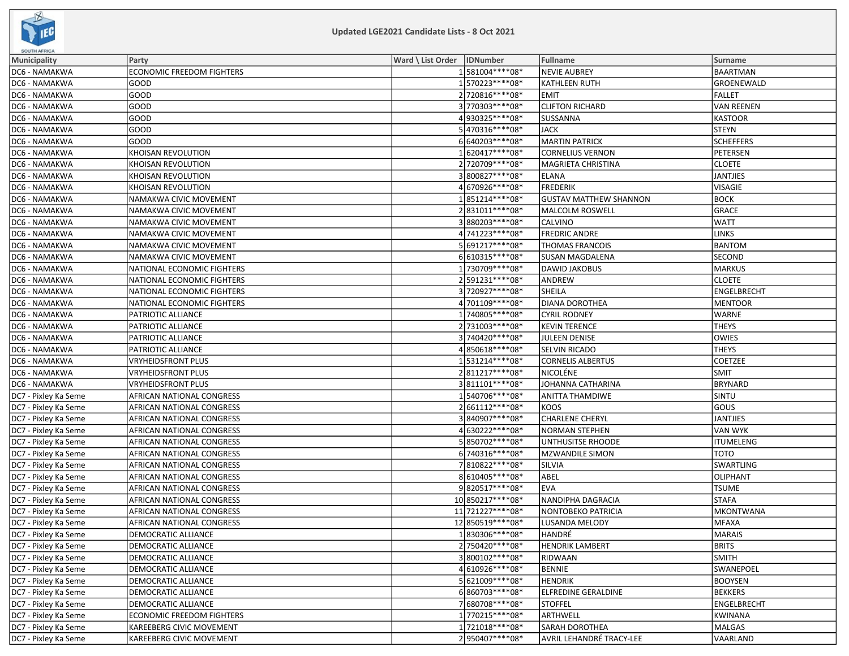

| <b>SUUTH APRICA</b>  |                                  |                              |                    |                               |                   |
|----------------------|----------------------------------|------------------------------|--------------------|-------------------------------|-------------------|
| Municipality         | Party                            | Ward \ List Order   IDNumber |                    | Fullname                      | Surname           |
| DC6 - NAMAKWA        | <b>ECONOMIC FREEDOM FIGHTERS</b> |                              | 1581004****08*     | <b>NEVIE AUBREY</b>           | <b>BAARTMAN</b>   |
| DC6 - NAMAKWA        | <b>GOOD</b>                      |                              | 1570223 **** 08*   | <b>KATHLEEN RUTH</b>          | GROENEWALD        |
| DC6 - NAMAKWA        | GOOD                             |                              | 2720816 **** 08*   | <b>EMIT</b>                   | FALLET            |
| DC6 - NAMAKWA        | GOOD                             |                              | 3770303 **** 08*   | <b>CLIFTON RICHARD</b>        | <b>VAN REENEN</b> |
| DC6 - NAMAKWA        | GOOD                             |                              | 4930325 **** 08*   | <b>SUSSANNA</b>               | KASTOOR           |
| DC6 - NAMAKWA        | GOOD                             |                              | 5 470316****08*    | <b>JACK</b>                   | <b>STEYN</b>      |
| DC6 - NAMAKWA        | GOOD                             |                              | 6640203 **** 08*   | <b>MARTIN PATRICK</b>         | <b>SCHEFFERS</b>  |
| DC6 - NAMAKWA        | KHOISAN REVOLUTION               |                              | 1620417****08*     | <b>CORNELIUS VERNON</b>       | PETERSEN          |
| DC6 - NAMAKWA        | <b>KHOISAN REVOLUTION</b>        |                              | 2720709 **** 08*   | MAGRIETA CHRISTINA            | <b>CLOETE</b>     |
| DC6 - NAMAKWA        | KHOISAN REVOLUTION               |                              | 3800827****08*     | <b>ELANA</b>                  | JANTJIES          |
| DC6 - NAMAKWA        | KHOISAN REVOLUTION               |                              | 4670926 **** 08*   | <b>FREDERIK</b>               | VISAGIE           |
| DC6 - NAMAKWA        | NAMAKWA CIVIC MOVEMENT           |                              | 1851214 **** 08*   | <b>GUSTAV MATTHEW SHANNON</b> | BOCK              |
| DC6 - NAMAKWA        | NAMAKWA CIVIC MOVEMENT           |                              | 2831011 **** 08*   | MALCOLM ROSWELL               | GRACE             |
| DC6 - NAMAKWA        | NAMAKWA CIVIC MOVEMENT           |                              | 3880203 **** 08*   | <b>CALVINO</b>                | <b>WATT</b>       |
| DC6 - NAMAKWA        | NAMAKWA CIVIC MOVEMENT           |                              | 4741223 **** 08*   | <b>FREDRIC ANDRE</b>          | <b>LINKS</b>      |
| DC6 - NAMAKWA        | NAMAKWA CIVIC MOVEMENT           |                              | 5691217****08*     | <b>THOMAS FRANCOIS</b>        | <b>BANTOM</b>     |
| DC6 - NAMAKWA        | NAMAKWA CIVIC MOVEMENT           |                              | 6610315 **** 08*   | SUSAN MAGDALENA               | <b>SECOND</b>     |
| DC6 - NAMAKWA        | NATIONAL ECONOMIC FIGHTERS       |                              | 1730709 **** 08*   | <b>DAWID JAKOBUS</b>          | MARKUS            |
| DC6 - NAMAKWA        | NATIONAL ECONOMIC FIGHTERS       |                              | 2591231 **** 08*   | ANDREW                        | <b>CLOETE</b>     |
| DC6 - NAMAKWA        | NATIONAL ECONOMIC FIGHTERS       |                              | 3720927 **** 08*   | SHEILA                        | ENGELBRECHT       |
| DC6 - NAMAKWA        | NATIONAL ECONOMIC FIGHTERS       |                              | 4701109****08*     | <b>DIANA DOROTHEA</b>         | <b>MENTOOR</b>    |
| DC6 - NAMAKWA        | PATRIOTIC ALLIANCE               |                              | 1 740805 **** 08*  | <b>CYRIL RODNEY</b>           | <b>WARNE</b>      |
| DC6 - NAMAKWA        | PATRIOTIC ALLIANCE               |                              | 2731003 **** 08*   | <b>KEVIN TERENCE</b>          | THEYS             |
| DC6 - NAMAKWA        | PATRIOTIC ALLIANCE               |                              | 3740420 **** 08*   | JULEEN DENISE                 | <b>OWIES</b>      |
| DC6 - NAMAKWA        | PATRIOTIC ALLIANCE               |                              | 4850618 **** 08*   | <b>SELVIN RICADO</b>          | <b>THEYS</b>      |
| DC6 - NAMAKWA        | <b>VRYHEIDSFRONT PLUS</b>        |                              | 1531214 **** 08*   | <b>CORNELIS ALBERTUS</b>      | <b>COETZEE</b>    |
| DC6 - NAMAKWA        | VRYHEIDSFRONT PLUS               |                              | 2811217****08*     | NICOLÉNE                      | <b>SMIT</b>       |
| DC6 - NAMAKWA        | <b>VRYHEIDSFRONT PLUS</b>        |                              | 3811101 **** 08*   | JOHANNA CATHARINA             | BRYNARD           |
| DC7 - Pixley Ka Seme | <b>AFRICAN NATIONAL CONGRESS</b> |                              | 1540706****08*     | <b>ANITTA THAMDIWE</b>        | <b>SINTU</b>      |
| DC7 - Pixley Ka Seme | AFRICAN NATIONAL CONGRESS        |                              | 2661112 **** 08*   | <b>KOOS</b>                   | Gous              |
| DC7 - Pixley Ka Seme | AFRICAN NATIONAL CONGRESS        |                              | 3840907****08*     | <b>CHARLENE CHERYL</b>        | <b>JANTJIES</b>   |
| DC7 - Pixley Ka Seme | AFRICAN NATIONAL CONGRESS        |                              | 4 630222 **** 08*  | <b>NORMAN STEPHEN</b>         | <b>VAN WYK</b>    |
| DC7 - Pixley Ka Seme | AFRICAN NATIONAL CONGRESS        |                              | 5850702 **** 08*   | UNTHUSITSE RHOODE             | <b>ITUMELENG</b>  |
| DC7 - Pixley Ka Seme | <b>AFRICAN NATIONAL CONGRESS</b> |                              | 6740316 **** 08*   | <b>MZWANDILE SIMON</b>        | тото              |
| DC7 - Pixley Ka Seme | AFRICAN NATIONAL CONGRESS        |                              | 7810822 **** 08*   | SILVIA                        | SWARTLING         |
| DC7 - Pixley Ka Seme | <b>AFRICAN NATIONAL CONGRESS</b> |                              | 8610405 **** 08*   | ABEL                          | <b>OLIPHANT</b>   |
| DC7 - Pixley Ka Seme | AFRICAN NATIONAL CONGRESS        |                              | 9820517****08*     | <b>EVA</b>                    | <b>TSUME</b>      |
| DC7 - Pixley Ka Seme | AFRICAN NATIONAL CONGRESS        |                              | 10 850217**** 08*  | NANDIPHA DAGRACIA             | <b>STAFA</b>      |
| DC7 - Pixley Ka Seme | AFRICAN NATIONAL CONGRESS        |                              | 11 721227****08*   | NONTOBEKO PATRICIA            | <b>MKONTWANA</b>  |
| DC7 - Pixley Ka Seme | AFRICAN NATIONAL CONGRESS        |                              | 12 850519 **** 08* | LUSANDA MELODY                | MFAXA             |
| DC7 - Pixley Ka Seme | DEMOCRATIC ALLIANCE              |                              | 1 830306****08*    | HANDRE                        | MARAIS            |
| DC7 - Pixley Ka Seme | <b>DEMOCRATIC ALLIANCE</b>       |                              | 2750420 **** 08*   | <b>HENDRIK LAMBERT</b>        | <b>BRITS</b>      |
| DC7 - Pixley Ka Seme | <b>DEMOCRATIC ALLIANCE</b>       |                              | 3800102 **** 08*   | RIDWAAN                       | <b>SMITH</b>      |
| DC7 - Pixley Ka Seme | <b>DEMOCRATIC ALLIANCE</b>       |                              | 4 610926 **** 08*  | <b>BENNIE</b>                 | SWANEPOEL         |
| DC7 - Pixley Ka Seme | <b>DEMOCRATIC ALLIANCE</b>       |                              | 5621009 **** 08*   | <b>HENDRIK</b>                | <b>BOOYSEN</b>    |
| DC7 - Pixley Ka Seme | DEMOCRATIC ALLIANCE              |                              | 6860703 **** 08*   | <b>ELFREDINE GERALDINE</b>    | <b>BEKKERS</b>    |
| DC7 - Pixley Ka Seme | DEMOCRATIC ALLIANCE              |                              | 7680708 **** 08*   | <b>STOFFEL</b>                | ENGELBRECHT       |
| DC7 - Pixley Ka Seme | <b>ECONOMIC FREEDOM FIGHTERS</b> |                              | 1770215 **** 08*   | ARTHWELL                      | KWINANA           |
| DC7 - Pixley Ka Seme | <b>KAREEBERG CIVIC MOVEMENT</b>  |                              | 1721018 **** 08*   | SARAH DOROTHEA                | MALGAS            |
| DC7 - Pixley Ka Seme | <b>KAREEBERG CIVIC MOVEMENT</b>  |                              | 2950407****08*     | AVRIL LEHANDRÉ TRACY-LEE      | VAARLAND          |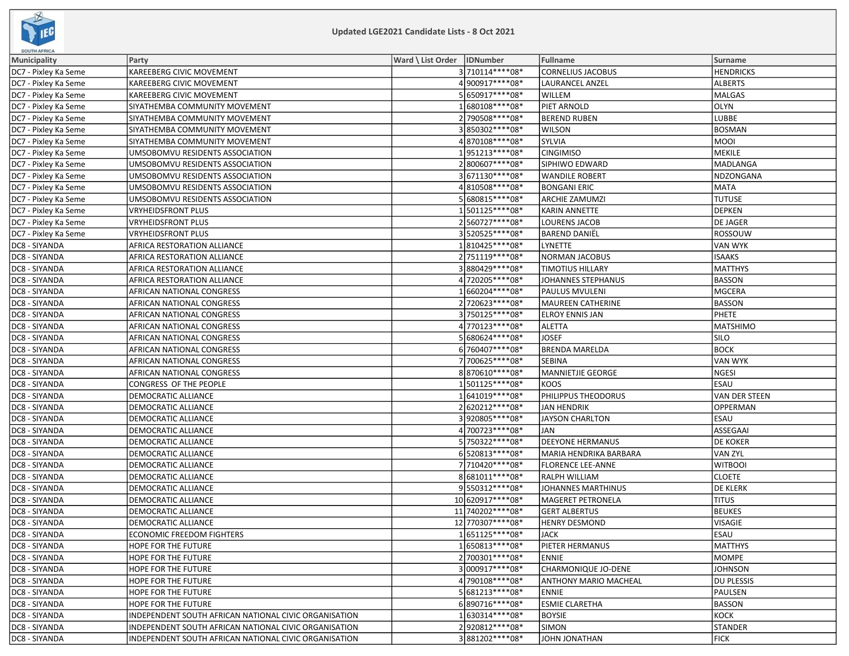

| Ward \ List Order   IDNumber<br>Fullname<br>Surname<br>Party<br>DC7 - Pixley Ka Seme<br>3 710114****08*<br><b>CORNELIUS JACOBUS</b><br><b>HENDRICKS</b><br>KAREEBERG CIVIC MOVEMENT<br>4900917****08*<br><b>LAURANCEL ANZEL</b><br>KAREEBERG CIVIC MOVEMENT<br>ALBERTS<br>5650917****08*<br>KAREEBERG CIVIC MOVEMENT<br><b>WILLEM</b><br>MALGAS<br>1680108 **** 08*<br>PIET ARNOLD<br>OLYN<br>SIYATHEMBA COMMUNITY MOVEMENT<br>2 790508 **** 08*<br><b>BEREND RUBEN</b><br>LUBBE<br>SIYATHEMBA COMMUNITY MOVEMENT<br>3850302 **** 08*<br><b>WILSON</b><br><b>BOSMAN</b><br>SIYATHEMBA COMMUNITY MOVEMENT<br>4870108****08*<br>SYLVIA<br> MOOI<br>SIYATHEMBA COMMUNITY MOVEMENT<br>1951213 **** 08*<br><b>CINGIMISO</b><br>MEKILE<br>UMSOBOMVU RESIDENTS ASSOCIATION<br>2800607****08*<br>UMSOBOMVU RESIDENTS ASSOCIATION<br>SIPHIWO EDWARD<br> MADLANGA<br>3671130****08*<br>UMSOBOMVU RESIDENTS ASSOCIATION<br><b>WANDILE ROBERT</b><br>NDZONGANA<br>4810508 **** 08*<br>MATA<br>UMSOBOMVU RESIDENTS ASSOCIATION<br><b>BONGANI ERIC</b><br>5680815 **** 08*<br><b>TUTUSE</b><br>UMSOBOMVU RESIDENTS ASSOCIATION<br><b>ARCHIE ZAMUMZI</b><br>1501125 **** 08*<br>VRYHEIDSFRONT PLUS<br><b>KARIN ANNETTE</b><br>DEPKEN<br>2560727****08*<br>DE JAGER<br>VRYHEIDSFRONT PLUS<br><b>LOURENS JACOB</b><br>3520525 **** 08*<br>ROSSOUW<br>VRYHEIDSFRONT PLUS<br><b>BAREND DANIEL</b><br>1810425 **** 08*<br>LYNETTE<br>VAN WYK<br>AFRICA RESTORATION ALLIANCE<br>2 751119 **** 08*<br><b>NORMAN JACOBUS</b><br><b>ISAAKS</b><br>AFRICA RESTORATION ALLIANCE<br>3880429 **** 08*<br><b>AFRICA RESTORATION ALLIANCE</b><br><b>TIMOTIUS HILLARY</b><br> MATTHYS<br>4 720205 **** 08*<br>BASSON<br>AFRICA RESTORATION ALLIANCE<br>JOHANNES STEPHANUS<br>1660204****08*<br>AFRICAN NATIONAL CONGRESS<br>PAULUS MVULENI<br> MGCERA<br>2720623 **** 08*<br>BASSON<br>AFRICAN NATIONAL CONGRESS<br><b>MAUREEN CATHERINE</b><br>3750125 **** 08*<br>PHETE<br>AFRICAN NATIONAL CONGRESS<br><b>ELROY ENNIS JAN</b><br>4 770123 **** 08*<br>DC8 - SIYANDA<br>AFRICAN NATIONAL CONGRESS<br><b>ALETTA</b><br> MATSHIMO<br>5 680624 **** 08*<br><b>JOSEF</b><br><b>SILO</b><br>DC8 - SIYANDA<br>AFRICAN NATIONAL CONGRESS<br>DC8 - SIYANDA<br>6 760407****08*<br><b>BRENDA MARELDA</b><br><b>BOCK</b><br>AFRICAN NATIONAL CONGRESS<br>7700625 **** 08*<br>VAN WYK<br>DC8 - SIYANDA<br>SEBINA<br>AFRICAN NATIONAL CONGRESS<br>8870610 **** 08*<br>NGESI<br>DC8 - SIYANDA<br>AFRICAN NATIONAL CONGRESS<br>MANNIETJIE GEORGE<br>1501125 **** 08*<br><b>ESAU</b><br>DC8 - SIYANDA<br>CONGRESS OF THE PEOPLE<br><b>KOOS</b><br>1641019 **** 08*<br>DC8 - SIYANDA<br>DEMOCRATIC ALLIANCE<br>PHILIPPUS THEODORUS<br>VAN DER STEEN<br>2 620212 **** 08*<br>DC8 - SIYANDA<br>DEMOCRATIC ALLIANCE<br><b>JAN HENDRIK</b><br>OPPERMAN<br>3920805 **** 08*<br>DC8 - SIYANDA<br><b>ESAU</b><br>DEMOCRATIC ALLIANCE<br><b>JAYSON CHARLTON</b><br>DC8 - SIYANDA<br>4 700723 **** 08*<br>ASSEGAAI<br><b>DEMOCRATIC ALLIANCE</b><br>JAN<br>5 750322 **** 08*<br><b>DEEYONE HERMANUS</b><br><b>DE KOKER</b><br>DC8 - SIYANDA<br>DEMOCRATIC ALLIANCE<br>6520813 **** 08*<br>VAN ZYL<br>DC8 - SIYANDA<br>DEMOCRATIC ALLIANCE<br>MARIA HENDRIKA BARBARA<br>7 710420****08*<br>DC8 - SIYANDA<br><b>DEMOCRATIC ALLIANCE</b><br><b>FLORENCE LEE-ANNE</b><br> WITBOOI<br>8681011 **** 08*<br>DC8 - SIYANDA<br><b>RALPH WILLIAM</b><br><b>CLOETE</b><br>DEMOCRATIC ALLIANCE<br>9550312 **** 08*<br><b>DE KLERK</b><br>DC8 - SIYANDA<br>DEMOCRATIC ALLIANCE<br>JOHANNES MARTHINUS<br>10 620917**** 08*<br><b>TITUS</b><br>DC8 - SIYANDA<br>DEMOCRATIC ALLIANCE<br><b>MAGERET PETRONELA</b><br>11 740202 **** 08*<br>BEUKES<br>DC8 - SIYANDA<br>DEMOCRATIC ALLIANCE<br><b>GERT ALBERTUS</b><br>12 770307****08*<br>DC8 - SIYANDA<br><b>DEMOCRATIC ALLIANCE</b><br><b>HENRY DESMOND</b><br><b>VISAGIE</b><br>DC8 - SIYANDA<br>1651125 **** 08*<br><b>ESAU</b><br><b>ECONOMIC FREEDOM FIGHTERS</b><br><b>JACK</b><br>DC8 - SIYANDA<br>1650813 **** 08*<br>PIETER HERMANUS<br>MATTHYS<br>HOPE FOR THE FUTURE<br>2700301 **** 08*<br>DC8 - SIYANDA<br>HOPE FOR THE FUTURE<br><b>ENNIE</b><br> MOMPE<br>3000917****08*<br>DC8 - SIYANDA<br>CHARMONIQUE JO-DENE<br><b>JOHNSON</b><br>HOPE FOR THE FUTURE<br>4790108 **** 08*<br>DC8 - SIYANDA<br><b>ANTHONY MARIO MACHEAL</b><br><b>DU PLESSIS</b><br>HOPE FOR THE FUTURE<br>5681213 **** 08*<br>DC8 - SIYANDA<br>HOPE FOR THE FUTURE<br>PAULSEN<br><b>ENNIE</b><br>6890716 **** 08*<br>DC8 - SIYANDA<br><b>ESMIE CLARETHA</b><br><b>BASSON</b><br>HOPE FOR THE FUTURE | <b>SOUTH AFRICA</b>  |  |  |  |
|----------------------------------------------------------------------------------------------------------------------------------------------------------------------------------------------------------------------------------------------------------------------------------------------------------------------------------------------------------------------------------------------------------------------------------------------------------------------------------------------------------------------------------------------------------------------------------------------------------------------------------------------------------------------------------------------------------------------------------------------------------------------------------------------------------------------------------------------------------------------------------------------------------------------------------------------------------------------------------------------------------------------------------------------------------------------------------------------------------------------------------------------------------------------------------------------------------------------------------------------------------------------------------------------------------------------------------------------------------------------------------------------------------------------------------------------------------------------------------------------------------------------------------------------------------------------------------------------------------------------------------------------------------------------------------------------------------------------------------------------------------------------------------------------------------------------------------------------------------------------------------------------------------------------------------------------------------------------------------------------------------------------------------------------------------------------------------------------------------------------------------------------------------------------------------------------------------------------------------------------------------------------------------------------------------------------------------------------------------------------------------------------------------------------------------------------------------------------------------------------------------------------------------------------------------------------------------------------------------------------------------------------------------------------------------------------------------------------------------------------------------------------------------------------------------------------------------------------------------------------------------------------------------------------------------------------------------------------------------------------------------------------------------------------------------------------------------------------------------------------------------------------------------------------------------------------------------------------------------------------------------------------------------------------------------------------------------------------------------------------------------------------------------------------------------------------------------------------------------------------------------------------------------------------------------------------------------------------------------------------------------------------------------------------------------------------------------------------------------------------------------------------------------------------------------------------------------------------------------------------------------------------------------------------------------------------------------------------------------------------------------------------------------------------------------------------------------------------------------------------------------------------------------------------------------------------------------------------------------------------------------------------------------------------------------------------------------------------------------------------------------------------------------------------------------------------------------------------------------------------------------------------------------------------------------------|----------------------|--|--|--|
|                                                                                                                                                                                                                                                                                                                                                                                                                                                                                                                                                                                                                                                                                                                                                                                                                                                                                                                                                                                                                                                                                                                                                                                                                                                                                                                                                                                                                                                                                                                                                                                                                                                                                                                                                                                                                                                                                                                                                                                                                                                                                                                                                                                                                                                                                                                                                                                                                                                                                                                                                                                                                                                                                                                                                                                                                                                                                                                                                                                                                                                                                                                                                                                                                                                                                                                                                                                                                                                                                                                                                                                                                                                                                                                                                                                                                                                                                                                                                                                                                                                                                                                                                                                                                                                                                                                                                                                                                                                                                                                                                                | Municipality         |  |  |  |
|                                                                                                                                                                                                                                                                                                                                                                                                                                                                                                                                                                                                                                                                                                                                                                                                                                                                                                                                                                                                                                                                                                                                                                                                                                                                                                                                                                                                                                                                                                                                                                                                                                                                                                                                                                                                                                                                                                                                                                                                                                                                                                                                                                                                                                                                                                                                                                                                                                                                                                                                                                                                                                                                                                                                                                                                                                                                                                                                                                                                                                                                                                                                                                                                                                                                                                                                                                                                                                                                                                                                                                                                                                                                                                                                                                                                                                                                                                                                                                                                                                                                                                                                                                                                                                                                                                                                                                                                                                                                                                                                                                |                      |  |  |  |
|                                                                                                                                                                                                                                                                                                                                                                                                                                                                                                                                                                                                                                                                                                                                                                                                                                                                                                                                                                                                                                                                                                                                                                                                                                                                                                                                                                                                                                                                                                                                                                                                                                                                                                                                                                                                                                                                                                                                                                                                                                                                                                                                                                                                                                                                                                                                                                                                                                                                                                                                                                                                                                                                                                                                                                                                                                                                                                                                                                                                                                                                                                                                                                                                                                                                                                                                                                                                                                                                                                                                                                                                                                                                                                                                                                                                                                                                                                                                                                                                                                                                                                                                                                                                                                                                                                                                                                                                                                                                                                                                                                | DC7 - Pixley Ka Seme |  |  |  |
|                                                                                                                                                                                                                                                                                                                                                                                                                                                                                                                                                                                                                                                                                                                                                                                                                                                                                                                                                                                                                                                                                                                                                                                                                                                                                                                                                                                                                                                                                                                                                                                                                                                                                                                                                                                                                                                                                                                                                                                                                                                                                                                                                                                                                                                                                                                                                                                                                                                                                                                                                                                                                                                                                                                                                                                                                                                                                                                                                                                                                                                                                                                                                                                                                                                                                                                                                                                                                                                                                                                                                                                                                                                                                                                                                                                                                                                                                                                                                                                                                                                                                                                                                                                                                                                                                                                                                                                                                                                                                                                                                                | DC7 - Pixley Ka Seme |  |  |  |
|                                                                                                                                                                                                                                                                                                                                                                                                                                                                                                                                                                                                                                                                                                                                                                                                                                                                                                                                                                                                                                                                                                                                                                                                                                                                                                                                                                                                                                                                                                                                                                                                                                                                                                                                                                                                                                                                                                                                                                                                                                                                                                                                                                                                                                                                                                                                                                                                                                                                                                                                                                                                                                                                                                                                                                                                                                                                                                                                                                                                                                                                                                                                                                                                                                                                                                                                                                                                                                                                                                                                                                                                                                                                                                                                                                                                                                                                                                                                                                                                                                                                                                                                                                                                                                                                                                                                                                                                                                                                                                                                                                | DC7 - Pixley Ka Seme |  |  |  |
|                                                                                                                                                                                                                                                                                                                                                                                                                                                                                                                                                                                                                                                                                                                                                                                                                                                                                                                                                                                                                                                                                                                                                                                                                                                                                                                                                                                                                                                                                                                                                                                                                                                                                                                                                                                                                                                                                                                                                                                                                                                                                                                                                                                                                                                                                                                                                                                                                                                                                                                                                                                                                                                                                                                                                                                                                                                                                                                                                                                                                                                                                                                                                                                                                                                                                                                                                                                                                                                                                                                                                                                                                                                                                                                                                                                                                                                                                                                                                                                                                                                                                                                                                                                                                                                                                                                                                                                                                                                                                                                                                                | DC7 - Pixley Ka Seme |  |  |  |
|                                                                                                                                                                                                                                                                                                                                                                                                                                                                                                                                                                                                                                                                                                                                                                                                                                                                                                                                                                                                                                                                                                                                                                                                                                                                                                                                                                                                                                                                                                                                                                                                                                                                                                                                                                                                                                                                                                                                                                                                                                                                                                                                                                                                                                                                                                                                                                                                                                                                                                                                                                                                                                                                                                                                                                                                                                                                                                                                                                                                                                                                                                                                                                                                                                                                                                                                                                                                                                                                                                                                                                                                                                                                                                                                                                                                                                                                                                                                                                                                                                                                                                                                                                                                                                                                                                                                                                                                                                                                                                                                                                | DC7 - Pixley Ka Seme |  |  |  |
|                                                                                                                                                                                                                                                                                                                                                                                                                                                                                                                                                                                                                                                                                                                                                                                                                                                                                                                                                                                                                                                                                                                                                                                                                                                                                                                                                                                                                                                                                                                                                                                                                                                                                                                                                                                                                                                                                                                                                                                                                                                                                                                                                                                                                                                                                                                                                                                                                                                                                                                                                                                                                                                                                                                                                                                                                                                                                                                                                                                                                                                                                                                                                                                                                                                                                                                                                                                                                                                                                                                                                                                                                                                                                                                                                                                                                                                                                                                                                                                                                                                                                                                                                                                                                                                                                                                                                                                                                                                                                                                                                                | DC7 - Pixley Ka Seme |  |  |  |
|                                                                                                                                                                                                                                                                                                                                                                                                                                                                                                                                                                                                                                                                                                                                                                                                                                                                                                                                                                                                                                                                                                                                                                                                                                                                                                                                                                                                                                                                                                                                                                                                                                                                                                                                                                                                                                                                                                                                                                                                                                                                                                                                                                                                                                                                                                                                                                                                                                                                                                                                                                                                                                                                                                                                                                                                                                                                                                                                                                                                                                                                                                                                                                                                                                                                                                                                                                                                                                                                                                                                                                                                                                                                                                                                                                                                                                                                                                                                                                                                                                                                                                                                                                                                                                                                                                                                                                                                                                                                                                                                                                | DC7 - Pixley Ka Seme |  |  |  |
|                                                                                                                                                                                                                                                                                                                                                                                                                                                                                                                                                                                                                                                                                                                                                                                                                                                                                                                                                                                                                                                                                                                                                                                                                                                                                                                                                                                                                                                                                                                                                                                                                                                                                                                                                                                                                                                                                                                                                                                                                                                                                                                                                                                                                                                                                                                                                                                                                                                                                                                                                                                                                                                                                                                                                                                                                                                                                                                                                                                                                                                                                                                                                                                                                                                                                                                                                                                                                                                                                                                                                                                                                                                                                                                                                                                                                                                                                                                                                                                                                                                                                                                                                                                                                                                                                                                                                                                                                                                                                                                                                                | DC7 - Pixley Ka Seme |  |  |  |
|                                                                                                                                                                                                                                                                                                                                                                                                                                                                                                                                                                                                                                                                                                                                                                                                                                                                                                                                                                                                                                                                                                                                                                                                                                                                                                                                                                                                                                                                                                                                                                                                                                                                                                                                                                                                                                                                                                                                                                                                                                                                                                                                                                                                                                                                                                                                                                                                                                                                                                                                                                                                                                                                                                                                                                                                                                                                                                                                                                                                                                                                                                                                                                                                                                                                                                                                                                                                                                                                                                                                                                                                                                                                                                                                                                                                                                                                                                                                                                                                                                                                                                                                                                                                                                                                                                                                                                                                                                                                                                                                                                | DC7 - Pixley Ka Seme |  |  |  |
|                                                                                                                                                                                                                                                                                                                                                                                                                                                                                                                                                                                                                                                                                                                                                                                                                                                                                                                                                                                                                                                                                                                                                                                                                                                                                                                                                                                                                                                                                                                                                                                                                                                                                                                                                                                                                                                                                                                                                                                                                                                                                                                                                                                                                                                                                                                                                                                                                                                                                                                                                                                                                                                                                                                                                                                                                                                                                                                                                                                                                                                                                                                                                                                                                                                                                                                                                                                                                                                                                                                                                                                                                                                                                                                                                                                                                                                                                                                                                                                                                                                                                                                                                                                                                                                                                                                                                                                                                                                                                                                                                                | DC7 - Pixley Ka Seme |  |  |  |
|                                                                                                                                                                                                                                                                                                                                                                                                                                                                                                                                                                                                                                                                                                                                                                                                                                                                                                                                                                                                                                                                                                                                                                                                                                                                                                                                                                                                                                                                                                                                                                                                                                                                                                                                                                                                                                                                                                                                                                                                                                                                                                                                                                                                                                                                                                                                                                                                                                                                                                                                                                                                                                                                                                                                                                                                                                                                                                                                                                                                                                                                                                                                                                                                                                                                                                                                                                                                                                                                                                                                                                                                                                                                                                                                                                                                                                                                                                                                                                                                                                                                                                                                                                                                                                                                                                                                                                                                                                                                                                                                                                | DC7 - Pixley Ka Seme |  |  |  |
|                                                                                                                                                                                                                                                                                                                                                                                                                                                                                                                                                                                                                                                                                                                                                                                                                                                                                                                                                                                                                                                                                                                                                                                                                                                                                                                                                                                                                                                                                                                                                                                                                                                                                                                                                                                                                                                                                                                                                                                                                                                                                                                                                                                                                                                                                                                                                                                                                                                                                                                                                                                                                                                                                                                                                                                                                                                                                                                                                                                                                                                                                                                                                                                                                                                                                                                                                                                                                                                                                                                                                                                                                                                                                                                                                                                                                                                                                                                                                                                                                                                                                                                                                                                                                                                                                                                                                                                                                                                                                                                                                                | DC7 - Pixley Ka Seme |  |  |  |
|                                                                                                                                                                                                                                                                                                                                                                                                                                                                                                                                                                                                                                                                                                                                                                                                                                                                                                                                                                                                                                                                                                                                                                                                                                                                                                                                                                                                                                                                                                                                                                                                                                                                                                                                                                                                                                                                                                                                                                                                                                                                                                                                                                                                                                                                                                                                                                                                                                                                                                                                                                                                                                                                                                                                                                                                                                                                                                                                                                                                                                                                                                                                                                                                                                                                                                                                                                                                                                                                                                                                                                                                                                                                                                                                                                                                                                                                                                                                                                                                                                                                                                                                                                                                                                                                                                                                                                                                                                                                                                                                                                | DC7 - Pixley Ka Seme |  |  |  |
|                                                                                                                                                                                                                                                                                                                                                                                                                                                                                                                                                                                                                                                                                                                                                                                                                                                                                                                                                                                                                                                                                                                                                                                                                                                                                                                                                                                                                                                                                                                                                                                                                                                                                                                                                                                                                                                                                                                                                                                                                                                                                                                                                                                                                                                                                                                                                                                                                                                                                                                                                                                                                                                                                                                                                                                                                                                                                                                                                                                                                                                                                                                                                                                                                                                                                                                                                                                                                                                                                                                                                                                                                                                                                                                                                                                                                                                                                                                                                                                                                                                                                                                                                                                                                                                                                                                                                                                                                                                                                                                                                                | DC7 - Pixley Ka Seme |  |  |  |
|                                                                                                                                                                                                                                                                                                                                                                                                                                                                                                                                                                                                                                                                                                                                                                                                                                                                                                                                                                                                                                                                                                                                                                                                                                                                                                                                                                                                                                                                                                                                                                                                                                                                                                                                                                                                                                                                                                                                                                                                                                                                                                                                                                                                                                                                                                                                                                                                                                                                                                                                                                                                                                                                                                                                                                                                                                                                                                                                                                                                                                                                                                                                                                                                                                                                                                                                                                                                                                                                                                                                                                                                                                                                                                                                                                                                                                                                                                                                                                                                                                                                                                                                                                                                                                                                                                                                                                                                                                                                                                                                                                | DC8 - SIYANDA        |  |  |  |
|                                                                                                                                                                                                                                                                                                                                                                                                                                                                                                                                                                                                                                                                                                                                                                                                                                                                                                                                                                                                                                                                                                                                                                                                                                                                                                                                                                                                                                                                                                                                                                                                                                                                                                                                                                                                                                                                                                                                                                                                                                                                                                                                                                                                                                                                                                                                                                                                                                                                                                                                                                                                                                                                                                                                                                                                                                                                                                                                                                                                                                                                                                                                                                                                                                                                                                                                                                                                                                                                                                                                                                                                                                                                                                                                                                                                                                                                                                                                                                                                                                                                                                                                                                                                                                                                                                                                                                                                                                                                                                                                                                | DC8 - SIYANDA        |  |  |  |
|                                                                                                                                                                                                                                                                                                                                                                                                                                                                                                                                                                                                                                                                                                                                                                                                                                                                                                                                                                                                                                                                                                                                                                                                                                                                                                                                                                                                                                                                                                                                                                                                                                                                                                                                                                                                                                                                                                                                                                                                                                                                                                                                                                                                                                                                                                                                                                                                                                                                                                                                                                                                                                                                                                                                                                                                                                                                                                                                                                                                                                                                                                                                                                                                                                                                                                                                                                                                                                                                                                                                                                                                                                                                                                                                                                                                                                                                                                                                                                                                                                                                                                                                                                                                                                                                                                                                                                                                                                                                                                                                                                | DC8 - SIYANDA        |  |  |  |
|                                                                                                                                                                                                                                                                                                                                                                                                                                                                                                                                                                                                                                                                                                                                                                                                                                                                                                                                                                                                                                                                                                                                                                                                                                                                                                                                                                                                                                                                                                                                                                                                                                                                                                                                                                                                                                                                                                                                                                                                                                                                                                                                                                                                                                                                                                                                                                                                                                                                                                                                                                                                                                                                                                                                                                                                                                                                                                                                                                                                                                                                                                                                                                                                                                                                                                                                                                                                                                                                                                                                                                                                                                                                                                                                                                                                                                                                                                                                                                                                                                                                                                                                                                                                                                                                                                                                                                                                                                                                                                                                                                | DC8 - SIYANDA        |  |  |  |
|                                                                                                                                                                                                                                                                                                                                                                                                                                                                                                                                                                                                                                                                                                                                                                                                                                                                                                                                                                                                                                                                                                                                                                                                                                                                                                                                                                                                                                                                                                                                                                                                                                                                                                                                                                                                                                                                                                                                                                                                                                                                                                                                                                                                                                                                                                                                                                                                                                                                                                                                                                                                                                                                                                                                                                                                                                                                                                                                                                                                                                                                                                                                                                                                                                                                                                                                                                                                                                                                                                                                                                                                                                                                                                                                                                                                                                                                                                                                                                                                                                                                                                                                                                                                                                                                                                                                                                                                                                                                                                                                                                | DC8 - SIYANDA        |  |  |  |
|                                                                                                                                                                                                                                                                                                                                                                                                                                                                                                                                                                                                                                                                                                                                                                                                                                                                                                                                                                                                                                                                                                                                                                                                                                                                                                                                                                                                                                                                                                                                                                                                                                                                                                                                                                                                                                                                                                                                                                                                                                                                                                                                                                                                                                                                                                                                                                                                                                                                                                                                                                                                                                                                                                                                                                                                                                                                                                                                                                                                                                                                                                                                                                                                                                                                                                                                                                                                                                                                                                                                                                                                                                                                                                                                                                                                                                                                                                                                                                                                                                                                                                                                                                                                                                                                                                                                                                                                                                                                                                                                                                | DC8 - SIYANDA        |  |  |  |
|                                                                                                                                                                                                                                                                                                                                                                                                                                                                                                                                                                                                                                                                                                                                                                                                                                                                                                                                                                                                                                                                                                                                                                                                                                                                                                                                                                                                                                                                                                                                                                                                                                                                                                                                                                                                                                                                                                                                                                                                                                                                                                                                                                                                                                                                                                                                                                                                                                                                                                                                                                                                                                                                                                                                                                                                                                                                                                                                                                                                                                                                                                                                                                                                                                                                                                                                                                                                                                                                                                                                                                                                                                                                                                                                                                                                                                                                                                                                                                                                                                                                                                                                                                                                                                                                                                                                                                                                                                                                                                                                                                | DC8 - SIYANDA        |  |  |  |
|                                                                                                                                                                                                                                                                                                                                                                                                                                                                                                                                                                                                                                                                                                                                                                                                                                                                                                                                                                                                                                                                                                                                                                                                                                                                                                                                                                                                                                                                                                                                                                                                                                                                                                                                                                                                                                                                                                                                                                                                                                                                                                                                                                                                                                                                                                                                                                                                                                                                                                                                                                                                                                                                                                                                                                                                                                                                                                                                                                                                                                                                                                                                                                                                                                                                                                                                                                                                                                                                                                                                                                                                                                                                                                                                                                                                                                                                                                                                                                                                                                                                                                                                                                                                                                                                                                                                                                                                                                                                                                                                                                |                      |  |  |  |
|                                                                                                                                                                                                                                                                                                                                                                                                                                                                                                                                                                                                                                                                                                                                                                                                                                                                                                                                                                                                                                                                                                                                                                                                                                                                                                                                                                                                                                                                                                                                                                                                                                                                                                                                                                                                                                                                                                                                                                                                                                                                                                                                                                                                                                                                                                                                                                                                                                                                                                                                                                                                                                                                                                                                                                                                                                                                                                                                                                                                                                                                                                                                                                                                                                                                                                                                                                                                                                                                                                                                                                                                                                                                                                                                                                                                                                                                                                                                                                                                                                                                                                                                                                                                                                                                                                                                                                                                                                                                                                                                                                |                      |  |  |  |
|                                                                                                                                                                                                                                                                                                                                                                                                                                                                                                                                                                                                                                                                                                                                                                                                                                                                                                                                                                                                                                                                                                                                                                                                                                                                                                                                                                                                                                                                                                                                                                                                                                                                                                                                                                                                                                                                                                                                                                                                                                                                                                                                                                                                                                                                                                                                                                                                                                                                                                                                                                                                                                                                                                                                                                                                                                                                                                                                                                                                                                                                                                                                                                                                                                                                                                                                                                                                                                                                                                                                                                                                                                                                                                                                                                                                                                                                                                                                                                                                                                                                                                                                                                                                                                                                                                                                                                                                                                                                                                                                                                |                      |  |  |  |
|                                                                                                                                                                                                                                                                                                                                                                                                                                                                                                                                                                                                                                                                                                                                                                                                                                                                                                                                                                                                                                                                                                                                                                                                                                                                                                                                                                                                                                                                                                                                                                                                                                                                                                                                                                                                                                                                                                                                                                                                                                                                                                                                                                                                                                                                                                                                                                                                                                                                                                                                                                                                                                                                                                                                                                                                                                                                                                                                                                                                                                                                                                                                                                                                                                                                                                                                                                                                                                                                                                                                                                                                                                                                                                                                                                                                                                                                                                                                                                                                                                                                                                                                                                                                                                                                                                                                                                                                                                                                                                                                                                |                      |  |  |  |
|                                                                                                                                                                                                                                                                                                                                                                                                                                                                                                                                                                                                                                                                                                                                                                                                                                                                                                                                                                                                                                                                                                                                                                                                                                                                                                                                                                                                                                                                                                                                                                                                                                                                                                                                                                                                                                                                                                                                                                                                                                                                                                                                                                                                                                                                                                                                                                                                                                                                                                                                                                                                                                                                                                                                                                                                                                                                                                                                                                                                                                                                                                                                                                                                                                                                                                                                                                                                                                                                                                                                                                                                                                                                                                                                                                                                                                                                                                                                                                                                                                                                                                                                                                                                                                                                                                                                                                                                                                                                                                                                                                |                      |  |  |  |
|                                                                                                                                                                                                                                                                                                                                                                                                                                                                                                                                                                                                                                                                                                                                                                                                                                                                                                                                                                                                                                                                                                                                                                                                                                                                                                                                                                                                                                                                                                                                                                                                                                                                                                                                                                                                                                                                                                                                                                                                                                                                                                                                                                                                                                                                                                                                                                                                                                                                                                                                                                                                                                                                                                                                                                                                                                                                                                                                                                                                                                                                                                                                                                                                                                                                                                                                                                                                                                                                                                                                                                                                                                                                                                                                                                                                                                                                                                                                                                                                                                                                                                                                                                                                                                                                                                                                                                                                                                                                                                                                                                |                      |  |  |  |
|                                                                                                                                                                                                                                                                                                                                                                                                                                                                                                                                                                                                                                                                                                                                                                                                                                                                                                                                                                                                                                                                                                                                                                                                                                                                                                                                                                                                                                                                                                                                                                                                                                                                                                                                                                                                                                                                                                                                                                                                                                                                                                                                                                                                                                                                                                                                                                                                                                                                                                                                                                                                                                                                                                                                                                                                                                                                                                                                                                                                                                                                                                                                                                                                                                                                                                                                                                                                                                                                                                                                                                                                                                                                                                                                                                                                                                                                                                                                                                                                                                                                                                                                                                                                                                                                                                                                                                                                                                                                                                                                                                |                      |  |  |  |
|                                                                                                                                                                                                                                                                                                                                                                                                                                                                                                                                                                                                                                                                                                                                                                                                                                                                                                                                                                                                                                                                                                                                                                                                                                                                                                                                                                                                                                                                                                                                                                                                                                                                                                                                                                                                                                                                                                                                                                                                                                                                                                                                                                                                                                                                                                                                                                                                                                                                                                                                                                                                                                                                                                                                                                                                                                                                                                                                                                                                                                                                                                                                                                                                                                                                                                                                                                                                                                                                                                                                                                                                                                                                                                                                                                                                                                                                                                                                                                                                                                                                                                                                                                                                                                                                                                                                                                                                                                                                                                                                                                |                      |  |  |  |
|                                                                                                                                                                                                                                                                                                                                                                                                                                                                                                                                                                                                                                                                                                                                                                                                                                                                                                                                                                                                                                                                                                                                                                                                                                                                                                                                                                                                                                                                                                                                                                                                                                                                                                                                                                                                                                                                                                                                                                                                                                                                                                                                                                                                                                                                                                                                                                                                                                                                                                                                                                                                                                                                                                                                                                                                                                                                                                                                                                                                                                                                                                                                                                                                                                                                                                                                                                                                                                                                                                                                                                                                                                                                                                                                                                                                                                                                                                                                                                                                                                                                                                                                                                                                                                                                                                                                                                                                                                                                                                                                                                |                      |  |  |  |
|                                                                                                                                                                                                                                                                                                                                                                                                                                                                                                                                                                                                                                                                                                                                                                                                                                                                                                                                                                                                                                                                                                                                                                                                                                                                                                                                                                                                                                                                                                                                                                                                                                                                                                                                                                                                                                                                                                                                                                                                                                                                                                                                                                                                                                                                                                                                                                                                                                                                                                                                                                                                                                                                                                                                                                                                                                                                                                                                                                                                                                                                                                                                                                                                                                                                                                                                                                                                                                                                                                                                                                                                                                                                                                                                                                                                                                                                                                                                                                                                                                                                                                                                                                                                                                                                                                                                                                                                                                                                                                                                                                |                      |  |  |  |
|                                                                                                                                                                                                                                                                                                                                                                                                                                                                                                                                                                                                                                                                                                                                                                                                                                                                                                                                                                                                                                                                                                                                                                                                                                                                                                                                                                                                                                                                                                                                                                                                                                                                                                                                                                                                                                                                                                                                                                                                                                                                                                                                                                                                                                                                                                                                                                                                                                                                                                                                                                                                                                                                                                                                                                                                                                                                                                                                                                                                                                                                                                                                                                                                                                                                                                                                                                                                                                                                                                                                                                                                                                                                                                                                                                                                                                                                                                                                                                                                                                                                                                                                                                                                                                                                                                                                                                                                                                                                                                                                                                |                      |  |  |  |
|                                                                                                                                                                                                                                                                                                                                                                                                                                                                                                                                                                                                                                                                                                                                                                                                                                                                                                                                                                                                                                                                                                                                                                                                                                                                                                                                                                                                                                                                                                                                                                                                                                                                                                                                                                                                                                                                                                                                                                                                                                                                                                                                                                                                                                                                                                                                                                                                                                                                                                                                                                                                                                                                                                                                                                                                                                                                                                                                                                                                                                                                                                                                                                                                                                                                                                                                                                                                                                                                                                                                                                                                                                                                                                                                                                                                                                                                                                                                                                                                                                                                                                                                                                                                                                                                                                                                                                                                                                                                                                                                                                |                      |  |  |  |
|                                                                                                                                                                                                                                                                                                                                                                                                                                                                                                                                                                                                                                                                                                                                                                                                                                                                                                                                                                                                                                                                                                                                                                                                                                                                                                                                                                                                                                                                                                                                                                                                                                                                                                                                                                                                                                                                                                                                                                                                                                                                                                                                                                                                                                                                                                                                                                                                                                                                                                                                                                                                                                                                                                                                                                                                                                                                                                                                                                                                                                                                                                                                                                                                                                                                                                                                                                                                                                                                                                                                                                                                                                                                                                                                                                                                                                                                                                                                                                                                                                                                                                                                                                                                                                                                                                                                                                                                                                                                                                                                                                |                      |  |  |  |
|                                                                                                                                                                                                                                                                                                                                                                                                                                                                                                                                                                                                                                                                                                                                                                                                                                                                                                                                                                                                                                                                                                                                                                                                                                                                                                                                                                                                                                                                                                                                                                                                                                                                                                                                                                                                                                                                                                                                                                                                                                                                                                                                                                                                                                                                                                                                                                                                                                                                                                                                                                                                                                                                                                                                                                                                                                                                                                                                                                                                                                                                                                                                                                                                                                                                                                                                                                                                                                                                                                                                                                                                                                                                                                                                                                                                                                                                                                                                                                                                                                                                                                                                                                                                                                                                                                                                                                                                                                                                                                                                                                |                      |  |  |  |
|                                                                                                                                                                                                                                                                                                                                                                                                                                                                                                                                                                                                                                                                                                                                                                                                                                                                                                                                                                                                                                                                                                                                                                                                                                                                                                                                                                                                                                                                                                                                                                                                                                                                                                                                                                                                                                                                                                                                                                                                                                                                                                                                                                                                                                                                                                                                                                                                                                                                                                                                                                                                                                                                                                                                                                                                                                                                                                                                                                                                                                                                                                                                                                                                                                                                                                                                                                                                                                                                                                                                                                                                                                                                                                                                                                                                                                                                                                                                                                                                                                                                                                                                                                                                                                                                                                                                                                                                                                                                                                                                                                |                      |  |  |  |
|                                                                                                                                                                                                                                                                                                                                                                                                                                                                                                                                                                                                                                                                                                                                                                                                                                                                                                                                                                                                                                                                                                                                                                                                                                                                                                                                                                                                                                                                                                                                                                                                                                                                                                                                                                                                                                                                                                                                                                                                                                                                                                                                                                                                                                                                                                                                                                                                                                                                                                                                                                                                                                                                                                                                                                                                                                                                                                                                                                                                                                                                                                                                                                                                                                                                                                                                                                                                                                                                                                                                                                                                                                                                                                                                                                                                                                                                                                                                                                                                                                                                                                                                                                                                                                                                                                                                                                                                                                                                                                                                                                |                      |  |  |  |
|                                                                                                                                                                                                                                                                                                                                                                                                                                                                                                                                                                                                                                                                                                                                                                                                                                                                                                                                                                                                                                                                                                                                                                                                                                                                                                                                                                                                                                                                                                                                                                                                                                                                                                                                                                                                                                                                                                                                                                                                                                                                                                                                                                                                                                                                                                                                                                                                                                                                                                                                                                                                                                                                                                                                                                                                                                                                                                                                                                                                                                                                                                                                                                                                                                                                                                                                                                                                                                                                                                                                                                                                                                                                                                                                                                                                                                                                                                                                                                                                                                                                                                                                                                                                                                                                                                                                                                                                                                                                                                                                                                |                      |  |  |  |
|                                                                                                                                                                                                                                                                                                                                                                                                                                                                                                                                                                                                                                                                                                                                                                                                                                                                                                                                                                                                                                                                                                                                                                                                                                                                                                                                                                                                                                                                                                                                                                                                                                                                                                                                                                                                                                                                                                                                                                                                                                                                                                                                                                                                                                                                                                                                                                                                                                                                                                                                                                                                                                                                                                                                                                                                                                                                                                                                                                                                                                                                                                                                                                                                                                                                                                                                                                                                                                                                                                                                                                                                                                                                                                                                                                                                                                                                                                                                                                                                                                                                                                                                                                                                                                                                                                                                                                                                                                                                                                                                                                |                      |  |  |  |
|                                                                                                                                                                                                                                                                                                                                                                                                                                                                                                                                                                                                                                                                                                                                                                                                                                                                                                                                                                                                                                                                                                                                                                                                                                                                                                                                                                                                                                                                                                                                                                                                                                                                                                                                                                                                                                                                                                                                                                                                                                                                                                                                                                                                                                                                                                                                                                                                                                                                                                                                                                                                                                                                                                                                                                                                                                                                                                                                                                                                                                                                                                                                                                                                                                                                                                                                                                                                                                                                                                                                                                                                                                                                                                                                                                                                                                                                                                                                                                                                                                                                                                                                                                                                                                                                                                                                                                                                                                                                                                                                                                |                      |  |  |  |
|                                                                                                                                                                                                                                                                                                                                                                                                                                                                                                                                                                                                                                                                                                                                                                                                                                                                                                                                                                                                                                                                                                                                                                                                                                                                                                                                                                                                                                                                                                                                                                                                                                                                                                                                                                                                                                                                                                                                                                                                                                                                                                                                                                                                                                                                                                                                                                                                                                                                                                                                                                                                                                                                                                                                                                                                                                                                                                                                                                                                                                                                                                                                                                                                                                                                                                                                                                                                                                                                                                                                                                                                                                                                                                                                                                                                                                                                                                                                                                                                                                                                                                                                                                                                                                                                                                                                                                                                                                                                                                                                                                |                      |  |  |  |
|                                                                                                                                                                                                                                                                                                                                                                                                                                                                                                                                                                                                                                                                                                                                                                                                                                                                                                                                                                                                                                                                                                                                                                                                                                                                                                                                                                                                                                                                                                                                                                                                                                                                                                                                                                                                                                                                                                                                                                                                                                                                                                                                                                                                                                                                                                                                                                                                                                                                                                                                                                                                                                                                                                                                                                                                                                                                                                                                                                                                                                                                                                                                                                                                                                                                                                                                                                                                                                                                                                                                                                                                                                                                                                                                                                                                                                                                                                                                                                                                                                                                                                                                                                                                                                                                                                                                                                                                                                                                                                                                                                |                      |  |  |  |
|                                                                                                                                                                                                                                                                                                                                                                                                                                                                                                                                                                                                                                                                                                                                                                                                                                                                                                                                                                                                                                                                                                                                                                                                                                                                                                                                                                                                                                                                                                                                                                                                                                                                                                                                                                                                                                                                                                                                                                                                                                                                                                                                                                                                                                                                                                                                                                                                                                                                                                                                                                                                                                                                                                                                                                                                                                                                                                                                                                                                                                                                                                                                                                                                                                                                                                                                                                                                                                                                                                                                                                                                                                                                                                                                                                                                                                                                                                                                                                                                                                                                                                                                                                                                                                                                                                                                                                                                                                                                                                                                                                |                      |  |  |  |
|                                                                                                                                                                                                                                                                                                                                                                                                                                                                                                                                                                                                                                                                                                                                                                                                                                                                                                                                                                                                                                                                                                                                                                                                                                                                                                                                                                                                                                                                                                                                                                                                                                                                                                                                                                                                                                                                                                                                                                                                                                                                                                                                                                                                                                                                                                                                                                                                                                                                                                                                                                                                                                                                                                                                                                                                                                                                                                                                                                                                                                                                                                                                                                                                                                                                                                                                                                                                                                                                                                                                                                                                                                                                                                                                                                                                                                                                                                                                                                                                                                                                                                                                                                                                                                                                                                                                                                                                                                                                                                                                                                |                      |  |  |  |
|                                                                                                                                                                                                                                                                                                                                                                                                                                                                                                                                                                                                                                                                                                                                                                                                                                                                                                                                                                                                                                                                                                                                                                                                                                                                                                                                                                                                                                                                                                                                                                                                                                                                                                                                                                                                                                                                                                                                                                                                                                                                                                                                                                                                                                                                                                                                                                                                                                                                                                                                                                                                                                                                                                                                                                                                                                                                                                                                                                                                                                                                                                                                                                                                                                                                                                                                                                                                                                                                                                                                                                                                                                                                                                                                                                                                                                                                                                                                                                                                                                                                                                                                                                                                                                                                                                                                                                                                                                                                                                                                                                |                      |  |  |  |
|                                                                                                                                                                                                                                                                                                                                                                                                                                                                                                                                                                                                                                                                                                                                                                                                                                                                                                                                                                                                                                                                                                                                                                                                                                                                                                                                                                                                                                                                                                                                                                                                                                                                                                                                                                                                                                                                                                                                                                                                                                                                                                                                                                                                                                                                                                                                                                                                                                                                                                                                                                                                                                                                                                                                                                                                                                                                                                                                                                                                                                                                                                                                                                                                                                                                                                                                                                                                                                                                                                                                                                                                                                                                                                                                                                                                                                                                                                                                                                                                                                                                                                                                                                                                                                                                                                                                                                                                                                                                                                                                                                |                      |  |  |  |
| 1630314 **** 08*<br>INDEPENDENT SOUTH AFRICAN NATIONAL CIVIC ORGANISATION<br><b>BOYSIE</b><br> KOCK                                                                                                                                                                                                                                                                                                                                                                                                                                                                                                                                                                                                                                                                                                                                                                                                                                                                                                                                                                                                                                                                                                                                                                                                                                                                                                                                                                                                                                                                                                                                                                                                                                                                                                                                                                                                                                                                                                                                                                                                                                                                                                                                                                                                                                                                                                                                                                                                                                                                                                                                                                                                                                                                                                                                                                                                                                                                                                                                                                                                                                                                                                                                                                                                                                                                                                                                                                                                                                                                                                                                                                                                                                                                                                                                                                                                                                                                                                                                                                                                                                                                                                                                                                                                                                                                                                                                                                                                                                                            | DC8 - SIYANDA        |  |  |  |
| 2920812 **** 08*<br>SIMON<br>STANDER<br>INDEPENDENT SOUTH AFRICAN NATIONAL CIVIC ORGANISATION                                                                                                                                                                                                                                                                                                                                                                                                                                                                                                                                                                                                                                                                                                                                                                                                                                                                                                                                                                                                                                                                                                                                                                                                                                                                                                                                                                                                                                                                                                                                                                                                                                                                                                                                                                                                                                                                                                                                                                                                                                                                                                                                                                                                                                                                                                                                                                                                                                                                                                                                                                                                                                                                                                                                                                                                                                                                                                                                                                                                                                                                                                                                                                                                                                                                                                                                                                                                                                                                                                                                                                                                                                                                                                                                                                                                                                                                                                                                                                                                                                                                                                                                                                                                                                                                                                                                                                                                                                                                  | DC8 - SIYANDA        |  |  |  |
| 3881202 **** 08*<br><b>FICK</b><br>INDEPENDENT SOUTH AFRICAN NATIONAL CIVIC ORGANISATION<br>JOHN JONATHAN                                                                                                                                                                                                                                                                                                                                                                                                                                                                                                                                                                                                                                                                                                                                                                                                                                                                                                                                                                                                                                                                                                                                                                                                                                                                                                                                                                                                                                                                                                                                                                                                                                                                                                                                                                                                                                                                                                                                                                                                                                                                                                                                                                                                                                                                                                                                                                                                                                                                                                                                                                                                                                                                                                                                                                                                                                                                                                                                                                                                                                                                                                                                                                                                                                                                                                                                                                                                                                                                                                                                                                                                                                                                                                                                                                                                                                                                                                                                                                                                                                                                                                                                                                                                                                                                                                                                                                                                                                                      | DC8 - SIYANDA        |  |  |  |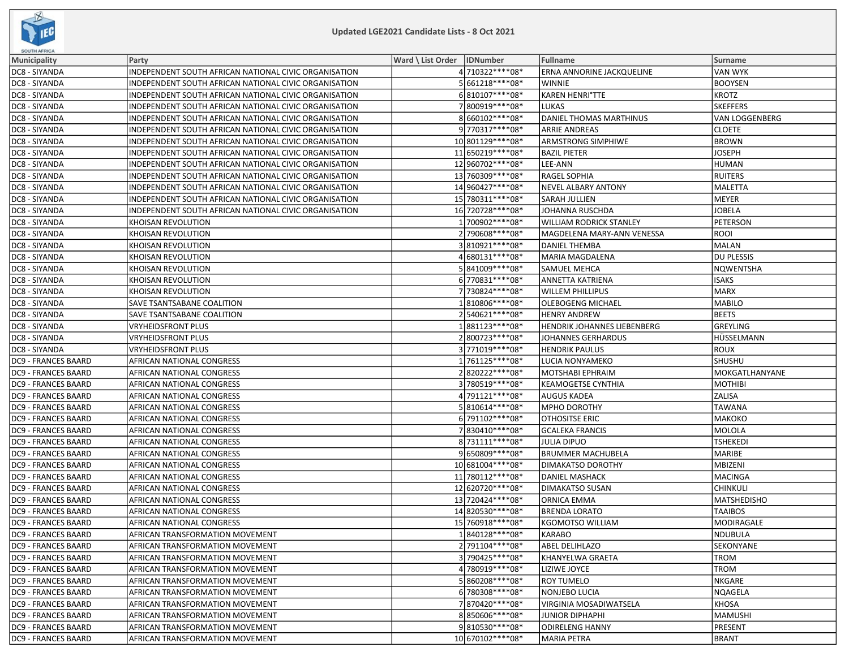

| <b>SOUTH AFRICA</b>        |                                                       |                                             |                                    |                   |
|----------------------------|-------------------------------------------------------|---------------------------------------------|------------------------------------|-------------------|
| <b>Municipality</b>        | Party                                                 | <b>Ward \ List Order</b><br><b>IDNumber</b> | Fullname                           | Surname           |
| DC8 - SIYANDA              | INDEPENDENT SOUTH AFRICAN NATIONAL CIVIC ORGANISATION | 4710322 **** 08*                            | ERNA ANNORINE JACKQUELINE          | VAN WYK           |
| DC8 - SIYANDA              | INDEPENDENT SOUTH AFRICAN NATIONAL CIVIC ORGANISATION | 5661218 **** 08*                            | <b>WINNIE</b>                      | <b>BOOYSEN</b>    |
| DC8 - SIYANDA              | INDEPENDENT SOUTH AFRICAN NATIONAL CIVIC ORGANISATION | 6810107****08*                              | KAREN HENRI°TTE                    | <b>KROTZ</b>      |
| DC8 - SIYANDA              | INDEPENDENT SOUTH AFRICAN NATIONAL CIVIC ORGANISATION | 7800919 **** 08*                            | <b>LUKAS</b>                       | <b>SKEFFERS</b>   |
| DC8 - SIYANDA              | INDEPENDENT SOUTH AFRICAN NATIONAL CIVIC ORGANISATION | 8660102 **** 08*                            | DANIEL THOMAS MARTHINUS            | VAN LOGGENBERG    |
| DC8 - SIYANDA              | INDEPENDENT SOUTH AFRICAN NATIONAL CIVIC ORGANISATION | 9770317****08*                              | <b>ARRIE ANDREAS</b>               | <b>CLOETE</b>     |
| DC8 - SIYANDA              | INDEPENDENT SOUTH AFRICAN NATIONAL CIVIC ORGANISATION | 10 801129 **** 08*                          | <b>ARMSTRONG SIMPHIWE</b>          | <b>BROWN</b>      |
| DC8 - SIYANDA              | INDEPENDENT SOUTH AFRICAN NATIONAL CIVIC ORGANISATION | 11 650219 **** 08*                          | <b>BAZIL PIETER</b>                | <b>JOSEPH</b>     |
| DC8 - SIYANDA              | INDEPENDENT SOUTH AFRICAN NATIONAL CIVIC ORGANISATION | 12 960702 **** 08*                          | LEE-ANN                            | <b>HUMAN</b>      |
| DC8 - SIYANDA              | INDEPENDENT SOUTH AFRICAN NATIONAL CIVIC ORGANISATION | 13 760309 **** 08*                          | <b>RAGEL SOPHIA</b>                | <b>RUITERS</b>    |
| DC8 - SIYANDA              | INDEPENDENT SOUTH AFRICAN NATIONAL CIVIC ORGANISATION | 14 960427****08*                            | <b>NEVEL ALBARY ANTONY</b>         | MALETTA           |
| DC8 - SIYANDA              | INDEPENDENT SOUTH AFRICAN NATIONAL CIVIC ORGANISATION | 15 780311****08*                            | <b>SARAH JULLIEN</b>               | MEYER             |
| DC8 - SIYANDA              | INDEPENDENT SOUTH AFRICAN NATIONAL CIVIC ORGANISATION | 16 720728 **** 08*                          | JOHANNA RUSCHDA                    | <b>JOBELA</b>     |
| DC8 - SIYANDA              | KHOISAN REVOLUTION                                    | 1 700902 **** 08*                           | WILLIAM RODRICK STANLEY            | <b>PETERSON</b>   |
| DC8 - SIYANDA              | KHOISAN REVOLUTION                                    | 2790608 **** 08*                            | MAGDELENA MARY-ANN VENESSA         | <b>ROOI</b>       |
| DC8 - SIYANDA              | KHOISAN REVOLUTION                                    | 3810921 **** 08*                            | DANIEL THEMBA                      | MALAN             |
| DC8 - SIYANDA              | KHOISAN REVOLUTION                                    | 4680131****08*                              | <b>MARIA MAGDALENA</b>             | <b>DU PLESSIS</b> |
| DC8 - SIYANDA              | <b>KHOISAN REVOLUTION</b>                             | 5841009 **** 08*                            | <b>SAMUEL MEHCA</b>                | <b>NQWENTSHA</b>  |
| DC8 - SIYANDA              | KHOISAN REVOLUTION                                    | 6770831 **** 08*                            | <b>ANNETTA KATRIENA</b>            | <b>ISAKS</b>      |
| DC8 - SIYANDA              | KHOISAN REVOLUTION                                    | 7730824 **** 08*                            | <b>WILLEM PHILLIPUS</b>            | <b>MARX</b>       |
| DC8 - SIYANDA              | SAVE TSANTSABANE COALITION                            | 1810806****08*                              | OLEBOGENG MICHAEL                  | <b>MABILO</b>     |
| DC8 - SIYANDA              | SAVE TSANTSABANE COALITION                            | 2540621 **** 08*                            | <b>HENRY ANDREW</b>                | <b>BEETS</b>      |
| DC8 - SIYANDA              | <b>VRYHEIDSFRONT PLUS</b>                             | 1881123 **** 08*                            | <b>HENDRIK JOHANNES LIEBENBERG</b> | <b>GREYLING</b>   |
| DC8 - SIYANDA              | <b>VRYHEIDSFRONT PLUS</b>                             | 2800723 **** 08*                            | <b>JOHANNES GERHARDUS</b>          | HÜSSELMANN        |
| DC8 - SIYANDA              | <b>VRYHEIDSFRONT PLUS</b>                             | 3771019 **** 08*                            | <b>HENDRIK PAULUS</b>              | <b>ROUX</b>       |
| DC9 - FRANCES BAARD        | AFRICAN NATIONAL CONGRESS                             | 1761125 **** 08*                            | LUCIA NONYAMEKO                    | SHUSHU            |
| DC9 - FRANCES BAARD        | AFRICAN NATIONAL CONGRESS                             | 2820222****08*                              | MOTSHABI EPHRAIM                   | MOKGATLHANYANE    |
| DC9 - FRANCES BAARD        | AFRICAN NATIONAL CONGRESS                             | 3780519 **** 08*                            | <b>KEAMOGETSE CYNTHIA</b>          | <b>MOTHIBI</b>    |
| DC9 - FRANCES BAARD        | AFRICAN NATIONAL CONGRESS                             | 4791121****08*                              | <b>AUGUS KADEA</b>                 | ZALISA            |
| DC9 - FRANCES BAARD        | AFRICAN NATIONAL CONGRESS                             | 5810614 **** 08*                            | <b>MPHO DOROTHY</b>                | TAWANA            |
| DC9 - FRANCES BAARD        | AFRICAN NATIONAL CONGRESS                             | 6791102 **** 08*                            | <b>OTHOSITSE ERIC</b>              | МАКОКО            |
| DC9 - FRANCES BAARD        | AFRICAN NATIONAL CONGRESS                             | 7830410 **** 08*                            | <b>GCALEKA FRANCIS</b>             | <b>MOLOLA</b>     |
| DC9 - FRANCES BAARD        | AFRICAN NATIONAL CONGRESS                             | 8 731111****08*                             | JULIA DIPUO                        | <b>TSHEKEDI</b>   |
| DC9 - FRANCES BAARD        | AFRICAN NATIONAL CONGRESS                             | 9650809 **** 08*                            | <b>BRUMMER MACHUBELA</b>           | <b>MARIBE</b>     |
| DC9 - FRANCES BAARD        | AFRICAN NATIONAL CONGRESS                             | 10 681004 **** 08*                          | <b>DIMAKATSO DOROTHY</b>           | MBIZENI           |
| DC9 - FRANCES BAARD        | AFRICAN NATIONAL CONGRESS                             | 11 780112****08*                            | DANIEL MASHACK                     | MACINGA           |
| DC9 - FRANCES BAARD        | AFRICAN NATIONAL CONGRESS                             | 12 620720 **** 08*                          | <b>DIMAKATSO SUSAN</b>             | <b>CHINKULI</b>   |
| DC9 - FRANCES BAARD        | AFRICAN NATIONAL CONGRESS                             | 13 720424****08*                            | <b>ORNICA EMMA</b>                 | MATSHEDISHO       |
| DC9 - FRANCES BAARD        | AFRICAN NATIONAL CONGRESS                             | 14 820530****08*                            | <b>BRENDA LORATO</b>               | <b>TAAIBOS</b>    |
| <b>DC9 - FRANCES BAARD</b> | AFRICAN NATIONAL CONGRESS                             | 15 760918 **** 08*                          | <b>KGOMOTSO WILLIAM</b>            | MODIRAGALE        |
| <b>DC9 - FRANCES BAARD</b> | AFRICAN TRANSFORMATION MOVEMENT                       | 1840128 **** 08*                            | <b>KARABO</b>                      | NDUBULA           |
| <b>DC9 - FRANCES BAARD</b> | AFRICAN TRANSFORMATION MOVEMENT                       | 2 791104 **** 08*                           | ABEL DELIHLAZO                     | SEKONYANE         |
| DC9 - FRANCES BAARD        | AFRICAN TRANSFORMATION MOVEMENT                       | 3790425 **** 08*                            | <b>IKHANYELWA GRAETA</b>           | TROM              |
| <b>DC9 - FRANCES BAARD</b> | AFRICAN TRANSFORMATION MOVEMENT                       | 4780919 **** 08*                            | LIZIWE JOYCE                       | <b>TROM</b>       |
| DC9 - FRANCES BAARD        | AFRICAN TRANSFORMATION MOVEMENT                       | 5860208 **** 08*                            | <b>ROY TUMELO</b>                  | NKGARE            |
| DC9 - FRANCES BAARD        | AFRICAN TRANSFORMATION MOVEMENT                       | 6 780308 **** 08*                           | NONJEBO LUCIA                      | NQAGELA           |
| DC9 - FRANCES BAARD        | AFRICAN TRANSFORMATION MOVEMENT                       | 7870420 **** 08*                            | <b>VIRGINIA MOSADIWATSELA</b>      | <b>KHOSA</b>      |
| DC9 - FRANCES BAARD        | AFRICAN TRANSFORMATION MOVEMENT                       | 8850606 **** 08*                            | <b>JUNIOR DIPHAPHI</b>             | MAMUSHI           |
| <b>DC9 - FRANCES BAARD</b> | AFRICAN TRANSFORMATION MOVEMENT                       | 9810530 **** 08*                            | <b>ODIRELENG HANNY</b>             | PRESENT           |
| DC9 - FRANCES BAARD        | AFRICAN TRANSFORMATION MOVEMENT                       | 10 670102 **** 08*                          | <b>MARIA PETRA</b>                 | <b>BRANT</b>      |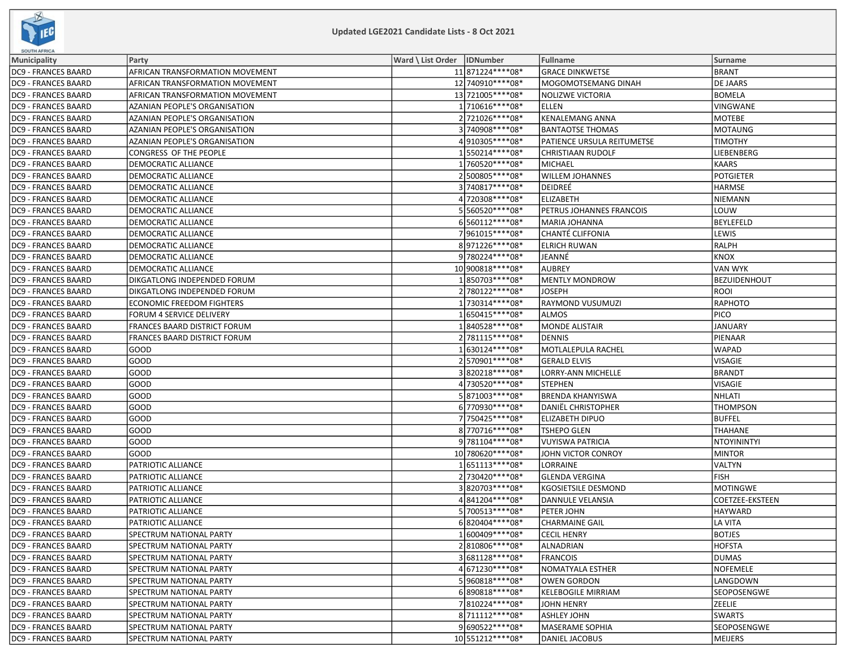

| <b>SOUTH AFRICA</b>        |                                      |                              |                            |                    |
|----------------------------|--------------------------------------|------------------------------|----------------------------|--------------------|
| <b>Municipality</b>        | Party                                | Ward \ List Order   IDNumber | Fullname                   | Surname            |
| <b>DC9 - FRANCES BAARD</b> | AFRICAN TRANSFORMATION MOVEMENT      | 11 871224 **** 08 *          | <b>GRACE DINKWETSE</b>     | <b>BRANT</b>       |
| <b>DC9 - FRANCES BAARD</b> | AFRICAN TRANSFORMATION MOVEMENT      | 12 740910****08*             | MOGOMOTSEMANG DINAH        | DE JAARS           |
| <b>DC9 - FRANCES BAARD</b> | AFRICAN TRANSFORMATION MOVEMENT      | 13 721005 **** 08*           | NOLIZWE VICTORIA           | <b>BOMELA</b>      |
| <b>DC9 - FRANCES BAARD</b> | AZANIAN PEOPLE'S ORGANISATION        | 1710616 **** 08*             | <b>ELLEN</b>               | VINGWANE           |
| <b>DC9 - FRANCES BAARD</b> | <b>AZANIAN PEOPLE'S ORGANISATION</b> | 2721026 **** 08*             | <b>KENALEMANG ANNA</b>     | <b>MOTEBE</b>      |
| <b>DC9 - FRANCES BAARD</b> | AZANIAN PEOPLE'S ORGANISATION        | 3740908 **** 08*             | <b>BANTAOTSE THOMAS</b>    | MOTAUNG            |
| <b>DC9 - FRANCES BAARD</b> | AZANIAN PEOPLE'S ORGANISATION        | 4910305 **** 08*             | PATIENCE URSULA REITUMETSE | <b>TIMOTHY</b>     |
| <b>DC9 - FRANCES BAARD</b> | CONGRESS OF THE PEOPLE               | 1550214 **** 08*             | CHRISTIAAN RUDOLF          | LIEBENBERG         |
| <b>DC9 - FRANCES BAARD</b> | DEMOCRATIC ALLIANCE                  | 1760520 **** 08*             | MICHAEL                    | KAARS              |
| <b>DC9 - FRANCES BAARD</b> | DEMOCRATIC ALLIANCE                  | 2500805 **** 08*             | <b>WILLEM JOHANNES</b>     | <b>POTGIETER</b>   |
| <b>DC9 - FRANCES BAARD</b> | DEMOCRATIC ALLIANCE                  | 3 740817****08*              | DEIDREÉ                    | HARMSE             |
| <b>DC9 - FRANCES BAARD</b> | DEMOCRATIC ALLIANCE                  | 4 720308 **** 08*            | <b>ELIZABETH</b>           | NIEMANN            |
| <b>DC9 - FRANCES BAARD</b> | DEMOCRATIC ALLIANCE                  | 5560520 **** 08*             | PETRUS JOHANNES FRANCOIS   | LOUW               |
| <b>DC9 - FRANCES BAARD</b> | DEMOCRATIC ALLIANCE                  | 6560112 **** 08*             | MARIA JOHANNA              | BEYLEFELD          |
| <b>DC9 - FRANCES BAARD</b> | DEMOCRATIC ALLIANCE                  | 7961015 **** 08*             | CHANTÉ CLIFFONIA           | LEWIS              |
| <b>DC9 - FRANCES BAARD</b> | DEMOCRATIC ALLIANCE                  | 8971226 **** 08*             | <b>ELRICH RUWAN</b>        | RALPH              |
| <b>DC9 - FRANCES BAARD</b> | DEMOCRATIC ALLIANCE                  | 9780224 **** 08*             | JEANNÉ                     | <b>KNOX</b>        |
| <b>DC9 - FRANCES BAARD</b> | DEMOCRATIC ALLIANCE                  | 10 900818 **** 08*           | <b>AUBREY</b>              | <b>VAN WYK</b>     |
| <b>DC9 - FRANCES BAARD</b> | DIKGATLONG INDEPENDED FORUM          | 1850703 **** 08*             | <b>MENTLY MONDROW</b>      | BEZUIDENHOUT       |
| <b>DC9 - FRANCES BAARD</b> | DIKGATLONG INDEPENDED FORUM          | 2 780122 **** 08*            | <b>JOSEPH</b>              | ROOI               |
| <b>DC9 - FRANCES BAARD</b> | <b>ECONOMIC FREEDOM FIGHTERS</b>     | 1730314 **** 08*             | RAYMOND VUSUMUZI           | RAPHOTO            |
| <b>DC9 - FRANCES BAARD</b> | FORUM 4 SERVICE DELIVERY             | 1650415 **** 08*             | <b>ALMOS</b>               | <b>PICO</b>        |
| <b>DC9 - FRANCES BAARD</b> | FRANCES BAARD DISTRICT FORUM         | 1840528 **** 08*             | <b>MONDE ALISTAIR</b>      | JANUARY            |
| <b>DC9 - FRANCES BAARD</b> | FRANCES BAARD DISTRICT FORUM         | 2 781115****08*              | <b>DENNIS</b>              | PIENAAR            |
| <b>DC9 - FRANCES BAARD</b> | GOOD                                 | 1630124 **** 08*             | MOTLALEPULA RACHEL         | <b>WAPAD</b>       |
| <b>DC9 - FRANCES BAARD</b> | GOOD                                 | 2570901 **** 08*             | <b>GERALD ELVIS</b>        | VISAGIE            |
| <b>DC9 - FRANCES BAARD</b> | GOOD                                 | 3820218 **** 08*             | LORRY-ANN MICHELLE         | <b>BRANDT</b>      |
| <b>DC9 - FRANCES BAARD</b> | GOOD                                 | 4 730520 **** 08*            | <b>STEPHEN</b>             | VISAGIE            |
| <b>DC9 - FRANCES BAARD</b> | GOOD                                 | 5 871003 **** 08*            | <b>BRENDA KHANYISWA</b>    | NHLATI             |
| <b>DC9 - FRANCES BAARD</b> | GOOD                                 | 6770930 **** 08*             | <b>DANIËL CHRISTOPHER</b>  | <b>THOMPSON</b>    |
| <b>DC9 - FRANCES BAARD</b> | GOOD                                 | 7750425 **** 08*             | <b>ELIZABETH DIPUO</b>     | BUFFEL             |
| <b>DC9 - FRANCES BAARD</b> | GOOD                                 | 8770716 **** 08*             | <b>TSHEPO GLEN</b>         | <b>THAHANE</b>     |
| <b>DC9 - FRANCES BAARD</b> | GOOD                                 | 9781104****08*               | <b>VUYISWA PATRICIA</b>    | NTOYININTYI        |
| <b>DC9 - FRANCES BAARD</b> | GOOD                                 | 10 780620 **** 08*           | JOHN VICTOR CONROY         | MINTOR             |
| <b>DC9 - FRANCES BAARD</b> | PATRIOTIC ALLIANCE                   | 1651113 **** 08*             | LORRAINE                   | VALTYN             |
| <b>DC9 - FRANCES BAARD</b> | PATRIOTIC ALLIANCE                   | 2730420 **** 08*             | <b>GLENDA VERGINA</b>      | <b>FISH</b>        |
| <b>DC9 - FRANCES BAARD</b> | PATRIOTIC ALLIANCE                   | 3820703 **** 08*             | <b>KGOSIETSILE DESMOND</b> | MOTINGWE           |
| <b>DC9 - FRANCES BAARD</b> | PATRIOTIC ALLIANCE                   | 4841204 **** 08*             | DANNULE VELANSIA           | COETZEE-EKSTEEN    |
| <b>DC9 - FRANCES BAARD</b> | PATRIOTIC ALLIANCE                   | 5700513 **** 08*             | PETER JOHN                 | HAYWARD            |
| <b>DC9 - FRANCES BAARD</b> | PATRIOTIC ALLIANCE                   | 6820404 **** 08*             | <b>CHARMAINE GAIL</b>      | LA VITA            |
| <b>DC9 - FRANCES BAARD</b> | SPECTRUM NATIONAL PARTY              | 1 600409****08*              | <b>CECIL HENRY</b>         | <b>BOTJES</b>      |
| <b>DC9 - FRANCES BAARD</b> | SPECTRUM NATIONAL PARTY              | 2810806 **** 08*             | ALNADRIAN                  | HOFSTA             |
| <b>DC9 - FRANCES BAARD</b> | SPECTRUM NATIONAL PARTY              | 3681128 **** 08*             | <b>FRANCOIS</b>            | DUMAS              |
| <b>DC9 - FRANCES BAARD</b> | SPECTRUM NATIONAL PARTY              | 4671230 **** 08*             | NOMATYALA ESTHER           | <b>NOFEMELE</b>    |
| <b>DC9 - FRANCES BAARD</b> | SPECTRUM NATIONAL PARTY              | 5960818 **** 08*             | <b>OWEN GORDON</b>         | LANGDOWN           |
| <b>DC9 - FRANCES BAARD</b> | SPECTRUM NATIONAL PARTY              | 6890818 **** 08*             | <b>KELEBOGILE MIRRIAM</b>  | <b>SEOPOSENGWE</b> |
| <b>DC9 - FRANCES BAARD</b> | SPECTRUM NATIONAL PARTY              | 7810224 **** 08*             | <b>JOHN HENRY</b>          | <b>ZEELIE</b>      |
| <b>DC9 - FRANCES BAARD</b> | SPECTRUM NATIONAL PARTY              | 8711112 **** 08*             | <b>ASHLEY JOHN</b>         | <b>SWARTS</b>      |
| <b>DC9 - FRANCES BAARD</b> | SPECTRUM NATIONAL PARTY              | 9 690522 **** 08*            | <b>MASERAME SOPHIA</b>     | SEOPOSENGWE        |
| <b>DC9 - FRANCES BAARD</b> | SPECTRUM NATIONAL PARTY              | 10 551212 **** 08*           | <b>DANIEL JACOBUS</b>      | MEIJERS            |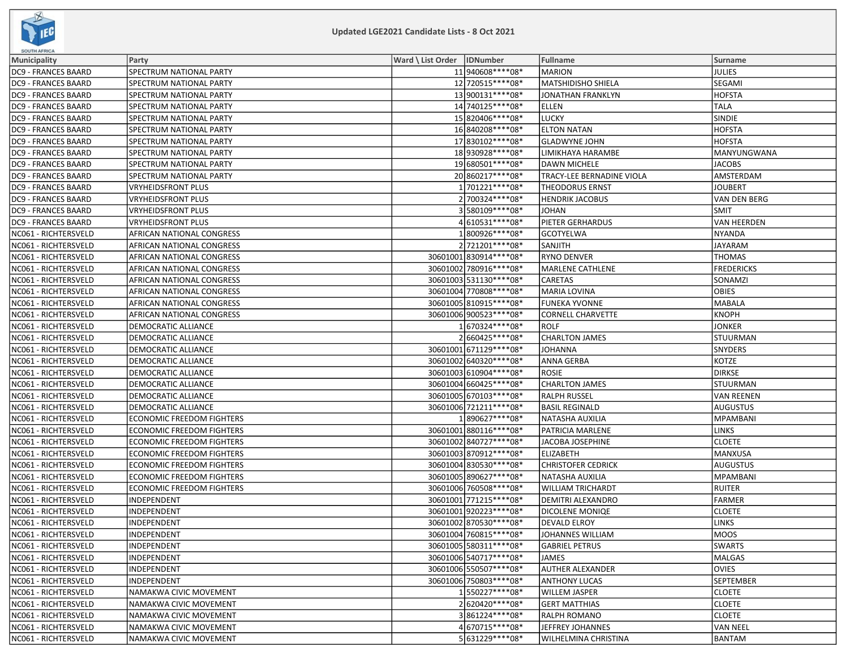

| <b>SOUTH AFRICA</b>        |                                  |                              |                          |                           |                    |
|----------------------------|----------------------------------|------------------------------|--------------------------|---------------------------|--------------------|
| Municipality               | Party                            | Ward \ List Order   IDNumber |                          | Fullname                  | Surname            |
| <b>DC9 - FRANCES BAARD</b> | SPECTRUM NATIONAL PARTY          |                              | 11 940608****08*         | <b>MARION</b>             | JULIES             |
| DC9 - FRANCES BAARD        | SPECTRUM NATIONAL PARTY          |                              | 12 720515****08*         | <b>MATSHIDISHO SHIELA</b> | <b>SEGAMI</b>      |
| <b>DC9 - FRANCES BAARD</b> | SPECTRUM NATIONAL PARTY          |                              | 13 900131****08*         | <b>JONATHAN FRANKLYN</b>  | <b>HOFSTA</b>      |
| <b>DC9 - FRANCES BAARD</b> | SPECTRUM NATIONAL PARTY          |                              | 14 740125 **** 08*       | <b>ELLEN</b>              | <b>TALA</b>        |
| <b>DC9 - FRANCES BAARD</b> | SPECTRUM NATIONAL PARTY          |                              | 15 820406****08*         | <b>LUCKY</b>              | SINDIE             |
| <b>DC9 - FRANCES BAARD</b> | SPECTRUM NATIONAL PARTY          |                              | 16840208 **** 08*        | <b>ELTON NATAN</b>        | HOFSTA             |
| <b>DC9 - FRANCES BAARD</b> | SPECTRUM NATIONAL PARTY          |                              | 17 830102 **** 08*       | <b>GLADWYNE JOHN</b>      | <b>HOFSTA</b>      |
| <b>DC9 - FRANCES BAARD</b> | SPECTRUM NATIONAL PARTY          |                              | 18 930928 **** 08*       | LIMIKHAYA HARAMBE         | <b>MANYUNGWANA</b> |
| <b>DC9 - FRANCES BAARD</b> | SPECTRUM NATIONAL PARTY          |                              | 19 680501****08*         | <b>DAWN MICHELE</b>       | <b>JACOBS</b>      |
| <b>DC9 - FRANCES BAARD</b> | SPECTRUM NATIONAL PARTY          |                              | 20 860217 **** 08*       | TRACY-LEE BERNADINE VIOLA | AMSTERDAM          |
| <b>DC9 - FRANCES BAARD</b> | VRYHEIDSFRONT PLUS               |                              | 1701221 **** 08*         | <b>THEODORUS ERNST</b>    | <b>JOUBERT</b>     |
| DC9 - FRANCES BAARD        | VRYHEIDSFRONT PLUS               |                              | 2 700324 **** 08*        | <b>HENDRIK JACOBUS</b>    | VAN DEN BERG       |
| <b>DC9 - FRANCES BAARD</b> | <b>VRYHEIDSFRONT PLUS</b>        |                              | 3580109 **** 08*         | <b>JOHAN</b>              | <b>SMIT</b>        |
| <b>DC9 - FRANCES BAARD</b> | <b>VRYHEIDSFRONT PLUS</b>        |                              | 4610531 **** 08*         | PIETER GERHARDUS          | VAN HEERDEN        |
| NC061 - RICHTERSVELD       | AFRICAN NATIONAL CONGRESS        |                              | 1800926****08*           | <b>GCOTYELWA</b>          | NYANDA             |
| NC061 - RICHTERSVELD       | AFRICAN NATIONAL CONGRESS        |                              | 2721201 **** 08*         | SANJITH                   | <b>JAYARAM</b>     |
| NC061 - RICHTERSVELD       | AFRICAN NATIONAL CONGRESS        |                              | 30601001 830914 **** 08* | <b>RYNO DENVER</b>        | <b>THOMAS</b>      |
| NC061 - RICHTERSVELD       | AFRICAN NATIONAL CONGRESS        |                              | 30601002 780916 **** 08* | <b>MARLENE CATHLENE</b>   | <b>FREDERICKS</b>  |
| NC061 - RICHTERSVELD       | AFRICAN NATIONAL CONGRESS        |                              | 30601003 531130**** 08*  | <b>CARETAS</b>            | SONAMZI            |
| NC061 - RICHTERSVELD       | AFRICAN NATIONAL CONGRESS        |                              | 30601004 770808 **** 08* | <b>MARIA LOVINA</b>       | <b>OBIES</b>       |
| NC061 - RICHTERSVELD       | AFRICAN NATIONAL CONGRESS        |                              | 30601005 810915 **** 08* | <b>FUNEKA YVONNE</b>      | MABALA             |
| NC061 - RICHTERSVELD       | AFRICAN NATIONAL CONGRESS        |                              | 30601006 900523 **** 08* | <b>CORNELL CHARVETTE</b>  | KNOPH              |
| NC061 - RICHTERSVELD       | DEMOCRATIC ALLIANCE              |                              | 1670324 **** 08*         | <b>ROLF</b>               | <b>JONKER</b>      |
| NC061 - RICHTERSVELD       | DEMOCRATIC ALLIANCE              |                              | 2660425 **** 08*         | <b>CHARLTON JAMES</b>     | STUURMAN           |
| NC061 - RICHTERSVELD       | DEMOCRATIC ALLIANCE              |                              | 30601001 671129 **** 08* | <b>JOHANNA</b>            | SNYDERS            |
| NC061 - RICHTERSVELD       | <b>DEMOCRATIC ALLIANCE</b>       |                              | 30601002 640320 **** 08* | <b>ANNA GERBA</b>         | KOTZE              |
| NC061 - RICHTERSVELD       | DEMOCRATIC ALLIANCE              |                              | 30601003 610904 **** 08* | <b>ROSIE</b>              | DIRKSE             |
| NC061 - RICHTERSVELD       | DEMOCRATIC ALLIANCE              |                              | 30601004 660425 **** 08* | <b>CHARLTON JAMES</b>     | STUURMAN           |
| NC061 - RICHTERSVELD       | DEMOCRATIC ALLIANCE              |                              | 30601005 670103 **** 08* | <b>RALPH RUSSEL</b>       | VAN REENEN         |
| NC061 - RICHTERSVELD       | DEMOCRATIC ALLIANCE              |                              | 30601006 721211 **** 08* | <b>BASIL REGINALD</b>     | AUGUSTUS           |
| NC061 - RICHTERSVELD       | <b>ECONOMIC FREEDOM FIGHTERS</b> |                              | 1890627 **** 08*         | NATASHA AUXILIA           | MPAMBANI           |
| NC061 - RICHTERSVELD       | <b>ECONOMIC FREEDOM FIGHTERS</b> |                              | 30601001 880116 **** 08* | PATRICIA MARLENE          | LINKS              |
| NC061 - RICHTERSVELD       | <b>ECONOMIC FREEDOM FIGHTERS</b> |                              | 30601002 840727 **** 08* | JACOBA JOSEPHINE          | <b>CLOETE</b>      |
| NC061 - RICHTERSVELD       | <b>ECONOMIC FREEDOM FIGHTERS</b> |                              | 30601003 870912 **** 08* | <b>ELIZABETH</b>          | MANXUSA            |
| NC061 - RICHTERSVELD       | <b>ECONOMIC FREEDOM FIGHTERS</b> |                              | 30601004 830530 **** 08* | <b>CHRISTOFER CEDRICK</b> | AUGUSTUS           |
| NC061 - RICHTERSVELD       | <b>ECONOMIC FREEDOM FIGHTERS</b> |                              | 30601005 890627****08*   | NATASHA AUXILIA           | MPAMBANI           |
| NC061 - RICHTERSVELD       | <b>ECONOMIC FREEDOM FIGHTERS</b> |                              | 30601006 760508 **** 08* | <b>WILLIAM TRICHARDT</b>  | RUITER             |
| NC061 - RICHTERSVELD       | INDEPENDENT                      |                              | 30601001 771215 **** 08* | DEMITRI ALEXANDRO         | FARMER             |
| NC061 - RICHTERSVELD       | INDEPENDENT                      |                              | 30601001 920223 **** 08* | DICOLENE MONIQE           | <b>CLOETE</b>      |
| NC061 - RICHTERSVELD       | INDEPENDENT                      |                              | 30601002 870530 **** 08* | <b>DEVALD ELROY</b>       | <b>LINKS</b>       |
| NC061 - RICHTERSVELD       | INDEPENDENT                      |                              | 30601004 760815 **** 08* | JOHANNES WILLIAM          | MOOS               |
| NC061 - RICHTERSVELD       | INDEPENDENT                      |                              | 30601005 580311 **** 08* | <b>GABRIEL PETRUS</b>     | <b>SWARTS</b>      |
| NC061 - RICHTERSVELD       | <b>INDEPENDENT</b>               |                              | 30601006540717****08*    | <b>JAMES</b>              | MALGAS             |
| NC061 - RICHTERSVELD       | INDEPENDENT                      |                              | 30601006 550507****08*   | <b>AUTHER ALEXANDER</b>   | <b>OVIES</b>       |
| NC061 - RICHTERSVELD       | INDEPENDENT                      |                              | 30601006 750803 **** 08* | <b>ANTHONY LUCAS</b>      | <b>SEPTEMBER</b>   |
| NC061 - RICHTERSVELD       | NAMAKWA CIVIC MOVEMENT           |                              | 1550227****08*           | <b>WILLEM JASPER</b>      | <b>CLOETE</b>      |
| NC061 - RICHTERSVELD       | NAMAKWA CIVIC MOVEMENT           |                              | 2620420 **** 08*         | <b>GERT MATTHIAS</b>      | <b>CLOETE</b>      |
| NC061 - RICHTERSVELD       | NAMAKWA CIVIC MOVEMENT           |                              | 3861224 **** 08*         | <b>RALPH ROMANO</b>       | <b>CLOETE</b>      |
| NC061 - RICHTERSVELD       | NAMAKWA CIVIC MOVEMENT           |                              | 4 670715***** 08*        | JEFFREY JOHANNES          | VAN NEEL           |
| NC061 - RICHTERSVELD       | NAMAKWA CIVIC MOVEMENT           |                              | 5631229 **** 08*         | WILHELMINA CHRISTINA      | BANTAM             |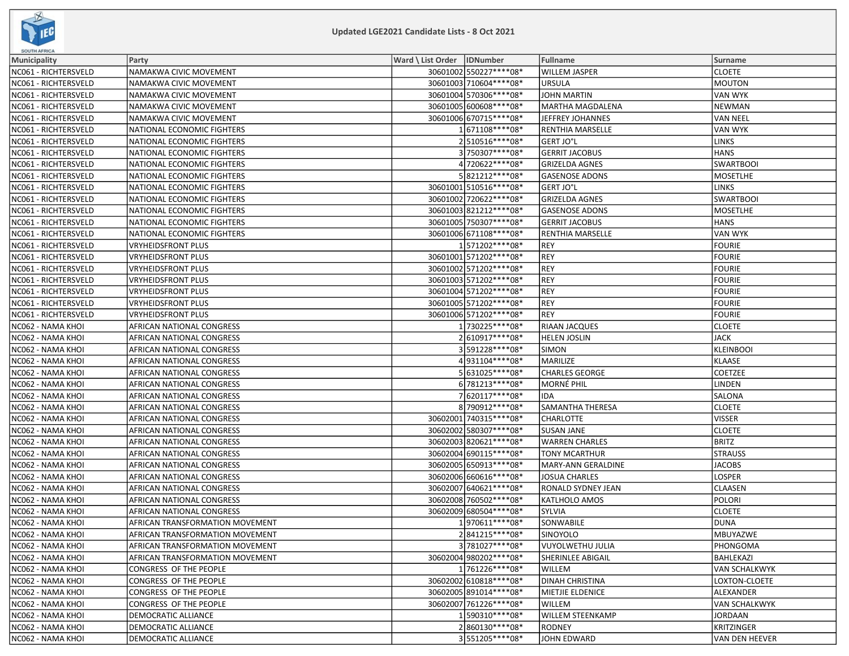

| <b>SOUTH AFRICA</b>  |                                 |                              |                          |                           |                       |
|----------------------|---------------------------------|------------------------------|--------------------------|---------------------------|-----------------------|
| <b>Municipality</b>  | Party                           | Ward \ List Order   IDNumber |                          | Fullname                  | Surname               |
| NC061 - RICHTERSVELD | NAMAKWA CIVIC MOVEMENT          |                              | 30601002 550227****08*   | <b>WILLEM JASPER</b>      | <b>CLOETE</b>         |
| NC061 - RICHTERSVELD | NAMAKWA CIVIC MOVEMENT          |                              | 30601003 710604 **** 08* | <b>URSULA</b>             | MOUTON                |
| NC061 - RICHTERSVELD | NAMAKWA CIVIC MOVEMENT          |                              | 30601004 570306 **** 08* | <b>JOHN MARTIN</b>        | <b>VAN WYK</b>        |
| NC061 - RICHTERSVELD | NAMAKWA CIVIC MOVEMENT          |                              | 30601005 600608 **** 08* | MARTHA MAGDALENA          | <b>NEWMAN</b>         |
| NC061 - RICHTERSVELD | NAMAKWA CIVIC MOVEMENT          |                              | 30601006 670715 **** 08* | JEFFREY JOHANNES          | VAN NEEL              |
| NC061 - RICHTERSVELD | NATIONAL ECONOMIC FIGHTERS      |                              | 1 671108****08*          | <b>RENTHIA MARSELLE</b>   | <b>VAN WYK</b>        |
| NC061 - RICHTERSVELD | NATIONAL ECONOMIC FIGHTERS      |                              | 2510516 **** 08*         | GERT JO°L                 | <b>LINKS</b>          |
| NC061 - RICHTERSVELD | NATIONAL ECONOMIC FIGHTERS      |                              | 3750307****08*           | <b>GERRIT JACOBUS</b>     | <b>HANS</b>           |
| NC061 - RICHTERSVELD | NATIONAL ECONOMIC FIGHTERS      |                              | 4720622****08*           | <b>GRIZELDA AGNES</b>     | <b>SWARTBOOI</b>      |
| NC061 - RICHTERSVELD | NATIONAL ECONOMIC FIGHTERS      |                              | 5821212 **** 08*         | <b>GASENOSE ADONS</b>     | MOSETLHE              |
| NC061 - RICHTERSVELD | NATIONAL ECONOMIC FIGHTERS      |                              | 30601001 510516 **** 08* | <b>GERT JO°L</b>          | <b>LINKS</b>          |
| NC061 - RICHTERSVELD | NATIONAL ECONOMIC FIGHTERS      |                              | 30601002 720622 **** 08* | <b>GRIZELDA AGNES</b>     | <b>SWARTBOOI</b>      |
| NC061 - RICHTERSVELD | NATIONAL ECONOMIC FIGHTERS      |                              | 30601003 821212 **** 08* | <b>GASENOSE ADONS</b>     | <b>MOSETLHE</b>       |
| NC061 - RICHTERSVELD | NATIONAL ECONOMIC FIGHTERS      |                              | 30601005 750307 **** 08* | <b>GERRIT JACOBUS</b>     | <b>HANS</b>           |
| NC061 - RICHTERSVELD | NATIONAL ECONOMIC FIGHTERS      |                              | 30601006 671108 **** 08* | <b>RENTHIA MARSELLE</b>   | VAN WYK               |
| NC061 - RICHTERSVELD | <b>VRYHEIDSFRONT PLUS</b>       |                              | 1571202 **** 08*         | <b>REY</b>                | <b>FOURIE</b>         |
| NC061 - RICHTERSVELD | <b>VRYHEIDSFRONT PLUS</b>       |                              | 30601001 571202 **** 08* | <b>REY</b>                | <b>FOURIE</b>         |
| NC061 - RICHTERSVELD | <b>VRYHEIDSFRONT PLUS</b>       |                              | 30601002 571202 **** 08* | <b>REY</b>                | <b>FOURIE</b>         |
| NC061 - RICHTERSVELD | <b>VRYHEIDSFRONT PLUS</b>       |                              | 30601003 571202 **** 08* | <b>REY</b>                | FOURIE                |
| NC061 - RICHTERSVELD | <b>VRYHEIDSFRONT PLUS</b>       |                              | 30601004 571202 **** 08* | <b>REY</b>                | FOURIE                |
| NC061 - RICHTERSVELD | <b>VRYHEIDSFRONT PLUS</b>       |                              | 30601005 571202 **** 08* | <b>REY</b>                | <b>FOURIE</b>         |
| NC061 - RICHTERSVELD | <b>VRYHEIDSFRONT PLUS</b>       |                              | 30601006 571202 **** 08* | <b>REY</b>                | <b>FOURIE</b>         |
| NC062 - NAMA KHOI    | AFRICAN NATIONAL CONGRESS       |                              | 1730225 **** 08*         | <b>RIAAN JACQUES</b>      | <b>CLOETE</b>         |
| NC062 - NAMA KHOI    | AFRICAN NATIONAL CONGRESS       |                              | 2610917 **** 08*         | <b>HELEN JOSLIN</b>       | <b>JACK</b>           |
| NC062 - NAMA KHOI    | AFRICAN NATIONAL CONGRESS       |                              | 3591228 **** 08*         | <b>SIMON</b>              | KLEINBOOI             |
| NC062 - NAMA KHOI    | AFRICAN NATIONAL CONGRESS       |                              | 4931104****08*           | MARILIZE                  | <b>KLAASE</b>         |
| NC062 - NAMA KHOI    | AFRICAN NATIONAL CONGRESS       |                              | 5631025 **** 08*         | <b>CHARLES GEORGE</b>     | COETZEE               |
| NC062 - NAMA KHOI    | AFRICAN NATIONAL CONGRESS       |                              | 6 781213****08*          | <b>MORNÉ PHIL</b>         | LINDEN                |
| NC062 - NAMA KHOI    | AFRICAN NATIONAL CONGRESS       |                              | 7 620117****08*          | IDA                       | <b>SALONA</b>         |
| NC062 - NAMA KHOI    | AFRICAN NATIONAL CONGRESS       |                              | 8790912 **** 08*         | <b>SAMANTHA THERESA</b>   | <b>CLOETE</b>         |
| NC062 - NAMA KHOI    | AFRICAN NATIONAL CONGRESS       |                              | 30602001 740315 **** 08* | <b>CHARLOTTE</b>          | <b>VISSER</b>         |
| NC062 - NAMA KHOI    | AFRICAN NATIONAL CONGRESS       |                              | 30602002 580307 **** 08* | <b>SUSAN JANE</b>         | <b>CLOETE</b>         |
| NC062 - NAMA KHOI    | AFRICAN NATIONAL CONGRESS       |                              | 30602003 820621 **** 08* | <b>WARREN CHARLES</b>     | <b>BRITZ</b>          |
| NC062 - NAMA KHOI    | AFRICAN NATIONAL CONGRESS       |                              | 30602004 690115 **** 08* | TONY MCARTHUR             | <b>STRAUSS</b>        |
| NC062 - NAMA KHOI    | AFRICAN NATIONAL CONGRESS       |                              | 30602005 650913 **** 08* | MARY-ANN GERALDINE        | JACOBS                |
| NC062 - NAMA KHOI    | AFRICAN NATIONAL CONGRESS       |                              | 30602006 660616**** 08*  | JOSUA CHARLES             | LOSPER                |
| NC062 - NAMA KHOI    | AFRICAN NATIONAL CONGRESS       |                              | 30602007 640621 **** 08* | <b>RONALD SYDNEY JEAN</b> | CLAASEN               |
| NC062 - NAMA KHOI    | AFRICAN NATIONAL CONGRESS       |                              | 30602008 760502 **** 08* | <b>KATLHOLO AMOS</b>      | POLORI                |
| NC062 - NAMA KHOI    | AFRICAN NATIONAL CONGRESS       |                              | 30602009 680504 **** 08* | SYLVIA                    | <b>CLOETE</b>         |
| NC062 - NAMA KHOI    | AFRICAN TRANSFORMATION MOVEMENT |                              | 1970611 **** 08*         | SONWABILE                 | DUNA                  |
| NC062 - NAMA KHOI    | AFRICAN TRANSFORMATION MOVEMENT |                              | 2841215 **** 08*         | <b>SINOYOLO</b>           | MBUYAZWE              |
| NC062 - NAMA KHOI    | AFRICAN TRANSFORMATION MOVEMENT |                              | 3781027****08*           | VUYOLWETHU JULIA          | <b>PHONGOMA</b>       |
| NC062 - NAMA KHOI    | AFRICAN TRANSFORMATION MOVEMENT |                              | 30602004 980202 **** 08* | SHERINLEE ABIGAIL         | BAHLEKAZI             |
| NC062 - NAMA KHOI    | CONGRESS OF THE PEOPLE          |                              | 1761226 **** 08*         | WILLEM                    | <b>VAN SCHALKWYK</b>  |
| NC062 - NAMA KHOI    | CONGRESS OF THE PEOPLE          |                              | 30602002 610818 **** 08* | <b>DINAH CHRISTINA</b>    | LOXTON-CLOETE         |
| NC062 - NAMA KHOI    | CONGRESS OF THE PEOPLE          |                              | 30602005 891014 **** 08* | MIETJIE ELDENICE          | ALEXANDER             |
| NC062 - NAMA KHOI    | CONGRESS OF THE PEOPLE          |                              | 30602007 761226 **** 08* | <b>WILLEM</b>             | <b>VAN SCHALKWYK</b>  |
| NC062 - NAMA KHOI    | DEMOCRATIC ALLIANCE             |                              | 1590310 **** 08*         | <b>WILLEM STEENKAMP</b>   | JORDAAN               |
| NC062 - NAMA KHOI    | DEMOCRATIC ALLIANCE             |                              | 2860130 **** 08*         | <b>RODNEY</b>             | <b>KRITZINGER</b>     |
| NC062 - NAMA KHOI    | DEMOCRATIC ALLIANCE             |                              | 3551205 **** 08*         | JOHN EDWARD               | <b>VAN DEN HEEVER</b> |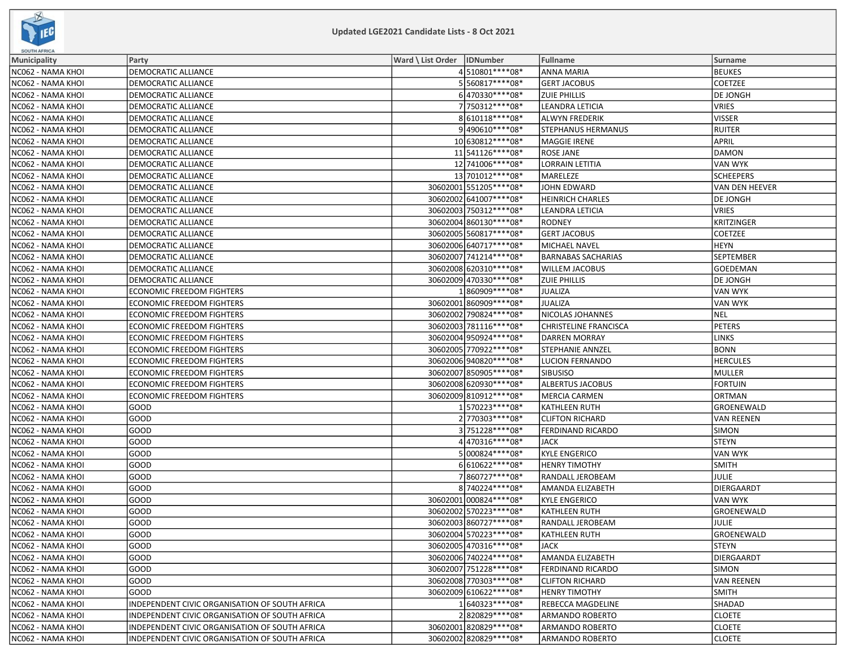

| <b>SOUTH AFRICA</b> |                                                |                              |                          |                           |                  |
|---------------------|------------------------------------------------|------------------------------|--------------------------|---------------------------|------------------|
| Municipality        | Party                                          | Ward \ List Order   IDNumber |                          | Fullname                  | Surname          |
| NC062 - NAMA KHOI   | DEMOCRATIC ALLIANCE                            |                              | 4510801 **** 08*         | <b>ANNA MARIA</b>         | <b>BEUKES</b>    |
| NC062 - NAMA KHOI   | DEMOCRATIC ALLIANCE                            |                              | 5560817****08*           | <b>GERT JACOBUS</b>       | <b>COETZEE</b>   |
| NC062 - NAMA KHOI   | DEMOCRATIC ALLIANCE                            |                              | 6470330 **** 08*         | <b>ZUIE PHILLIS</b>       | <b>DE JONGH</b>  |
| NC062 - NAMA KHOI   | DEMOCRATIC ALLIANCE                            |                              | 7750312 **** 08*         | LEANDRA LETICIA           | <b>VRIES</b>     |
| NC062 - NAMA KHOI   | DEMOCRATIC ALLIANCE                            |                              | 8610118 **** 08*         | <b>ALWYN FREDERIK</b>     | <b>VISSER</b>    |
| NC062 - NAMA KHOI   | <b>DEMOCRATIC ALLIANCE</b>                     |                              | 9490610 **** 08*         | <b>STEPHANUS HERMANUS</b> | RUITER           |
| NC062 - NAMA KHOI   | DEMOCRATIC ALLIANCE                            |                              | 10 630812 **** 08*       | <b>MAGGIE IRENE</b>       | APRIL            |
| NC062 - NAMA KHOI   | DEMOCRATIC ALLIANCE                            |                              | 11 541126****08*         | <b>ROSE JANE</b>          | DAMON            |
| NC062 - NAMA KHOI   | DEMOCRATIC ALLIANCE                            |                              | 12 741006 **** 08*       | <b>LORRAIN LETITIA</b>    | IVAN WYK         |
| NC062 - NAMA KHOI   | DEMOCRATIC ALLIANCE                            |                              | 13 701012 **** 08*       | MARELEZE                  | <b>SCHEEPERS</b> |
| NC062 - NAMA KHOI   | <b>DEMOCRATIC ALLIANCE</b>                     |                              | 30602001 551205 **** 08* | <b>JOHN EDWARD</b>        | VAN DEN HEEVER   |
| NC062 - NAMA KHOI   | DEMOCRATIC ALLIANCE                            |                              | 30602002 641007 **** 08* | <b>HEINRICH CHARLES</b>   | DE JONGH         |
| NC062 - NAMA KHOI   | DEMOCRATIC ALLIANCE                            |                              | 30602003 750312 **** 08* | LEANDRA LETICIA           | VRIES            |
| NC062 - NAMA KHOI   | DEMOCRATIC ALLIANCE                            |                              | 30602004 860130 **** 08* | <b>RODNEY</b>             | KRITZINGER       |
| NC062 - NAMA KHOI   | DEMOCRATIC ALLIANCE                            |                              | 30602005 560817**** 08*  | <b>GERT JACOBUS</b>       | COETZEE          |
| NC062 - NAMA KHOI   | DEMOCRATIC ALLIANCE                            |                              | 30602006 640717**** 08*  | MICHAEL NAVEL             | <b>HEYN</b>      |
| NC062 - NAMA KHOI   | DEMOCRATIC ALLIANCE                            |                              | 30602007 741214**** 08*  | <b>BARNABAS SACHARIAS</b> | SEPTEMBER        |
| NC062 - NAMA KHOI   | DEMOCRATIC ALLIANCE                            |                              | 30602008 620310 **** 08* | <b>WILLEM JACOBUS</b>     | <b>GOEDEMAN</b>  |
| NC062 - NAMA KHOI   | DEMOCRATIC ALLIANCE                            |                              | 30602009 470330 **** 08* | <b>ZUIE PHILLIS</b>       | DE JONGH         |
| NC062 - NAMA KHOI   | <b>ECONOMIC FREEDOM FIGHTERS</b>               |                              | 1860909 **** 08*         | <b>JUALIZA</b>            | VAN WYK          |
| NC062 - NAMA KHOI   | <b>ECONOMIC FREEDOM FIGHTERS</b>               |                              | 30602001 860909 **** 08* | <b>JUALIZA</b>            | VAN WYK          |
| NC062 - NAMA KHOI   | ECONOMIC FREEDOM FIGHTERS                      |                              | 30602002 790824 **** 08* | NICOLAS JOHANNES          | <b>NEL</b>       |
| NC062 - NAMA KHOI   | <b>ECONOMIC FREEDOM FIGHTERS</b>               |                              | 30602003 781116 **** 08* | CHRISTELINE FRANCISCA     | PETERS           |
| NC062 - NAMA KHOI   | <b>ECONOMIC FREEDOM FIGHTERS</b>               |                              | 30602004 950924 **** 08* | <b>DARREN MORRAY</b>      | LINKS            |
| NC062 - NAMA KHOI   | ECONOMIC FREEDOM FIGHTERS                      |                              | 30602005 770922 **** 08* | <b>STEPHANIE ANNZEL</b>   | <b>BONN</b>      |
| NC062 - NAMA KHOI   | ECONOMIC FREEDOM FIGHTERS                      |                              | 30602006 940820 **** 08* | <b>LUCION FERNANDO</b>    | <b>HERCULES</b>  |
| NC062 - NAMA KHOI   | ECONOMIC FREEDOM FIGHTERS                      |                              | 30602007 850905 **** 08* | <b>SIBUSISO</b>           | MULLER           |
| NC062 - NAMA KHOI   | <b>ECONOMIC FREEDOM FIGHTERS</b>               |                              | 30602008 620930 **** 08* | <b>ALBERTUS JACOBUS</b>   | <b>FORTUIN</b>   |
| NC062 - NAMA KHOI   | <b>ECONOMIC FREEDOM FIGHTERS</b>               |                              | 30602009 810912 **** 08* | <b>MERCIA CARMEN</b>      | <b>ORTMAN</b>    |
| NC062 - NAMA KHOI   | GOOD                                           |                              | 1570223 **** 08*         | KATHLEEN RUTH             | GROENEWALD       |
| NC062 - NAMA KHOI   | GOOD                                           |                              | 2770303 **** 08*         | <b>CLIFTON RICHARD</b>    | VAN REENEN       |
| NC062 - NAMA KHOI   | GOOD                                           |                              | 3751228 **** 08*         | FERDINAND RICARDO         | <b>SIMON</b>     |
| NC062 - NAMA KHOI   | GOOD                                           |                              | 4470316****08*           | <b>JACK</b>               | STEYN            |
| NC062 - NAMA KHOI   | GOOD                                           |                              | 5000824 **** 08*         | <b>KYLE ENGERICO</b>      | VAN WYK          |
| NC062 - NAMA KHOI   | GOOD                                           |                              | 6610622 **** 08*         | <b>HENRY TIMOTHY</b>      | <b>SMITH</b>     |
| NC062 - NAMA KHOI   | GOOD                                           |                              | 7860727 **** 08*         | RANDALL JEROBEAM          | JULIE            |
| NC062 - NAMA KHOI   | GOOD                                           |                              | 8 740224 **** 08*        | AMANDA ELIZABETH          | DIERGAARDT       |
| NC062 - NAMA KHOI   | GOOD                                           |                              | 30602001 000824 **** 08* | <b>KYLE ENGERICO</b>      | VAN WYK          |
| NC062 - NAMA KHOI   | GOOD                                           |                              | 30602002 570223 **** 08* | <b>KATHLEEN RUTH</b>      | GROENEWALD       |
| NC062 - NAMA KHOI   | GOOD                                           |                              | 30602003 860727****08*   | RANDALL JEROBEAM          | JULIE            |
| NC062 - NAMA KHOI   | GOOD                                           |                              | 30602004 570223 **** 08* | <b>KATHLEEN RUTH</b>      | GROENEWALD       |
| NC062 - NAMA KHOI   | GOOD                                           |                              | 30602005 470316 **** 08* | <b>JACK</b>               | STEYN            |
| NC062 - NAMA KHOI   | GOOD                                           |                              | 30602006 740224 **** 08* | <b>AMANDA ELIZABETH</b>   | DIERGAARDT       |
| NC062 - NAMA KHOI   | GOOD                                           |                              | 30602007 751228 **** 08* | <b>FERDINAND RICARDO</b>  | SIMON            |
| NC062 - NAMA KHOI   | GOOD                                           |                              | 30602008 770303 **** 08* | <b>CLIFTON RICHARD</b>    | VAN REENEN       |
| NC062 - NAMA KHOI   | GOOD                                           |                              | 30602009 610622 **** 08* | <b>HENRY TIMOTHY</b>      | <b>SMITH</b>     |
| NC062 - NAMA KHOI   | INDEPENDENT CIVIC ORGANISATION OF SOUTH AFRICA |                              | 1640323 **** 08*         | REBECCA MAGDELINE         | SHADAD           |
| NC062 - NAMA KHOI   | INDEPENDENT CIVIC ORGANISATION OF SOUTH AFRICA |                              | 2820829 **** 08*         | ARMANDO ROBERTO           | <b>CLOETE</b>    |
| NC062 - NAMA KHOI   | INDEPENDENT CIVIC ORGANISATION OF SOUTH AFRICA |                              | 30602001820829 **** 08*  | <b>ARMANDO ROBERTO</b>    | <b>CLOETE</b>    |
| NC062 - NAMA KHOI   | INDEPENDENT CIVIC ORGANISATION OF SOUTH AFRICA |                              | 30602002 820829 **** 08* | <b>ARMANDO ROBERTO</b>    | <b>CLOETE</b>    |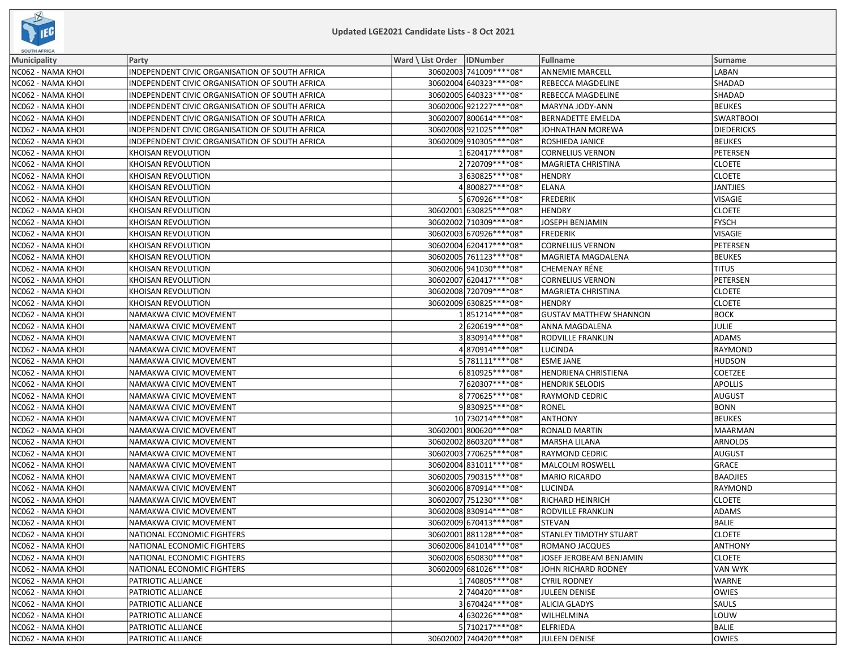

| SOUTH AFRICA        |                                                |                   |                          |                               |                  |
|---------------------|------------------------------------------------|-------------------|--------------------------|-------------------------------|------------------|
| <b>Municipality</b> | Party                                          | Ward \ List Order | IDNumber                 | <b>Fullname</b>               | Surname          |
| NC062 - NAMA KHOI   | INDEPENDENT CIVIC ORGANISATION OF SOUTH AFRICA |                   | 30602003 741009 **** 08* | <b>ANNEMIE MARCELL</b>        | LABAN            |
| NC062 - NAMA KHOI   | INDEPENDENT CIVIC ORGANISATION OF SOUTH AFRICA |                   | 30602004 640323 **** 08* | REBECCA MAGDELINE             | <b>SHADAD</b>    |
| NC062 - NAMA KHOI   | INDEPENDENT CIVIC ORGANISATION OF SOUTH AFRICA |                   | 30602005 640323 **** 08* | REBECCA MAGDELINE             | <b>SHADAD</b>    |
| NC062 - NAMA KHOI   | INDEPENDENT CIVIC ORGANISATION OF SOUTH AFRICA |                   | 30602006 921227**** 08*  | MARYNA JODY-ANN               | <b>BEUKES</b>    |
| NC062 - NAMA KHOI   | INDEPENDENT CIVIC ORGANISATION OF SOUTH AFRICA |                   | 30602007 800614 **** 08* | <b>BERNADETTE EMELDA</b>      | <b>SWARTBOOI</b> |
| NC062 - NAMA KHOI   | INDEPENDENT CIVIC ORGANISATION OF SOUTH AFRICA |                   | 30602008921025 **** 08*  | JOHNATHAN MOREWA              | DIEDERICKS       |
| NC062 - NAMA KHOI   | INDEPENDENT CIVIC ORGANISATION OF SOUTH AFRICA |                   | 30602009 910305 **** 08* | ROSHIEDA JANICE               | <b>BEUKES</b>    |
| NC062 - NAMA KHOI   | KHOISAN REVOLUTION                             |                   | 1620417****08*           | <b>CORNELIUS VERNON</b>       | PETERSEN         |
| NC062 - NAMA KHOI   | KHOISAN REVOLUTION                             |                   | 2720709****08*           | <b>MAGRIETA CHRISTINA</b>     | <b>CLOETE</b>    |
| NC062 - NAMA KHOI   | KHOISAN REVOLUTION                             |                   | 3 630825 **** 08*        | <b>HENDRY</b>                 | <b>CLOETE</b>    |
| NC062 - NAMA KHOI   | KHOISAN REVOLUTION                             |                   | 4800827 **** 08*         | <b>ELANA</b>                  | JANTJIES         |
| NC062 - NAMA KHOI   | KHOISAN REVOLUTION                             |                   | 5670926 **** 08*         | <b>FREDERIK</b>               | VISAGIE          |
| NC062 - NAMA KHOI   | KHOISAN REVOLUTION                             |                   | 30602001 630825 **** 08* | <b>HENDRY</b>                 | <b>CLOETE</b>    |
| NC062 - NAMA KHOI   | KHOISAN REVOLUTION                             |                   | 30602002 710309 **** 08* | <b>JOSEPH BENJAMIN</b>        | <b>FYSCH</b>     |
| NC062 - NAMA KHOI   | KHOISAN REVOLUTION                             |                   | 30602003 670926 **** 08* | <b>FREDERIK</b>               | VISAGIE          |
| NC062 - NAMA KHOI   | KHOISAN REVOLUTION                             |                   | 30602004 620417**** 08*  | <b>CORNELIUS VERNON</b>       | PETERSEN         |
| NC062 - NAMA KHOI   | <b>KHOISAN REVOLUTION</b>                      |                   | 30602005 761123 **** 08* | MAGRIETA MAGDALENA            | <b>BEUKES</b>    |
| NC062 - NAMA KHOI   | KHOISAN REVOLUTION                             |                   | 30602006 941030 **** 08* | CHEMENAY RÉNE                 | <b>TITUS</b>     |
| NC062 - NAMA KHOI   | KHOISAN REVOLUTION                             |                   | 30602007 620417**** 08*  | <b>CORNELIUS VERNON</b>       | PETERSEN         |
| NC062 - NAMA KHOI   | KHOISAN REVOLUTION                             |                   | 30602008 720709 **** 08* | MAGRIETA CHRISTINA            | <b>CLOETE</b>    |
| NC062 - NAMA KHOI   | KHOISAN REVOLUTION                             |                   | 30602009 630825 **** 08* | <b>HENDRY</b>                 | <b>CLOETE</b>    |
| NC062 - NAMA KHOI   | NAMAKWA CIVIC MOVEMENT                         |                   | 1851214 **** 08*         | <b>GUSTAV MATTHEW SHANNON</b> | <b>BOCK</b>      |
| NC062 - NAMA KHOI   | NAMAKWA CIVIC MOVEMENT                         |                   | 2620619 **** 08*         | ANNA MAGDALENA                | JULIE            |
| NC062 - NAMA KHOI   | NAMAKWA CIVIC MOVEMENT                         |                   | 3830914 **** 08*         | RODVILLE FRANKLIN             | <b>ADAMS</b>     |
| NC062 - NAMA KHOI   | NAMAKWA CIVIC MOVEMENT                         |                   | 4870914 **** 08*         | <b>LUCINDA</b>                | RAYMOND          |
| NC062 - NAMA KHOI   | NAMAKWA CIVIC MOVEMENT                         |                   | 5 781111****08*          | <b>ESME JANE</b>              | <b>HUDSON</b>    |
| NC062 - NAMA KHOI   | NAMAKWA CIVIC MOVEMENT                         |                   | 6810925 **** 08*         | HENDRIENA CHRISTIENA          | <b>COETZEE</b>   |
| NC062 - NAMA KHOI   | NAMAKWA CIVIC MOVEMENT                         |                   | 7620307****08*           | <b>HENDRIK SELODIS</b>        | <b>APOLLIS</b>   |
| NC062 - NAMA KHOI   | NAMAKWA CIVIC MOVEMENT                         |                   | 8770625 **** 08*         | <b>RAYMOND CEDRIC</b>         | <b>AUGUST</b>    |
| NC062 - NAMA KHOI   | NAMAKWA CIVIC MOVEMENT                         |                   | 9830925 **** 08*         | <b>RONEL</b>                  | <b>BONN</b>      |
| NC062 - NAMA KHOI   | NAMAKWA CIVIC MOVEMENT                         |                   | 10 730214 **** 08*       | <b>ANTHONY</b>                | BEUKES           |
| NC062 - NAMA KHOI   | NAMAKWA CIVIC MOVEMENT                         |                   | 30602001 800620 **** 08* | RONALD MARTIN                 | MAARMAN          |
| NC062 - NAMA KHOI   | NAMAKWA CIVIC MOVEMENT                         |                   | 30602002 860320 **** 08* | MARSHA LILANA                 | ARNOLDS          |
| NC062 - NAMA KHOI   | NAMAKWA CIVIC MOVEMENT                         |                   | 30602003 770625 **** 08* | RAYMOND CEDRIC                | AUGUST           |
| NC062 - NAMA KHOI   | NAMAKWA CIVIC MOVEMENT                         |                   | 30602004 831011 **** 08* | MALCOLM ROSWELL               | GRACE            |
| NC062 - NAMA KHOI   | NAMAKWA CIVIC MOVEMENT                         |                   | 30602005 790315 **** 08* | MARIO RICARDO                 | <b>BAADJIES</b>  |
| NC062 - NAMA KHOI   | NAMAKWA CIVIC MOVEMENT                         |                   | 30602006 870914 **** 08* | <b>LUCINDA</b>                | RAYMOND          |
| NC062 - NAMA KHOI   | NAMAKWA CIVIC MOVEMENT                         |                   | 30602007 751230 **** 08* | RICHARD HEINRICH              | <b>CLOETE</b>    |
| NC062 - NAMA KHOI   | NAMAKWA CIVIC MOVEMENT                         |                   | 30602008 830914 **** 08* | RODVILLE FRANKLIN             | <b>ADAMS</b>     |
| NC062 - NAMA KHOI   | NAMAKWA CIVIC MOVEMENT                         |                   | 30602009 670413 **** 08* | <b>STEVAN</b>                 | <b>BALIE</b>     |
| NC062 - NAMA KHOI   | NATIONAL ECONOMIC FIGHTERS                     |                   | 30602001 881128 **** 08* | <b>STANLEY TIMOTHY STUART</b> | <b>CLOETE</b>    |
| NC062 - NAMA KHOI   | NATIONAL ECONOMIC FIGHTERS                     |                   | 30602006 841014 **** 08* | ROMANO JACQUES                | ANTHONY          |
| NC062 - NAMA KHOI   | NATIONAL ECONOMIC FIGHTERS                     |                   | 30602008 650830 **** 08* | JOSEF JEROBEAM BENJAMIN       | <b>CLOETE</b>    |
| NC062 - NAMA KHOI   | NATIONAL ECONOMIC FIGHTERS                     |                   | 30602009 681026 **** 08* | JOHN RICHARD RODNEY           | VAN WYK          |
| NC062 - NAMA KHOI   | PATRIOTIC ALLIANCE                             |                   | 1740805 **** 08*         | <b>CYRIL RODNEY</b>           | WARNE            |
| NC062 - NAMA KHOI   | PATRIOTIC ALLIANCE                             |                   | 2740420 **** 08*         | <b>JULEEN DENISE</b>          | <b>OWIES</b>     |
| NC062 - NAMA KHOI   | PATRIOTIC ALLIANCE                             |                   | 3670424 **** 08*         | <b>ALICIA GLADYS</b>          | <b>SAULS</b>     |
| NC062 - NAMA KHOI   | PATRIOTIC ALLIANCE                             |                   | 4 630226 **** 08*        | WILHELMINA                    | LOUW             |
| NC062 - NAMA KHOI   | PATRIOTIC ALLIANCE                             |                   | 5710217****08*           | <b>ELFRIEDA</b>               | BALIE            |
| NC062 - NAMA KHOI   | PATRIOTIC ALLIANCE                             |                   | 30602002 740420****08*   | JULEEN DENISE                 | OWIES            |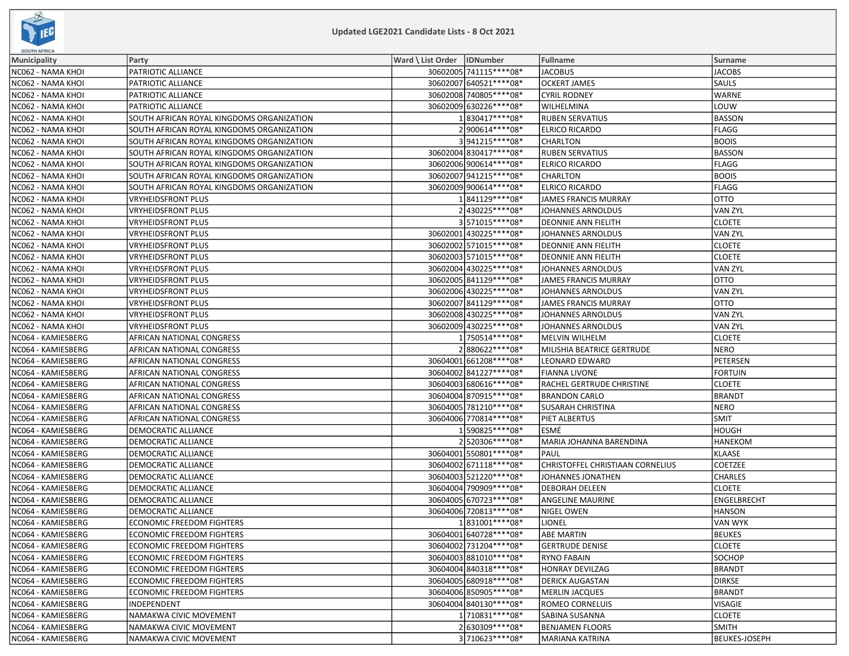

| <b>SOUTH AFRICA</b> |                                           |                              |                                  |                |
|---------------------|-------------------------------------------|------------------------------|----------------------------------|----------------|
| Municipality        | Party                                     | Ward \ List Order   IDNumber | Fullname                         | Surname        |
| NC062 - NAMA KHOI   | PATRIOTIC ALLIANCE                        | 30602005 741115 **** 08*     | <b>JACOBUS</b>                   | JACOBS         |
| NC062 - NAMA KHOI   | PATRIOTIC ALLIANCE                        | 30602007 640521 **** 08*     | <b>OCKERT JAMES</b>              | <b>SAULS</b>   |
| NC062 - NAMA KHOI   | PATRIOTIC ALLIANCE                        | 30602008 740805 **** 08*     | <b>CYRIL RODNEY</b>              | <b>WARNE</b>   |
| NC062 - NAMA KHOI   | PATRIOTIC ALLIANCE                        | 30602009 630226 **** 08*     | WILHELMINA                       | LOUW           |
| NC062 - NAMA KHOI   | SOUTH AFRICAN ROYAL KINGDOMS ORGANIZATION | 1830417****08*               | <b>RUBEN SERVATIUS</b>           | <b>BASSON</b>  |
| NC062 - NAMA KHOI   | SOUTH AFRICAN ROYAL KINGDOMS ORGANIZATION | 2900614 **** 08*             | <b>ELRICO RICARDO</b>            | FLAGG          |
| NC062 - NAMA KHOI   | SOUTH AFRICAN ROYAL KINGDOMS ORGANIZATION | 3941215****08*               | <b>CHARLTON</b>                  | <b>BOOIS</b>   |
| NC062 - NAMA KHOI   | SOUTH AFRICAN ROYAL KINGDOMS ORGANIZATION | 30602004 830417 **** 08*     | <b>RUBEN SERVATIUS</b>           | <b>BASSON</b>  |
| NC062 - NAMA KHOI   | SOUTH AFRICAN ROYAL KINGDOMS ORGANIZATION | 30602006 900614 **** 08*     | <b>ELRICO RICARDO</b>            | <b>FLAGG</b>   |
| NC062 - NAMA KHOI   | SOUTH AFRICAN ROYAL KINGDOMS ORGANIZATION | 30602007 941215 **** 08*     | <b>CHARLTON</b>                  | <b>BOOIS</b>   |
| NC062 - NAMA KHOI   | SOUTH AFRICAN ROYAL KINGDOMS ORGANIZATION | 30602009 900614 **** 08*     | <b>ELRICO RICARDO</b>            | FLAGG          |
| NC062 - NAMA KHOI   | VRYHEIDSFRONT PLUS                        | 1841129 **** 08*             | <b>JAMES FRANCIS MURRAY</b>      | <b>OTTO</b>    |
| NC062 - NAMA KHOI   | VRYHEIDSFRONT PLUS                        | 2430225 **** 08*             | JOHANNES ARNOLDUS                | VAN ZYL        |
| NC062 - NAMA KHOI   | <b>VRYHEIDSFRONT PLUS</b>                 | 3571015 **** 08*             | <b>DEONNIE ANN FIELITH</b>       | <b>CLOETE</b>  |
| NC062 - NAMA KHOI   | <b>VRYHEIDSFRONT PLUS</b>                 | 30602001 430225 **** 08*     | JOHANNES ARNOLDUS                | VAN ZYL        |
| NC062 - NAMA KHOI   | <b>VRYHEIDSFRONT PLUS</b>                 | 30602002 571015 **** 08*     | <b>DEONNIE ANN FIELITH</b>       | <b>CLOETE</b>  |
| NC062 - NAMA KHOI   | VRYHEIDSFRONT PLUS                        | 30602003 571015 **** 08*     | <b>DEONNIE ANN FIELITH</b>       | <b>CLOETE</b>  |
| NC062 - NAMA KHOI   | <b>VRYHEIDSFRONT PLUS</b>                 | 30602004 430225 **** 08*     | JOHANNES ARNOLDUS                | VAN ZYL        |
| NC062 - NAMA KHOI   | <b>VRYHEIDSFRONT PLUS</b>                 | 30602005 841129 **** 08*     | <b>JAMES FRANCIS MURRAY</b>      | OTTO           |
| NC062 - NAMA KHOI   | <b>VRYHEIDSFRONT PLUS</b>                 | 30602006 430225 **** 08*     | JOHANNES ARNOLDUS                | VAN ZYL        |
| NC062 - NAMA KHOI   | <b>VRYHEIDSFRONT PLUS</b>                 | 30602007 841129 **** 08*     | <b>JAMES FRANCIS MURRAY</b>      | <b>OTTO</b>    |
| NC062 - NAMA KHOI   | VRYHEIDSFRONT PLUS                        | 30602008 430225 **** 08*     | JOHANNES ARNOLDUS                | VAN ZYL        |
| NC062 - NAMA KHOI   | VRYHEIDSFRONT PLUS                        | 30602009 430225 **** 08*     | JOHANNES ARNOLDUS                | VAN ZYL        |
| NC064 - KAMIESBERG  | AFRICAN NATIONAL CONGRESS                 | 750514 **** 08*              | <b>MELVIN WILHELM</b>            | <b>CLOETE</b>  |
| NC064 - KAMIESBERG  | AFRICAN NATIONAL CONGRESS                 | 2880622 **** 08*             | MILISHIA BEATRICE GERTRUDE       | <b>NERO</b>    |
| NC064 - KAMIESBERG  | AFRICAN NATIONAL CONGRESS                 | 30604001 661208 **** 08*     | <b>LEONARD EDWARD</b>            | PETERSEN       |
| NC064 - KAMIESBERG  | AFRICAN NATIONAL CONGRESS                 | 30604002 841227 **** 08*     | <b>FIANNA LIVONE</b>             | <b>FORTUIN</b> |
| NC064 - KAMIESBERG  | AFRICAN NATIONAL CONGRESS                 | 30604003 680616 **** 08*     | RACHEL GERTRUDE CHRISTINE        | <b>CLOETE</b>  |
| NC064 - KAMIESBERG  | AFRICAN NATIONAL CONGRESS                 | 30604004 870915 **** 08*     | <b>BRANDON CARLO</b>             | BRANDT         |
| NC064 - KAMIESBERG  | AFRICAN NATIONAL CONGRESS                 | 30604005 781210 **** 08*     | <b>SUSARAH CHRISTINA</b>         | <b>NERO</b>    |
| NC064 - KAMIESBERG  | AFRICAN NATIONAL CONGRESS                 | 30604006 770814 **** 08*     | PIET ALBERTUS                    | <b>SMIT</b>    |
| NC064 - KAMIESBERG  | DEMOCRATIC ALLIANCE                       | 590825 **** * 08*            | ESMÉ                             | HOUGH          |
| NC064 - KAMIESBERG  | DEMOCRATIC ALLIANCE                       | 2520306 **** 08*             | MARIA JOHANNA BARENDINA          | <b>HANEKOM</b> |
| NC064 - KAMIESBERG  | DEMOCRATIC ALLIANCE                       | 30604001 550801 **** 08*     | PAUL                             | KLAASE         |
| NC064 - KAMIESBERG  | DEMOCRATIC ALLIANCE                       | 30604002 671118 **** 08*     | CHRISTOFFEL CHRISTIAAN CORNELIUS | <b>COETZEE</b> |
| NC064 - KAMIESBERG  | DEMOCRATIC ALLIANCE                       | 30604003 521220**** 08*      | JOHANNES JONATHEN                | <b>CHARLES</b> |
| NC064 - KAMIESBERG  | DEMOCRATIC ALLIANCE                       | 30604004 790909 **** 08*     | <b>DEBORAH DELEEN</b>            | <b>CLOETE</b>  |
| NC064 - KAMIESBERG  | DEMOCRATIC ALLIANCE                       | 30604005 670723 **** 08*     | ANGELINE MAURINE                 | ENGELBRECHT    |
| NC064 - KAMIESBERG  | DEMOCRATIC ALLIANCE                       | 30604006 720813 **** 08*     | <b>NIGEL OWEN</b>                | <b>HANSON</b>  |
| NC064 - KAMIESBERG  | <b>ECONOMIC FREEDOM FIGHTERS</b>          | 1831001 **** 08*             | <b>LIONEL</b>                    | <b>VAN WYK</b> |
| NC064 - KAMIESBERG  | <b>ECONOMIC FREEDOM FIGHTERS</b>          | 30604001 640728 **** 08*     | <b>ABE MARTIN</b>                | <b>BEUKES</b>  |
| NC064 - KAMIESBERG  | <b>ECONOMIC FREEDOM FIGHTERS</b>          | 30604002 731204 **** 08*     | <b>GERTRUDE DENISE</b>           | <b>CLOETE</b>  |
| NC064 - KAMIESBERG  | <b>ECONOMIC FREEDOM FIGHTERS</b>          | 30604003 881010 **** 08*     | <b>RYNO FABAIN</b>               | SOCHOP         |
| NC064 - KAMIESBERG  | <b>ECONOMIC FREEDOM FIGHTERS</b>          | 30604004 840318 **** 08*     | <b>HONRAY DEVILZAG</b>           | BRANDT         |
| NC064 - KAMIESBERG  | <b>ECONOMIC FREEDOM FIGHTERS</b>          | 30604005 680918 **** 08*     | <b>DERICK AUGASTAN</b>           | DIRKSE         |
| NC064 - KAMIESBERG  | <b>ECONOMIC FREEDOM FIGHTERS</b>          | 30604006 850905 **** 08*     | <b>MERLIN JACQUES</b>            | BRANDT         |
| NC064 - KAMIESBERG  | INDEPENDENT                               | 30604004 840130**** 08*      | <b>ROMEO CORNELUIS</b>           | VISAGIE        |
| NC064 - KAMIESBERG  | NAMAKWA CIVIC MOVEMENT                    | 1 710831 **** 08*            | <b>SABINA SUSANNA</b>            | <b>CLOETE</b>  |
| NC064 - KAMIESBERG  | NAMAKWA CIVIC MOVEMENT                    | 2630309 **** 08*             | <b>BENJAMEN FLOORS</b>           | <b>SMITH</b>   |
| NC064 - KAMIESBERG  | NAMAKWA CIVIC MOVEMENT                    | 3710623 **** 08*             | <b>MARIANA KATRINA</b>           | BEUKES-JOSEPH  |
|                     |                                           |                              |                                  |                |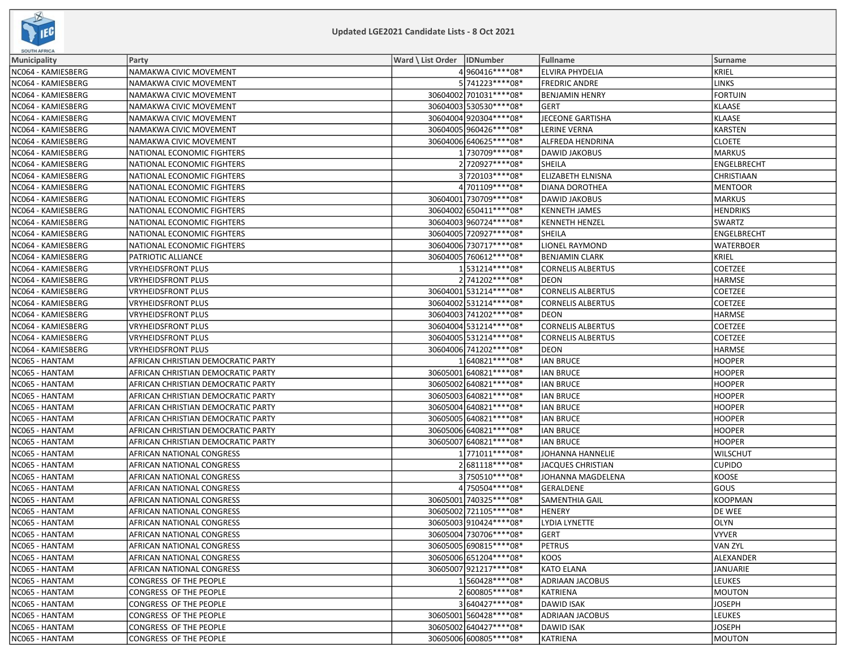

| <b>SOUTH AFRICA</b> |                                    |                              |                          |                          |                   |
|---------------------|------------------------------------|------------------------------|--------------------------|--------------------------|-------------------|
| <b>Municipality</b> | Party                              | Ward \ List Order   IDNumber |                          | <b>Fullname</b>          | Surname           |
| NC064 - KAMIESBERG  | NAMAKWA CIVIC MOVEMENT             |                              | 4960416 **** 08*         | <b>ELVIRA PHYDELIA</b>   | KRIEL             |
| NC064 - KAMIESBERG  | NAMAKWA CIVIC MOVEMENT             |                              | 5 741223 **** 08*        | <b>FREDRIC ANDRE</b>     | <b>LINKS</b>      |
| NC064 - KAMIESBERG  | NAMAKWA CIVIC MOVEMENT             |                              | 30604002 701031 **** 08* | <b>BENJAMIN HENRY</b>    | <b>FORTUIN</b>    |
| NC064 - KAMIESBERG  | <b>NAMAKWA CIVIC MOVEMENT</b>      |                              | 30604003 530530 **** 08* | GERT                     | KLAASE            |
| NC064 - KAMIESBERG  | NAMAKWA CIVIC MOVEMENT             |                              | 30604004 920304 **** 08* | <b>JECEONE GARTISHA</b>  | KLAASE            |
| NC064 - KAMIESBERG  | NAMAKWA CIVIC MOVEMENT             |                              | 30604005 960426 **** 08* | <b>LERINE VERNA</b>      | KARSTEN           |
| NC064 - KAMIESBERG  | NAMAKWA CIVIC MOVEMENT             |                              | 30604006 640625 **** 08* | ALFREDA HENDRINA         | <b>CLOETE</b>     |
| NC064 - KAMIESBERG  | NATIONAL ECONOMIC FIGHTERS         |                              | 1 730709 **** 08*        | DAWID JAKOBUS            | MARKUS            |
| NC064 - KAMIESBERG  | NATIONAL ECONOMIC FIGHTERS         |                              | 2 720927 **** 08*        | <b>SHEILA</b>            | ENGELBRECHT       |
| NC064 - KAMIESBERG  | NATIONAL ECONOMIC FIGHTERS         |                              | 3720103 **** 08*         | <b>ELIZABETH ELNISNA</b> | <b>CHRISTIAAN</b> |
| NC064 - KAMIESBERG  | NATIONAL ECONOMIC FIGHTERS         |                              | 4 701109 **** 08*        | DIANA DOROTHEA           | <b>MENTOOR</b>    |
| NC064 - KAMIESBERG  | NATIONAL ECONOMIC FIGHTERS         |                              | 30604001 730709 **** 08* | DAWID JAKOBUS            | MARKUS            |
| NC064 - KAMIESBERG  | NATIONAL ECONOMIC FIGHTERS         |                              | 30604002 650411 **** 08* | <b>KENNETH JAMES</b>     | <b>HENDRIKS</b>   |
| NC064 - KAMIESBERG  | NATIONAL ECONOMIC FIGHTERS         |                              | 30604003 960724 **** 08* | <b>KENNETH HENZEL</b>    | <b>SWARTZ</b>     |
| NC064 - KAMIESBERG  | NATIONAL ECONOMIC FIGHTERS         |                              | 30604005 720927**** 08*  | SHEILA                   | ENGELBRECHT       |
| NC064 - KAMIESBERG  | NATIONAL ECONOMIC FIGHTERS         |                              | 30604006 730717**** 08*  | LIONEL RAYMOND           | <b>WATERBOER</b>  |
| NC064 - KAMIESBERG  | PATRIOTIC ALLIANCE                 |                              | 30604005 760612 **** 08* | <b>BENJAMIN CLARK</b>    | KRIEL             |
| NC064 - KAMIESBERG  | <b>VRYHEIDSFRONT PLUS</b>          |                              | 1531214 **** 08*         | <b>CORNELIS ALBERTUS</b> | <b>COETZEE</b>    |
| NC064 - KAMIESBERG  | <b>VRYHEIDSFRONT PLUS</b>          |                              | 2 741202 **** 08*        | DEON                     | <b>HARMSE</b>     |
| NC064 - KAMIESBERG  | <b>VRYHEIDSFRONT PLUS</b>          |                              | 30604001 531214 **** 08* | <b>CORNELIS ALBERTUS</b> | <b>COETZEE</b>    |
| NC064 - KAMIESBERG  | VRYHEIDSFRONT PLUS                 |                              | 30604002 531214 **** 08* | <b>CORNELIS ALBERTUS</b> | COETZEE           |
| NC064 - KAMIESBERG  | VRYHEIDSFRONT PLUS                 |                              | 30604003 741202 **** 08* | DEON                     | <b>HARMSE</b>     |
| NC064 - KAMIESBERG  | <b>VRYHEIDSFRONT PLUS</b>          |                              | 30604004 531214**** 08*  | <b>CORNELIS ALBERTUS</b> | <b>COETZEE</b>    |
| NC064 - KAMIESBERG  | <b>VRYHEIDSFRONT PLUS</b>          |                              | 30604005 531214 **** 08* | <b>CORNELIS ALBERTUS</b> | <b>COETZEE</b>    |
| NC064 - KAMIESBERG  | <b>VRYHEIDSFRONT PLUS</b>          |                              | 30604006 741202 **** 08* | DEON                     | HARMSE            |
| NC065 - HANTAM      | AFRICAN CHRISTIAN DEMOCRATIC PARTY |                              | 1640821 **** 08*         | <b>IAN BRUCE</b>         | HOOPER            |
| NC065 - HANTAM      | AFRICAN CHRISTIAN DEMOCRATIC PARTY |                              | 30605001 640821 **** 08* | <b>IAN BRUCE</b>         | <b>HOOPER</b>     |
| NC065 - HANTAM      | AFRICAN CHRISTIAN DEMOCRATIC PARTY |                              | 30605002 640821 **** 08* | <b>IAN BRUCE</b>         | <b>HOOPER</b>     |
| NC065 - HANTAM      | AFRICAN CHRISTIAN DEMOCRATIC PARTY |                              | 30605003 640821 **** 08* | <b>IAN BRUCE</b>         | <b>HOOPER</b>     |
| NC065 - HANTAM      | AFRICAN CHRISTIAN DEMOCRATIC PARTY |                              | 30605004 640821 **** 08* | <b>IAN BRUCE</b>         | <b>HOOPER</b>     |
| NC065 - HANTAM      | AFRICAN CHRISTIAN DEMOCRATIC PARTY |                              | 30605005 640821 **** 08* | <b>IAN BRUCE</b>         | <b>HOOPER</b>     |
| NC065 - HANTAM      | AFRICAN CHRISTIAN DEMOCRATIC PARTY |                              | 30605006 640821 **** 08* | <b>IAN BRUCE</b>         | <b>HOOPER</b>     |
| NC065 - HANTAM      | AFRICAN CHRISTIAN DEMOCRATIC PARTY |                              | 30605007 640821 **** 08* | <b>IAN BRUCE</b>         | HOOPER            |
| NC065 - HANTAM      | AFRICAN NATIONAL CONGRESS          |                              | 1771011****08*           | JOHANNA HANNELIE         | <b>WILSCHUT</b>   |
| NC065 - HANTAM      | AFRICAN NATIONAL CONGRESS          |                              | 2681118 **** 08*         | <b>JACQUES CHRISTIAN</b> | <b>CUPIDO</b>     |
| NC065 - HANTAM      | AFRICAN NATIONAL CONGRESS          |                              | 3750510****08*           | JOHANNA MAGDELENA        | KOOSE             |
| NC065 - HANTAM      | AFRICAN NATIONAL CONGRESS          |                              | 4 750504 **** 08*        | GERALDENE                | GOUS              |
| NC065 - HANTAM      | AFRICAN NATIONAL CONGRESS          |                              | 30605001 740325 **** 08* | <b>SAMENTHIA GAIL</b>    | KOOPMAN           |
| NC065 - HANTAM      | AFRICAN NATIONAL CONGRESS          |                              | 30605002 721105 **** 08* | <b>HENERY</b>            | <b>DE WEE</b>     |
| NC065 - HANTAM      | AFRICAN NATIONAL CONGRESS          |                              | 30605003910424****08*    | LYDIA LYNETTE            | OLYN              |
| NC065 - HANTAM      | AFRICAN NATIONAL CONGRESS          |                              | 30605004 730706 **** 08* | <b>GERT</b>              | <b>VYVER</b>      |
| NC065 - HANTAM      | AFRICAN NATIONAL CONGRESS          |                              | 30605005 690815 **** 08* | <b>PETRUS</b>            | VAN ZYL           |
| NC065 - HANTAM      | AFRICAN NATIONAL CONGRESS          |                              | 30605006 651204**** 08*  | KOOS                     | ALEXANDER         |
| NC065 - HANTAM      | AFRICAN NATIONAL CONGRESS          |                              | 30605007 921217**** 08*  | <b>KATO ELANA</b>        | JANUARIE          |
| NC065 - HANTAM      | CONGRESS OF THE PEOPLE             |                              | 1560428 **** 08*         | <b>ADRIAAN JACOBUS</b>   | <b>LEUKES</b>     |
| NC065 - HANTAM      | CONGRESS OF THE PEOPLE             |                              | 2600805 **** 08*         | <b>KATRIENA</b>          | MOUTON            |
| NC065 - HANTAM      | CONGRESS OF THE PEOPLE             |                              | 3 640427****08*          | <b>DAWID ISAK</b>        | <b>JOSEPH</b>     |
| NC065 - HANTAM      | CONGRESS OF THE PEOPLE             |                              | 30605001 560428 **** 08* | <b>ADRIAAN JACOBUS</b>   | LEUKES            |
| NC065 - HANTAM      | CONGRESS OF THE PEOPLE             |                              | 30605002 640427****08*   | <b>DAWID ISAK</b>        | JOSEPH            |
| NC065 - HANTAM      | CONGRESS OF THE PEOPLE             |                              | 30605006 600805 **** 08* | KATRIENA                 | MOUTON            |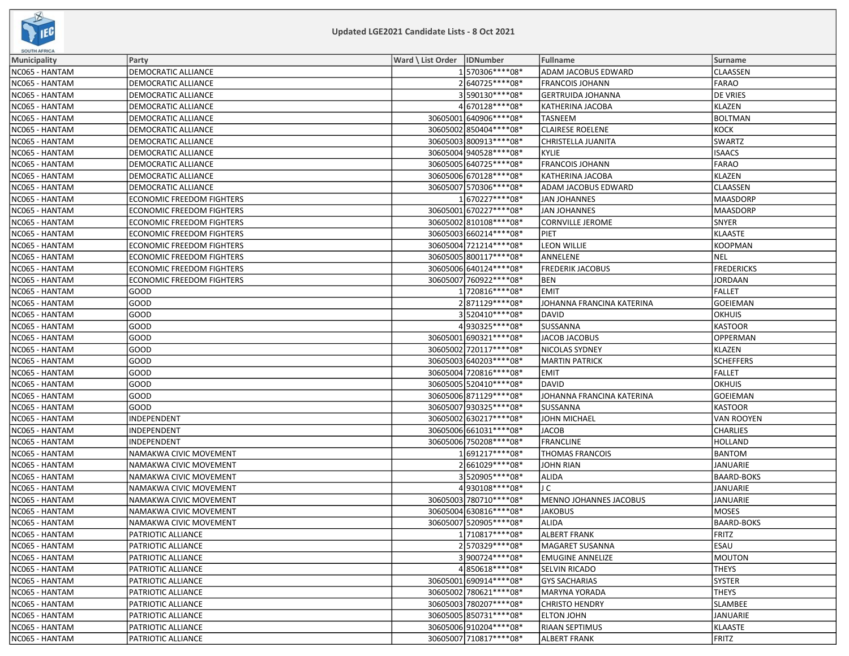

| <b>SOUTH AFRICA</b> |                                  |                              |                           |                   |  |  |  |
|---------------------|----------------------------------|------------------------------|---------------------------|-------------------|--|--|--|
| <b>Municipality</b> | Party                            | Ward \ List Order   IDNumber | Fullname                  | <b>Surname</b>    |  |  |  |
| NC065 - HANTAM      | DEMOCRATIC ALLIANCE              | 1570306 **** 08*             | ADAM JACOBUS EDWARD       | CLAASSEN          |  |  |  |
| NC065 - HANTAM      | DEMOCRATIC ALLIANCE              | 2640725 **** 08*             | <b>FRANCOIS JOHANN</b>    | <b>FARAO</b>      |  |  |  |
| NC065 - HANTAM      | DEMOCRATIC ALLIANCE              | 3590130 **** 08*             | <b>GERTRUIDA JOHANNA</b>  | <b>DE VRIES</b>   |  |  |  |
| NC065 - HANTAM      | DEMOCRATIC ALLIANCE              | 4670128 **** 08*             | KATHERINA JACOBA          | KLAZEN            |  |  |  |
| NC065 - HANTAM      | DEMOCRATIC ALLIANCE              | 30605001 640906 **** 08*     | <b>TASNEEM</b>            | <b>BOLTMAN</b>    |  |  |  |
| NC065 - HANTAM      | DEMOCRATIC ALLIANCE              | 30605002 850404**** 08*      | <b>CLAIRESE ROELENE</b>   | KOCK              |  |  |  |
| NC065 - HANTAM      | DEMOCRATIC ALLIANCE              | 30605003 800913 **** 08*     | <b>CHRISTELLA JUANITA</b> | <b>SWARTZ</b>     |  |  |  |
| NC065 - HANTAM      | DEMOCRATIC ALLIANCE              | 30605004 940528 **** 08*     | <b>KYLIE</b>              | <b>ISAACS</b>     |  |  |  |
| NC065 - HANTAM      | DEMOCRATIC ALLIANCE              | 30605005 640725 **** 08*     | <b>FRANCOIS JOHANN</b>    | FARAO             |  |  |  |
| NC065 - HANTAM      | DEMOCRATIC ALLIANCE              | 30605006 670128 **** 08*     | KATHERINA JACOBA          | KLAZEN            |  |  |  |
| NC065 - HANTAM      | DEMOCRATIC ALLIANCE              | 30605007 570306 **** 08*     | ADAM JACOBUS EDWARD       | CLAASSEN          |  |  |  |
| NC065 - HANTAM      | <b>ECONOMIC FREEDOM FIGHTERS</b> | 1670227****08*               | <b>JAN JOHANNES</b>       | <b>MAASDORP</b>   |  |  |  |
| NC065 - HANTAM      | ECONOMIC FREEDOM FIGHTERS        | 30605001 670227****08*       | <b>JAN JOHANNES</b>       | MAASDORP          |  |  |  |
| NC065 - HANTAM      | <b>ECONOMIC FREEDOM FIGHTERS</b> | 30605002 810108 **** 08*     | <b>CORNVILLE JEROME</b>   | SNYER             |  |  |  |
| NC065 - HANTAM      | <b>ECONOMIC FREEDOM FIGHTERS</b> | 30605003 660214 **** 08*     | <b>PIET</b>               | KLAASTE           |  |  |  |
| NC065 - HANTAM      | ECONOMIC FREEDOM FIGHTERS        | 30605004 721214**** 08*      | <b>LEON WILLIE</b>        | KOOPMAN           |  |  |  |
| NC065 - HANTAM      | ECONOMIC FREEDOM FIGHTERS        | 30605005 800117**** 08*      | ANNELENE                  | <b>NEL</b>        |  |  |  |
| NC065 - HANTAM      | ECONOMIC FREEDOM FIGHTERS        | 30605006 640124 **** 08*     | <b>FREDERIK JACOBUS</b>   | <b>FREDERICKS</b> |  |  |  |
| NC065 - HANTAM      | <b>ECONOMIC FREEDOM FIGHTERS</b> | 30605007 760922 **** 08*     | <b>BEN</b>                | JORDAAN           |  |  |  |
| NC065 - HANTAM      | GOOD                             | 1720816 **** 08*             | <b>EMIT</b>               | FALLET            |  |  |  |
| NC065 - HANTAM      | GOOD                             | 2871129 **** 08*             | JOHANNA FRANCINA KATERINA | GOEIEMAN          |  |  |  |
| NC065 - HANTAM      | GOOD                             | 3520410****08*               | <b>DAVID</b>              | <b>OKHUIS</b>     |  |  |  |
| NC065 - HANTAM      | GOOD                             | 4930325 **** 08*             | SUSSANNA                  | KASTOOR           |  |  |  |
| NC065 - HANTAM      | GOOD                             | 30605001 690321 **** 08*     | JACOB JACOBUS             | OPPERMAN          |  |  |  |
| NC065 - HANTAM      | GOOD                             | 30605002 720117****08*       | NICOLAS SYDNEY            | KLAZEN            |  |  |  |
| NC065 - HANTAM      | GOOD                             | 30605003 640203 **** 08*     | <b>MARTIN PATRICK</b>     | <b>SCHEFFERS</b>  |  |  |  |
| NC065 - HANTAM      | GOOD                             | 30605004 720816 **** 08*     | <b>EMIT</b>               | FALLET            |  |  |  |
| NC065 - HANTAM      | GOOD                             | 30605005 520410 **** 08*     | <b>DAVID</b>              | <b>OKHUIS</b>     |  |  |  |
| NC065 - HANTAM      | GOOD                             | 30605006 871129 **** 08*     | JOHANNA FRANCINA KATERINA | GOEIEMAN          |  |  |  |
| NC065 - HANTAM      | GOOD                             | 30605007 930325 **** 08*     | SUSSANNA                  | KASTOOR           |  |  |  |
| NC065 - HANTAM      | INDEPENDENT                      | 30605002 630217****08*       | JOHN MICHAEL              | <b>VAN ROOYEN</b> |  |  |  |
| NC065 - HANTAM      | INDEPENDENT                      | 30605006 661031 **** 08*     | <b>JACOB</b>              | <b>CHARLIES</b>   |  |  |  |
| NC065 - HANTAM      | INDEPENDENT                      | 30605006 750208 **** 08*     | <b>FRANCLINE</b>          | HOLLAND           |  |  |  |
| NC065 - HANTAM      | NAMAKWA CIVIC MOVEMENT           | 1691217****08*               | THOMAS FRANCOIS           | <b>BANTOM</b>     |  |  |  |
| NC065 - HANTAM      | NAMAKWA CIVIC MOVEMENT           | 2661029 **** 08*             | <b>JOHN RIAN</b>          | JANUARIE          |  |  |  |
| NC065 - HANTAM      | NAMAKWA CIVIC MOVEMENT           | 3520905 **** 08*             | <b>ALIDA</b>              | <b>BAARD-BOKS</b> |  |  |  |
| NC065 - HANTAM      | NAMAKWA CIVIC MOVEMENT           | 4930108 **** 08*             | J C                       | JANUARIE          |  |  |  |
| NC065 - HANTAM      | NAMAKWA CIVIC MOVEMENT           | 30605003 780710 **** 08*     | MENNO JOHANNES JACOBUS    | JANUARIE          |  |  |  |
| NC065 - HANTAM      | NAMAKWA CIVIC MOVEMENT           | 30605004 630816 **** 08*     | <b>JAKOBUS</b>            | MOSES             |  |  |  |
| NC065 - HANTAM      | NAMAKWA CIVIC MOVEMENT           | 30605007 520905 **** 08*     | <b>ALIDA</b>              | <b>BAARD-BOKS</b> |  |  |  |
| NC065 - HANTAM      | PATRIOTIC ALLIANCE               | 1710817****08*               | <b>ALBERT FRANK</b>       | FRITZ             |  |  |  |
| NC065 - HANTAM      | PATRIOTIC ALLIANCE               | 2570329 **** 08*             | MAGARET SUSANNA           | <b>ESAU</b>       |  |  |  |
| NC065 - HANTAM      | PATRIOTIC ALLIANCE               | 3900724 **** 08*             | <b>EMUGINE ANNELIZE</b>   | MOUTON            |  |  |  |
| NC065 - HANTAM      | PATRIOTIC ALLIANCE               | 4850618 **** 08*             | <b>SELVIN RICADO</b>      | <b>THEYS</b>      |  |  |  |
| NC065 - HANTAM      | PATRIOTIC ALLIANCE               | 30605001 690914 **** 08*     | <b>GYS SACHARIAS</b>      | SYSTER            |  |  |  |
| NC065 - HANTAM      | PATRIOTIC ALLIANCE               | 30605002 780621 **** 08*     | <b>MARYNA YORADA</b>      | <b>THEYS</b>      |  |  |  |
| NC065 - HANTAM      | PATRIOTIC ALLIANCE               | 30605003 780207****08*       | <b>CHRISTO HENDRY</b>     | SLAMBEE           |  |  |  |
| NC065 - HANTAM      | PATRIOTIC ALLIANCE               | 30605005 850731 **** 08*     | <b>ELTON JOHN</b>         | JANUARIE          |  |  |  |
| NC065 - HANTAM      | PATRIOTIC ALLIANCE               | 30605006910204 **** 08*      | <b>RIAAN SEPTIMUS</b>     | KLAASTE           |  |  |  |
| NC065 - HANTAM      | PATRIOTIC ALLIANCE               | 30605007 710817****08*       | <b>ALBERT FRANK</b>       | <b>FRITZ</b>      |  |  |  |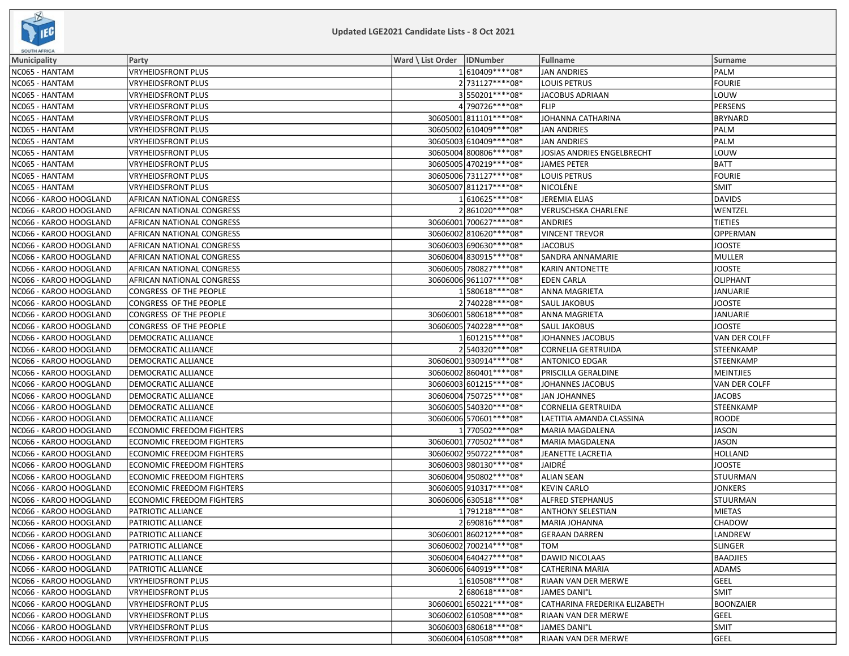

| <b>SOUTH AFRICA</b>    |                                  |                              |                          |                               |                      |  |  |
|------------------------|----------------------------------|------------------------------|--------------------------|-------------------------------|----------------------|--|--|
| <b>Municipality</b>    | Party                            | Ward \ List Order   IDNumber |                          | <b>Fullname</b>               | Surname              |  |  |
| NC065 - HANTAM         | <b>VRYHEIDSFRONT PLUS</b>        |                              | 1610409 **** 08*         | <b>JAN ANDRIES</b>            | PALM                 |  |  |
| NC065 - HANTAM         | VRYHEIDSFRONT PLUS               |                              | 2 731127****08*          | <b>LOUIS PETRUS</b>           | <b>FOURIE</b>        |  |  |
| NC065 - HANTAM         | VRYHEIDSFRONT PLUS               |                              | 3550201 **** 08*         | <b>JACOBUS ADRIAAN</b>        | LOUW                 |  |  |
| NC065 - HANTAM         | VRYHEIDSFRONT PLUS               |                              | 4790726 **** 08*         | <b>FLIP</b>                   | PERSENS              |  |  |
| NC065 - HANTAM         | VRYHEIDSFRONT PLUS               |                              | 30605001 811101**** 08*  | JOHANNA CATHARINA             | <b>BRYNARD</b>       |  |  |
| NC065 - HANTAM         | VRYHEIDSFRONT PLUS               |                              | 30605002 610409 **** 08* | <b>JAN ANDRIES</b>            | PALM                 |  |  |
| NC065 - HANTAM         | VRYHEIDSFRONT PLUS               |                              | 30605003 610409 **** 08* | <b>JAN ANDRIES</b>            | PALM                 |  |  |
| NC065 - HANTAM         | VRYHEIDSFRONT PLUS               |                              | 30605004 800806 **** 08* | JOSIAS ANDRIES ENGELBRECHT    | LOUW                 |  |  |
| NC065 - HANTAM         | <b>VRYHEIDSFRONT PLUS</b>        |                              | 30605005 470219 **** 08* | <b>JAMES PETER</b>            | <b>BATT</b>          |  |  |
| NC065 - HANTAM         | VRYHEIDSFRONT PLUS               |                              | 30605006 731127**** 08*  | LOUIS PETRUS                  | FOURIE               |  |  |
| NC065 - HANTAM         | VRYHEIDSFRONT PLUS               |                              | 30605007 811217**** 08*  | NICOLÉNE                      | <b>SMIT</b>          |  |  |
| NC066 - KAROO HOOGLAND | AFRICAN NATIONAL CONGRESS        |                              | 1610625 **** 08*         | JEREMIA ELIAS                 | <b>DAVIDS</b>        |  |  |
| NC066 - KAROO HOOGLAND | AFRICAN NATIONAL CONGRESS        |                              | 2861020 **** 08*         | <b>VERUSCHSKA CHARLENE</b>    | WENTZEL              |  |  |
| NC066 - KAROO HOOGLAND | AFRICAN NATIONAL CONGRESS        |                              | 30606001 700627****08*   | <b>ANDRIES</b>                | <b>TIETIES</b>       |  |  |
| NC066 - KAROO HOOGLAND | AFRICAN NATIONAL CONGRESS        |                              | 30606002 810620 **** 08* | <b>VINCENT TREVOR</b>         | OPPERMAN             |  |  |
| NC066 - KAROO HOOGLAND | AFRICAN NATIONAL CONGRESS        |                              | 30606003 690630 **** 08* | <b>JACOBUS</b>                | <b>JOOSTE</b>        |  |  |
| NC066 - KAROO HOOGLAND | AFRICAN NATIONAL CONGRESS        |                              | 30606004 830915 **** 08* | SANDRA ANNAMARIE              | MULLER               |  |  |
| NC066 - KAROO HOOGLAND | AFRICAN NATIONAL CONGRESS        |                              | 30606005 780827 **** 08* | <b>KARIN ANTONETTE</b>        | <b>JOOSTE</b>        |  |  |
| NC066 - KAROO HOOGLAND | AFRICAN NATIONAL CONGRESS        |                              | 30606006961107****08*    | <b>EDEN CARLA</b>             | OLIPHANT             |  |  |
| NC066 - KAROO HOOGLAND | CONGRESS OF THE PEOPLE           |                              | 1580618 **** 08*         | ANNA MAGRIETA                 | JANUARIE             |  |  |
| NC066 - KAROO HOOGLAND | CONGRESS OF THE PEOPLE           |                              | 2740228 **** 08*         | <b>SAUL JAKOBUS</b>           | <b>JOOSTE</b>        |  |  |
| NC066 - KAROO HOOGLAND | CONGRESS OF THE PEOPLE           |                              | 30606001 580618 **** 08* | ANNA MAGRIETA                 | JANUARIE             |  |  |
| NC066 - KAROO HOOGLAND | CONGRESS OF THE PEOPLE           |                              | 30606005 740228 **** 08* | SAUL JAKOBUS                  | JOOSTE               |  |  |
| NC066 - KAROO HOOGLAND | <b>DEMOCRATIC ALLIANCE</b>       |                              | 1601215 **** 08*         | <b>JOHANNES JACOBUS</b>       | <b>VAN DER COLFF</b> |  |  |
| NC066 - KAROO HOOGLAND | <b>DEMOCRATIC ALLIANCE</b>       |                              | 2540320 **** 08*         | <b>CORNELIA GERTRUIDA</b>     | <b>STEENKAMP</b>     |  |  |
| NC066 - KAROO HOOGLAND | DEMOCRATIC ALLIANCE              |                              | 30606001930914 **** 08*  | ANTONICO EDGAR                | STEENKAMP            |  |  |
| NC066 - KAROO HOOGLAND | DEMOCRATIC ALLIANCE              |                              | 30606002 860401 **** 08* | PRISCILLA GERALDINE           | <b>MEINTJIES</b>     |  |  |
| NC066 - KAROO HOOGLAND | DEMOCRATIC ALLIANCE              |                              | 30606003 601215 **** 08* | JOHANNES JACOBUS              | VAN DER COLFF        |  |  |
| NC066 - KAROO HOOGLAND | DEMOCRATIC ALLIANCE              |                              | 30606004 750725 **** 08* | <b>JAN JOHANNES</b>           | <b>JACOBS</b>        |  |  |
| NC066 - KAROO HOOGLAND | DEMOCRATIC ALLIANCE              |                              | 30606005 540320 **** 08* | CORNELIA GERTRUIDA            | <b>STEENKAMP</b>     |  |  |
| NC066 - KAROO HOOGLAND | <b>DEMOCRATIC ALLIANCE</b>       |                              | 30606006 570601 **** 08* | LAETITIA AMANDA CLASSINA      | <b>ROODE</b>         |  |  |
| NC066 - KAROO HOOGLAND | <b>ECONOMIC FREEDOM FIGHTERS</b> |                              | 1770502 **** 08*         | MARIA MAGDALENA               | <b>JASON</b>         |  |  |
| NC066 - KAROO HOOGLAND | <b>ECONOMIC FREEDOM FIGHTERS</b> |                              | 30606001 770502 **** 08* | MARIA MAGDALENA               | JASON                |  |  |
| NC066 - KAROO HOOGLAND | <b>ECONOMIC FREEDOM FIGHTERS</b> |                              | 30606002 950722 **** 08* | JEANETTE LACRETIA             | <b>HOLLAND</b>       |  |  |
| NC066 - KAROO HOOGLAND | <b>ECONOMIC FREEDOM FIGHTERS</b> |                              | 30606003 980130 **** 08* | JAIDRÉ                        | <b>JOOSTE</b>        |  |  |
| NC066 - KAROO HOOGLAND | <b>ECONOMIC FREEDOM FIGHTERS</b> |                              | 30606004 950802 **** 08* | <b>ALIAN SEAN</b>             | <b>STUURMAN</b>      |  |  |
| NC066 - KAROO HOOGLAND | <b>ECONOMIC FREEDOM FIGHTERS</b> |                              | 30606005 910317**** 08*  | <b>KEVIN CARLO</b>            | <b>JONKERS</b>       |  |  |
| NC066 - KAROO HOOGLAND | <b>ECONOMIC FREEDOM FIGHTERS</b> |                              | 30606006 630518 **** 08* | ALFRED STEPHANUS              | <b>STUURMAN</b>      |  |  |
| NC066 - KAROO HOOGLAND | PATRIOTIC ALLIANCE               |                              | 1 791218 **** 08*        | <b>ANTHONY SELESTIAN</b>      | MIETAS               |  |  |
| NC066 - KAROO HOOGLAND | PATRIOTIC ALLIANCE               |                              | 2690816 **** 08*         | <b>MARIA JOHANNA</b>          | <b>CHADOW</b>        |  |  |
| NC066 - KAROO HOOGLAND | <b>PATRIOTIC ALLIANCE</b>        |                              | 30606001 860212 **** 08* | GERAAN DARREN                 | LANDREW              |  |  |
| NC066 - KAROO HOOGLAND | PATRIOTIC ALLIANCE               |                              | 30606002 700214 **** 08* | TOM                           | <b>SLINGER</b>       |  |  |
| NC066 - KAROO HOOGLAND | PATRIOTIC ALLIANCE               |                              | 30606004 640427****08*   | <b>DAWID NICOLAAS</b>         | <b>BAADJIES</b>      |  |  |
| NC066 - KAROO HOOGLAND | PATRIOTIC ALLIANCE               |                              | 30606006 640919 **** 08* | <b>CATHERINA MARIA</b>        | <b>ADAMS</b>         |  |  |
| NC066 - KAROO HOOGLAND | <b>VRYHEIDSFRONT PLUS</b>        |                              | 1610508 **** 08*         | RIAAN VAN DER MERWE           | GEEL                 |  |  |
| NC066 - KAROO HOOGLAND | <b>VRYHEIDSFRONT PLUS</b>        |                              | 2680618 **** 08*         | <b>JAMES DANI°L</b>           | <b>SMIT</b>          |  |  |
| NC066 - KAROO HOOGLAND | <b>VRYHEIDSFRONT PLUS</b>        |                              | 30606001 650221 **** 08* | CATHARINA FREDERIKA ELIZABETH | <b>BOONZAIER</b>     |  |  |
| NC066 - KAROO HOOGLAND | <b>VRYHEIDSFRONT PLUS</b>        |                              | 30606002 610508 **** 08* | RIAAN VAN DER MERWE           | GEEL                 |  |  |
| NC066 - KAROO HOOGLAND | <b>VRYHEIDSFRONT PLUS</b>        |                              | 30606003 680618 **** 08* | <b>JAMES DANI°L</b>           | <b>SMIT</b>          |  |  |
| NC066 - KAROO HOOGLAND | <b>VRYHEIDSFRONT PLUS</b>        |                              | 30606004 610508 **** 08* | RIAAN VAN DER MERWE           | GEEL                 |  |  |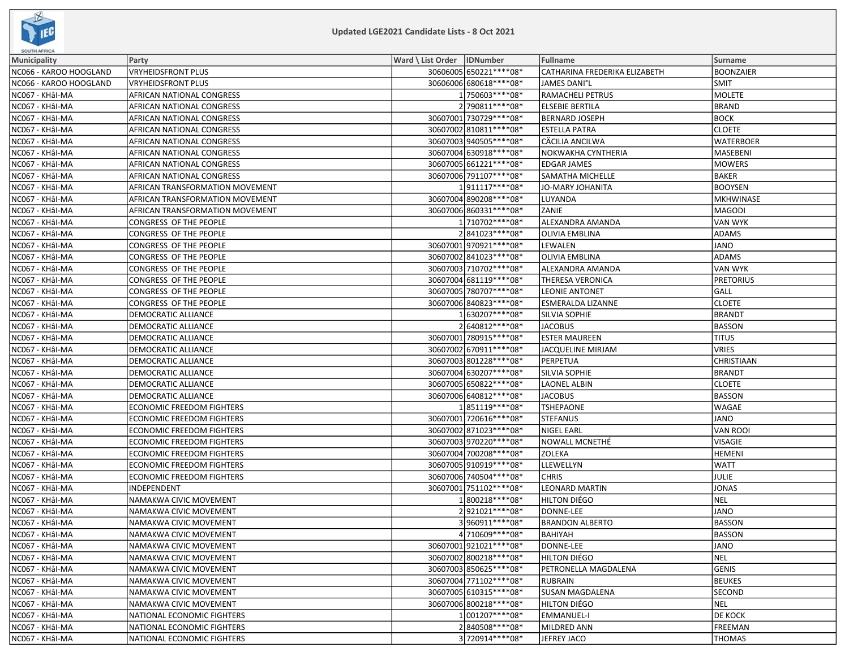

| SOUTH AFRICA           |                                  |                              |                               |                   |  |  |  |  |
|------------------------|----------------------------------|------------------------------|-------------------------------|-------------------|--|--|--|--|
| Municipality           | Party                            | Ward \ List Order   IDNumber | Fullname                      | Surname           |  |  |  |  |
| NC066 - KAROO HOOGLAND | VRYHEIDSFRONT PLUS               | 30606005 650221 **** 08*     | CATHARINA FREDERIKA ELIZABETH | <b>BOONZAIER</b>  |  |  |  |  |
| NC066 - KAROO HOOGLAND | <b>VRYHEIDSFRONT PLUS</b>        | 30606006 680618 **** 08*     | <b>JAMES DANI°L</b>           | <b>SMIT</b>       |  |  |  |  |
| NC067 - KHâI-MA        | AFRICAN NATIONAL CONGRESS        | 1750603 **** 08*             | <b>RAMACHELI PETRUS</b>       | MOLETE            |  |  |  |  |
| NC067 - KHâI-MA        | AFRICAN NATIONAL CONGRESS        | 2790811 **** 08*             | <b>ELSEBIE BERTILA</b>        | <b>BRAND</b>      |  |  |  |  |
| NC067 - KHÂI-MA        | AFRICAN NATIONAL CONGRESS        | 30607001 730729 **** 08*     | <b>BERNARD JOSEPH</b>         | <b>BOCK</b>       |  |  |  |  |
| NC067 - KHâl-MA        | AFRICAN NATIONAL CONGRESS        | 30607002 810811 **** 08*     | <b>ESTELLA PATRA</b>          | <b>CLOETE</b>     |  |  |  |  |
| NC067 - KHÂI-MA        | AFRICAN NATIONAL CONGRESS        | 30607003 940505 **** 08*     | CÄCILIA ANCILWA               | <b>WATERBOER</b>  |  |  |  |  |
| NC067 - KHâI-MA        | AFRICAN NATIONAL CONGRESS        | 30607004 630918 **** 08*     | NOKWAKHA CYNTHERIA            | MASEBENI          |  |  |  |  |
| NC067 - KHâI-MA        | AFRICAN NATIONAL CONGRESS        | 30607005 661221 **** 08*     | <b>EDGAR JAMES</b>            | MOWERS            |  |  |  |  |
| NC067 - KHâl-MA        | AFRICAN NATIONAL CONGRESS        | 30607006 791107****08*       | SAMATHA MICHELLE              | <b>BAKER</b>      |  |  |  |  |
| NC067 - KHâI-MA        | AFRICAN TRANSFORMATION MOVEMENT  | 1911117 **** 08*             | <b>JO-MARY JOHANITA</b>       | <b>BOOYSEN</b>    |  |  |  |  |
| NC067 - KHÂI-MA        | AFRICAN TRANSFORMATION MOVEMENT  | 30607004 890208 **** 08*     | LUYANDA                       | MKHWINASE         |  |  |  |  |
| NC067 - KHâI-MA        | AFRICAN TRANSFORMATION MOVEMENT  | 30607006 860331 **** 08*     | ZANIE                         | MAGODI            |  |  |  |  |
| NC067 - KHÂI-MA        | CONGRESS OF THE PEOPLE           | 1710702 **** 08*             | ALEXANDRA AMANDA              | <b>VAN WYK</b>    |  |  |  |  |
| NC067 - KHÂI-MA        | CONGRESS OF THE PEOPLE           | 2841023 **** 08*             | <b>OLIVIA EMBLINA</b>         | <b>ADAMS</b>      |  |  |  |  |
| NC067 - KHâl-MA        | CONGRESS OF THE PEOPLE           | 30607001970921 **** 08*      | LEWALEN                       | JANO              |  |  |  |  |
| NC067 - KHÂI-MA        | CONGRESS OF THE PEOPLE           | 30607002 841023 **** 08*     | <b>OLIVIA EMBLINA</b>         | ADAMS             |  |  |  |  |
| NC067 - KHâl-MA        | CONGRESS OF THE PEOPLE           | 30607003 710702 **** 08*     | ALEXANDRA AMANDA              | <b>VAN WYK</b>    |  |  |  |  |
| NC067 - KHâI-MA        | CONGRESS OF THE PEOPLE           | 30607004 681119 **** 08*     | THERESA VERONICA              | <b>PRETORIUS</b>  |  |  |  |  |
| NC067 - KHâl-MA        | CONGRESS OF THE PEOPLE           | 30607005 780707****08*       | <b>LEONIE ANTONET</b>         | GALL              |  |  |  |  |
| NC067 - KHâl-MA        | CONGRESS OF THE PEOPLE           | 30607006 840823 **** 08*     | ESMERALDA LIZANNE             | <b>CLOETE</b>     |  |  |  |  |
| NC067 - KHÂI-MA        | DEMOCRATIC ALLIANCE              | 1630207****08*               | SILVIA SOPHIE                 | BRANDT            |  |  |  |  |
| NC067 - KHâI-MA        | DEMOCRATIC ALLIANCE              | 2640812 **** 08*             | <b>JACOBUS</b>                | <b>BASSON</b>     |  |  |  |  |
| NC067 - KHÂI-MA        | DEMOCRATIC ALLIANCE              | 30607001 780915 **** 08*     | <b>ESTER MAUREEN</b>          | <b>TITUS</b>      |  |  |  |  |
| NC067 - KHâl-MA        | <b>DEMOCRATIC ALLIANCE</b>       | 30607002 670911 **** 08*     | <b>JACQUELINE MIRJAM</b>      | <b>VRIES</b>      |  |  |  |  |
| NC067 - KHâl-MA        | DEMOCRATIC ALLIANCE              | 30607003 801228 **** 08*     | PERPETUA                      | <b>CHRISTIAAN</b> |  |  |  |  |
| NC067 - KHÂI-MA        | DEMOCRATIC ALLIANCE              | 30607004 630207****08*       | SILVIA SOPHIE                 | BRANDT            |  |  |  |  |
| NC067 - KHâI-MA        | DEMOCRATIC ALLIANCE              | 30607005 650822 **** 08*     | <b>LAONEL ALBIN</b>           | <b>CLOETE</b>     |  |  |  |  |
| NC067 - KHâI-MA        | DEMOCRATIC ALLIANCE              | 30607006 640812 **** 08*     | <b>JACOBUS</b>                | <b>BASSON</b>     |  |  |  |  |
| NC067 - KHâI-MA        | <b>ECONOMIC FREEDOM FIGHTERS</b> | 1851119 **** 08*             | <b>TSHEPAONE</b>              | <b>WAGAE</b>      |  |  |  |  |
| NC067 - KHâI-MA        | <b>ECONOMIC FREEDOM FIGHTERS</b> | 30607001 720616****08*       | <b>STEFANUS</b>               | JANO              |  |  |  |  |
| NC067 - KHÂI-MA        | <b>ECONOMIC FREEDOM FIGHTERS</b> | 30607002 871023 **** 08*     | <b>NIGEL EARL</b>             | <b>VAN ROOI</b>   |  |  |  |  |
| NC067 - KHâI-MA        | <b>ECONOMIC FREEDOM FIGHTERS</b> | 30607003 970220 **** 08*     | NOWALL MCNETHE                | <b>VISAGIE</b>    |  |  |  |  |
| NC067 - KHâI-MA        | <b>ECONOMIC FREEDOM FIGHTERS</b> | 30607004 700208 **** 08*     | ZOLEKA                        | HEMENI            |  |  |  |  |
| NC067 - KHÂI-MA        | <b>ECONOMIC FREEDOM FIGHTERS</b> | 30607005 910919 **** 08*     | <b>LLEWELLYN</b>              | <b>WATT</b>       |  |  |  |  |
| NC067 - KHâI-MA        | <b>ECONOMIC FREEDOM FIGHTERS</b> | 30607006 740504 **** 08*     | <b>CHRIS</b>                  | JULIE             |  |  |  |  |
| NC067 - KHÂI-MA        | INDEPENDENT                      | 30607001 751102 **** 08*     | <b>LEONARD MARTIN</b>         | <b>JONAS</b>      |  |  |  |  |
| NC067 - KHâI-MA        | NAMAKWA CIVIC MOVEMENT           | 1800218 **** 08*             | HILTON DIÉGO                  | NEL               |  |  |  |  |
| NC067 - KHâI-MA        | NAMAKWA CIVIC MOVEMENT           | 2921021 **** 08*             | DONNE-LEE                     | JANO              |  |  |  |  |
| NC067 - KHâI-MA        | NAMAKWA CIVIC MOVEMENT           | 3960911 **** 08*             | <b>BRANDON ALBERTO</b>        | <b>BASSON</b>     |  |  |  |  |
| NC067 - KHâI-MA        | NAMAKWA CIVIC MOVEMENT           | 4 710609 **** 08*            | <b>BAHIYAH</b>                | <b>BASSON</b>     |  |  |  |  |
| NC067 - KHâI-MA        | NAMAKWA CIVIC MOVEMENT           | 30607001 921021 **** 08*     | DONNE-LEE                     | JANO              |  |  |  |  |
| NC067 - KHâI-MA        | NAMAKWA CIVIC MOVEMENT           | 30607002 800218 **** 08*     | HILTON DIÉGO                  | <b>NEL</b>        |  |  |  |  |
| NC067 - KHâI-MA        | NAMAKWA CIVIC MOVEMENT           | 30607003 850625 **** 08*     | PETRONELLA MAGDALENA          | GENIS             |  |  |  |  |
| NC067 - KHÂI-MA        | NAMAKWA CIVIC MOVEMENT           | 30607004 771102 **** 08*     | <b>RUBRAIN</b>                | <b>BEUKES</b>     |  |  |  |  |
| NC067 - KHâl-MA        | NAMAKWA CIVIC MOVEMENT           | 30607005 610315 **** 08*     | <b>SUSAN MAGDALENA</b>        | <b>SECOND</b>     |  |  |  |  |
| NC067 - KHÂI-MA        | NAMAKWA CIVIC MOVEMENT           | 30607006 800218 **** 08*     | HILTON DIÉGO                  | <b>NEL</b>        |  |  |  |  |
| NC067 - KHâI-MA        | NATIONAL ECONOMIC FIGHTERS       | 1001207****08*               | <b>EMMANUEL-I</b>             | <b>DE KOCK</b>    |  |  |  |  |
| NC067 - KHâl-MA        | NATIONAL ECONOMIC FIGHTERS       | 2840508 **** 08*             | MILDRED ANN                   | FREEMAN           |  |  |  |  |
| NC067 - KHÂI-MA        | NATIONAL ECONOMIC FIGHTERS       | 3720914****08*               | JEFREY JACO                   | <b>THOMAS</b>     |  |  |  |  |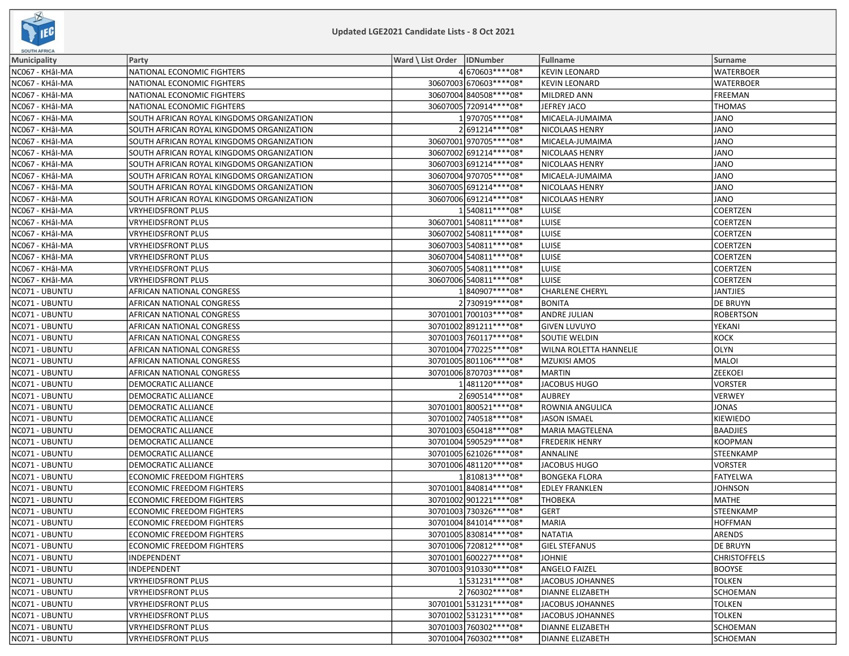

| Ward \ List Order   IDNumber<br><b>Municipality</b><br>Party<br>Fullname<br>Surname<br>4 670603 **** 08*<br><b>KEVIN LEONARD</b><br><b>WATERBOER</b><br>NC067 - KHâl-MA<br>NATIONAL ECONOMIC FIGHTERS<br>30607003 670603 **** 08*<br><b>KEVIN LEONARD</b><br>NC067 - KHÂI-MA<br>NATIONAL ECONOMIC FIGHTERS<br><b>WATERBOER</b><br>30607004 840508 **** 08*<br>NC067 - KHâl-MA<br>NATIONAL ECONOMIC FIGHTERS<br><b>MILDRED ANN</b><br><b>FREEMAN</b><br>30607005 720914 **** 08*<br>NC067 - KHâl-MA<br>JEFREY JACO<br><b>THOMAS</b><br>NATIONAL ECONOMIC FIGHTERS<br>1970705 **** 08*<br>NC067 - KHâI-MA<br>SOUTH AFRICAN ROYAL KINGDOMS ORGANIZATION<br>MICAELA-JUMAIMA<br><b>JANO</b><br>2691214 **** 08*<br>SOUTH AFRICAN ROYAL KINGDOMS ORGANIZATION<br>NICOLAAS HENRY<br>JANO<br>NC067 - KHâI-MA<br>30607001 970705 **** 08*<br>MICAELA-JUMAIMA<br><b>JANO</b><br>NC067 - KHÂI-MA<br>SOUTH AFRICAN ROYAL KINGDOMS ORGANIZATION<br>30607002 691214**** 08*<br>JANO<br>NC067 - KHâI-MA<br>SOUTH AFRICAN ROYAL KINGDOMS ORGANIZATION<br>NICOLAAS HENRY<br>30607003 691214**** 08*<br>NICOLAAS HENRY<br>JANO<br>SOUTH AFRICAN ROYAL KINGDOMS ORGANIZATION<br>30607004 970705 **** 08*<br>NC067 - KHâl-MA<br>SOUTH AFRICAN ROYAL KINGDOMS ORGANIZATION<br>MICAELA-JUMAIMA<br><b>JANO</b><br>30607005 691214**** 08*<br>NICOLAAS HENRY<br>JANO<br>NC067 - KHâI-MA<br>SOUTH AFRICAN ROYAL KINGDOMS ORGANIZATION<br>30607006 691214**** 08*<br>NICOLAAS HENRY<br>JANO<br>NC067 - KHÂI-MA<br>SOUTH AFRICAN ROYAL KINGDOMS ORGANIZATION<br>1540811*****08*<br><b>COERTZEN</b><br>NC067 - KHâI-MA<br><b>VRYHEIDSFRONT PLUS</b><br>LUISE<br>NC067 - KHâl-MA<br>30607001 540811 **** 08*<br><b>LUISE</b><br><b>COERTZEN</b><br><b>VRYHEIDSFRONT PLUS</b> |
|-------------------------------------------------------------------------------------------------------------------------------------------------------------------------------------------------------------------------------------------------------------------------------------------------------------------------------------------------------------------------------------------------------------------------------------------------------------------------------------------------------------------------------------------------------------------------------------------------------------------------------------------------------------------------------------------------------------------------------------------------------------------------------------------------------------------------------------------------------------------------------------------------------------------------------------------------------------------------------------------------------------------------------------------------------------------------------------------------------------------------------------------------------------------------------------------------------------------------------------------------------------------------------------------------------------------------------------------------------------------------------------------------------------------------------------------------------------------------------------------------------------------------------------------------------------------------------------------------------------------------------------------------------------------------------------------------------------------------------------------------|
| NC067 - KHâl-MA                                                                                                                                                                                                                                                                                                                                                                                                                                                                                                                                                                                                                                                                                                                                                                                                                                                                                                                                                                                                                                                                                                                                                                                                                                                                                                                                                                                                                                                                                                                                                                                                                                                                                                                                 |
|                                                                                                                                                                                                                                                                                                                                                                                                                                                                                                                                                                                                                                                                                                                                                                                                                                                                                                                                                                                                                                                                                                                                                                                                                                                                                                                                                                                                                                                                                                                                                                                                                                                                                                                                                 |
|                                                                                                                                                                                                                                                                                                                                                                                                                                                                                                                                                                                                                                                                                                                                                                                                                                                                                                                                                                                                                                                                                                                                                                                                                                                                                                                                                                                                                                                                                                                                                                                                                                                                                                                                                 |
|                                                                                                                                                                                                                                                                                                                                                                                                                                                                                                                                                                                                                                                                                                                                                                                                                                                                                                                                                                                                                                                                                                                                                                                                                                                                                                                                                                                                                                                                                                                                                                                                                                                                                                                                                 |
|                                                                                                                                                                                                                                                                                                                                                                                                                                                                                                                                                                                                                                                                                                                                                                                                                                                                                                                                                                                                                                                                                                                                                                                                                                                                                                                                                                                                                                                                                                                                                                                                                                                                                                                                                 |
|                                                                                                                                                                                                                                                                                                                                                                                                                                                                                                                                                                                                                                                                                                                                                                                                                                                                                                                                                                                                                                                                                                                                                                                                                                                                                                                                                                                                                                                                                                                                                                                                                                                                                                                                                 |
|                                                                                                                                                                                                                                                                                                                                                                                                                                                                                                                                                                                                                                                                                                                                                                                                                                                                                                                                                                                                                                                                                                                                                                                                                                                                                                                                                                                                                                                                                                                                                                                                                                                                                                                                                 |
|                                                                                                                                                                                                                                                                                                                                                                                                                                                                                                                                                                                                                                                                                                                                                                                                                                                                                                                                                                                                                                                                                                                                                                                                                                                                                                                                                                                                                                                                                                                                                                                                                                                                                                                                                 |
|                                                                                                                                                                                                                                                                                                                                                                                                                                                                                                                                                                                                                                                                                                                                                                                                                                                                                                                                                                                                                                                                                                                                                                                                                                                                                                                                                                                                                                                                                                                                                                                                                                                                                                                                                 |
|                                                                                                                                                                                                                                                                                                                                                                                                                                                                                                                                                                                                                                                                                                                                                                                                                                                                                                                                                                                                                                                                                                                                                                                                                                                                                                                                                                                                                                                                                                                                                                                                                                                                                                                                                 |
|                                                                                                                                                                                                                                                                                                                                                                                                                                                                                                                                                                                                                                                                                                                                                                                                                                                                                                                                                                                                                                                                                                                                                                                                                                                                                                                                                                                                                                                                                                                                                                                                                                                                                                                                                 |
|                                                                                                                                                                                                                                                                                                                                                                                                                                                                                                                                                                                                                                                                                                                                                                                                                                                                                                                                                                                                                                                                                                                                                                                                                                                                                                                                                                                                                                                                                                                                                                                                                                                                                                                                                 |
|                                                                                                                                                                                                                                                                                                                                                                                                                                                                                                                                                                                                                                                                                                                                                                                                                                                                                                                                                                                                                                                                                                                                                                                                                                                                                                                                                                                                                                                                                                                                                                                                                                                                                                                                                 |
|                                                                                                                                                                                                                                                                                                                                                                                                                                                                                                                                                                                                                                                                                                                                                                                                                                                                                                                                                                                                                                                                                                                                                                                                                                                                                                                                                                                                                                                                                                                                                                                                                                                                                                                                                 |
|                                                                                                                                                                                                                                                                                                                                                                                                                                                                                                                                                                                                                                                                                                                                                                                                                                                                                                                                                                                                                                                                                                                                                                                                                                                                                                                                                                                                                                                                                                                                                                                                                                                                                                                                                 |
| 30607002 540811 **** 08*<br><b>COERTZEN</b><br>NC067 - KHâI-MA<br>VRYHEIDSFRONT PLUS<br>LUISE                                                                                                                                                                                                                                                                                                                                                                                                                                                                                                                                                                                                                                                                                                                                                                                                                                                                                                                                                                                                                                                                                                                                                                                                                                                                                                                                                                                                                                                                                                                                                                                                                                                   |
| 30607003 540811 **** 08*<br>LUISE<br><b>COERTZEN</b><br>NC067 - KHâI-MA<br>VRYHEIDSFRONT PLUS                                                                                                                                                                                                                                                                                                                                                                                                                                                                                                                                                                                                                                                                                                                                                                                                                                                                                                                                                                                                                                                                                                                                                                                                                                                                                                                                                                                                                                                                                                                                                                                                                                                   |
| 30607004 540811 **** 08*<br>LUISE<br>COERTZEN<br>NC067 - KHÂI-MA<br>VRYHEIDSFRONT PLUS                                                                                                                                                                                                                                                                                                                                                                                                                                                                                                                                                                                                                                                                                                                                                                                                                                                                                                                                                                                                                                                                                                                                                                                                                                                                                                                                                                                                                                                                                                                                                                                                                                                          |
| 30607005 540811 **** 08*<br><b>LUISE</b><br>NC067 - KHâI-MA<br><b>VRYHEIDSFRONT PLUS</b><br>COERTZEN                                                                                                                                                                                                                                                                                                                                                                                                                                                                                                                                                                                                                                                                                                                                                                                                                                                                                                                                                                                                                                                                                                                                                                                                                                                                                                                                                                                                                                                                                                                                                                                                                                            |
| 30607006 540811 **** 08*<br><b>LUISE</b><br><b>COERTZEN</b><br>NC067 - KHâI-MA<br><b>VRYHEIDSFRONT PLUS</b>                                                                                                                                                                                                                                                                                                                                                                                                                                                                                                                                                                                                                                                                                                                                                                                                                                                                                                                                                                                                                                                                                                                                                                                                                                                                                                                                                                                                                                                                                                                                                                                                                                     |
| 1840907****08*<br><b>CHARLENE CHERYL</b><br>NC071 - UBUNTU<br>AFRICAN NATIONAL CONGRESS<br>JANTJIES                                                                                                                                                                                                                                                                                                                                                                                                                                                                                                                                                                                                                                                                                                                                                                                                                                                                                                                                                                                                                                                                                                                                                                                                                                                                                                                                                                                                                                                                                                                                                                                                                                             |
| 2730919 **** 08*<br>NC071 - UBUNTU<br><b>BONITA</b><br><b>DE BRUYN</b><br>AFRICAN NATIONAL CONGRESS                                                                                                                                                                                                                                                                                                                                                                                                                                                                                                                                                                                                                                                                                                                                                                                                                                                                                                                                                                                                                                                                                                                                                                                                                                                                                                                                                                                                                                                                                                                                                                                                                                             |
| 30701001 700103 **** 08*<br><b>ANDRE JULIAN</b><br><b>ROBERTSON</b><br>NC071 - UBUNTU<br>AFRICAN NATIONAL CONGRESS                                                                                                                                                                                                                                                                                                                                                                                                                                                                                                                                                                                                                                                                                                                                                                                                                                                                                                                                                                                                                                                                                                                                                                                                                                                                                                                                                                                                                                                                                                                                                                                                                              |
| 30701002 891211 **** 08*<br>NC071 - UBUNTU<br>AFRICAN NATIONAL CONGRESS<br><b>GIVEN LUVUYO</b><br>YEKANI                                                                                                                                                                                                                                                                                                                                                                                                                                                                                                                                                                                                                                                                                                                                                                                                                                                                                                                                                                                                                                                                                                                                                                                                                                                                                                                                                                                                                                                                                                                                                                                                                                        |
| AFRICAN NATIONAL CONGRESS<br>30701003 760117**** 08*<br>SOUTIE WELDIN<br>KOCK <br>NC071 - UBUNTU                                                                                                                                                                                                                                                                                                                                                                                                                                                                                                                                                                                                                                                                                                                                                                                                                                                                                                                                                                                                                                                                                                                                                                                                                                                                                                                                                                                                                                                                                                                                                                                                                                                |
| 30701004 770225 **** 08*<br><b>OLYN</b><br>NC071 - UBUNTU<br>AFRICAN NATIONAL CONGRESS<br><b>WILNA ROLETTA HANNELIE</b>                                                                                                                                                                                                                                                                                                                                                                                                                                                                                                                                                                                                                                                                                                                                                                                                                                                                                                                                                                                                                                                                                                                                                                                                                                                                                                                                                                                                                                                                                                                                                                                                                         |
| 30701005 801106**** 08*<br><b>MZUKISI AMOS</b><br>MALOI<br>NC071 - UBUNTU<br>AFRICAN NATIONAL CONGRESS                                                                                                                                                                                                                                                                                                                                                                                                                                                                                                                                                                                                                                                                                                                                                                                                                                                                                                                                                                                                                                                                                                                                                                                                                                                                                                                                                                                                                                                                                                                                                                                                                                          |
| 30701006 870703 **** 08*<br><b>MARTIN</b><br><b>ZEEKOEI</b><br>NC071 - UBUNTU<br>AFRICAN NATIONAL CONGRESS                                                                                                                                                                                                                                                                                                                                                                                                                                                                                                                                                                                                                                                                                                                                                                                                                                                                                                                                                                                                                                                                                                                                                                                                                                                                                                                                                                                                                                                                                                                                                                                                                                      |
| 1481120****08*<br>JACOBUS HUGO<br>NC071 - UBUNTU<br>DEMOCRATIC ALLIANCE<br><b>VORSTER</b>                                                                                                                                                                                                                                                                                                                                                                                                                                                                                                                                                                                                                                                                                                                                                                                                                                                                                                                                                                                                                                                                                                                                                                                                                                                                                                                                                                                                                                                                                                                                                                                                                                                       |
| 2690514 **** 08*<br><b>AUBREY</b><br><b>VERWEY</b><br>NC071 - UBUNTU<br>DEMOCRATIC ALLIANCE                                                                                                                                                                                                                                                                                                                                                                                                                                                                                                                                                                                                                                                                                                                                                                                                                                                                                                                                                                                                                                                                                                                                                                                                                                                                                                                                                                                                                                                                                                                                                                                                                                                     |
| 30701001 800521 **** 08*<br>NC071 - UBUNTU<br>DEMOCRATIC ALLIANCE<br>ROWNIA ANGULICA<br><b>JONAS</b>                                                                                                                                                                                                                                                                                                                                                                                                                                                                                                                                                                                                                                                                                                                                                                                                                                                                                                                                                                                                                                                                                                                                                                                                                                                                                                                                                                                                                                                                                                                                                                                                                                            |
| 30701002 740518 **** 08*<br>NC071 - UBUNTU<br><b>JASON ISMAEL</b><br>KIEWIEDO<br>DEMOCRATIC ALLIANCE                                                                                                                                                                                                                                                                                                                                                                                                                                                                                                                                                                                                                                                                                                                                                                                                                                                                                                                                                                                                                                                                                                                                                                                                                                                                                                                                                                                                                                                                                                                                                                                                                                            |
| 30701003 650418 **** 08*<br><b>MARIA MAGTELENA</b><br><b>BAADJIES</b><br>NC071 - UBUNTU<br>DEMOCRATIC ALLIANCE                                                                                                                                                                                                                                                                                                                                                                                                                                                                                                                                                                                                                                                                                                                                                                                                                                                                                                                                                                                                                                                                                                                                                                                                                                                                                                                                                                                                                                                                                                                                                                                                                                  |
| 30701004 590529 **** 08*<br>NC071 - UBUNTU<br>DEMOCRATIC ALLIANCE<br><b>FREDERIK HENRY</b><br>KOOPMAN                                                                                                                                                                                                                                                                                                                                                                                                                                                                                                                                                                                                                                                                                                                                                                                                                                                                                                                                                                                                                                                                                                                                                                                                                                                                                                                                                                                                                                                                                                                                                                                                                                           |
| 30701005 621026 **** 08*<br>ANNALINE<br>STEENKAMP<br>NC071 - UBUNTU<br>DEMOCRATIC ALLIANCE                                                                                                                                                                                                                                                                                                                                                                                                                                                                                                                                                                                                                                                                                                                                                                                                                                                                                                                                                                                                                                                                                                                                                                                                                                                                                                                                                                                                                                                                                                                                                                                                                                                      |
| 30701006 481120**** 08*<br>VORSTER<br>NC071 - UBUNTU<br>DEMOCRATIC ALLIANCE<br>JACOBUS HUGO                                                                                                                                                                                                                                                                                                                                                                                                                                                                                                                                                                                                                                                                                                                                                                                                                                                                                                                                                                                                                                                                                                                                                                                                                                                                                                                                                                                                                                                                                                                                                                                                                                                     |
| 1810813 **** 08*<br><b>ECONOMIC FREEDOM FIGHTERS</b><br><b>BONGEKA FLORA</b><br>FATYELWA<br>NC071 - UBUNTU                                                                                                                                                                                                                                                                                                                                                                                                                                                                                                                                                                                                                                                                                                                                                                                                                                                                                                                                                                                                                                                                                                                                                                                                                                                                                                                                                                                                                                                                                                                                                                                                                                      |
| 30701001 840814 **** 08*<br><b>EDLEY FRANKLEN</b><br>NC071 - UBUNTU<br>ECONOMIC FREEDOM FIGHTERS<br><b>JOHNSON</b>                                                                                                                                                                                                                                                                                                                                                                                                                                                                                                                                                                                                                                                                                                                                                                                                                                                                                                                                                                                                                                                                                                                                                                                                                                                                                                                                                                                                                                                                                                                                                                                                                              |
| 30701002 901221 **** 08*<br>NC071 - UBUNTU<br><b>ECONOMIC FREEDOM FIGHTERS</b><br><b>THOBEKA</b><br>MATHE                                                                                                                                                                                                                                                                                                                                                                                                                                                                                                                                                                                                                                                                                                                                                                                                                                                                                                                                                                                                                                                                                                                                                                                                                                                                                                                                                                                                                                                                                                                                                                                                                                       |
| 30701003 730326 **** 08*<br><b>GERT</b><br>NC071 - UBUNTU<br>ECONOMIC FREEDOM FIGHTERS<br>STEENKAMP                                                                                                                                                                                                                                                                                                                                                                                                                                                                                                                                                                                                                                                                                                                                                                                                                                                                                                                                                                                                                                                                                                                                                                                                                                                                                                                                                                                                                                                                                                                                                                                                                                             |
| 30701004 841014 **** 08*<br>NC071 - UBUNTU<br>ECONOMIC FREEDOM FIGHTERS<br><b>MARIA</b><br><b>HOFFMAN</b>                                                                                                                                                                                                                                                                                                                                                                                                                                                                                                                                                                                                                                                                                                                                                                                                                                                                                                                                                                                                                                                                                                                                                                                                                                                                                                                                                                                                                                                                                                                                                                                                                                       |
| NC071 - UBUNTU<br>30701005 830814 **** 08*<br>ARENDS<br>NATATIA<br>ECONOMIC FREEDOM FIGHTERS                                                                                                                                                                                                                                                                                                                                                                                                                                                                                                                                                                                                                                                                                                                                                                                                                                                                                                                                                                                                                                                                                                                                                                                                                                                                                                                                                                                                                                                                                                                                                                                                                                                    |
| 30701006 720812 **** 08*<br>NC071 - UBUNTU<br><b>ECONOMIC FREEDOM FIGHTERS</b><br><b>GIEL STEFANUS</b><br><b>DE BRUYN</b>                                                                                                                                                                                                                                                                                                                                                                                                                                                                                                                                                                                                                                                                                                                                                                                                                                                                                                                                                                                                                                                                                                                                                                                                                                                                                                                                                                                                                                                                                                                                                                                                                       |
| 30701001600227****08*<br><b>JOHNIE</b><br><b>CHRISTOFFELS</b><br>NC071 - UBUNTU<br>INDEPENDENT                                                                                                                                                                                                                                                                                                                                                                                                                                                                                                                                                                                                                                                                                                                                                                                                                                                                                                                                                                                                                                                                                                                                                                                                                                                                                                                                                                                                                                                                                                                                                                                                                                                  |
| 30701003 910330 **** 08*<br>NC071 - UBUNTU<br>INDEPENDENT<br><b>ANGELO FAIZEL</b><br><b>BOOYSE</b>                                                                                                                                                                                                                                                                                                                                                                                                                                                                                                                                                                                                                                                                                                                                                                                                                                                                                                                                                                                                                                                                                                                                                                                                                                                                                                                                                                                                                                                                                                                                                                                                                                              |
| 1531231 **** 08*<br>NC071 - UBUNTU<br>JACOBUS JOHANNES<br><b>TOLKEN</b><br>VRYHEIDSFRONT PLUS                                                                                                                                                                                                                                                                                                                                                                                                                                                                                                                                                                                                                                                                                                                                                                                                                                                                                                                                                                                                                                                                                                                                                                                                                                                                                                                                                                                                                                                                                                                                                                                                                                                   |
| 2760302 **** 08*<br>NC071 - UBUNTU<br><b>VRYHEIDSFRONT PLUS</b><br><b>DIANNE ELIZABETH</b><br>SCHOEMAN                                                                                                                                                                                                                                                                                                                                                                                                                                                                                                                                                                                                                                                                                                                                                                                                                                                                                                                                                                                                                                                                                                                                                                                                                                                                                                                                                                                                                                                                                                                                                                                                                                          |
| 30701001 531231 **** 08*<br>NC071 - UBUNTU<br><b>VRYHEIDSFRONT PLUS</b><br>JACOBUS JOHANNES<br><b>TOLKEN</b>                                                                                                                                                                                                                                                                                                                                                                                                                                                                                                                                                                                                                                                                                                                                                                                                                                                                                                                                                                                                                                                                                                                                                                                                                                                                                                                                                                                                                                                                                                                                                                                                                                    |
| 30701002 531231 **** 08*<br>NC071 - UBUNTU<br>VRYHEIDSFRONT PLUS<br>JACOBUS JOHANNES<br><b>TOLKEN</b>                                                                                                                                                                                                                                                                                                                                                                                                                                                                                                                                                                                                                                                                                                                                                                                                                                                                                                                                                                                                                                                                                                                                                                                                                                                                                                                                                                                                                                                                                                                                                                                                                                           |
| 30701003760302 **** 08*<br>NC071 - UBUNTU<br><b>DIANNE ELIZABETH</b><br>SCHOEMAN<br><b>VRYHEIDSFRONT PLUS</b>                                                                                                                                                                                                                                                                                                                                                                                                                                                                                                                                                                                                                                                                                                                                                                                                                                                                                                                                                                                                                                                                                                                                                                                                                                                                                                                                                                                                                                                                                                                                                                                                                                   |
| 30701004 760302 **** 08*<br>NC071 - UBUNTU<br>VRYHEIDSFRONT PLUS<br><b>DIANNE ELIZABETH</b><br><b>SCHOEMAN</b>                                                                                                                                                                                                                                                                                                                                                                                                                                                                                                                                                                                                                                                                                                                                                                                                                                                                                                                                                                                                                                                                                                                                                                                                                                                                                                                                                                                                                                                                                                                                                                                                                                  |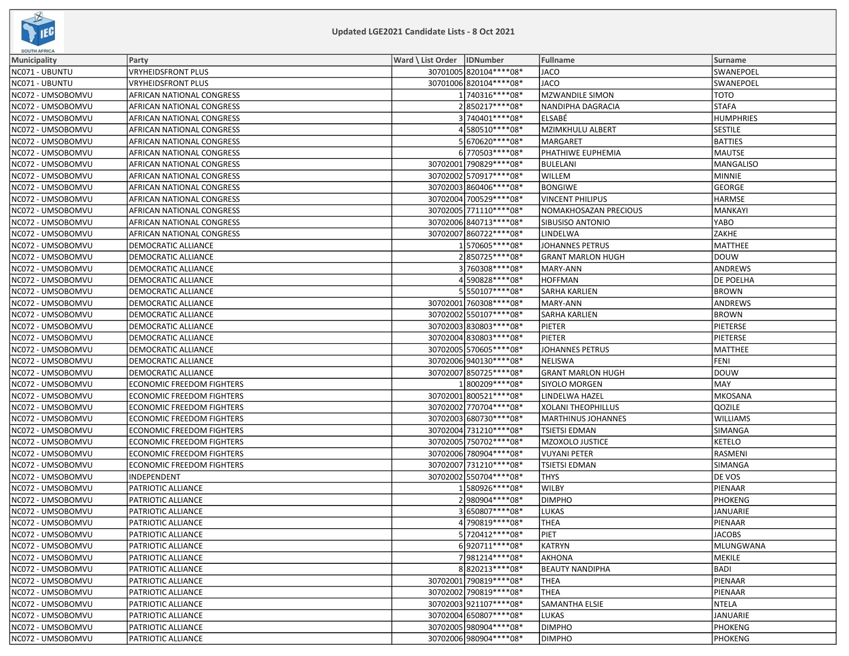

| <b>SOUTH AFRICA</b> |                                  |                              |                          |                           |                  |  |  |
|---------------------|----------------------------------|------------------------------|--------------------------|---------------------------|------------------|--|--|
| Municipality        | Party                            | Ward \ List Order   IDNumber |                          | <b>Fullname</b>           | Surname          |  |  |
| NC071 - UBUNTU      | VRYHEIDSFRONT PLUS               |                              | 30701005 820104 **** 08* | <b>JACO</b>               | SWANEPOEL        |  |  |
| NC071 - UBUNTU      | <b>VRYHEIDSFRONT PLUS</b>        |                              | 30701006 820104 **** 08* | <b>JACO</b>               | SWANEPOEL        |  |  |
| NC072 - UMSOBOMVU   | AFRICAN NATIONAL CONGRESS        |                              | 1740316 **** 08*         | <b>MZWANDILE SIMON</b>    | тото             |  |  |
| NC072 - UMSOBOMVU   | AFRICAN NATIONAL CONGRESS        |                              | 2850217****08*           | NANDIPHA DAGRACIA         | <b>STAFA</b>     |  |  |
| NC072 - UMSOBOMVU   | AFRICAN NATIONAL CONGRESS        |                              | 3740401 **** 08*         | ELSABÉ                    | <b>HUMPHRIES</b> |  |  |
| NC072 - UMSOBOMVU   | AFRICAN NATIONAL CONGRESS        |                              | 4580510 **** 08*         | <b>MZIMKHULU ALBERT</b>   | <b>SESTILE</b>   |  |  |
| NC072 - UMSOBOMVU   | AFRICAN NATIONAL CONGRESS        |                              | 5670620 **** 08*         | <b>MARGARET</b>           | <b>BATTIES</b>   |  |  |
| NC072 - UMSOBOMVU   | AFRICAN NATIONAL CONGRESS        |                              | 6770503 **** 08*         | PHATHIWE EUPHEMIA         | <b>MAUTSE</b>    |  |  |
| NC072 - UMSOBOMVU   | AFRICAN NATIONAL CONGRESS        |                              | 30702001 790829 **** 08* | <b>BULELANI</b>           | <b>MANGALISO</b> |  |  |
| NC072 - UMSOBOMVU   | AFRICAN NATIONAL CONGRESS        |                              | 30702002 570917 **** 08* | WILLEM                    | MINNIE           |  |  |
| NC072 - UMSOBOMVU   | AFRICAN NATIONAL CONGRESS        |                              | 30702003 860406 **** 08* | <b>BONGIWE</b>            | GEORGE           |  |  |
| NC072 - UMSOBOMVU   | AFRICAN NATIONAL CONGRESS        |                              | 30702004 700529 **** 08* | <b>VINCENT PHILIPUS</b>   | <b>HARMSE</b>    |  |  |
| NC072 - UMSOBOMVU   | AFRICAN NATIONAL CONGRESS        |                              | 30702005 771110 **** 08* | NOMAKHOSAZAN PRECIOUS     | MANKAYI          |  |  |
| NC072 - UMSOBOMVU   | AFRICAN NATIONAL CONGRESS        |                              | 30702006 840713 **** 08* | SIBUSISO ANTONIO          | YABO             |  |  |
| NC072 - UMSOBOMVU   | AFRICAN NATIONAL CONGRESS        |                              | 30702007 860722 **** 08* | LINDELWA                  | <b>ZAKHE</b>     |  |  |
| NC072 - UMSOBOMVU   | DEMOCRATIC ALLIANCE              |                              | 1570605 **** 08*         | <b>JOHANNES PETRUS</b>    | MATTHEE          |  |  |
| NC072 - UMSOBOMVU   | DEMOCRATIC ALLIANCE              |                              | 2850725 **** 08*         | <b>GRANT MARLON HUGH</b>  | <b>DOUW</b>      |  |  |
| NC072 - UMSOBOMVU   | DEMOCRATIC ALLIANCE              |                              | 3760308 **** 08*         | MARY-ANN                  | ANDREWS          |  |  |
| NC072 - UMSOBOMVU   | DEMOCRATIC ALLIANCE              |                              | 4590828 **** 08*         | <b>HOFFMAN</b>            | <b>DE POELHA</b> |  |  |
| NC072 - UMSOBOMVU   | DEMOCRATIC ALLIANCE              |                              | 5550107****08*           | <b>SARHA KARLIEN</b>      | <b>BROWN</b>     |  |  |
| NC072 - UMSOBOMVU   | DEMOCRATIC ALLIANCE              |                              | 30702001 760308 **** 08* | MARY-ANN                  | <b>ANDREWS</b>   |  |  |
| NC072 - UMSOBOMVU   | DEMOCRATIC ALLIANCE              |                              | 30702002550107****08*    | <b>SARHA KARLIEN</b>      | <b>BROWN</b>     |  |  |
| NC072 - UMSOBOMVU   | DEMOCRATIC ALLIANCE              |                              | 30702003 830803 **** 08* | PIETER                    | PIETERSE         |  |  |
| NC072 - UMSOBOMVU   | DEMOCRATIC ALLIANCE              |                              | 30702004 830803 **** 08* | PIETER                    | <b>PIETERSE</b>  |  |  |
| NC072 - UMSOBOMVU   | DEMOCRATIC ALLIANCE              |                              | 30702005 570605 **** 08* | <b>JOHANNES PETRUS</b>    | <b>MATTHEE</b>   |  |  |
| NC072 - UMSOBOMVU   | DEMOCRATIC ALLIANCE              |                              | 30702006 940130 **** 08* | <b>NELISWA</b>            | <b>FENI</b>      |  |  |
| NC072 - UMSOBOMVU   | DEMOCRATIC ALLIANCE              |                              | 30702007 850725 **** 08* | <b>GRANT MARLON HUGH</b>  | <b>DOUW</b>      |  |  |
| NC072 - UMSOBOMVU   | <b>ECONOMIC FREEDOM FIGHTERS</b> |                              | 1800209 **** 08*         | SIYOLO MORGEN             | MAY              |  |  |
| NC072 - UMSOBOMVU   | <b>ECONOMIC FREEDOM FIGHTERS</b> |                              | 30702001 800521 **** 08* | LINDELWA HAZEL            | <b>MKOSANA</b>   |  |  |
| NC072 - UMSOBOMVU   | <b>ECONOMIC FREEDOM FIGHTERS</b> |                              | 30702002 770704 **** 08* | <b>XOLANI THEOPHILLUS</b> | QOZILE           |  |  |
| NC072 - UMSOBOMVU   | <b>ECONOMIC FREEDOM FIGHTERS</b> |                              | 30702003 680730 **** 08* | MARTHINUS JOHANNES        | <b>WILLIAMS</b>  |  |  |
| NC072 - UMSOBOMVU   | <b>ECONOMIC FREEDOM FIGHTERS</b> |                              | 30702004 731210 **** 08* | <b>TSIETSI EDMAN</b>      | SIMANGA          |  |  |
| NC072 - UMSOBOMVU   | <b>ECONOMIC FREEDOM FIGHTERS</b> |                              | 30702005 750702 **** 08* | MZOXOLO JUSTICE           | <b>KETELO</b>    |  |  |
| NC072 - UMSOBOMVU   | <b>ECONOMIC FREEDOM FIGHTERS</b> |                              | 30702006 780904 **** 08* | <b>VUYANI PETER</b>       | RASMENI          |  |  |
| NC072 - UMSOBOMVU   | <b>ECONOMIC FREEDOM FIGHTERS</b> |                              | 30702007 731210 **** 08* | <b>TSIETSI EDMAN</b>      | SIMANGA          |  |  |
| NC072 - UMSOBOMVU   | INDEPENDENT                      |                              | 30702002 550704 **** 08* | <b>THYS</b>               | DE VOS           |  |  |
| NC072 - UMSOBOMVU   | PATRIOTIC ALLIANCE               |                              | 1580926****08*           | <b>WILBY</b>              | PIENAAR          |  |  |
| NC072 - UMSOBOMVU   | PATRIOTIC ALLIANCE               |                              | 2980904 **** 08*         | <b>DIMPHO</b>             | PHOKENG          |  |  |
| NC072 - UMSOBOMVU   | PATRIOTIC ALLIANCE               |                              | 3650807 **** 08*         | <b>LUKAS</b>              | <b>JANUARIE</b>  |  |  |
| NC072 - UMSOBOMVU   | PATRIOTIC ALLIANCE               |                              | 4790819 **** 08*         | <b>THEA</b>               | PIENAAR          |  |  |
| NC072 - UMSOBOMVU   | PATRIOTIC ALLIANCE               |                              | 5 720412 **** 08*        | PIET                      | JACOBS           |  |  |
| NC072 - UMSOBOMVU   | PATRIOTIC ALLIANCE               |                              | 6920711 **** 08*         | <b>KATRYN</b>             | <b>MLUNGWANA</b> |  |  |
| NC072 - UMSOBOMVU   | PATRIOTIC ALLIANCE               |                              | 7981214 **** 08*         | AKHONA                    | <b>MEKILE</b>    |  |  |
| NC072 - UMSOBOMVU   | PATRIOTIC ALLIANCE               |                              | 8820213 **** 08*         | <b>BEAUTY NANDIPHA</b>    | <b>BADI</b>      |  |  |
| NC072 - UMSOBOMVU   | PATRIOTIC ALLIANCE               |                              | 30702001 790819 **** 08* | <b>THEA</b>               | PIENAAR          |  |  |
| NC072 - UMSOBOMVU   | PATRIOTIC ALLIANCE               |                              | 30702002 790819 **** 08* | <b>THEA</b>               | PIENAAR          |  |  |
| NC072 - UMSOBOMVU   | PATRIOTIC ALLIANCE               |                              | 30702003 921107****08*   | SAMANTHA ELSIE            | NTELA            |  |  |
| NC072 - UMSOBOMVU   | PATRIOTIC ALLIANCE               |                              | 30702004 650807****08*   | LUKAS                     | JANUARIE         |  |  |
| NC072 - UMSOBOMVU   | PATRIOTIC ALLIANCE               |                              | 30702005 980904 **** 08* | <b>DIMPHO</b>             | <b>PHOKENG</b>   |  |  |
| NC072 - UMSOBOMVU   | PATRIOTIC ALLIANCE               |                              | 30702006 980904 **** 08* | <b>DIMPHO</b>             | <b>PHOKENG</b>   |  |  |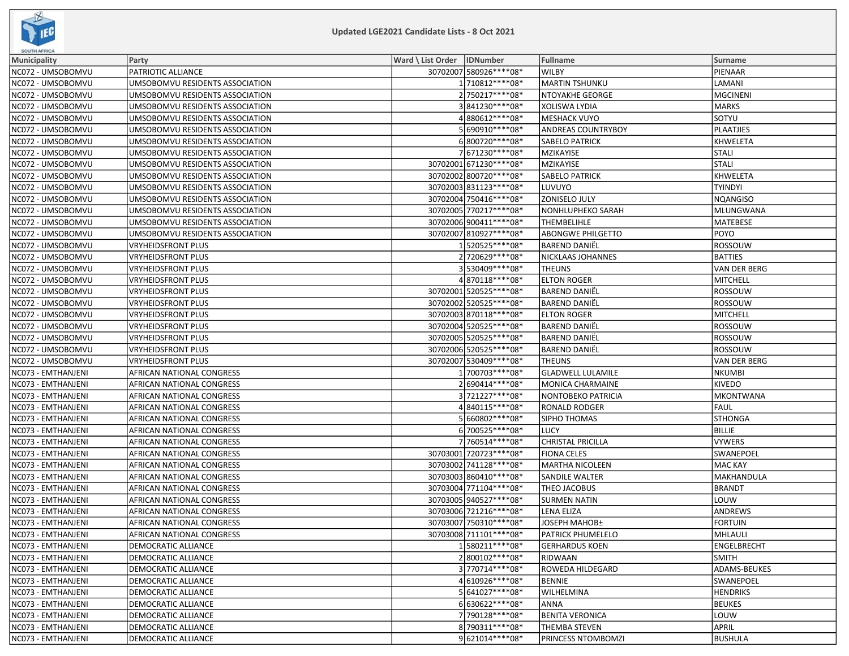

| <b>SOUTH AFRICA</b> |                                 |                              |                          |                           |                     |  |  |
|---------------------|---------------------------------|------------------------------|--------------------------|---------------------------|---------------------|--|--|
| <b>Municipality</b> | Party                           | Ward \ List Order   IDNumber |                          | <b>Fullname</b>           | Surname             |  |  |
| NC072 - UMSOBOMVU   | PATRIOTIC ALLIANCE              |                              | 30702007 580926 **** 08* | <b>WILBY</b>              | PIENAAR             |  |  |
| NC072 - UMSOBOMVU   | UMSOBOMVU RESIDENTS ASSOCIATION |                              | 1710812 **** 08*         | <b>MARTIN TSHUNKU</b>     | LAMANI              |  |  |
| NC072 - UMSOBOMVU   | UMSOBOMVU RESIDENTS ASSOCIATION |                              | 2750217****08*           | NTOYAKHE GEORGE           | MGCINENI            |  |  |
| NC072 - UMSOBOMVU   | UMSOBOMVU RESIDENTS ASSOCIATION |                              | 3841230 **** 08*         | XOLISWA LYDIA             | MARKS               |  |  |
| NC072 - UMSOBOMVU   | UMSOBOMVU RESIDENTS ASSOCIATION |                              | 4880612 **** 08*         | <b>MESHACK VUYO</b>       | sotyu               |  |  |
| NC072 - UMSOBOMVU   | UMSOBOMVU RESIDENTS ASSOCIATION |                              | 5690910 **** 08*         | <b>ANDREAS COUNTRYBOY</b> | PLAATJIES           |  |  |
| NC072 - UMSOBOMVU   | UMSOBOMVU RESIDENTS ASSOCIATION |                              | 6800720 **** 08*         | <b>SABELO PATRICK</b>     | KHWELETA            |  |  |
| NC072 - UMSOBOMVU   | UMSOBOMVU RESIDENTS ASSOCIATION |                              | 7671230 **** 08*         | MZIKAYISE                 | <b>STALI</b>        |  |  |
| NC072 - UMSOBOMVU   | UMSOBOMVU RESIDENTS ASSOCIATION |                              | 30702001 671230 **** 08* | MZIKAYISE                 | <b>STALI</b>        |  |  |
| NC072 - UMSOBOMVU   | UMSOBOMVU RESIDENTS ASSOCIATION |                              | 30702002 800720 **** 08* | <b>SABELO PATRICK</b>     | KHWELETA            |  |  |
| NC072 - UMSOBOMVU   | UMSOBOMVU RESIDENTS ASSOCIATION |                              | 30702003831123****08*    | LUVUYO                    | <b>TYINDYI</b>      |  |  |
| NC072 - UMSOBOMVU   | UMSOBOMVU RESIDENTS ASSOCIATION |                              | 30702004 750416 **** 08* | <b>ZONISELO JULY</b>      | NQANGISO            |  |  |
| NC072 - UMSOBOMVU   | UMSOBOMVU RESIDENTS ASSOCIATION |                              | 30702005 770217**** 08*  | NONHLUPHEKO SARAH         | MLUNGWANA           |  |  |
| NC072 - UMSOBOMVU   | UMSOBOMVU RESIDENTS ASSOCIATION |                              | 30702006 900411 **** 08* | <b>THEMBELIHLE</b>        | MATEBESE            |  |  |
| NC072 - UMSOBOMVU   | UMSOBOMVU RESIDENTS ASSOCIATION |                              | 30702007 810927**** 08*  | <b>ABONGWE PHILGETTO</b>  | <b>POYO</b>         |  |  |
| NC072 - UMSOBOMVU   | VRYHEIDSFRONT PLUS              |                              | 1520525 **** 08*         | <b>BAREND DANIËL</b>      | ROSSOUW             |  |  |
| NC072 - UMSOBOMVU   | VRYHEIDSFRONT PLUS              |                              | 2 720629 **** 08*        | NICKLAAS JOHANNES         | <b>BATTIES</b>      |  |  |
| NC072 - UMSOBOMVU   | <b>VRYHEIDSFRONT PLUS</b>       |                              | 3530409 **** 08*         | <b>THEUNS</b>             | <b>VAN DER BERG</b> |  |  |
| NC072 - UMSOBOMVU   | VRYHEIDSFRONT PLUS              |                              | 4870118 **** 08*         | <b>ELTON ROGER</b>        | MITCHELL            |  |  |
| NC072 - UMSOBOMVU   | VRYHEIDSFRONT PLUS              |                              | 30702001 520525 **** 08* | <b>BAREND DANIËL</b>      | ROSSOUW             |  |  |
| NC072 - UMSOBOMVU   | VRYHEIDSFRONT PLUS              |                              | 30702002 520525 **** 08* | <b>BAREND DANIEL</b>      | ROSSOUW             |  |  |
| NC072 - UMSOBOMVU   | <b>VRYHEIDSFRONT PLUS</b>       |                              | 30702003 870118 **** 08* | <b>ELTON ROGER</b>        | MITCHELL            |  |  |
| NC072 - UMSOBOMVU   | <b>VRYHEIDSFRONT PLUS</b>       |                              | 30702004 520525 **** 08* | <b>BAREND DANIËL</b>      | ROSSOUW             |  |  |
| NC072 - UMSOBOMVU   | VRYHEIDSFRONT PLUS              |                              | 30702005 520525 **** 08* | <b>BAREND DANIEL</b>      | ROSSOUW             |  |  |
| NC072 - UMSOBOMVU   | <b>VRYHEIDSFRONT PLUS</b>       |                              | 30702006 520525 **** 08* | <b>BAREND DANIËL</b>      | ROSSOUW             |  |  |
| NC072 - UMSOBOMVU   | VRYHEIDSFRONT PLUS              |                              | 30702007 530409 **** 08* | <b>THEUNS</b>             | VAN DER BERG        |  |  |
| NC073 - EMTHANJENI  | AFRICAN NATIONAL CONGRESS       |                              | 1 700703 **** 08*        | <b>GLADWELL LULAMILE</b>  | NKUMBI              |  |  |
| NC073 - EMTHANJENI  | AFRICAN NATIONAL CONGRESS       |                              | 2 690414****08*          | MONICA CHARMAINE          | <b>KIVEDO</b>       |  |  |
| NC073 - EMTHANJENI  | AFRICAN NATIONAL CONGRESS       |                              | 3721227****08*           | NONTOBEKO PATRICIA        | <b>MKONTWANA</b>    |  |  |
| NC073 - EMTHANJENI  | AFRICAN NATIONAL CONGRESS       |                              | 4840115 **** 08*         | <b>RONALD RODGER</b>      | FAUL                |  |  |
| NC073 - EMTHANJENI  | AFRICAN NATIONAL CONGRESS       |                              | 5660802 **** 08*         | SIPHO THOMAS              | <b>STHONGA</b>      |  |  |
| NC073 - EMTHANJENI  | AFRICAN NATIONAL CONGRESS       |                              | 6 700525 **** 08*        | <b>LUCY</b>               | <b>BILLIE</b>       |  |  |
| NC073 - EMTHANJENI  | AFRICAN NATIONAL CONGRESS       |                              | 7 760514 **** 08*        | <b>CHRISTAL PRICILLA</b>  | VYWERS              |  |  |
| NC073 - EMTHANJENI  | AFRICAN NATIONAL CONGRESS       |                              | 30703001 720723 **** 08* | <b>FIONA CELES</b>        | SWANEPOEL           |  |  |
| NC073 - EMTHANJENI  | AFRICAN NATIONAL CONGRESS       |                              | 30703002 741128 **** 08* | <b>MARTHA NICOLEEN</b>    | MAC KAY             |  |  |
| NC073 - EMTHANJENI  | AFRICAN NATIONAL CONGRESS       |                              | 30703003 860410 **** 08* | <b>SANDILE WALTER</b>     | MAKHANDULA          |  |  |
| NC073 - EMTHANJENI  | AFRICAN NATIONAL CONGRESS       |                              | 30703004 771104 **** 08* | THEO JACOBUS              | <b>BRANDT</b>       |  |  |
| NC073 - EMTHANJENI  | AFRICAN NATIONAL CONGRESS       |                              | 30703005 940527 **** 08* | <b>SURMEN NATIN</b>       | LOUW                |  |  |
| NC073 - EMTHANJENI  | AFRICAN NATIONAL CONGRESS       |                              | 30703006 721216 **** 08* | LENA ELIZA                | ANDREWS             |  |  |
| NC073 - EMTHANJENI  | AFRICAN NATIONAL CONGRESS       |                              | 30703007 750310 **** 08* | JOSEPH MAHOB±             | <b>FORTUIN</b>      |  |  |
| NC073 - EMTHANJENI  | AFRICAN NATIONAL CONGRESS       |                              | 30703008 711101 **** 08* | <b>PATRICK PHUMELELO</b>  | MHLAULI             |  |  |
| NC073 - EMTHANJENI  | DEMOCRATIC ALLIANCE             |                              | 1580211 **** 08*         | <b>GERHARDUS KOEN</b>     | <b>ENGELBRECHT</b>  |  |  |
| NC073 - EMTHANJENI  | DEMOCRATIC ALLIANCE             |                              | 2800102 **** 08*         | RIDWAAN                   | <b>SMITH</b>        |  |  |
| NC073 - EMTHANJENI  | DEMOCRATIC ALLIANCE             |                              | 3770714 **** 08*         | ROWEDA HILDEGARD          | ADAMS-BEUKES        |  |  |
| NC073 - EMTHANJENI  | DEMOCRATIC ALLIANCE             |                              | 4 610926 **** 08*        | <b>BENNIE</b>             | SWANEPOEL           |  |  |
| NC073 - EMTHANJENI  | DEMOCRATIC ALLIANCE             |                              | 5641027****08*           | WILHELMINA                | <b>HENDRIKS</b>     |  |  |
| NC073 - EMTHANJENI  | DEMOCRATIC ALLIANCE             |                              | 6630622 **** 08*         | <b>ANNA</b>               | <b>BEUKES</b>       |  |  |
| NC073 - EMTHANJENI  | DEMOCRATIC ALLIANCE             |                              | 7790128 **** 08*         | <b>BENITA VERONICA</b>    | LOUW                |  |  |
| NC073 - EMTHANJENI  | DEMOCRATIC ALLIANCE             |                              | 8 790311 **** 08*        | THEMBA STEVEN             | APRIL               |  |  |
| NC073 - EMTHANJENI  | DEMOCRATIC ALLIANCE             |                              | 9621014 **** 08*         | PRINCESS NTOMBOMZI        | <b>BUSHULA</b>      |  |  |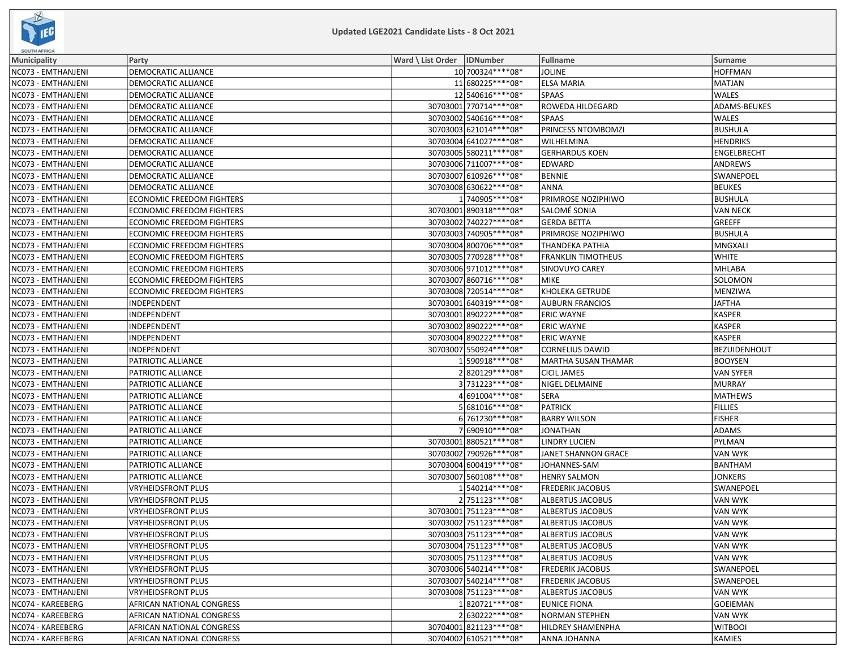

| <b>SOUTH AFRICA</b> |                                  |                              |                          |                            |                     |
|---------------------|----------------------------------|------------------------------|--------------------------|----------------------------|---------------------|
| Municipality        | Party                            | Ward \ List Order   IDNumber |                          | <b>Fullname</b>            | Surname             |
| NC073 - EMTHANJENI  | DEMOCRATIC ALLIANCE              |                              | 10 700324 **** 08 *      | <b>JOLINE</b>              | <b>HOFFMAN</b>      |
| NC073 - EMTHANJENI  | <b>DEMOCRATIC ALLIANCE</b>       |                              | 11 680225 **** 08*       | <b>ELSA MARIA</b>          | <b>MATJAN</b>       |
| NC073 - EMTHANJENI  | DEMOCRATIC ALLIANCE              |                              | 12 540616 **** 08*       | SPAAS                      | <b>WALES</b>        |
| NC073 - EMTHANJENI  | DEMOCRATIC ALLIANCE              |                              | 30703001 770714 **** 08* | ROWEDA HILDEGARD           | ADAMS-BEUKES        |
| NC073 - EMTHANJENI  | DEMOCRATIC ALLIANCE              |                              | 30703002 540616 **** 08* | SPAAS                      | <b>WALES</b>        |
| NC073 - EMTHANJENI  | DEMOCRATIC ALLIANCE              |                              | 30703003 621014 **** 08* | PRINCESS NTOMBOMZI         | <b>BUSHULA</b>      |
| NC073 - EMTHANJENI  | DEMOCRATIC ALLIANCE              |                              | 30703004 641027****08*   | WILHELMINA                 | <b>HENDRIKS</b>     |
| NC073 - EMTHANJENI  | DEMOCRATIC ALLIANCE              |                              | 30703005 580211 **** 08* | <b>GERHARDUS KOEN</b>      | ENGELBRECHT         |
| NC073 - EMTHANJENI  | DEMOCRATIC ALLIANCE              |                              | 30703006 711007 **** 08* | EDWARD                     | ANDREWS             |
| NC073 - EMTHANJENI  | DEMOCRATIC ALLIANCE              |                              | 30703007 610926 **** 08* | <b>BENNIE</b>              | SWANEPOEL           |
| NC073 - EMTHANJENI  | DEMOCRATIC ALLIANCE              |                              | 30703008 630622 **** 08* | <b>ANNA</b>                | <b>BEUKES</b>       |
| NC073 - EMTHANJENI  | <b>ECONOMIC FREEDOM FIGHTERS</b> |                              | 1 740905 **** 08*        | PRIMROSE NOZIPHIWO         | <b>BUSHULA</b>      |
| NC073 - EMTHANJENI  | <b>ECONOMIC FREEDOM FIGHTERS</b> |                              | 30703001 890318 **** 08* | SALOMÉ SONIA               | <b>VAN NECK</b>     |
| NC073 - EMTHANJENI  | <b>ECONOMIC FREEDOM FIGHTERS</b> |                              | 30703002 740227 **** 08* | <b>GERDA BETTA</b>         | GREEFF              |
| NC073 - EMTHANJENI  | <b>ECONOMIC FREEDOM FIGHTERS</b> |                              | 30703003 740905 **** 08* | PRIMROSE NOZIPHIWO         | <b>BUSHULA</b>      |
| NC073 - EMTHANJENI  | <b>ECONOMIC FREEDOM FIGHTERS</b> |                              | 30703004 800706 **** 08* | THANDEKA PATHIA            | MNGXALI             |
| NC073 - EMTHANJENI  | <b>ECONOMIC FREEDOM FIGHTERS</b> |                              | 30703005 770928 **** 08* | <b>FRANKLIN TIMOTHEUS</b>  | <b>WHITE</b>        |
| NC073 - EMTHANJENI  | <b>ECONOMIC FREEDOM FIGHTERS</b> |                              | 30703006971012 **** 08*  | SINOVUYO CAREY             | MHLABA              |
| NC073 - EMTHANJENI  | <b>ECONOMIC FREEDOM FIGHTERS</b> |                              | 30703007 860716 **** 08* | MIKE                       | SOLOMON             |
| NC073 - EMTHANJENI  | <b>ECONOMIC FREEDOM FIGHTERS</b> |                              | 30703008 720514 **** 08* | <b>KHOLEKA GETRUDE</b>     | MENZIWA             |
| NC073 - EMTHANJENI  | INDEPENDENT                      |                              | 30703001 640319 **** 08* | <b>AUBURN FRANCIOS</b>     | <b>JAFTHA</b>       |
| NC073 - EMTHANJENI  | INDEPENDENT                      |                              | 30703001 890222 **** 08* | <b>ERIC WAYNE</b>          | <b>KASPER</b>       |
| NC073 - EMTHANJENI  | INDEPENDENT                      |                              | 30703002 890222 **** 08* | <b>ERIC WAYNE</b>          | KASPER              |
| NC073 - EMTHANJENI  | INDEPENDENT                      |                              | 30703004 890222 **** 08* | <b>ERIC WAYNE</b>          | <b>KASPER</b>       |
| NC073 - EMTHANJENI  | INDEPENDENT                      |                              | 30703007 550924 **** 08* | <b>CORNELIUS DAWID</b>     | <b>BEZUIDENHOUT</b> |
| NC073 - EMTHANJENI  | PATRIOTIC ALLIANCE               |                              | 590918 **** * 08*        | <b>MARTHA SUSAN THAMAR</b> | <b>BOOYSEN</b>      |
| NC073 - EMTHANJENI  | PATRIOTIC ALLIANCE               |                              | 2820129 **** 08*         | <b>CICIL JAMES</b>         | <b>VAN SYFER</b>    |
| NC073 - EMTHANJENI  | PATRIOTIC ALLIANCE               |                              | 3731223 **** 08*         | NIGEL DELMAINE             | MURRAY              |
| NC073 - EMTHANJENI  | PATRIOTIC ALLIANCE               |                              | 4691004 **** 08*         | SERA                       | MATHEWS             |
| NC073 - EMTHANJENI  | PATRIOTIC ALLIANCE               |                              | 5 681016****08*          | <b>PATRICK</b>             | <b>FILLIES</b>      |
| NC073 - EMTHANJENI  | PATRIOTIC ALLIANCE               |                              | 6 761230****08*          | <b>BARRY WILSON</b>        | <b>FISHER</b>       |
| NC073 - EMTHANJENI  | PATRIOTIC ALLIANCE               |                              | 7690910 **** 08*         | <b>JONATHAN</b>            | ADAMS               |
| NC073 - EMTHANJENI  | PATRIOTIC ALLIANCE               |                              | 30703001 880521 **** 08* | <b>LINDRY LUCIEN</b>       | PYLMAN              |
| NC073 - EMTHANJENI  | <b>PATRIOTIC ALLIANCE</b>        |                              | 30703002 790926 **** 08* | JANET SHANNON GRACE        | <b>VAN WYK</b>      |
| NC073 - EMTHANJENI  | PATRIOTIC ALLIANCE               |                              | 30703004 600419 **** 08* | JOHANNES-SAM               | <b>BANTHAM</b>      |
| NC073 - EMTHANJENI  | PATRIOTIC ALLIANCE               |                              | 30703007 560108 **** 08* | <b>HENRY SALMON</b>        | <b>JONKERS</b>      |
| NC073 - EMTHANJENI  | VRYHEIDSFRONT PLUS               |                              | 1540214 **** 08*         | <b>FREDERIK JACOBUS</b>    | SWANEPOEL           |
| NC073 - EMTHANJENI  | <b>VRYHEIDSFRONT PLUS</b>        |                              | 2751123 **** 08*         | <b>ALBERTUS JACOBUS</b>    | <b>VAN WYK</b>      |
| NC073 - EMTHANJENI  | <b>VRYHEIDSFRONT PLUS</b>        |                              | 30703001 751123 **** 08* | ALBERTUS JACOBUS           | <b>VAN WYK</b>      |
| NC073 - EMTHANJENI  | <b>VRYHEIDSFRONT PLUS</b>        |                              | 30703002 751123****08*   | <b>ALBERTUS JACOBUS</b>    | <b>VAN WYK</b>      |
| NC073 - EMTHANJENI  | <b>VRYHEIDSFRONT PLUS</b>        |                              | 30703003 751123 **** 08* | <b>ALBERTUS JACOBUS</b>    | <b>VAN WYK</b>      |
| NC073 - EMTHANJENI  | <b>VRYHEIDSFRONT PLUS</b>        |                              | 30703004 751123 **** 08* | ALBERTUS JACOBUS           | <b>VAN WYK</b>      |
| NC073 - EMTHANJENI  | <b>VRYHEIDSFRONT PLUS</b>        |                              | 30703005 751123 **** 08* | <b>ALBERTUS JACOBUS</b>    | VAN WYK             |
| NC073 - EMTHANJENI  | <b>VRYHEIDSFRONT PLUS</b>        |                              | 30703006 540214 **** 08* | <b>FREDERIK JACOBUS</b>    | <b>SWANEPOEL</b>    |
| NC073 - EMTHANJENI  | <b>VRYHEIDSFRONT PLUS</b>        |                              | 30703007 540214 **** 08* | <b>FREDERIK JACOBUS</b>    | <b>SWANEPOEL</b>    |
| NC073 - EMTHANJENI  | <b>VRYHEIDSFRONT PLUS</b>        |                              | 30703008 751123 **** 08* | ALBERTUS JACOBUS           | <b>VAN WYK</b>      |
| NC074 - KAREEBERG   | AFRICAN NATIONAL CONGRESS        |                              | 1820721 **** 08*         | <b>EUNICE FIONA</b>        | <b>GOEIEMAN</b>     |
| NC074 - KAREEBERG   | AFRICAN NATIONAL CONGRESS        |                              | 2630222****08*           | NORMAN STEPHEN             | VAN WYK             |
| NC074 - KAREEBERG   | AFRICAN NATIONAL CONGRESS        |                              | 30704001 821123 **** 08* | <b>HILDREY SHAMENPHA</b>   | <b>WITBOOI</b>      |
| NC074 - KAREEBERG   | AFRICAN NATIONAL CONGRESS        |                              | 30704002 610521 **** 08* | ANNA JOHANNA               | KAMIES              |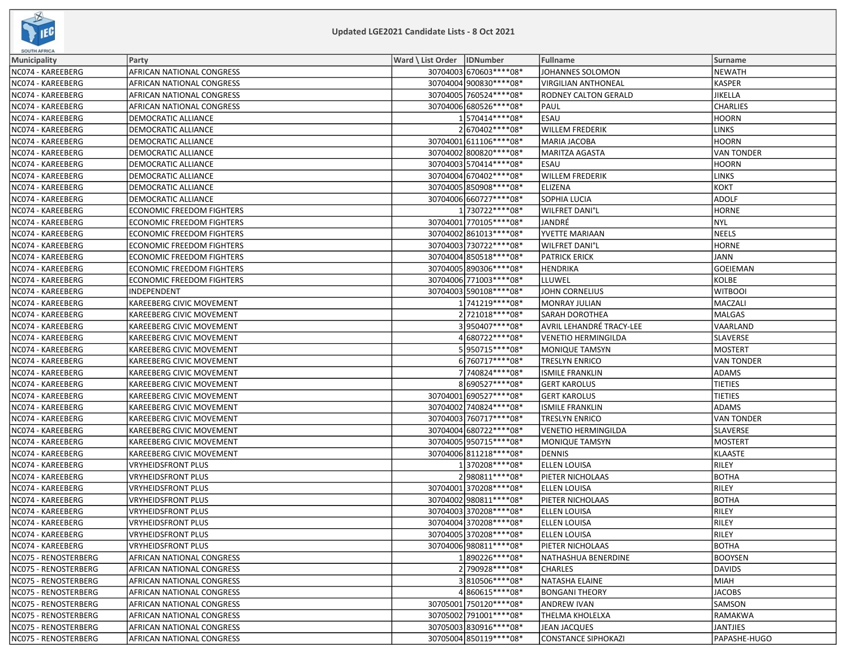

| <b>SOUTH AFRICA</b>  |                                  |                              |                          |                            |                   |  |  |
|----------------------|----------------------------------|------------------------------|--------------------------|----------------------------|-------------------|--|--|
| Municipality         | Party                            | Ward \ List Order   IDNumber |                          | Fullname                   | <b>Surname</b>    |  |  |
| NC074 - KAREEBERG    | AFRICAN NATIONAL CONGRESS        |                              | 30704003 670603 **** 08* | JOHANNES SOLOMON           | <b>NEWATH</b>     |  |  |
| NC074 - KAREEBERG    | AFRICAN NATIONAL CONGRESS        |                              | 30704004 900830 **** 08* | <b>VIRGILIAN ANTHONEAL</b> | <b>KASPER</b>     |  |  |
| NC074 - KAREEBERG    | AFRICAN NATIONAL CONGRESS        |                              | 30704005 760524 **** 08* | RODNEY CALTON GERALD       | JIKELLA           |  |  |
| NC074 - KAREEBERG    | AFRICAN NATIONAL CONGRESS        |                              | 30704006 680526 **** 08* | PAUL                       | <b>CHARLIES</b>   |  |  |
| NC074 - KAREEBERG    | DEMOCRATIC ALLIANCE              |                              | 1570414 **** 08*         | <b>ESAU</b>                | HOORN             |  |  |
| NC074 - KAREEBERG    | DEMOCRATIC ALLIANCE              |                              | 2670402 **** 08*         | <b>WILLEM FREDERIK</b>     | LINKS             |  |  |
| NC074 - KAREEBERG    | DEMOCRATIC ALLIANCE              |                              | 30704001 611106 **** 08* | <b>MARIA JACOBA</b>        | <b>HOORN</b>      |  |  |
| NC074 - KAREEBERG    | DEMOCRATIC ALLIANCE              |                              | 30704002 800820 **** 08* | <b>MARITZA AGASTA</b>      | <b>VAN TONDER</b> |  |  |
| NC074 - KAREEBERG    | DEMOCRATIC ALLIANCE              |                              | 30704003 570414 **** 08* | ESAU                       | HOORN             |  |  |
| NC074 - KAREEBERG    | DEMOCRATIC ALLIANCE              |                              | 30704004 670402 **** 08* | <b>WILLEM FREDERIK</b>     | <b>LINKS</b>      |  |  |
| NC074 - KAREEBERG    | DEMOCRATIC ALLIANCE              |                              | 30704005 850908 **** 08* | <b>ELIZENA</b>             | кокт              |  |  |
| NC074 - KAREEBERG    | DEMOCRATIC ALLIANCE              |                              | 30704006 660727**** 08*  | <b>SOPHIA LUCIA</b>        | <b>ADOLF</b>      |  |  |
| NC074 - KAREEBERG    | <b>ECONOMIC FREEDOM FIGHTERS</b> |                              | 1 730722 **** 08*        | <b>WILFRET DANI'L</b>      | <b>HORNE</b>      |  |  |
| NC074 - KAREEBERG    | <b>ECONOMIC FREEDOM FIGHTERS</b> |                              | 30704001 770105 **** 08* | JANDRÉ                     | NYL               |  |  |
| NC074 - KAREEBERG    | <b>ECONOMIC FREEDOM FIGHTERS</b> |                              | 30704002 861013 **** 08* | YVETTE MARIAAN             | NEELS             |  |  |
| NC074 - KAREEBERG    | <b>ECONOMIC FREEDOM FIGHTERS</b> |                              | 30704003 730722 **** 08* | WILFRET DANI°L             | <b>HORNE</b>      |  |  |
| NC074 - KAREEBERG    | <b>ECONOMIC FREEDOM FIGHTERS</b> |                              | 30704004 850518 **** 08* | <b>PATRICK ERICK</b>       | JANN              |  |  |
| NC074 - KAREEBERG    | <b>ECONOMIC FREEDOM FIGHTERS</b> |                              | 30704005 890306 **** 08* | <b>HENDRIKA</b>            | <b>GOEIEMAN</b>   |  |  |
| NC074 - KAREEBERG    | <b>ECONOMIC FREEDOM FIGHTERS</b> |                              | 30704006 771003 **** 08* | LLUWEL                     | KOLBE             |  |  |
| NC074 - KAREEBERG    | INDEPENDENT                      |                              | 30704003 590108 **** 08* | <b>JOHN CORNELIUS</b>      | <b>WITBOOI</b>    |  |  |
| NC074 - KAREEBERG    | KAREEBERG CIVIC MOVEMENT         |                              | 1741219 **** 08*         | <b>MONRAY JULIAN</b>       | MACZALI           |  |  |
| NC074 - KAREEBERG    | KAREEBERG CIVIC MOVEMENT         |                              | 2721018 **** 08*         | <b>SARAH DOROTHEA</b>      | <b>MALGAS</b>     |  |  |
| NC074 - KAREEBERG    | KAREEBERG CIVIC MOVEMENT         |                              | 3 950407****08*          | AVRIL LEHANDRÉ TRACY-LEE   | VAARLAND          |  |  |
| NC074 - KAREEBERG    | KAREEBERG CIVIC MOVEMENT         |                              | 4680722 **** 08*         | <b>VENETIO HERMINGILDA</b> | SLAVERSE          |  |  |
| NC074 - KAREEBERG    | KAREEBERG CIVIC MOVEMENT         |                              | 5950715 **** 08*         | <b>MONIQUE TAMSYN</b>      | MOSTERT           |  |  |
| NC074 - KAREEBERG    | KAREEBERG CIVIC MOVEMENT         |                              | 6 760717****08*          | <b>TRESLYN ENRICO</b>      | <b>VAN TONDER</b> |  |  |
| NC074 - KAREEBERG    | KAREEBERG CIVIC MOVEMENT         |                              | 7 740824 **** 08*        | <b>ISMILE FRANKLIN</b>     | <b>ADAMS</b>      |  |  |
| NC074 - KAREEBERG    | KAREEBERG CIVIC MOVEMENT         |                              | 8690527****08*           | <b>GERT KAROLUS</b>        | <b>TIETIES</b>    |  |  |
| NC074 - KAREEBERG    | KAREEBERG CIVIC MOVEMENT         |                              | 30704001 690527****08*   | <b>GERT KAROLUS</b>        | <b>TIETIES</b>    |  |  |
| NC074 - KAREEBERG    | KAREEBERG CIVIC MOVEMENT         |                              | 30704002 740824 **** 08* | <b>ISMILE FRANKLIN</b>     | <b>ADAMS</b>      |  |  |
| NC074 - KAREEBERG    | KAREEBERG CIVIC MOVEMENT         |                              | 30704003 760717****08*   | <b>TRESLYN ENRICO</b>      | VAN TONDER        |  |  |
| NC074 - KAREEBERG    | KAREEBERG CIVIC MOVEMENT         |                              | 30704004 680722 **** 08* | <b>VENETIO HERMINGILDA</b> | <b>SLAVERSE</b>   |  |  |
| NC074 - KAREEBERG    | KAREEBERG CIVIC MOVEMENT         |                              | 30704005 950715 **** 08* | MONIQUE TAMSYN             | <b>MOSTERT</b>    |  |  |
| NC074 - KAREEBERG    | KAREEBERG CIVIC MOVEMENT         |                              | 30704006 811218 **** 08* | <b>DENNIS</b>              | KLAASTE           |  |  |
| NC074 - KAREEBERG    | <b>VRYHEIDSFRONT PLUS</b>        |                              | 1370208 **** 08*         | <b>ELLEN LOUISA</b>        | RILEY             |  |  |
| NC074 - KAREEBERG    | <b>VRYHEIDSFRONT PLUS</b>        |                              | 2980811 **** 08*         | PIETER NICHOLAAS           | BOTHA             |  |  |
| NC074 - KAREEBERG    | VRYHEIDSFRONT PLUS               |                              | 30704001 370208 **** 08* | <b>ELLEN LOUISA</b>        | RILEY             |  |  |
| NC074 - KAREEBERG    | <b>VRYHEIDSFRONT PLUS</b>        |                              | 30704002 980811 **** 08* | PIETER NICHOLAAS           | <b>BOTHA</b>      |  |  |
| NC074 - KAREEBERG    | VRYHEIDSFRONT PLUS               |                              | 30704003 370208 **** 08* | <b>ELLEN LOUISA</b>        | RILEY             |  |  |
| NC074 - KAREEBERG    | VRYHEIDSFRONT PLUS               |                              | 30704004 370208 **** 08* | <b>ELLEN LOUISA</b>        | RILEY             |  |  |
| NC074 - KAREEBERG    | <b>VRYHEIDSFRONT PLUS</b>        |                              | 30704005 370208 **** 08* | <b>ELLEN LOUISA</b>        | RILEY             |  |  |
| NC074 - KAREEBERG    | <b>VRYHEIDSFRONT PLUS</b>        |                              | 30704006 980811 **** 08* | PIETER NICHOLAAS           | BOTHA             |  |  |
| NC075 - RENOSTERBERG | AFRICAN NATIONAL CONGRESS        |                              | 1890226 **** 08*         | NATHASHUA BENERDINE        | BOOYSEN           |  |  |
| NC075 - RENOSTERBERG | AFRICAN NATIONAL CONGRESS        |                              | 2790928 **** 08*         | <b>CHARLES</b>             | DAVIDS            |  |  |
| NC075 - RENOSTERBERG | <b>AFRICAN NATIONAL CONGRESS</b> |                              | 3810506 **** 08*         | NATASHA ELAINE             | MIAH              |  |  |
| NC075 - RENOSTERBERG | AFRICAN NATIONAL CONGRESS        |                              | 4860615 **** 08*         | <b>BONGANI THEORY</b>      | JACOBS            |  |  |
| NC075 - RENOSTERBERG | AFRICAN NATIONAL CONGRESS        |                              | 30705001 750120 **** 08* | <b>ANDREW IVAN</b>         | <b>SAMSON</b>     |  |  |
| NC075 - RENOSTERBERG | AFRICAN NATIONAL CONGRESS        |                              | 30705002 791001 **** 08* | THELMA KHOLELXA            | RAMAKWA           |  |  |
| NC075 - RENOSTERBERG | AFRICAN NATIONAL CONGRESS        |                              | 30705003 830916 **** 08* | JEAN JACQUES               | JANTJIES          |  |  |
| NC075 - RENOSTERBERG | AFRICAN NATIONAL CONGRESS        |                              | 30705004 850119 **** 08* | <b>CONSTANCE SIPHOKAZI</b> | PAPASHE-HUGO      |  |  |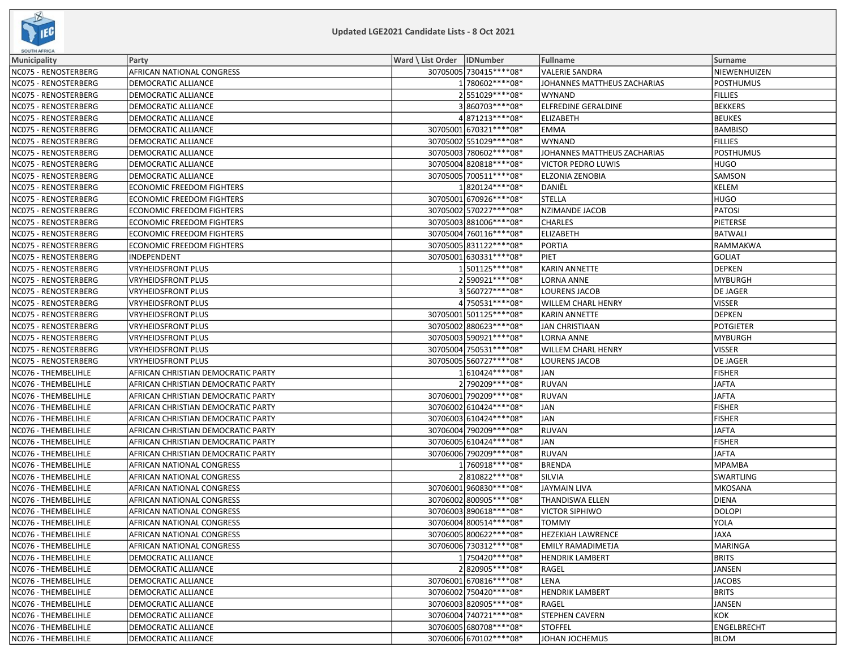

| <b>SOUTH AFRICA</b>  |                                    |                              |                          |                             |                  |
|----------------------|------------------------------------|------------------------------|--------------------------|-----------------------------|------------------|
| <b>Municipality</b>  | Party                              | Ward \ List Order   IDNumber |                          | <b>Fullname</b>             | Surname          |
| NC075 - RENOSTERBERG | AFRICAN NATIONAL CONGRESS          |                              | 30705005 730415 **** 08* | <b>VALERIE SANDRA</b>       | NIEWENHUIZEN     |
| NC075 - RENOSTERBERG | DEMOCRATIC ALLIANCE                |                              | 1780602 **** 08*         | JOHANNES MATTHEUS ZACHARIAS | <b>POSTHUMUS</b> |
| NC075 - RENOSTERBERG | DEMOCRATIC ALLIANCE                |                              | 2551029 **** 08*         | <b>WYNAND</b>               | <b>FILLIES</b>   |
| NC075 - RENOSTERBERG | <b>DEMOCRATIC ALLIANCE</b>         |                              | 3860703 **** 08*         | ELFREDINE GERALDINE         | <b>BEKKERS</b>   |
| NC075 - RENOSTERBERG | DEMOCRATIC ALLIANCE                |                              | 4871213 **** 08*         | <b>ELIZABETH</b>            | <b>BEUKES</b>    |
| NC075 - RENOSTERBERG | DEMOCRATIC ALLIANCE                |                              | 30705001 670321 **** 08* | <b>EMMA</b>                 | <b>BAMBISO</b>   |
| NC075 - RENOSTERBERG | DEMOCRATIC ALLIANCE                |                              | 30705002 551029 **** 08* | <b>WYNAND</b>               | <b>FILLIES</b>   |
| NC075 - RENOSTERBERG | DEMOCRATIC ALLIANCE                |                              | 30705003 780602 **** 08* | JOHANNES MATTHEUS ZACHARIAS | POSTHUMUS        |
| NC075 - RENOSTERBERG | <b>DEMOCRATIC ALLIANCE</b>         |                              | 30705004 820818 **** 08* | VICTOR PEDRO LUWIS          | <b>HUGO</b>      |
| NC075 - RENOSTERBERG | DEMOCRATIC ALLIANCE                |                              | 30705005 700511 **** 08* | ELZONIA ZENOBIA             | <b>SAMSON</b>    |
| NC075 - RENOSTERBERG | ECONOMIC FREEDOM FIGHTERS          |                              | 1820124 **** 08*         | DANIËL                      | KELEM            |
| NC075 - RENOSTERBERG | <b>ECONOMIC FREEDOM FIGHTERS</b>   |                              | 30705001 670926 **** 08* | <b>STELLA</b>               | HUGO             |
| NC075 - RENOSTERBERG | <b>ECONOMIC FREEDOM FIGHTERS</b>   |                              | 30705002 570227****08*   | <b>NZIMANDE JACOB</b>       | <b>PATOSI</b>    |
| NC075 - RENOSTERBERG | <b>ECONOMIC FREEDOM FIGHTERS</b>   |                              | 30705003 881006 **** 08* | <b>CHARLES</b>              | PIETERSE         |
| NC075 - RENOSTERBERG | <b>ECONOMIC FREEDOM FIGHTERS</b>   |                              | 30705004 760116 **** 08* | <b>ELIZABETH</b>            | <b>BATWALI</b>   |
| NC075 - RENOSTERBERG | <b>ECONOMIC FREEDOM FIGHTERS</b>   |                              | 30705005 831122 **** 08* | <b>PORTIA</b>               | RAMMAKWA         |
| NC075 - RENOSTERBERG | INDEPENDENT                        |                              | 30705001 630331 **** 08* | <b>PIET</b>                 | GOLIAT           |
| NC075 - RENOSTERBERG | VRYHEIDSFRONT PLUS                 |                              | 1501125 **** 08*         | <b>KARIN ANNETTE</b>        | DEPKEN           |
| NC075 - RENOSTERBERG | <b>VRYHEIDSFRONT PLUS</b>          |                              | 2590921 **** 08*         | LORNA ANNE                  | MYBURGH          |
| NC075 - RENOSTERBERG | VRYHEIDSFRONT PLUS                 |                              | 3560727****08*           | <b>LOURENS JACOB</b>        | <b>DE JAGER</b>  |
| NC075 - RENOSTERBERG | VRYHEIDSFRONT PLUS                 |                              | 4 750531****08*          | WILLEM CHARL HENRY          | <b>VISSER</b>    |
| NC075 - RENOSTERBERG | VRYHEIDSFRONT PLUS                 |                              | 30705001 501125 **** 08* | <b>KARIN ANNETTE</b>        | <b>DEPKEN</b>    |
| NC075 - RENOSTERBERG | VRYHEIDSFRONT PLUS                 |                              | 30705002 880623 **** 08* | <b>JAN CHRISTIAAN</b>       | <b>POTGIETER</b> |
| NC075 - RENOSTERBERG | VRYHEIDSFRONT PLUS                 |                              | 30705003 590921 **** 08* | LORNA ANNE                  | MYBURGH          |
| NC075 - RENOSTERBERG | VRYHEIDSFRONT PLUS                 |                              | 30705004 750531 **** 08* | <b>WILLEM CHARL HENRY</b>   | <b>VISSER</b>    |
| NC075 - RENOSTERBERG | <b>VRYHEIDSFRONT PLUS</b>          |                              | 30705005 560727****08*   | <b>LOURENS JACOB</b>        | DE JAGER         |
| NC076 - THEMBELIHLE  | AFRICAN CHRISTIAN DEMOCRATIC PARTY |                              | 1610424 **** 08*         | <b>JAN</b>                  | <b>FISHER</b>    |
| NC076 - THEMBELIHLE  | AFRICAN CHRISTIAN DEMOCRATIC PARTY |                              | 2 790209 **** 08*        | <b>RUVAN</b>                | JAFTA            |
| NC076 - THEMBELIHLE  | AFRICAN CHRISTIAN DEMOCRATIC PARTY |                              | 30706001 790209 **** 08* | <b>RUVAN</b>                | <b>JAFTA</b>     |
| NC076 - THEMBELIHLE  | AFRICAN CHRISTIAN DEMOCRATIC PARTY |                              | 30706002 610424 **** 08* | <b>JAN</b>                  | <b>FISHER</b>    |
| NC076 - THEMBELIHLE  | AFRICAN CHRISTIAN DEMOCRATIC PARTY |                              | 30706003 610424 **** 08* | <b>JAN</b>                  | <b>FISHER</b>    |
| NC076 - THEMBELIHLE  | AFRICAN CHRISTIAN DEMOCRATIC PARTY |                              | 30706004 790209 **** 08* | <b>RUVAN</b>                | <b>JAFTA</b>     |
| NC076 - THEMBELIHLE  | AFRICAN CHRISTIAN DEMOCRATIC PARTY |                              | 30706005 610424**** 08*  | <b>JAN</b>                  | FISHER           |
| NC076 - THEMBELIHLE  | AFRICAN CHRISTIAN DEMOCRATIC PARTY |                              | 30706006 790209 **** 08* | <b>RUVAN</b>                | JAFTA            |
| NC076 - THEMBELIHLE  | AFRICAN NATIONAL CONGRESS          |                              | 1760918 **** 08*         | <b>BRENDA</b>               | MPAMBA           |
| NC076 - THEMBELIHLE  | AFRICAN NATIONAL CONGRESS          |                              | 2810822 **** 08*         | SILVIA                      | SWARTLING        |
| NC076 - THEMBELIHLE  | AFRICAN NATIONAL CONGRESS          |                              | 30706001 960830 **** 08* | <b>JAYMAIN LIVA</b>         | MKOSANA          |
| NC076 - THEMBELIHLE  | AFRICAN NATIONAL CONGRESS          |                              | 30706002 800905 **** 08* | THANDISWA ELLEN             | DIENA            |
| NC076 - THEMBELIHLE  | AFRICAN NATIONAL CONGRESS          |                              | 30706003 890618 **** 08* | <b>VICTOR SIPHIWO</b>       | <b>DOLOPI</b>    |
| NC076 - THEMBELIHLE  | AFRICAN NATIONAL CONGRESS          |                              | 30706004 800514**** 08*  | <b>TOMMY</b>                | <b>YOLA</b>      |
| NC076 - THEMBELIHLE  | AFRICAN NATIONAL CONGRESS          |                              | 30706005 800622 **** 08* | <b>HEZEKIAH LAWRENCE</b>    | JAXA             |
| NC076 - THEMBELIHLE  | AFRICAN NATIONAL CONGRESS          |                              | 30706006 730312 **** 08* | <b>EMILY RAMADIMETJA</b>    | MARINGA          |
| NC076 - THEMBELIHLE  | DEMOCRATIC ALLIANCE                |                              | 1750420 **** 08*         | <b>HENDRIK LAMBERT</b>      | <b>BRITS</b>     |
| NC076 - THEMBELIHLE  | DEMOCRATIC ALLIANCE                |                              | 2820905 **** 08*         | RAGEL                       | JANSEN           |
| NC076 - THEMBELIHLE  | DEMOCRATIC ALLIANCE                |                              | 30706001670816 **** 08*  | LENA                        | <b>JACOBS</b>    |
| NC076 - THEMBELIHLE  | DEMOCRATIC ALLIANCE                |                              | 30706002 750420 **** 08* | <b>HENDRIK LAMBERT</b>      | <b>BRITS</b>     |
| NC076 - THEMBELIHLE  | DEMOCRATIC ALLIANCE                |                              | 30706003 820905 **** 08* | RAGEL                       | JANSEN           |
| NC076 - THEMBELIHLE  | DEMOCRATIC ALLIANCE                |                              | 30706004 740721 **** 08* | <b>STEPHEN CAVERN</b>       | KOK              |
| NC076 - THEMBELIHLE  | DEMOCRATIC ALLIANCE                |                              | 30706005 680708 **** 08* | <b>STOFFEL</b>              | ENGELBRECHT      |
| NC076 - THEMBELIHLE  | DEMOCRATIC ALLIANCE                |                              | 30706006 670102 **** 08* | JOHAN JOCHEMUS              | <b>BLOM</b>      |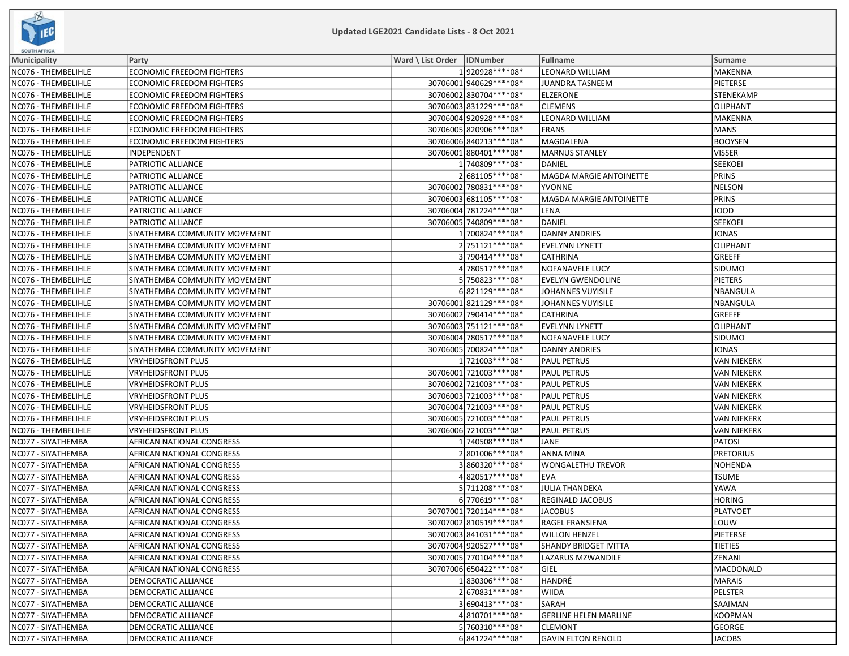

| <b>SOUTH AFRICA</b> |                                  |                              |                          |                              |                    |  |  |
|---------------------|----------------------------------|------------------------------|--------------------------|------------------------------|--------------------|--|--|
| Municipality        | Party                            | Ward \ List Order   IDNumber |                          | <b>Fullname</b>              | Surname            |  |  |
| NC076 - THEMBELIHLE | <b>ECONOMIC FREEDOM FIGHTERS</b> |                              | 1920928 **** 08*         | <b>LEONARD WILLIAM</b>       | MAKENNA            |  |  |
| NC076 - THEMBELIHLE | <b>ECONOMIC FREEDOM FIGHTERS</b> |                              | 30706001 940629 **** 08* | <b>JUANDRA TASNEEM</b>       | <b>PIETERSE</b>    |  |  |
| NC076 - THEMBELIHLE | <b>ECONOMIC FREEDOM FIGHTERS</b> |                              | 30706002 830704 **** 08* | <b>ELZERONE</b>              | STENEKAMP          |  |  |
| NC076 - THEMBELIHLE | ECONOMIC FREEDOM FIGHTERS        |                              | 30706003 831229 **** 08* | <b>CLEMENS</b>               | <b>OLIPHANT</b>    |  |  |
| NC076 - THEMBELIHLE | <b>ECONOMIC FREEDOM FIGHTERS</b> |                              | 30706004 920928 **** 08* | LEONARD WILLIAM              | MAKENNA            |  |  |
| NC076 - THEMBELIHLE | ECONOMIC FREEDOM FIGHTERS        |                              | 30706005 820906 **** 08* | <b>FRANS</b>                 | MANS               |  |  |
| NC076 - THEMBELIHLE | <b>ECONOMIC FREEDOM FIGHTERS</b> |                              | 30706006 840213 **** 08* | MAGDALENA                    | <b>BOOYSEN</b>     |  |  |
| NC076 - THEMBELIHLE | INDEPENDENT                      |                              | 30706001 880401 **** 08* | <b>MARNUS STANLEY</b>        | <b>VISSER</b>      |  |  |
| NC076 - THEMBELIHLE | PATRIOTIC ALLIANCE               |                              | 1 740809 **** 08*        | DANIEL                       | <b>SEEKOEI</b>     |  |  |
| NC076 - THEMBELIHLE | PATRIOTIC ALLIANCE               |                              | 2681105 **** 08*         | MAGDA MARGIE ANTOINETTE      | PRINS              |  |  |
| NC076 - THEMBELIHLE | PATRIOTIC ALLIANCE               |                              | 30706002 780831 **** 08* | <b>YVONNE</b>                | <b>NELSON</b>      |  |  |
| NC076 - THEMBELIHLE | PATRIOTIC ALLIANCE               |                              | 30706003 681105 **** 08* | MAGDA MARGIE ANTOINETTE      | PRINS              |  |  |
| NC076 - THEMBELIHLE | PATRIOTIC ALLIANCE               |                              | 30706004 781224 **** 08* | LENA                         | JOOD               |  |  |
| NC076 - THEMBELIHLE | PATRIOTIC ALLIANCE               |                              | 30706005 740809 **** 08* | <b>DANIEL</b>                | <b>SEEKOEI</b>     |  |  |
| NC076 - THEMBELIHLE | SIYATHEMBA COMMUNITY MOVEMENT    |                              | 1700824 **** 08*         | <b>DANNY ANDRIES</b>         | JONAS              |  |  |
| NC076 - THEMBELIHLE | SIYATHEMBA COMMUNITY MOVEMENT    |                              | 2751121 **** 08*         | <b>EVELYNN LYNETT</b>        | OLIPHANT           |  |  |
| NC076 - THEMBELIHLE | SIYATHEMBA COMMUNITY MOVEMENT    |                              | 3 790414 **** 08*        | <b>CATHRINA</b>              | GREEFF             |  |  |
| NC076 - THEMBELIHLE | SIYATHEMBA COMMUNITY MOVEMENT    |                              | 4 780517****08*          | NOFANAVELE LUCY              | SIDUMO             |  |  |
| NC076 - THEMBELIHLE | SIYATHEMBA COMMUNITY MOVEMENT    |                              | 5 750823 **** 08*        | <b>EVELYN GWENDOLINE</b>     | <b>PIETERS</b>     |  |  |
| NC076 - THEMBELIHLE | SIYATHEMBA COMMUNITY MOVEMENT    |                              | 6821129 **** 08*         | JOHANNES VUYISILE            | NBANGULA           |  |  |
| NC076 - THEMBELIHLE | SIYATHEMBA COMMUNITY MOVEMENT    |                              | 30706001 821129 **** 08* | JOHANNES VUYISILE            | NBANGULA           |  |  |
| NC076 - THEMBELIHLE | SIYATHEMBA COMMUNITY MOVEMENT    |                              | 30706002 790414 **** 08* | <b>CATHRINA</b>              | <b>GREEFF</b>      |  |  |
| NC076 - THEMBELIHLE | SIYATHEMBA COMMUNITY MOVEMENT    |                              | 30706003 751121 **** 08* | <b>EVELYNN LYNETT</b>        | OLIPHANT           |  |  |
| NC076 - THEMBELIHLE | SIYATHEMBA COMMUNITY MOVEMENT    |                              | 30706004 780517****08*   | NOFANAVELE LUCY              | SIDUMO             |  |  |
| NC076 - THEMBELIHLE | SIYATHEMBA COMMUNITY MOVEMENT    |                              | 30706005 700824 **** 08* | <b>DANNY ANDRIES</b>         | JONAS              |  |  |
| NC076 - THEMBELIHLE | VRYHEIDSFRONT PLUS               |                              | 1721003 **** 08*         | <b>PAUL PETRUS</b>           | VAN NIEKERK        |  |  |
| NC076 - THEMBELIHLE | VRYHEIDSFRONT PLUS               |                              | 30706001 721003 **** 08* | <b>PAUL PETRUS</b>           | <b>VAN NIEKERK</b> |  |  |
| NC076 - THEMBELIHLE | VRYHEIDSFRONT PLUS               |                              | 30706002 721003 **** 08* | <b>PAUL PETRUS</b>           | <b>VAN NIEKERK</b> |  |  |
| NC076 - THEMBELIHLE | VRYHEIDSFRONT PLUS               |                              | 30706003 721003 **** 08* | <b>PAUL PETRUS</b>           | VAN NIEKERK        |  |  |
| NC076 - THEMBELIHLE | VRYHEIDSFRONT PLUS               |                              | 30706004 721003 **** 08* | <b>PAUL PETRUS</b>           | VAN NIEKERK        |  |  |
| NC076 - THEMBELIHLE | VRYHEIDSFRONT PLUS               |                              | 30706005 721003 **** 08* | <b>PAUL PETRUS</b>           | VAN NIEKERK        |  |  |
| NC076 - THEMBELIHLE | VRYHEIDSFRONT PLUS               |                              | 30706006 721003 **** 08* | <b>PAUL PETRUS</b>           | VAN NIEKERK        |  |  |
| NC077 - SIYATHEMBA  | AFRICAN NATIONAL CONGRESS        |                              | 1740508 **** 08*         | JANE                         | PATOSI             |  |  |
| NC077 - SIYATHEMBA  | AFRICAN NATIONAL CONGRESS        |                              | 2801006 **** 08*         | <b>ANNA MINA</b>             | <b>PRETORIUS</b>   |  |  |
| NC077 - SIYATHEMBA  | AFRICAN NATIONAL CONGRESS        |                              | 3860320 **** 08*         | <b>WONGALETHU TREVOR</b>     | NOHENDA            |  |  |
| NC077 - SIYATHEMBA  | AFRICAN NATIONAL CONGRESS        |                              | 4820517****08*           | <b>EVA</b>                   | <b>TSUME</b>       |  |  |
| NC077 - SIYATHEMBA  | AFRICAN NATIONAL CONGRESS        |                              | 5711208 **** 08*         | <b>JULIA THANDEKA</b>        | YAWA               |  |  |
| NC077 - SIYATHEMBA  | AFRICAN NATIONAL CONGRESS        |                              | 6770619 **** 08*         | <b>REGINALD JACOBUS</b>      | HORING             |  |  |
| NC077 - SIYATHEMBA  | AFRICAN NATIONAL CONGRESS        |                              | 30707001 720114 **** 08* | <b>JACOBUS</b>               | PLATVOET           |  |  |
| NC077 - SIYATHEMBA  | AFRICAN NATIONAL CONGRESS        |                              | 30707002 810519 **** 08* | <b>RAGEL FRANSIENA</b>       | LOUW               |  |  |
| NC077 - SIYATHEMBA  | AFRICAN NATIONAL CONGRESS        |                              | 30707003 841031 **** 08* | <b>WILLON HENZEL</b>         | PIETERSE           |  |  |
| NC077 - SIYATHEMBA  | AFRICAN NATIONAL CONGRESS        |                              | 30707004 920527**** 08*  | <b>SHANDY BRIDGET IVITTA</b> | <b>TIETIES</b>     |  |  |
| NC077 - SIYATHEMBA  | AFRICAN NATIONAL CONGRESS        |                              | 30707005 770104 **** 08* | LAZARUS MZWANDILE            | ZENANI             |  |  |
| NC077 - SIYATHEMBA  | AFRICAN NATIONAL CONGRESS        |                              | 30707006 650422 **** 08* | GIEL                         | MACDONALD          |  |  |
| NC077 - SIYATHEMBA  | DEMOCRATIC ALLIANCE              |                              | 1830306 **** 08*         | HANDRÉ                       | <b>MARAIS</b>      |  |  |
| NC077 - SIYATHEMBA  | DEMOCRATIC ALLIANCE              |                              | 2670831 **** 08*         | <b>WIIDA</b>                 | PELSTER            |  |  |
| NC077 - SIYATHEMBA  | DEMOCRATIC ALLIANCE              |                              | 3690413****08*           | SARAH                        | <b>SAAIMAN</b>     |  |  |
| NC077 - SIYATHEMBA  | DEMOCRATIC ALLIANCE              |                              | 4810701 **** 08*         | <b>GERLINE HELEN MARLINE</b> | KOOPMAN            |  |  |
| NC077 - SIYATHEMBA  | DEMOCRATIC ALLIANCE              |                              | 5760310 **** 08*         | <b>CLEMONT</b>               | GEORGE             |  |  |
| NC077 - SIYATHEMBA  | DEMOCRATIC ALLIANCE              |                              | 6841224 **** 08*         | <b>GAVIN ELTON RENOLD</b>    | JACOBS             |  |  |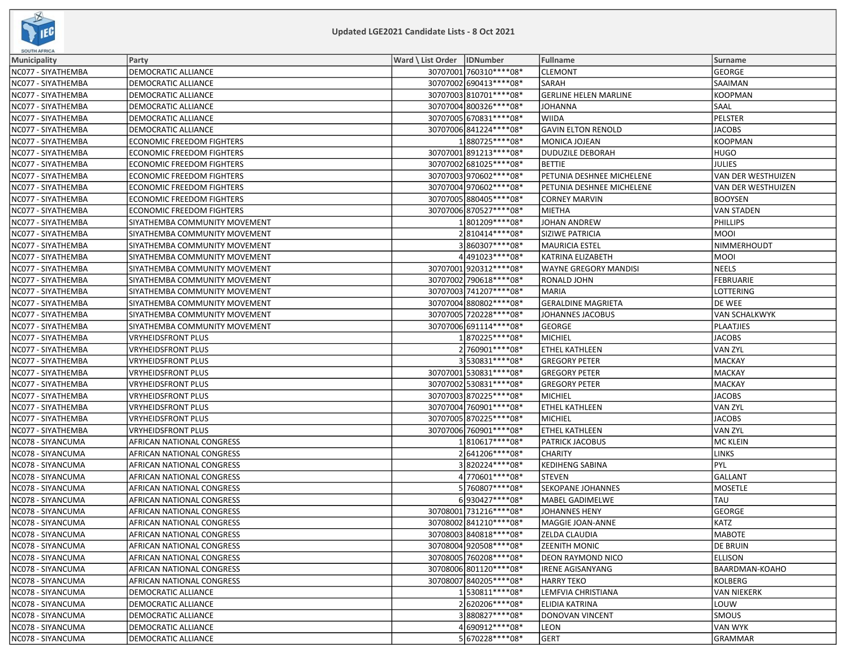

| <b>SOUTH AFRICA</b> |                                  |                              |                          |                              |                      |  |  |
|---------------------|----------------------------------|------------------------------|--------------------------|------------------------------|----------------------|--|--|
| Municipality        | Party                            | Ward \ List Order   IDNumber |                          | <b>Fullname</b>              | Surname              |  |  |
| NC077 - SIYATHEMBA  | DEMOCRATIC ALLIANCE              |                              | 30707001 760310 **** 08* | <b>CLEMONT</b>               | <b>GEORGE</b>        |  |  |
| NC077 - SIYATHEMBA  | DEMOCRATIC ALLIANCE              |                              | 30707002 690413 **** 08* | SARAH                        | <b>SAAIMAN</b>       |  |  |
| NC077 - SIYATHEMBA  | DEMOCRATIC ALLIANCE              |                              | 30707003 810701 **** 08* | <b>GERLINE HELEN MARLINE</b> | <b>KOOPMAN</b>       |  |  |
| NC077 - SIYATHEMBA  | DEMOCRATIC ALLIANCE              |                              | 30707004 800326 **** 08* | <b>JOHANNA</b>               | <b>SAAL</b>          |  |  |
| NC077 - SIYATHEMBA  | DEMOCRATIC ALLIANCE              |                              | 30707005 670831 **** 08* | <b>WIIDA</b>                 | PELSTER              |  |  |
| NC077 - SIYATHEMBA  | DEMOCRATIC ALLIANCE              |                              | 30707006 841224 **** 08* | <b>GAVIN ELTON RENOLD</b>    | <b>JACOBS</b>        |  |  |
| NC077 - SIYATHEMBA  | <b>ECONOMIC FREEDOM FIGHTERS</b> |                              | 1880725 **** 08*         | MONICA JOJEAN                | <b>KOOPMAN</b>       |  |  |
| NC077 - SIYATHEMBA  | ECONOMIC FREEDOM FIGHTERS        |                              | 30707001 891213 **** 08* | <b>DUDUZILE DEBORAH</b>      | <b>HUGO</b>          |  |  |
| NC077 - SIYATHEMBA  | ECONOMIC FREEDOM FIGHTERS        |                              | 30707002 681025 **** 08* | <b>BETTIE</b>                | <b>JULIES</b>        |  |  |
| NC077 - SIYATHEMBA  | ECONOMIC FREEDOM FIGHTERS        |                              | 30707003 970602 **** 08* | PETUNIA DESHNEE MICHELENE    | VAN DER WESTHUIZEN   |  |  |
| NC077 - SIYATHEMBA  | <b>ECONOMIC FREEDOM FIGHTERS</b> |                              | 30707004 970602 **** 08* | PETUNIA DESHNEE MICHELENE    | VAN DER WESTHUIZEN   |  |  |
| NC077 - SIYATHEMBA  | <b>ECONOMIC FREEDOM FIGHTERS</b> |                              | 30707005 880405 **** 08* | <b>CORNEY MARVIN</b>         | <b>BOOYSEN</b>       |  |  |
| NC077 - SIYATHEMBA  | ECONOMIC FREEDOM FIGHTERS        |                              | 30707006 870527**** 08*  | <b>MIETHA</b>                | <b>VAN STADEN</b>    |  |  |
| NC077 - SIYATHEMBA  | SIYATHEMBA COMMUNITY MOVEMENT    |                              | 1801209 **** 08*         | JOHAN ANDREW                 | <b>PHILLIPS</b>      |  |  |
| NC077 - SIYATHEMBA  | SIYATHEMBA COMMUNITY MOVEMENT    |                              | 2810414 **** 08*         | SIZIWE PATRICIA              | <b>MOOI</b>          |  |  |
| NC077 - SIYATHEMBA  | SIYATHEMBA COMMUNITY MOVEMENT    |                              | 3860307 **** 08*         | <b>MAURICIA ESTEL</b>        | NIMMERHOUDT          |  |  |
| NC077 - SIYATHEMBA  | SIYATHEMBA COMMUNITY MOVEMENT    |                              | 4491023 **** 08*         | KATRINA ELIZABETH            | <b>MOOI</b>          |  |  |
| NC077 - SIYATHEMBA  | SIYATHEMBA COMMUNITY MOVEMENT    |                              | 30707001920312 **** 08*  | WAYNE GREGORY MANDISI        | NEELS                |  |  |
| NC077 - SIYATHEMBA  | SIYATHEMBA COMMUNITY MOVEMENT    |                              | 30707002 790618 **** 08* | RONALD JOHN                  | FEBRUARIE            |  |  |
| NC077 - SIYATHEMBA  | SIYATHEMBA COMMUNITY MOVEMENT    |                              | 30707003 741207****08*   | <b>MARIA</b>                 | LOTTERING            |  |  |
| NC077 - SIYATHEMBA  | SIYATHEMBA COMMUNITY MOVEMENT    |                              | 30707004 880802 **** 08* | <b>GERALDINE MAGRIETA</b>    | DE WEE               |  |  |
| NC077 - SIYATHEMBA  | SIYATHEMBA COMMUNITY MOVEMENT    |                              | 30707005 720228 **** 08* | JOHANNES JACOBUS             | <b>VAN SCHALKWYK</b> |  |  |
| NC077 - SIYATHEMBA  | SIYATHEMBA COMMUNITY MOVEMENT    |                              | 30707006 691114 **** 08* | <b>GEORGE</b>                | PLAATJIES            |  |  |
| NC077 - SIYATHEMBA  | VRYHEIDSFRONT PLUS               |                              | 1870225 **** 08*         | MICHIEL                      | JACOBS               |  |  |
| NC077 - SIYATHEMBA  | <b>VRYHEIDSFRONT PLUS</b>        |                              | 2 760901 **** 08*        | ETHEL KATHLEEN               | <b>VAN ZYL</b>       |  |  |
| NC077 - SIYATHEMBA  | VRYHEIDSFRONT PLUS               |                              | 3530831 **** 08*         | <b>GREGORY PETER</b>         | MACKAY               |  |  |
| NC077 - SIYATHEMBA  | VRYHEIDSFRONT PLUS               |                              | 30707001 530831 **** 08* | <b>GREGORY PETER</b>         | MACKAY               |  |  |
| NC077 - SIYATHEMBA  | <b>VRYHEIDSFRONT PLUS</b>        |                              | 30707002 530831 **** 08* | <b>GREGORY PETER</b>         | MACKAY               |  |  |
| NC077 - SIYATHEMBA  | VRYHEIDSFRONT PLUS               |                              | 30707003 870225 **** 08* | MICHIEL                      | JACOBS               |  |  |
| NC077 - SIYATHEMBA  | VRYHEIDSFRONT PLUS               |                              | 30707004 760901 **** 08* | ETHEL KATHLEEN               | <b>VAN ZYL</b>       |  |  |
| NC077 - SIYATHEMBA  | VRYHEIDSFRONT PLUS               |                              | 30707005 870225 **** 08* | <b>MICHIEL</b>               | <b>JACOBS</b>        |  |  |
| NC077 - SIYATHEMBA  | VRYHEIDSFRONT PLUS               |                              | 30707006 760901 **** 08* | ETHEL KATHLEEN               | VAN ZYL              |  |  |
| NC078 - SIYANCUMA   | AFRICAN NATIONAL CONGRESS        |                              | 1810617****08*           | PATRICK JACOBUS              | MC KLEIN             |  |  |
| NC078 - SIYANCUMA   | AFRICAN NATIONAL CONGRESS        |                              | 2641206****08*           | <b>CHARITY</b>               | <b>LINKS</b>         |  |  |
| NC078 - SIYANCUMA   | AFRICAN NATIONAL CONGRESS        |                              | 3820224 **** 08*         | <b>KEDIHENG SABINA</b>       | PYL                  |  |  |
| NC078 - SIYANCUMA   | AFRICAN NATIONAL CONGRESS        |                              | 4 770601****08*          | <b>STEVEN</b>                | GALLANT              |  |  |
| NC078 - SIYANCUMA   | AFRICAN NATIONAL CONGRESS        |                              | 5 760807****08*          | SEKOPANE JOHANNES            | MOSETLE              |  |  |
| NC078 - SIYANCUMA   | AFRICAN NATIONAL CONGRESS        |                              | 6930427****08*           | MABEL GADIMELWE              | <b>TAU</b>           |  |  |
| NC078 - SIYANCUMA   | AFRICAN NATIONAL CONGRESS        |                              | 30708001 731216 **** 08* | <b>JOHANNES HENY</b>         | GEORGE               |  |  |
| NC078 - SIYANCUMA   | AFRICAN NATIONAL CONGRESS        |                              | 30708002 841210 **** 08* | MAGGIE JOAN-ANNE             | KATZ                 |  |  |
| NC078 - SIYANCUMA   | AFRICAN NATIONAL CONGRESS        |                              | 30708003 840818 **** 08* | <b>ZELDA CLAUDIA</b>         | MABOTE               |  |  |
| NC078 - SIYANCUMA   | AFRICAN NATIONAL CONGRESS        |                              | 30708004 920508 **** 08* | <b>ZEENITH MONIC</b>         | <b>DE BRUIN</b>      |  |  |
| NC078 - SIYANCUMA   | AFRICAN NATIONAL CONGRESS        |                              | 30708005 760208 **** 08* | DEON RAYMOND NICO            | ELLISON              |  |  |
| NC078 - SIYANCUMA   | AFRICAN NATIONAL CONGRESS        |                              | 30708006 801120***** 08* | <b>IRENE AGISANYANG</b>      | BAARDMAN-KOAHO       |  |  |
| NC078 - SIYANCUMA   | AFRICAN NATIONAL CONGRESS        |                              | 30708007 840205 **** 08* | <b>HARRY TEKO</b>            | KOLBERG              |  |  |
| NC078 - SIYANCUMA   | DEMOCRATIC ALLIANCE              |                              | 1530811 **** 08*         | LEMFVIA CHRISTIANA           | VAN NIEKERK          |  |  |
| NC078 - SIYANCUMA   | DEMOCRATIC ALLIANCE              |                              | 2620206 **** 08*         | ELIDIA KATRINA               | LOUW                 |  |  |
| NC078 - SIYANCUMA   | DEMOCRATIC ALLIANCE              |                              | 3880827****08*           | <b>DONOVAN VINCENT</b>       | <b>SMOUS</b>         |  |  |
| NC078 - SIYANCUMA   | DEMOCRATIC ALLIANCE              |                              | 4 690912 **** 08*        | <b>LEON</b>                  | VAN WYK              |  |  |
| NC078 - SIYANCUMA   | DEMOCRATIC ALLIANCE              |                              | 5670228 **** 08*         | <b>GERT</b>                  | GRAMMAR              |  |  |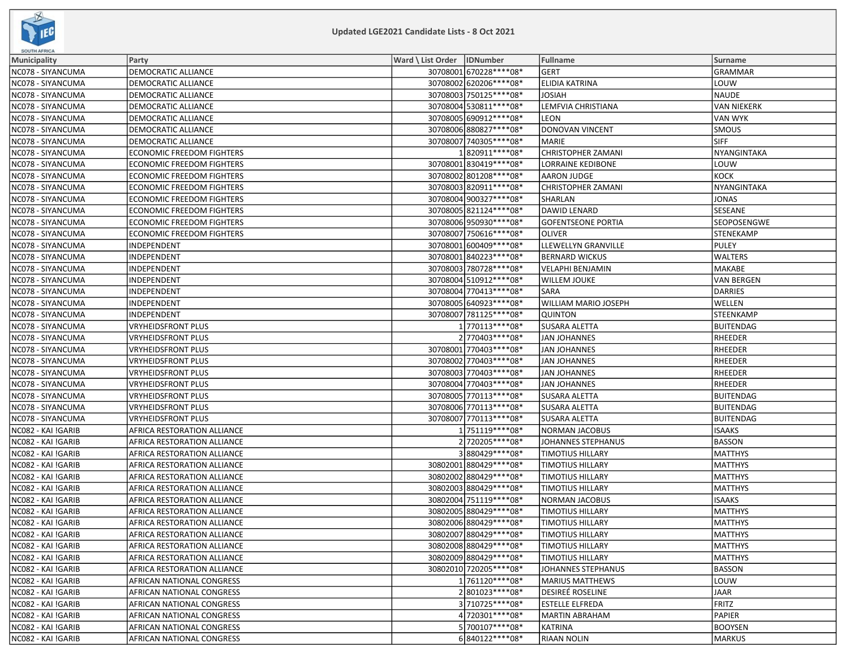

| <b>SOUTH AFRICA</b> |                                  |                              |                          |                           |                    |
|---------------------|----------------------------------|------------------------------|--------------------------|---------------------------|--------------------|
| <b>Municipality</b> | Party                            | Ward \ List Order   IDNumber |                          | Fullname                  | <b>Surname</b>     |
| NC078 - SIYANCUMA   | DEMOCRATIC ALLIANCE              |                              | 30708001 670228 **** 08* | <b>GERT</b>               | <b>GRAMMAR</b>     |
| NC078 - SIYANCUMA   | DEMOCRATIC ALLIANCE              |                              | 30708002 620206 **** 08* | <b>ELIDIA KATRINA</b>     | LOUW               |
| NC078 - SIYANCUMA   | DEMOCRATIC ALLIANCE              |                              | 30708003 750125 **** 08* | <b>JOSIAH</b>             | <b>NAUDE</b>       |
| NC078 - SIYANCUMA   | DEMOCRATIC ALLIANCE              |                              | 30708004 530811 **** 08* | LEMFVIA CHRISTIANA        | <b>VAN NIEKERK</b> |
| NC078 - SIYANCUMA   | DEMOCRATIC ALLIANCE              |                              | 30708005 690912 **** 08* | <b>LEON</b>               | <b>VAN WYK</b>     |
| NC078 - SIYANCUMA   | DEMOCRATIC ALLIANCE              |                              | 30708006 880827**** 08*  | <b>DONOVAN VINCENT</b>    | <b>SMOUS</b>       |
| NC078 - SIYANCUMA   | DEMOCRATIC ALLIANCE              |                              | 30708007 740305 **** 08* | <b>MARIE</b>              | <b>SIFF</b>        |
| NC078 - SIYANCUMA   | <b>ECONOMIC FREEDOM FIGHTERS</b> |                              | 1820911 **** 08*         | <b>CHRISTOPHER ZAMANI</b> | NYANGINTAKA        |
| NC078 - SIYANCUMA   | <b>ECONOMIC FREEDOM FIGHTERS</b> |                              | 30708001830419 **** 08*  | <b>LORRAINE KEDIBONE</b>  | LOUW               |
| NC078 - SIYANCUMA   | <b>ECONOMIC FREEDOM FIGHTERS</b> |                              | 30708002 801208 **** 08* | AARON JUDGE               | KOCK               |
| NC078 - SIYANCUMA   | <b>ECONOMIC FREEDOM FIGHTERS</b> |                              | 30708003 820911 **** 08* | <b>CHRISTOPHER ZAMANI</b> | NYANGINTAKA        |
| NC078 - SIYANCUMA   | <b>ECONOMIC FREEDOM FIGHTERS</b> |                              | 30708004 900327**** 08*  | SHARLAN                   | JONAS              |
| NC078 - SIYANCUMA   | <b>ECONOMIC FREEDOM FIGHTERS</b> |                              | 30708005 821124**** 08*  | DAWID LENARD              | SESEANE            |
| NC078 - SIYANCUMA   | <b>ECONOMIC FREEDOM FIGHTERS</b> |                              | 30708006 950930 **** 08* | <b>GOFENTSEONE PORTIA</b> | <b>SEOPOSENGWE</b> |
| NC078 - SIYANCUMA   | <b>ECONOMIC FREEDOM FIGHTERS</b> |                              | 30708007 750616 **** 08* | <b>OLIVER</b>             | <b>STENEKAMP</b>   |
| NC078 - SIYANCUMA   | INDEPENDENT                      |                              | 30708001 600409 **** 08* | LLEWELLYN GRANVILLE       | PULEY              |
| NC078 - SIYANCUMA   | INDEPENDENT                      |                              | 30708001 840223 **** 08* | <b>BERNARD WICKUS</b>     | <b>WALTERS</b>     |
| NC078 - SIYANCUMA   | INDEPENDENT                      |                              | 30708003 780728 **** 08* | <b>VELAPHI BENJAMIN</b>   | MAKABE             |
| NC078 - SIYANCUMA   | INDEPENDENT                      |                              | 30708004 510912 **** 08* | <b>WILLEM JOUKE</b>       | <b>VAN BERGEN</b>  |
| NC078 - SIYANCUMA   | INDEPENDENT                      |                              | 30708004 770413 **** 08* | <b>SARA</b>               | DARRIES            |
| NC078 - SIYANCUMA   | INDEPENDENT                      |                              | 30708005 640923 **** 08* | WILLIAM MARIO JOSEPH      | WELLEN             |
| NC078 - SIYANCUMA   | INDEPENDENT                      |                              | 30708007 781125 **** 08* | <b>QUINTON</b>            | <b>STEENKAMP</b>   |
| NC078 - SIYANCUMA   | <b>VRYHEIDSFRONT PLUS</b>        |                              | 1 770113****08*          | <b>SUSARA ALETTA</b>      | <b>BUITENDAG</b>   |
| NC078 - SIYANCUMA   | <b>VRYHEIDSFRONT PLUS</b>        |                              | 2 770403 **** 08*        | <b>JAN JOHANNES</b>       | RHEEDER            |
| NC078 - SIYANCUMA   | <b>VRYHEIDSFRONT PLUS</b>        |                              | 30708001 770403 **** 08* | <b>JAN JOHANNES</b>       | RHEEDER            |
| NC078 - SIYANCUMA   | <b>VRYHEIDSFRONT PLUS</b>        |                              | 30708002 770403 **** 08* | <b>JAN JOHANNES</b>       | <b>RHEEDER</b>     |
| NC078 - SIYANCUMA   | <b>VRYHEIDSFRONT PLUS</b>        |                              | 30708003 770403 **** 08* | <b>JAN JOHANNES</b>       | <b>RHEEDER</b>     |
| NC078 - SIYANCUMA   | VRYHEIDSFRONT PLUS               |                              | 30708004 770403 **** 08* | <b>JAN JOHANNES</b>       | RHEEDER            |
| NC078 - SIYANCUMA   | <b>VRYHEIDSFRONT PLUS</b>        |                              | 30708005 770113 **** 08* | <b>SUSARA ALETTA</b>      | <b>BUITENDAG</b>   |
| NC078 - SIYANCUMA   | <b>VRYHEIDSFRONT PLUS</b>        |                              | 30708006 770113 **** 08* | SUSARA ALETTA             | <b>BUITENDAG</b>   |
| NC078 - SIYANCUMA   | <b>VRYHEIDSFRONT PLUS</b>        |                              | 30708007 770113 **** 08* | SUSARA ALETTA             | <b>BUITENDAG</b>   |
| NC082 - KAI !GARIB  | AFRICA RESTORATION ALLIANCE      |                              | 1751119 **** 08*         | <b>NORMAN JACOBUS</b>     | <b>ISAAKS</b>      |
| NC082 - KAI !GARIB  | AFRICA RESTORATION ALLIANCE      |                              | 2 720205 **** 08*        | JOHANNES STEPHANUS        | <b>BASSON</b>      |
| NC082 - KAI !GARIB  | AFRICA RESTORATION ALLIANCE      |                              | 3880429 **** 08*         | <b>TIMOTIUS HILLARY</b>   | MATTHYS            |
| NC082 - KAI !GARIB  | AFRICA RESTORATION ALLIANCE      |                              | 30802001880429 **** 08*  | <b>TIMOTIUS HILLARY</b>   | <b>MATTHYS</b>     |
| NC082 - KAI !GARIB  | AFRICA RESTORATION ALLIANCE      |                              | 30802002 880429 **** 08* | <b>TIMOTIUS HILLARY</b>   | <b>MATTHYS</b>     |
| NC082 - KAI !GARIB  | AFRICA RESTORATION ALLIANCE      |                              | 30802003 880429 **** 08* | <b>TIMOTIUS HILLARY</b>   | <b>MATTHYS</b>     |
| NC082 - KAI !GARIB  | AFRICA RESTORATION ALLIANCE      |                              | 30802004 751119 **** 08* | <b>NORMAN JACOBUS</b>     | <b>ISAAKS</b>      |
| NC082 - KAI !GARIB  | AFRICA RESTORATION ALLIANCE      |                              | 30802005 880429 **** 08* | <b>TIMOTIUS HILLARY</b>   | <b>MATTHYS</b>     |
| NC082 - KAI !GARIB  | AFRICA RESTORATION ALLIANCE      |                              | 30802006 880429 **** 08* | <b>TIMOTIUS HILLARY</b>   | <b>MATTHYS</b>     |
| NC082 - KAI !GARIB  | AFRICA RESTORATION ALLIANCE      |                              | 30802007 880429 **** 08* | <b>TIMOTIUS HILLARY</b>   | MATTHYS            |
| NC082 - KAI !GARIB  | AFRICA RESTORATION ALLIANCE      |                              | 30802008 880429 **** 08* | <b>TIMOTIUS HILLARY</b>   | MATTHYS            |
| NC082 - KAI !GARIB  | AFRICA RESTORATION ALLIANCE      |                              | 30802009 880429 **** 08* | <b>TIMOTIUS HILLARY</b>   | MATTHYS            |
| NC082 - KAI !GARIB  | AFRICA RESTORATION ALLIANCE      |                              | 30802010 720205 **** 08* | JOHANNES STEPHANUS        | <b>BASSON</b>      |
| NC082 - KAI !GARIB  | AFRICAN NATIONAL CONGRESS        |                              | 1761120****08*           | <b>MARIUS MATTHEWS</b>    | LOUW               |
| NC082 - KAI !GARIB  | AFRICAN NATIONAL CONGRESS        |                              | 2801023 **** 08*         | <b>DESIREÉ ROSELINE</b>   | JAAR               |
| NC082 - KAI !GARIB  | AFRICAN NATIONAL CONGRESS        |                              | 3710725 **** 08*         | <b>ESTELLE ELFREDA</b>    | FRITZ              |
| NC082 - KAI !GARIB  | AFRICAN NATIONAL CONGRESS        |                              | 4 720301****08*          | <b>MARTIN ABRAHAM</b>     | PAPIER             |
| NC082 - KAI !GARIB  | AFRICAN NATIONAL CONGRESS        |                              | 5 700107****08*          | <b>KATRINA</b>            | <b>BOOYSEN</b>     |
| NC082 - KAI !GARIB  | AFRICAN NATIONAL CONGRESS        |                              | 6840122 **** 08*         | <b>RIAAN NOLIN</b>        | MARKUS             |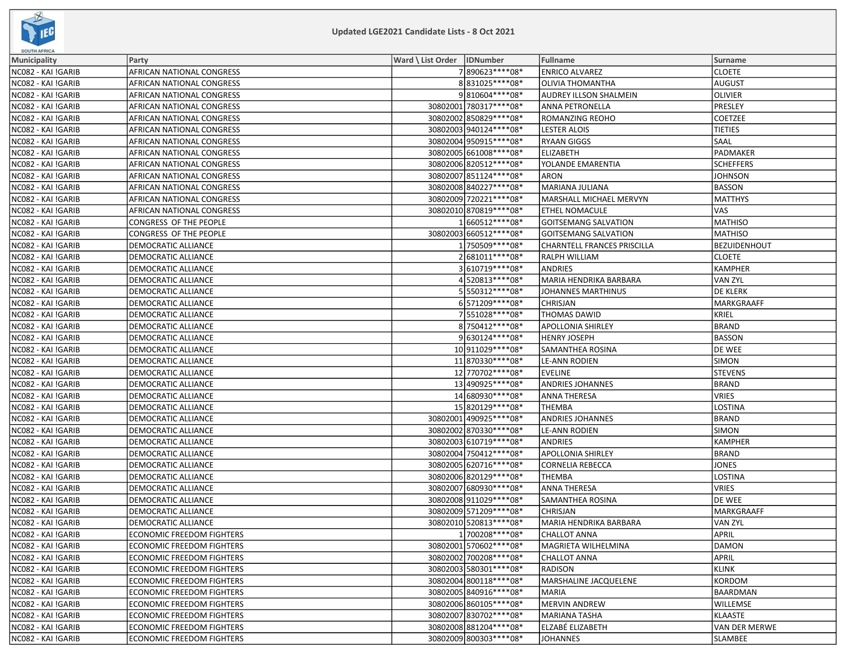

| <b>SOUTH AFRICA</b> |                                  |                              |                          |                                    |                 |
|---------------------|----------------------------------|------------------------------|--------------------------|------------------------------------|-----------------|
| Municipality        | Party                            | Ward \ List Order   IDNumber |                          | Fullname                           | <b>Surname</b>  |
| NC082 - KAI !GARIB  | AFRICAN NATIONAL CONGRESS        |                              | 7890623 **** 08*         | <b>ENRICO ALVAREZ</b>              | <b>CLOETE</b>   |
| NC082 - KAI !GARIB  | AFRICAN NATIONAL CONGRESS        |                              | 8831025 **** 08*         | <b>OLIVIA THOMANTHA</b>            | AUGUST          |
| NC082 - KAI !GARIB  | AFRICAN NATIONAL CONGRESS        |                              | 9810604 **** 08*         | AUDREY ILLSON SHALMEIN             | <b>OLIVIER</b>  |
| NC082 - KAI !GARIB  | AFRICAN NATIONAL CONGRESS        |                              | 30802001 780317 **** 08* | ANNA PETRONELLA                    | PRESLEY         |
| NC082 - KAI !GARIB  | AFRICAN NATIONAL CONGRESS        |                              | 30802002 850829 **** 08* | ROMANZING REOHO                    | <b>COETZEE</b>  |
| NC082 - KAI !GARIB  | AFRICAN NATIONAL CONGRESS        |                              | 30802003940124 **** 08*  | <b>LESTER ALOIS</b>                | <b>TIETIES</b>  |
| NC082 - KAI !GARIB  | AFRICAN NATIONAL CONGRESS        |                              | 30802004 950915 **** 08* | <b>RYAAN GIGGS</b>                 | <b>SAAL</b>     |
| NC082 - KAI !GARIB  | AFRICAN NATIONAL CONGRESS        |                              | 30802005 661008 **** 08* | <b>ELIZABETH</b>                   | PADMAKER        |
| NC082 - KAI !GARIB  | AFRICAN NATIONAL CONGRESS        |                              | 30802006 820512 **** 08* | YOLANDE EMARENTIA                  | SCHEFFERS       |
| NC082 - KAI !GARIB  | AFRICAN NATIONAL CONGRESS        |                              | 30802007 851124 **** 08* | <b>ARON</b>                        | JOHNSON         |
| NC082 - KAI !GARIB  | AFRICAN NATIONAL CONGRESS        |                              | 30802008 840227**** 08*  | MARIANA JULIANA                    | BASSON          |
| NC082 - KAI !GARIB  | AFRICAN NATIONAL CONGRESS        |                              | 30802009 720221 **** 08* | MARSHALL MICHAEL MERVYN            | <b>MATTHYS</b>  |
| NC082 - KAI !GARIB  | AFRICAN NATIONAL CONGRESS        |                              | 30802010 870819 **** 08* | ETHEL NOMACULE                     | <b>VAS</b>      |
| NC082 - KAI !GARIB  | CONGRESS OF THE PEOPLE           |                              | 1660512 **** 08*         | <b>GOITSEMANG SALVATION</b>        | <b>MATHISO</b>  |
| NC082 - KAI !GARIB  | CONGRESS OF THE PEOPLE           |                              | 30802003 660512 **** 08* | <b>GOITSEMANG SALVATION</b>        | <b>MATHISO</b>  |
| NC082 - KAI !GARIB  | DEMOCRATIC ALLIANCE              |                              | 1750509 **** 08*         | <b>CHARNTELL FRANCES PRISCILLA</b> | BEZUIDENHOUT    |
| NC082 - KAI !GARIB  | DEMOCRATIC ALLIANCE              |                              | 2681011 **** 08*         | <b>RALPH WILLIAM</b>               | <b>CLOETE</b>   |
| NC082 - KAI !GARIB  | DEMOCRATIC ALLIANCE              |                              | 3610719 **** 08*         | <b>ANDRIES</b>                     | KAMPHER         |
| NC082 - KAI !GARIB  | <b>DEMOCRATIC ALLIANCE</b>       |                              | 4520813 **** 08*         | MARIA HENDRIKA BARBARA             | VAN ZYL         |
| NC082 - KAI !GARIB  | DEMOCRATIC ALLIANCE              |                              | 5550312 **** 08*         | JOHANNES MARTHINUS                 | <b>DE KLERK</b> |
| NC082 - KAI !GARIB  | DEMOCRATIC ALLIANCE              |                              | 6571209 **** 08*         | CHRISJAN                           | MARKGRAAFF      |
| NC082 - KAI !GARIB  | DEMOCRATIC ALLIANCE              |                              | 7551028 **** 08*         | <b>THOMAS DAWID</b>                | KRIEL           |
| NC082 - KAI !GARIB  | DEMOCRATIC ALLIANCE              |                              | 8 750412 **** 08*        | <b>APOLLONIA SHIRLEY</b>           | BRAND           |
| NC082 - KAI !GARIB  | DEMOCRATIC ALLIANCE              |                              | 9630124 **** 08*         | <b>HENRY JOSEPH</b>                | <b>BASSON</b>   |
| NC082 - KAI !GARIB  | DEMOCRATIC ALLIANCE              |                              | 10 911029 **** 08*       | SAMANTHEA ROSINA                   | DE WEE          |
| NC082 - KAI !GARIB  | DEMOCRATIC ALLIANCE              |                              | 11870330 **** 08*        | <b>LE-ANN RODIEN</b>               | SIMON           |
| NC082 - KAI !GARIB  | DEMOCRATIC ALLIANCE              |                              | 12 770702 **** 08*       | <b>EVELINE</b>                     | <b>STEVENS</b>  |
| NC082 - KAI !GARIB  | DEMOCRATIC ALLIANCE              |                              | 13 490925 **** 08*       | ANDRIES JOHANNES                   | BRAND           |
| NC082 - KAI !GARIB  | <b>DEMOCRATIC ALLIANCE</b>       |                              | 14 680930 **** 08*       | <b>ANNA THERESA</b>                | VRIES           |
| NC082 - KAI !GARIB  | DEMOCRATIC ALLIANCE              |                              | 15 820129 **** 08*       | THEMBA                             | LOSTINA         |
| NC082 - KAI !GARIB  | DEMOCRATIC ALLIANCE              |                              | 30802001 490925 **** 08* | <b>ANDRIES JOHANNES</b>            | BRAND           |
| NC082 - KAI !GARIB  | DEMOCRATIC ALLIANCE              |                              | 30802002 870330 **** 08* | <b>LE-ANN RODIEN</b>               | <b>SIMON</b>    |
| NC082 - KAI !GARIB  | DEMOCRATIC ALLIANCE              |                              | 30802003 610719 **** 08* | <b>ANDRIES</b>                     | KAMPHER         |
| NC082 - KAI !GARIB  | DEMOCRATIC ALLIANCE              |                              | 30802004 750412 **** 08* | <b>APOLLONIA SHIRLEY</b>           | BRAND           |
| NC082 - KAI !GARIB  | DEMOCRATIC ALLIANCE              |                              | 30802005 620716 **** 08* | <b>CORNELIA REBECCA</b>            | <b>JONES</b>    |
| NC082 - KAI !GARIB  | DEMOCRATIC ALLIANCE              |                              | 30802006820129 **** 08*  | <b>THEMBA</b>                      | LOSTINA         |
| NC082 - KAI !GARIB  | DEMOCRATIC ALLIANCE              |                              | 30802007 680930 **** 08* | <b>ANNA THERESA</b>                | <b>VRIES</b>    |
| NC082 - KAI !GARIB  | DEMOCRATIC ALLIANCE              |                              | 30802008 911029 **** 08* | SAMANTHEA ROSINA                   | DE WEE          |
| NC082 - KAI !GARIB  | DEMOCRATIC ALLIANCE              |                              | 30802009 571209 **** 08* | CHRISJAN                           | MARKGRAAFF      |
| NC082 - KAI !GARIB  | DEMOCRATIC ALLIANCE              |                              | 30802010 520813 **** 08* | MARIA HENDRIKA BARBARA             | VAN ZYL         |
| NC082 - KAI !GARIB  | <b>ECONOMIC FREEDOM FIGHTERS</b> |                              | 1 700208 **** 08*        | <b>CHALLOT ANNA</b>                | APRIL           |
| NC082 - KAI !GARIB  | <b>ECONOMIC FREEDOM FIGHTERS</b> |                              | 30802001 570602 **** 08* | MAGRIETA WILHELMINA                | DAMON           |
| NC082 - KAI !GARIB  | ECONOMIC FREEDOM FIGHTERS        |                              | 30802002 700208 **** 08* | <b>CHALLOT ANNA</b>                | APRIL           |
| NC082 - KAI !GARIB  | <b>ECONOMIC FREEDOM FIGHTERS</b> |                              | 30802003 580301 **** 08* | <b>RADISON</b>                     | KLINK           |
| NC082 - KAI !GARIB  | <b>ECONOMIC FREEDOM FIGHTERS</b> |                              | 30802004 800118 **** 08* | MARSHALINE JACQUELENE              | KORDOM          |
| NC082 - KAI !GARIB  | <b>ECONOMIC FREEDOM FIGHTERS</b> |                              | 30802005 840916 **** 08* | <b>MARIA</b>                       | BAARDMAN        |
| NC082 - KAI !GARIB  | <b>ECONOMIC FREEDOM FIGHTERS</b> |                              | 30802006 860105 **** 08* | <b>MERVIN ANDREW</b>               | WILLEMSE        |
| NC082 - KAI !GARIB  | ECONOMIC FREEDOM FIGHTERS        |                              | 30802007 830702 **** 08* | MARIANA TASHA                      | KLAASTE         |
| NC082 - KAI !GARIB  | ECONOMIC FREEDOM FIGHTERS        |                              | 30802008 881204 **** 08* | ELZABÉ ELIZABETH                   | VAN DER MERWE   |
| NC082 - KAI !GARIB  | <b>ECONOMIC FREEDOM FIGHTERS</b> |                              | 30802009 800303 **** 08* | JOHANNES                           | SLAMBEE         |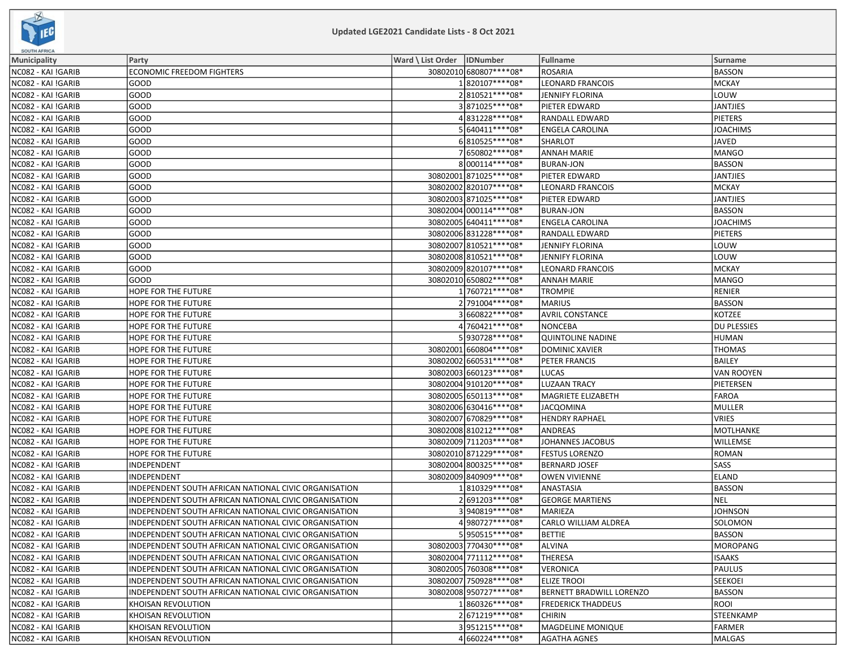

| <b><i><u>OUVIRAFRIUM</u></i></b> |                                                       |                              |                          |                             |                    |
|----------------------------------|-------------------------------------------------------|------------------------------|--------------------------|-----------------------------|--------------------|
| <b>Municipality</b>              | Party                                                 | Ward \ List Order   IDNumber |                          | Fullname                    | Surname            |
| NC082 - KAI !GARIB               | <b>ECONOMIC FREEDOM FIGHTERS</b>                      |                              | 30802010 680807**** 08*  | <b>ROSARIA</b>              | BASSON             |
| NC082 - KAI !GARIB               | GOOD                                                  |                              | 1820107****08*           | <b>LEONARD FRANCOIS</b>     | MCKAY              |
| NC082 - KAI !GARIB               | GOOD                                                  |                              | 2810521 **** 08*         | <b>JENNIFY FLORINA</b>      | LOUW               |
| NC082 - KAI !GARIB               | GOOD                                                  |                              | 3871025 **** 08*         | PIETER EDWARD               | JANTJIES           |
| NC082 - KAI !GARIB               | GOOD                                                  |                              | 4831228 **** 08*         | RANDALL EDWARD              | <b>PIETERS</b>     |
| NC082 - KAI !GARIB               | GOOD                                                  |                              | 5 640411 **** 08*        | ENGELA CAROLINA             | <b>JOACHIMS</b>    |
| NC082 - KAI !GARIB               | GOOD                                                  |                              | 6810525 **** 08*         | SHARLOT                     | JAVED              |
| NC082 - KAI !GARIB               | GOOD                                                  |                              | 7650802 **** 08*         | <b>ANNAH MARIE</b>          | MANGO              |
| NC082 - KAI !GARIB               | GOOD                                                  |                              | 8000114****08*           | <b>BURAN-JON</b>            | <b>BASSON</b>      |
| NC082 - KAI !GARIB               | GOOD                                                  |                              | 30802001 871025 **** 08* | PIETER EDWARD               | JANTJIES           |
| NC082 - KAI !GARIB               | GOOD                                                  |                              | 30802002 820107**** 08*  | LEONARD FRANCOIS            | MCKAY              |
| NC082 - KAI !GARIB               | GOOD                                                  |                              | 30802003 871025 **** 08* | PIETER EDWARD               | <b>JANTJIES</b>    |
| NC082 - KAI !GARIB               | GOOD                                                  |                              | 30802004 000114**** 08*  | <b>BURAN-JON</b>            | <b>BASSON</b>      |
| NC082 - KAI !GARIB               | GOOD                                                  |                              | 30802005 640411 **** 08* | <b>ENGELA CAROLINA</b>      | <b>JOACHIMS</b>    |
| NC082 - KAI !GARIB               | GOOD                                                  |                              | 30802006 831228 **** 08* | RANDALL EDWARD              | <b>PIETERS</b>     |
| NC082 - KAI !GARIB               | GOOD                                                  |                              | 30802007 810521 **** 08* | JENNIFY FLORINA             | louw               |
| NC082 - KAI !GARIB               | GOOD                                                  |                              | 30802008 810521 **** 08* | <b>JENNIFY FLORINA</b>      | LOUW               |
| NC082 - KAI !GARIB               | GOOD                                                  |                              | 30802009820107****08*    | <b>LEONARD FRANCOIS</b>     | MCKAY              |
| NC082 - KAI !GARIB               | GOOD                                                  |                              | 30802010 650802 **** 08* | ANNAH MARIE                 | MANGO              |
| NC082 - KAI !GARIB               | HOPE FOR THE FUTURE                                   |                              | 1760721 **** 08*         | <b>TROMPIE</b>              | RENIER             |
| NC082 - KAI !GARIB               | HOPE FOR THE FUTURE                                   |                              | 2 791004 **** 08*        | <b>MARIUS</b>               | BASSON             |
| NC082 - KAI !GARIB               | HOPE FOR THE FUTURE                                   |                              | 3660822 **** 08*         | <b>AVRIL CONSTANCE</b>      | KOTZEE             |
| NC082 - KAI !GARIB               | HOPE FOR THE FUTURE                                   |                              | 4 760421 **** 08*        | <b>NONCEBA</b>              | <b>DU PLESSIES</b> |
| NC082 - KAI !GARIB               | HOPE FOR THE FUTURE                                   |                              | 5930728 **** 08*         | <b>QUINTOLINE NADINE</b>    | HUMAN              |
| NC082 - KAI !GARIB               | HOPE FOR THE FUTURE                                   |                              | 30802001 660804 **** 08* | <b>DOMINIC XAVIER</b>       | <b>THOMAS</b>      |
| NC082 - KAI !GARIB               | HOPE FOR THE FUTURE                                   |                              | 30802002 660531 **** 08* | PETER FRANCIS               | BAILEY             |
| NC082 - KAI !GARIB               | HOPE FOR THE FUTURE                                   |                              | 30802003 660123 **** 08* | LUCAS                       | VAN ROOYEN         |
| NC082 - KAI !GARIB               | HOPE FOR THE FUTURE                                   |                              | 30802004 910120 **** 08* | <b>LUZAAN TRACY</b>         | PIETERSEN          |
| NC082 - KAI !GARIB               | HOPE FOR THE FUTURE                                   |                              | 30802005 650113 **** 08* | MAGRIETE ELIZABETH          | FAROA              |
| NC082 - KAI !GARIB               | HOPE FOR THE FUTURE                                   |                              | 30802006 630416 **** 08* | <b>JACQOMINA</b>            | MULLER             |
| NC082 - KAI !GARIB               | HOPE FOR THE FUTURE                                   |                              | 30802007 670829 **** 08* | <b>HENDRY RAPHAEL</b>       | <b>VRIES</b>       |
| NC082 - KAI !GARIB               | HOPE FOR THE FUTURE                                   |                              | 30802008 810212 **** 08* | <b>ANDREAS</b>              | MOTLHANKE          |
| NC082 - KAI !GARIB               | HOPE FOR THE FUTURE                                   |                              | 30802009 711203 **** 08* | JOHANNES JACOBUS            | <b>WILLEMSE</b>    |
| NC082 - KAI !GARIB               | HOPE FOR THE FUTURE                                   |                              | 30802010 871229 **** 08* | <b>FESTUS LORENZO</b>       | ROMAN              |
| NC082 - KAI !GARIB               | INDEPENDENT                                           |                              | 30802004 800325 **** 08* | <b>BERNARD JOSEF</b>        | <b>SASS</b>        |
| NC082 - KAI !GARIB               | INDEPENDENT                                           |                              | 30802009 840909 **** 08* | <b>OWEN VIVIENNE</b>        | <b>ELAND</b>       |
| NC082 - KAI !GARIB               | INDEPENDENT SOUTH AFRICAN NATIONAL CIVIC ORGANISATION |                              | 1810329 **** 08*         | ANASTASIA                   | BASSON             |
| NC082 - KAI !GARIB               | INDEPENDENT SOUTH AFRICAN NATIONAL CIVIC ORGANISATION |                              | 2691203 **** 08*         | <b>GEORGE MARTIENS</b>      | NEL                |
| NC082 - KAI !GARIB               | INDEPENDENT SOUTH AFRICAN NATIONAL CIVIC ORGANISATION |                              | 3940819 **** 08*         | MARIEZA                     | <b>JOHNSON</b>     |
| NC082 - KAI !GARIB               | INDEPENDENT SOUTH AFRICAN NATIONAL CIVIC ORGANISATION |                              | 4980727****08*           | <b>CARLO WILLIAM ALDREA</b> | SOLOMON            |
| NC082 - KAI !GARIB               | INDEPENDENT SOUTH AFRICAN NATIONAL CIVIC ORGANISATION |                              | 5950515****08*           | <b>BETTIE</b>               | BASSON             |
| NC082 - KAI !GARIB               | INDEPENDENT SOUTH AFRICAN NATIONAL CIVIC ORGANISATION |                              | 30802003 770430 **** 08* | <b>ALVINA</b>               | MOROPANG           |
| NC082 - KAI !GARIB               | INDEPENDENT SOUTH AFRICAN NATIONAL CIVIC ORGANISATION |                              | 30802004 771112 **** 08* | <b>THERESA</b>              | <b>ISAAKS</b>      |
| NC082 - KAI !GARIB               | INDEPENDENT SOUTH AFRICAN NATIONAL CIVIC ORGANISATION |                              | 30802005 760308 **** 08* | <b>VERONICA</b>             | PAULUS             |
| NC082 - KAI !GARIB               | INDEPENDENT SOUTH AFRICAN NATIONAL CIVIC ORGANISATION |                              | 30802007 750928 **** 08* | <b>ELIZE TROOI</b>          | <b>SEEKOEI</b>     |
| NC082 - KAI !GARIB               | INDEPENDENT SOUTH AFRICAN NATIONAL CIVIC ORGANISATION |                              | 30802008 950727**** 08*  | BERNETT BRADWILL LORENZO    | BASSON             |
| NC082 - KAI !GARIB               | KHOISAN REVOLUTION                                    |                              | 1860326 **** 08*         | <b>FREDERICK THADDEUS</b>   | ROOI               |
| NC082 - KAI !GARIB               | KHOISAN REVOLUTION                                    |                              | 2671219 **** 08*         | <b>CHIRIN</b>               | STEENKAMP          |
| NC082 - KAI !GARIB               | KHOISAN REVOLUTION                                    |                              | 3951215 **** 08*         | MAGDELINE MONIQUE           | FARMER             |
| NC082 - KAI !GARIB               | KHOISAN REVOLUTION                                    |                              | 4660224 **** 08*         | <b>AGATHA AGNES</b>         | MALGAS             |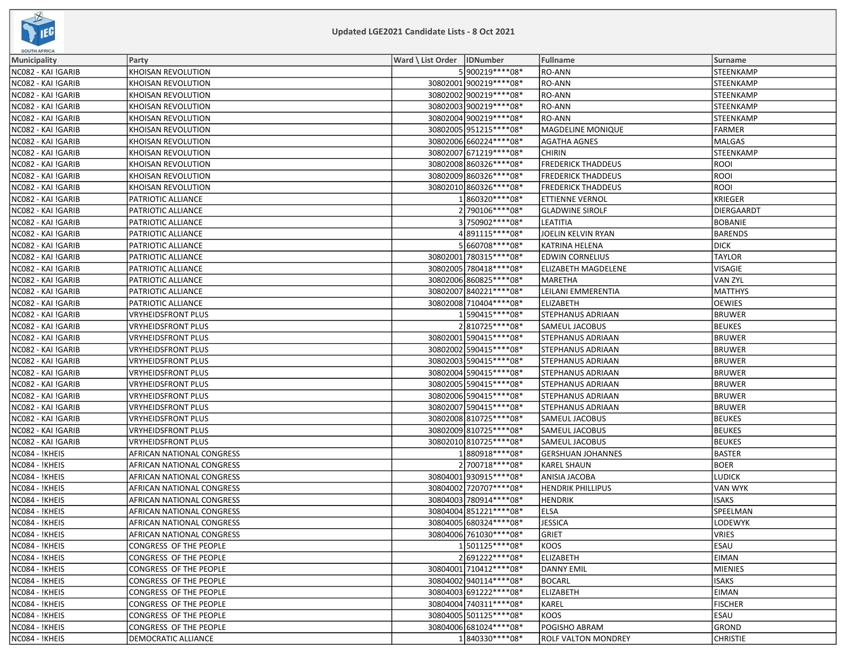

| <b><i><u>OUVIRAFRIUM</u></i></b> |                           |                              |                          |                           |                 |
|----------------------------------|---------------------------|------------------------------|--------------------------|---------------------------|-----------------|
| <b>Municipality</b>              | Party                     | Ward \ List Order   IDNumber |                          | <b>Fullname</b>           | Surname         |
| NC082 - KAI !GARIB               | KHOISAN REVOLUTION        |                              | 5 900219 **** 08*        | RO-ANN                    | STEENKAMP       |
| NC082 - KAI !GARIB               | KHOISAN REVOLUTION        |                              | 30802001900219 **** 08 * | RO-ANN                    | STEENKAMP       |
| NC082 - KAI !GARIB               | KHOISAN REVOLUTION        |                              | 30802002 900219 **** 08* | RO-ANN                    | STEENKAMP       |
| NC082 - KAI !GARIB               | KHOISAN REVOLUTION        |                              | 30802003 900219 **** 08* | RO-ANN                    | STEENKAMP       |
| NC082 - KAI !GARIB               | KHOISAN REVOLUTION        |                              | 30802004 900219 **** 08* | RO-ANN                    | STEENKAMP       |
| NC082 - KAI !GARIB               | KHOISAN REVOLUTION        |                              | 30802005 951215 **** 08* | MAGDELINE MONIQUE         | <b>FARMER</b>   |
| NC082 - KAI !GARIB               | KHOISAN REVOLUTION        |                              | 30802006 660224 **** 08* | AGATHA AGNES              | <b>MALGAS</b>   |
| NC082 - KAI !GARIB               | KHOISAN REVOLUTION        |                              | 30802007 671219 **** 08* | <b>CHIRIN</b>             | STEENKAMP       |
| NC082 - KAI !GARIB               | KHOISAN REVOLUTION        |                              | 30802008 860326 **** 08* | <b>FREDERICK THADDEUS</b> | <b>ROOI</b>     |
| NC082 - KAI !GARIB               | KHOISAN REVOLUTION        |                              | 30802009860326 **** 08*  | <b>FREDERICK THADDEUS</b> | <b>ROOI</b>     |
| NC082 - KAI !GARIB               | KHOISAN REVOLUTION        |                              | 30802010 860326 **** 08* | <b>FREDERICK THADDEUS</b> | <b>ROOI</b>     |
| NC082 - KAI !GARIB               | PATRIOTIC ALLIANCE        |                              | 1860320 **** 08*         | ETTIENNE VERNOL           | <b>KRIEGER</b>  |
| NC082 - KAI !GARIB               | PATRIOTIC ALLIANCE        |                              | 2790106****08*           | <b>GLADWINE SIROLF</b>    | DIERGAARDT      |
| NC082 - KAI !GARIB               | PATRIOTIC ALLIANCE        |                              | 3750902 **** 08*         | LEATITIA                  | <b>BOBANIE</b>  |
| NC082 - KAI !GARIB               | PATRIOTIC ALLIANCE        |                              | 891115 **** 08*          | JOELIN KELVIN RYAN        | <b>BARENDS</b>  |
| NC082 - KAI !GARIB               | PATRIOTIC ALLIANCE        |                              | 5 660708 **** 08*        | KATRINA HELENA            | <b>DICK</b>     |
| NC082 - KAI !GARIB               | PATRIOTIC ALLIANCE        |                              | 30802001 780315 **** 08* | <b>EDWIN CORNELIUS</b>    | <b>TAYLOR</b>   |
| NC082 - KAI !GARIB               | PATRIOTIC ALLIANCE        |                              | 30802005 780418 **** 08* | ELIZABETH MAGDELENE       | <b>VISAGIE</b>  |
| NC082 - KAI !GARIB               | PATRIOTIC ALLIANCE        |                              | 30802006 860825 **** 08* | MARETHA                   | <b>VAN ZYL</b>  |
| NC082 - KAI !GARIB               | PATRIOTIC ALLIANCE        |                              | 30802007 840221 **** 08* | LEILANI EMMERENTIA        | <b>MATTHYS</b>  |
| NC082 - KAI !GARIB               | PATRIOTIC ALLIANCE        |                              | 30802008 710404 **** 08* | <b>ELIZABETH</b>          | <b>OEWIES</b>   |
| NC082 - KAI !GARIB               | <b>VRYHEIDSFRONT PLUS</b> |                              | 1590415 **** 08*         | STEPHANUS ADRIAAN         | <b>BRUWER</b>   |
| NC082 - KAI !GARIB               | <b>VRYHEIDSFRONT PLUS</b> |                              | 2810725 **** 08*         | SAMEUL JACOBUS            | <b>BEUKES</b>   |
| NC082 - KAI !GARIB               | <b>VRYHEIDSFRONT PLUS</b> |                              | 30802001 590415 **** 08* | STEPHANUS ADRIAAN         | <b>BRUWER</b>   |
| NC082 - KAI !GARIB               | <b>VRYHEIDSFRONT PLUS</b> |                              | 30802002 590415 **** 08* | STEPHANUS ADRIAAN         | <b>BRUWER</b>   |
| NC082 - KAI !GARIB               | <b>VRYHEIDSFRONT PLUS</b> |                              | 30802003 590415 **** 08* | STEPHANUS ADRIAAN         | <b>BRUWER</b>   |
| NC082 - KAI !GARIB               | <b>VRYHEIDSFRONT PLUS</b> |                              | 30802004 590415 **** 08* | STEPHANUS ADRIAAN         | <b>BRUWER</b>   |
| NC082 - KAI !GARIB               | <b>VRYHEIDSFRONT PLUS</b> |                              | 30802005 590415 **** 08* | STEPHANUS ADRIAAN         | <b>BRUWER</b>   |
| NC082 - KAI !GARIB               | <b>VRYHEIDSFRONT PLUS</b> |                              | 30802006 590415 **** 08* | STEPHANUS ADRIAAN         | <b>BRUWER</b>   |
| NC082 - KAI !GARIB               | <b>VRYHEIDSFRONT PLUS</b> |                              | 30802007 590415 **** 08* | STEPHANUS ADRIAAN         | <b>BRUWER</b>   |
| NC082 - KAI !GARIB               | VRYHEIDSFRONT PLUS        |                              | 30802008 810725 **** 08* | SAMEUL JACOBUS            | <b>BEUKES</b>   |
| NC082 - KAI !GARIB               | <b>VRYHEIDSFRONT PLUS</b> |                              | 30802009 810725 **** 08* | SAMEUL JACOBUS            | <b>BEUKES</b>   |
| NC082 - KAI !GARIB               | <b>VRYHEIDSFRONT PLUS</b> |                              | 30802010 810725 **** 08* | SAMEUL JACOBUS            | <b>BEUKES</b>   |
| NC084 - !KHEIS                   | AFRICAN NATIONAL CONGRESS |                              | 1880918 **** 08*         | <b>GERSHUAN JOHANNES</b>  | <b>BASTER</b>   |
| NC084 - !KHEIS                   | AFRICAN NATIONAL CONGRESS |                              | 2700718 **** 08*         | <b>KAREL SHAUN</b>        | <b>BOER</b>     |
| NC084 - !KHEIS                   | AFRICAN NATIONAL CONGRESS |                              | 30804001 930915 **** 08* | ANISIA JACOBA             | <b>LUDICK</b>   |
| NC084 - !KHEIS                   | AFRICAN NATIONAL CONGRESS |                              | 30804002 720707**** 08*  | <b>HENDRIK PHILLIPUS</b>  | VAN WYK         |
| NC084 - !KHEIS                   | AFRICAN NATIONAL CONGRESS |                              | 30804003 780914 **** 08* | <b>HENDRIK</b>            | <b>ISAKS</b>    |
| NC084 - !KHEIS                   | AFRICAN NATIONAL CONGRESS |                              | 30804004 851221 **** 08* | ELSA                      | SPEELMAN        |
| NC084 - !KHEIS                   | AFRICAN NATIONAL CONGRESS |                              | 30804005 680324 **** 08* | <b>JESSICA</b>            | LODEWYK         |
| NC084 - !KHEIS                   | AFRICAN NATIONAL CONGRESS |                              | 308040061761030****08*   | <b>GRIET</b>              | VRIES           |
| NC084 - !KHEIS                   | CONGRESS OF THE PEOPLE    |                              | 1501125 **** 08*         | KOOS                      | <b>ESAU</b>     |
| NC084 - !KHEIS                   | CONGRESS OF THE PEOPLE    |                              | 2691222 **** 08*         | <b>ELIZABETH</b>          | <b>EIMAN</b>    |
| NC084 - !KHEIS                   | CONGRESS OF THE PEOPLE    |                              | 30804001 710412 **** 08* | <b>DANNY EMIL</b>         | MIENIES         |
| NC084 - !KHEIS                   | CONGRESS OF THE PEOPLE    |                              | 30804002 940114 **** 08* | <b>BOCARL</b>             | <b>ISAKS</b>    |
| NC084 - !KHEIS                   | CONGRESS OF THE PEOPLE    |                              | 30804003 691222 **** 08* | <b>ELIZABETH</b>          | EIMAN           |
| NC084 - !KHEIS                   | CONGRESS OF THE PEOPLE    |                              | 30804004 740311 **** 08* | KAREL                     | <b>FISCHER</b>  |
| NC084 - !KHEIS                   | CONGRESS OF THE PEOPLE    |                              | 30804005 501125 **** 08* | <b>KOOS</b>               | <b>ESAU</b>     |
| NC084 - !KHEIS                   | CONGRESS OF THE PEOPLE    |                              | 30804006 681024 **** 08* | POGISHO ABRAM             | GROND           |
| NC084 - !KHEIS                   | DEMOCRATIC ALLIANCE       |                              | 1840330 **** 08*         | ROLF VALTON MONDREY       | <b>CHRISTIE</b> |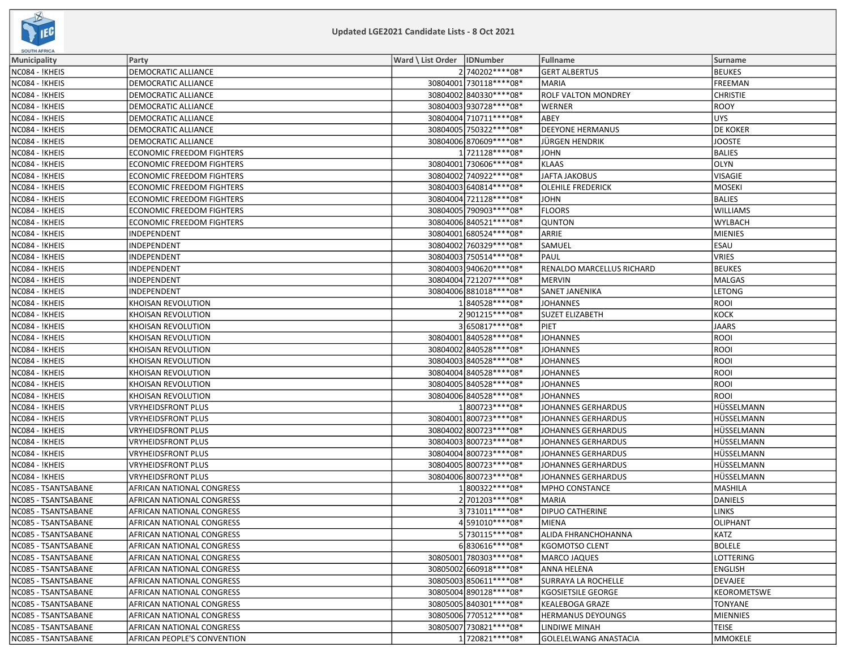

| <b>SUUTRAPRIUM</b>  |                                  |                              |                            |                  |
|---------------------|----------------------------------|------------------------------|----------------------------|------------------|
| <b>Municipality</b> | Party                            | Ward \ List Order   IDNumber | Fullname                   | Surname          |
| NC084 - !KHEIS      | DEMOCRATIC ALLIANCE              | 2740202 **** 08*             | <b>GERT ALBERTUS</b>       | <b>BEUKES</b>    |
| NC084 - !KHEIS      | <b>DEMOCRATIC ALLIANCE</b>       | 30804001 730118 **** 08*     | <b>MARIA</b>               | FREEMAN          |
| NC084 - !KHEIS      | DEMOCRATIC ALLIANCE              | 30804002 840330 **** 08*     | <b>ROLF VALTON MONDREY</b> | <b>CHRISTIE</b>  |
| NC084 - !KHEIS      | DEMOCRATIC ALLIANCE              | 30804003 930728 **** 08*     | <b>WERNER</b>              | <b>ROOY</b>      |
| NC084 - !KHEIS      | DEMOCRATIC ALLIANCE              | 30804004 710711 **** 08*     | ABEY                       | UYS              |
| NC084 - !KHEIS      | DEMOCRATIC ALLIANCE              | 30804005 750322 **** 08*     | <b>DEEYONE HERMANUS</b>    | <b>DE KOKER</b>  |
| NC084 - !KHEIS      | DEMOCRATIC ALLIANCE              | 30804006 870609 **** 08*     | <b>JÜRGEN HENDRIK</b>      | <b>JOOSTE</b>    |
| NC084 - !KHEIS      | <b>ECONOMIC FREEDOM FIGHTERS</b> | 1721128 **** 08*             | <b>JOHN</b>                | <b>BALIES</b>    |
| NC084 - !KHEIS      | <b>ECONOMIC FREEDOM FIGHTERS</b> | 30804001 730606****08*       | <b>KLAAS</b>               | OLYN             |
| NC084 - !KHEIS      | <b>ECONOMIC FREEDOM FIGHTERS</b> | 30804002 740922 **** 08*     | <b>JAFTA JAKOBUS</b>       | <b>VISAGIE</b>   |
| NC084 - !KHEIS      | <b>ECONOMIC FREEDOM FIGHTERS</b> | 30804003 640814 **** 08*     | <b>OLEHILE FREDERICK</b>   | <b>MOSEKI</b>    |
| NC084 - !KHEIS      | <b>ECONOMIC FREEDOM FIGHTERS</b> | 30804004 721128 **** 08*     | <b>JOHN</b>                | <b>BALIES</b>    |
| NC084 - !KHEIS      | <b>ECONOMIC FREEDOM FIGHTERS</b> | 30804005 790903 **** 08*     | <b>FLOORS</b>              | <b>WILLIAMS</b>  |
| NC084 - !KHEIS      | ECONOMIC FREEDOM FIGHTERS        | 30804006 840521 **** 08*     | <b>QUNTON</b>              | <b>WYLBACH</b>   |
| NC084 - !KHEIS      | INDEPENDENT                      | 30804001 680524 **** 08*     | ARRIE                      | MIENIES          |
| NC084 - !KHEIS      | INDEPENDENT                      | 30804002 760329 **** 08*     | SAMUEL                     | <b>ESAU</b>      |
| NC084 - !KHEIS      | INDEPENDENT                      | 30804003 750514 **** 08*     | PAUL                       | VRIES            |
| NC084 - !KHEIS      | INDEPENDENT                      | 30804003 940620 **** 08*     | RENALDO MARCELLUS RICHARD  | <b>BEUKES</b>    |
| NC084 - !KHEIS      | INDEPENDENT                      | 30804004 721207**** 08*      | <b>MERVIN</b>              | MALGAS           |
| NC084 - !KHEIS      | INDEPENDENT                      | 30804006 881018 **** 08*     | SANET JANENIKA             | <b>LETONG</b>    |
| NC084 - !KHEIS      | KHOISAN REVOLUTION               | 1840528 **** 08*             | <b>JOHANNES</b>            | <b>ROOI</b>      |
| NC084 - !KHEIS      | KHOISAN REVOLUTION               | 2901215 **** 08*             | <b>SUZET ELIZABETH</b>     | <b>KOCK</b>      |
| NC084 - !KHEIS      | <b>KHOISAN REVOLUTION</b>        | 3650817****08*               | PIET                       | <b>JAARS</b>     |
| NC084 - !KHEIS      | KHOISAN REVOLUTION               | 30804001 840528 **** 08*     | <b>JOHANNES</b>            | ROOI             |
| NC084 - !KHEIS      | KHOISAN REVOLUTION               | 30804002 840528 **** 08*     | <b>JOHANNES</b>            | ROOI             |
| NC084 - !KHEIS      | KHOISAN REVOLUTION               | 30804003 840528 **** 08*     | <b>JOHANNES</b>            | <b>ROOI</b>      |
| NC084 - !KHEIS      | KHOISAN REVOLUTION               | 30804004 840528 **** 08*     | <b>JOHANNES</b>            | <b>ROOI</b>      |
| NC084 - !KHEIS      | KHOISAN REVOLUTION               | 30804005 840528 **** 08*     | <b>JOHANNES</b>            | <b>ROOI</b>      |
| NC084 - !KHEIS      | KHOISAN REVOLUTION               | 30804006 840528 **** 08*     | <b>JOHANNES</b>            | ROOI             |
| NC084 - !KHEIS      | VRYHEIDSFRONT PLUS               | 1800723 **** 08*             | JOHANNES GERHARDUS         | HÜSSELMANN       |
| NC084 - !KHEIS      | VRYHEIDSFRONT PLUS               | 30804001 800723 **** 08*     | JOHANNES GERHARDUS         | HÜSSELMANN       |
| NC084 - !KHEIS      | VRYHEIDSFRONT PLUS               | 30804002 800723 **** 08*     | <b>JOHANNES GERHARDUS</b>  | HÜSSELMANN       |
| NC084 - !KHEIS      | <b>VRYHEIDSFRONT PLUS</b>        | 30804003 800723 **** 08*     | <b>JOHANNES GERHARDUS</b>  | HÜSSELMANN       |
| NC084 - !KHEIS      | <b>VRYHEIDSFRONT PLUS</b>        | 30804004 800723 **** 08*     | <b>JOHANNES GERHARDUS</b>  | HÜSSELMANN       |
| NC084 - !KHEIS      | <b>VRYHEIDSFRONT PLUS</b>        | 30804005 800723 **** 08*     | JOHANNES GERHARDUS         | HÜSSELMANN       |
| NC084 - !KHEIS      | <b>VRYHEIDSFRONT PLUS</b>        | 30804006 800723 **** 08*     | JOHANNES GERHARDUS         | HÜSSELMANN       |
| NC085 - TSANTSABANE | AFRICAN NATIONAL CONGRESS        | 1800322 **** 08*             | <b>MPHO CONSTANCE</b>      | MASHILA          |
| NC085 - TSANTSABANE | AFRICAN NATIONAL CONGRESS        | 2 701203 **** 08*            | <b>MARIA</b>               | DANIELS          |
| NC085 - TSANTSABANE | AFRICAN NATIONAL CONGRESS        | 3 731011 **** 08*            | <b>DIPUO CATHERINE</b>     | <b>LINKS</b>     |
| NC085 - TSANTSABANE | AFRICAN NATIONAL CONGRESS        | 4591010 **** 08*             | <b>MIENA</b>               | OLIPHANT         |
| NC085 - TSANTSABANE | AFRICAN NATIONAL CONGRESS        | 5 730115****08*              | ALIDA FHRANCHOHANNA        | KATZ             |
| NC085 - TSANTSABANE | AFRICAN NATIONAL CONGRESS        | 6830616 **** 08*             | <b>KGOMOTSO CLENT</b>      | <b>BOLELE</b>    |
| NC085 - TSANTSABANE | AFRICAN NATIONAL CONGRESS        | 30805001 780303 **** 08*     | <b>MARCO JAQUES</b>        | <b>LOTTERING</b> |
| NC085 - TSANTSABANE | AFRICAN NATIONAL CONGRESS        | 30805002 660918 **** 08*     | ANNA HELENA                | <b>ENGLISH</b>   |
| NC085 - TSANTSABANE | AFRICAN NATIONAL CONGRESS        | 30805003 850611 **** 08*     | SURRAYA LA ROCHELLE        | DEVAJEE          |
| NC085 - TSANTSABANE | AFRICAN NATIONAL CONGRESS        | 30805004 890128 **** 08*     | <b>KGOSIETSILE GEORGE</b>  | KEOROMETSWE      |
| NC085 - TSANTSABANE | AFRICAN NATIONAL CONGRESS        | 30805005 840301 **** 08*     | <b>KEALEBOGA GRAZE</b>     | <b>TONYANE</b>   |
| NC085 - TSANTSABANE | <b>AFRICAN NATIONAL CONGRESS</b> | 30805006 770512 **** 08*     | <b>HERMANUS DEYOUNGS</b>   | MIENNIES         |
| NC085 - TSANTSABANE | <b>AFRICAN NATIONAL CONGRESS</b> | 30805007 730821 **** 08*     | LINDIWE MINAH              | <b>TEISE</b>     |
| NC085 - TSANTSABANE | AFRICAN PEOPLE'S CONVENTION      | 1720821 **** 08*             | GOLELELWANG ANASTACIA      | <b>MMOKELE</b>   |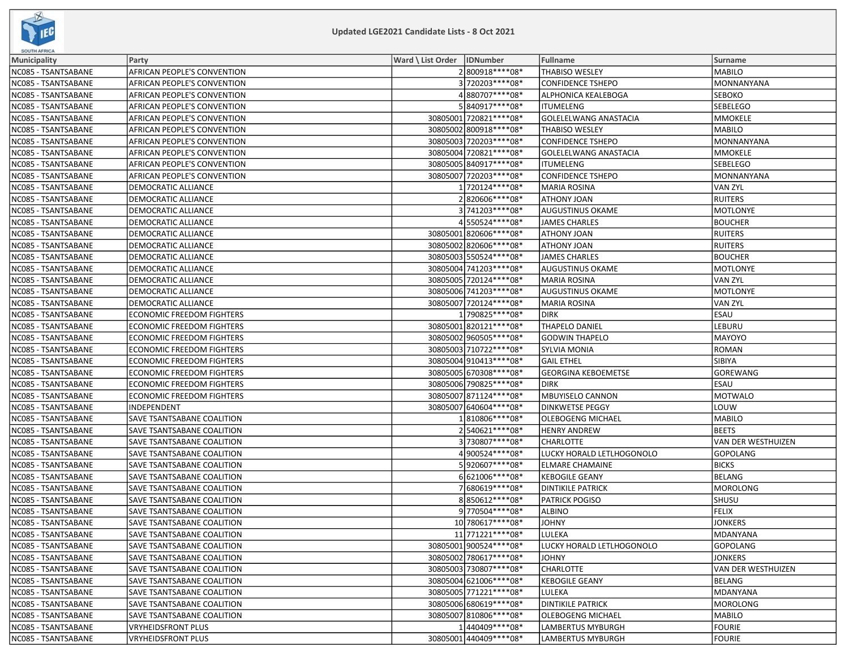

| <b>SOUTH AFRICA</b> |                                    |                              |                          |                              |                    |
|---------------------|------------------------------------|------------------------------|--------------------------|------------------------------|--------------------|
| Municipality        | Party                              | Ward \ List Order   IDNumber |                          | <b>Fullname</b>              | Surname            |
| NC085 - TSANTSABANE | AFRICAN PEOPLE'S CONVENTION        |                              | 2800918 **** 08*         | <b>THABISO WESLEY</b>        | MABILO             |
| NC085 - TSANTSABANE | <b>AFRICAN PEOPLE'S CONVENTION</b> |                              | 3 720203 **** 08*        | <b>CONFIDENCE TSHEPO</b>     | MONNANYANA         |
| NC085 - TSANTSABANE | AFRICAN PEOPLE'S CONVENTION        |                              | 4880707****08*           | ALPHONICA KEALEBOGA          | <b>SEBOKO</b>      |
| NC085 - TSANTSABANE | AFRICAN PEOPLE'S CONVENTION        |                              | 5840917****08*           | <b>ITUMELENG</b>             | SEBELEGO           |
| NC085 - TSANTSABANE | AFRICAN PEOPLE'S CONVENTION        |                              | 30805001 720821 **** 08* | <b>GOLELELWANG ANASTACIA</b> | MMOKELE            |
| NC085 - TSANTSABANE | AFRICAN PEOPLE'S CONVENTION        |                              | 30805002 800918 **** 08* | THABISO WESLEY               | MABILO             |
| NC085 - TSANTSABANE | AFRICAN PEOPLE'S CONVENTION        |                              | 30805003 720203 **** 08* | <b>CONFIDENCE TSHEPO</b>     | MONNANYANA         |
| NC085 - TSANTSABANE | AFRICAN PEOPLE'S CONVENTION        |                              | 30805004 720821 **** 08* | GOLELELWANG ANASTACIA        | <b>MMOKELE</b>     |
| NC085 - TSANTSABANE | AFRICAN PEOPLE'S CONVENTION        |                              | 30805005 840917 **** 08* | <b>ITUMELENG</b>             | <b>SEBELEGO</b>    |
| NC085 - TSANTSABANE | AFRICAN PEOPLE'S CONVENTION        |                              | 30805007 720203 **** 08* | <b>CONFIDENCE TSHEPO</b>     | MONNANYANA         |
| NC085 - TSANTSABANE | DEMOCRATIC ALLIANCE                |                              | 1720124 **** 08*         | <b>MARIA ROSINA</b>          | VAN ZYL            |
| NC085 - TSANTSABANE | DEMOCRATIC ALLIANCE                |                              | 2820606****08*           | ATHONY JOAN                  | RUITERS            |
| NC085 - TSANTSABANE | DEMOCRATIC ALLIANCE                |                              | 3741203 **** 08*         | AUGUSTINUS OKAME             | <b>MOTLONYE</b>    |
| NC085 - TSANTSABANE | DEMOCRATIC ALLIANCE                |                              | 4550524 **** 08*         | <b>JAMES CHARLES</b>         | <b>BOUCHER</b>     |
| NC085 - TSANTSABANE | DEMOCRATIC ALLIANCE                |                              | 30805001820606 **** 08*  | <b>ATHONY JOAN</b>           | <b>RUITERS</b>     |
| NC085 - TSANTSABANE | DEMOCRATIC ALLIANCE                |                              | 30805002 820606 **** 08* | <b>ATHONY JOAN</b>           | <b>RUITERS</b>     |
| NC085 - TSANTSABANE | DEMOCRATIC ALLIANCE                |                              | 30805003 550524 **** 08* | <b>JAMES CHARLES</b>         | <b>BOUCHER</b>     |
| NC085 - TSANTSABANE | DEMOCRATIC ALLIANCE                |                              | 30805004 741203 **** 08* | AUGUSTINUS OKAME             | MOTLONYE           |
| NC085 - TSANTSABANE | DEMOCRATIC ALLIANCE                |                              | 30805005 720124 **** 08* | <b>MARIA ROSINA</b>          | VAN ZYL            |
| NC085 - TSANTSABANE | DEMOCRATIC ALLIANCE                |                              | 30805006 741203 **** 08* | <b>AUGUSTINUS OKAME</b>      | MOTLONYE           |
| NC085 - TSANTSABANE | DEMOCRATIC ALLIANCE                |                              | 30805007 720124**** 08*  | <b>MARIA ROSINA</b>          | VAN ZYL            |
| NC085 - TSANTSABANE | <b>ECONOMIC FREEDOM FIGHTERS</b>   |                              | 1790825 **** 08*         | <b>DIRK</b>                  | <b>ESAU</b>        |
| NC085 - TSANTSABANE | ECONOMIC FREEDOM FIGHTERS          |                              | 30805001820121****08*    | THAPELO DANIEL               | LEBURU             |
| NC085 - TSANTSABANE | <b>ECONOMIC FREEDOM FIGHTERS</b>   |                              | 30805002 960505 **** 08* | <b>GODWIN THAPELO</b>        | MAYOYO             |
| NC085 - TSANTSABANE | ECONOMIC FREEDOM FIGHTERS          |                              | 30805003 710722 **** 08* | SYLVIA MONIA                 | ROMAN              |
| NC085 - TSANTSABANE | ECONOMIC FREEDOM FIGHTERS          |                              | 30805004 910413 **** 08* | <b>GAIL ETHEL</b>            | <b>SIBIYA</b>      |
| NC085 - TSANTSABANE | ECONOMIC FREEDOM FIGHTERS          |                              | 30805005 670308 **** 08* | <b>GEORGINA KEBOEMETSE</b>   | GOREWANG           |
| NC085 - TSANTSABANE | ECONOMIC FREEDOM FIGHTERS          |                              | 30805006 790825 **** 08* | <b>DIRK</b>                  | <b>ESAU</b>        |
| NC085 - TSANTSABANE | ECONOMIC FREEDOM FIGHTERS          |                              | 30805007 871124 **** 08* | MBUYISELO CANNON             | MOTWALO            |
| NC085 - TSANTSABANE | INDEPENDENT                        |                              | 30805007 640604 **** 08* | <b>DINKWETSE PEGGY</b>       | LOUW               |
| NC085 - TSANTSABANE | SAVE TSANTSABANE COALITION         |                              | 1810806 **** 08*         | OLEBOGENG MICHAEL            | MABILO             |
| NC085 - TSANTSABANE | SAVE TSANTSABANE COALITION         |                              | 2540621 **** 08*         | <b>HENRY ANDREW</b>          | <b>BEETS</b>       |
| NC085 - TSANTSABANE | SAVE TSANTSABANE COALITION         |                              | 3730807****08*           | <b>CHARLOTTE</b>             | VAN DER WESTHUIZEN |
| NC085 - TSANTSABANE | SAVE TSANTSABANE COALITION         |                              | 4900524 **** 08*         | LUCKY HORALD LETLHOGONOLO    | GOPOLANG           |
| NC085 - TSANTSABANE | SAVE TSANTSABANE COALITION         |                              | 5920607****08*           | <b>ELMARE CHAMAINE</b>       | <b>BICKS</b>       |
| NC085 - TSANTSABANE | SAVE TSANTSABANE COALITION         |                              | 6621006 **** 08*         | <b>KEBOGILE GEANY</b>        | BELANG             |
| NC085 - TSANTSABANE | SAVE TSANTSABANE COALITION         |                              | 7680619 **** 08*         | <b>DINTIKILE PATRICK</b>     | MOROLONG           |
| NC085 - TSANTSABANE | SAVE TSANTSABANE COALITION         |                              | 8850612 **** 08*         | <b>PATRICK POGISO</b>        | SHUSU              |
| NC085 - TSANTSABANE | SAVE TSANTSABANE COALITION         |                              | 9770504 **** 08*         | <b>ALBINO</b>                | FELIX              |
| NC085 - TSANTSABANE | SAVE TSANTSABANE COALITION         |                              | 10 780617****08*         | <b>JOHNY</b>                 | <b>JONKERS</b>     |
| NC085 - TSANTSABANE | SAVE TSANTSABANE COALITION         |                              | 11 771221 **** 08*       | LULEKA                       | MDANYANA           |
| NC085 - TSANTSABANE | SAVE TSANTSABANE COALITION         |                              | 30805001 900524 **** 08* | LUCKY HORALD LETLHOGONOLO    | GOPOLANG           |
| NC085 - TSANTSABANE | SAVE TSANTSABANE COALITION         |                              | 30805002 780617****08*   | <b>JOHNY</b>                 | <b>JONKERS</b>     |
| NC085 - TSANTSABANE | SAVE TSANTSABANE COALITION         |                              | 30805003 730807 **** 08* | <b>CHARLOTTE</b>             | VAN DER WESTHUIZEN |
| NC085 - TSANTSABANE | SAVE TSANTSABANE COALITION         |                              | 30805004 621006 **** 08* | <b>KEBOGILE GEANY</b>        | <b>BELANG</b>      |
| NC085 - TSANTSABANE | SAVE TSANTSABANE COALITION         |                              | 30805005 771221 **** 08* | LULEKA                       | MDANYANA           |
| NC085 - TSANTSABANE | SAVE TSANTSABANE COALITION         |                              | 30805006 680619 **** 08* | <b>DINTIKILE PATRICK</b>     | MOROLONG           |
| NC085 - TSANTSABANE | SAVE TSANTSABANE COALITION         |                              | 30805007 810806 **** 08* | OLEBOGENG MICHAEL            | MABILO             |
| NC085 - TSANTSABANE | <b>VRYHEIDSFRONT PLUS</b>          |                              | 1440409 **** 08*         | LAMBERTUS MYBURGH            | <b>FOURIE</b>      |
| NC085 - TSANTSABANE | VRYHEIDSFRONT PLUS                 |                              | 30805001 440409 **** 08* | LAMBERTUS MYBURGH            | <b>FOURIE</b>      |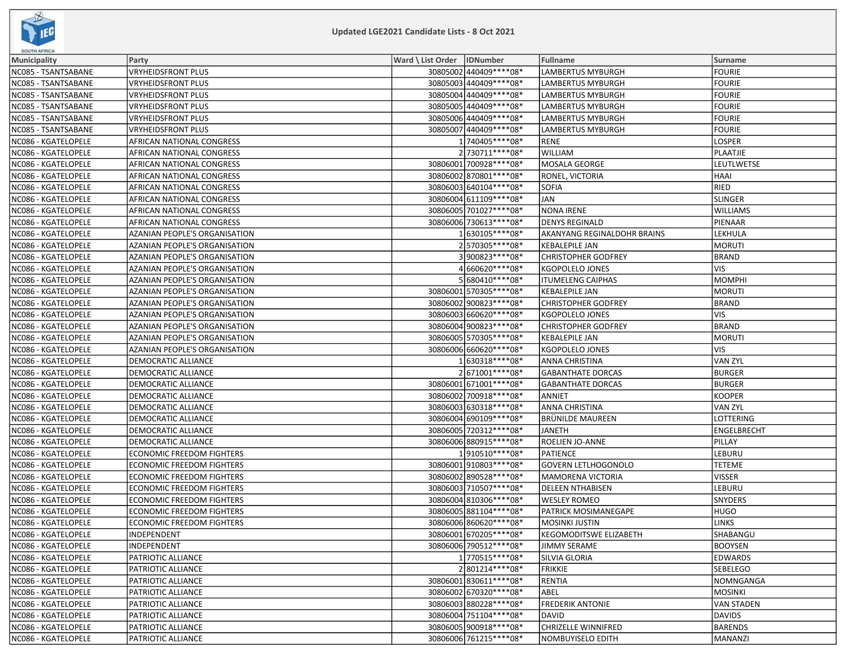

| <b>SOUTH AFRICA</b> |                                  |                              |                          |                               |                   |
|---------------------|----------------------------------|------------------------------|--------------------------|-------------------------------|-------------------|
| Municipality        | Party                            | Ward \ List Order   IDNumber |                          | Fullname                      | Surname           |
| NC085 - TSANTSABANE | VRYHEIDSFRONT PLUS               |                              | 30805002 440409 **** 08* | LAMBERTUS MYBURGH             | <b>FOURIE</b>     |
| NC085 - TSANTSABANE | <b>VRYHEIDSFRONT PLUS</b>        |                              | 30805003 440409 **** 08* | LAMBERTUS MYBURGH             | FOURIE            |
| NC085 - TSANTSABANE | <b>VRYHEIDSFRONT PLUS</b>        |                              | 30805004 440409 **** 08* | LAMBERTUS MYBURGH             | FOURIE            |
| NC085 - TSANTSABANE | <b>VRYHEIDSFRONT PLUS</b>        |                              | 30805005 440409 **** 08* | <b>LAMBERTUS MYBURGH</b>      | <b>FOURIE</b>     |
| NC085 - TSANTSABANE | VRYHEIDSFRONT PLUS               |                              | 30805006 440409 **** 08* | LAMBERTUS MYBURGH             | <b>FOURIE</b>     |
| NC085 - TSANTSABANE | VRYHEIDSFRONT PLUS               |                              | 30805007 440409 **** 08* | <b>LAMBERTUS MYBURGH</b>      | <b>FOURIE</b>     |
| NC086 - KGATELOPELE | AFRICAN NATIONAL CONGRESS        |                              | 1 740405 **** 08*        | <b>RENE</b>                   | LOSPER            |
| NC086 - KGATELOPELE | AFRICAN NATIONAL CONGRESS        |                              | 2 730711 **** 08*        | <b>WILLIAM</b>                | PLAATJIE          |
| NC086 - KGATELOPELE | AFRICAN NATIONAL CONGRESS        |                              | 30806001 700928 **** 08* | MOSALA GEORGE                 | LEUTLWETSE        |
| NC086 - KGATELOPELE | AFRICAN NATIONAL CONGRESS        |                              | 30806002 870801 **** 08* | RONEL, VICTORIA               | <b>HAAI</b>       |
| NC086 - KGATELOPELE | AFRICAN NATIONAL CONGRESS        |                              | 30806003 640104**** 08*  | <b>SOFIA</b>                  | <b>RIED</b>       |
| NC086 - KGATELOPELE | AFRICAN NATIONAL CONGRESS        |                              | 30806004 611109 **** 08* | <b>JAN</b>                    | SLINGER           |
| NC086 - KGATELOPELE | AFRICAN NATIONAL CONGRESS        |                              | 30806005 701027 **** 08* | <b>NONA IRENE</b>             | <b>WILLIAMS</b>   |
| NC086 - KGATELOPELE | AFRICAN NATIONAL CONGRESS        |                              | 30806006 730613 **** 08* | <b>DENYS REGINALD</b>         | PIENAAR           |
| NC086 - KGATELOPELE | AZANIAN PEOPLE'S ORGANISATION    |                              | 1 630105****08*          | AKANYANG REGINALDOHR BRAINS   | LEKHULA           |
| NC086 - KGATELOPELE | AZANIAN PEOPLE'S ORGANISATION    |                              | 2570305****08*           | <b>KEBALEPILE JAN</b>         | <b>MORUTI</b>     |
| NC086 - KGATELOPELE | AZANIAN PEOPLE'S ORGANISATION    |                              | 3900823 **** 08*         | <b>CHRISTOPHER GODFREY</b>    | <b>BRAND</b>      |
| NC086 - KGATELOPELE | AZANIAN PEOPLE'S ORGANISATION    |                              | 4 660620****08*          | <b>KGOPOLELO JONES</b>        | VIS)              |
| NC086 - KGATELOPELE | AZANIAN PEOPLE'S ORGANISATION    |                              | 5 680410****08*          | <b>ITUMELENG CAIPHAS</b>      | <b>MOMPHI</b>     |
| NC086 - KGATELOPELE | AZANIAN PEOPLE'S ORGANISATION    |                              | 30806001 570305 **** 08* | <b>KEBALEPILE JAN</b>         | MORUTI            |
| NC086 - KGATELOPELE | AZANIAN PEOPLE'S ORGANISATION    |                              | 30806002 900823 **** 08* | <b>CHRISTOPHER GODFREY</b>    | <b>BRAND</b>      |
| NC086 - KGATELOPELE | AZANIAN PEOPLE'S ORGANISATION    |                              | 30806003 660620 **** 08* | <b>KGOPOLELO JONES</b>        | <b>VIS</b>        |
| NC086 - KGATELOPELE | AZANIAN PEOPLE'S ORGANISATION    |                              | 30806004 900823 **** 08* | <b>CHRISTOPHER GODFREY</b>    | BRAND             |
| NC086 - KGATELOPELE | AZANIAN PEOPLE'S ORGANISATION    |                              | 30806005 570305 **** 08* | <b>KEBALEPILE JAN</b>         | MORUTI            |
| NC086 - KGATELOPELE | AZANIAN PEOPLE'S ORGANISATION    |                              | 30806006 660620 **** 08* | <b>KGOPOLELO JONES</b>        | <b>VIS</b>        |
| NC086 - KGATELOPELE | DEMOCRATIC ALLIANCE              |                              | 630318 **** 08*          | <b>ANNA CHRISTINA</b>         | <b>VAN ZYL</b>    |
| NC086 - KGATELOPELE | DEMOCRATIC ALLIANCE              |                              | 2671001 **** 08*         | <b>GABANTHATE DORCAS</b>      | <b>BURGER</b>     |
| NC086 - KGATELOPELE | DEMOCRATIC ALLIANCE              |                              | 30806001 671001 **** 08* | <b>GABANTHATE DORCAS</b>      | <b>BURGER</b>     |
| NC086 - KGATELOPELE | DEMOCRATIC ALLIANCE              |                              | 30806002 700918 **** 08* | ANNIET                        | <b>KOOPER</b>     |
| NC086 - KGATELOPELE | DEMOCRATIC ALLIANCE              |                              | 30806003 630318 **** 08* | ANNA CHRISTINA                | VAN ZYL           |
| NC086 - KGATELOPELE | DEMOCRATIC ALLIANCE              |                              | 30806004 690109 **** 08* | <b>BRÜNILDE MAUREEN</b>       | LOTTERING         |
| NC086 - KGATELOPELE | DEMOCRATIC ALLIANCE              |                              | 30806005 720312 **** 08* | JANETH                        | ENGELBRECHT       |
| NC086 - KGATELOPELE | DEMOCRATIC ALLIANCE              |                              | 30806006 880915 **** 08* | ROELIEN JO-ANNE               | PILLAY            |
| NC086 - KGATELOPELE | <b>ECONOMIC FREEDOM FIGHTERS</b> |                              | 1910510 **** 08*         | PATIENCE                      | LEBURU            |
| NC086 - KGATELOPELE | <b>ECONOMIC FREEDOM FIGHTERS</b> |                              | 30806001 910803 **** 08* | <b>GOVERN LETLHOGONOLO</b>    | <b>TETEME</b>     |
| NC086 - KGATELOPELE | <b>ECONOMIC FREEDOM FIGHTERS</b> |                              | 30806002 890528 **** 08* | MAMORENA VICTORIA             | <b>VISSER</b>     |
| NC086 - KGATELOPELE | <b>ECONOMIC FREEDOM FIGHTERS</b> |                              | 30806003 710507****08*   | <b>DELEEN NTHABISEN</b>       | LEBURU            |
| NC086 - KGATELOPELE | <b>ECONOMIC FREEDOM FIGHTERS</b> |                              | 30806004 810306 **** 08* | <b>WESLEY ROMEO</b>           | <b>SNYDERS</b>    |
| NC086 - KGATELOPELE | <b>ECONOMIC FREEDOM FIGHTERS</b> |                              | 30806005 881104**** 08*  | <b>PATRICK MOSIMANEGAPE</b>   | <b>HUGO</b>       |
| NC086 - KGATELOPELE | <b>ECONOMIC FREEDOM FIGHTERS</b> |                              | 30806006 860620 **** 08* | <b>MOSINKI JUSTIN</b>         | <b>LINKS</b>      |
| NC086 - KGATELOPELE | INDEPENDENT                      |                              | 30806001 670205****08*   | <b>KEGOMODITSWE ELIZABETH</b> | SHABANGU          |
| NC086 - KGATELOPELE | INDEPENDENT                      |                              | 30806006 790512 **** 08* | <b>JIMMY SERAME</b>           | <b>BOOYSEN</b>    |
| NC086 - KGATELOPELE | PATRIOTIC ALLIANCE               |                              | 1770515 **** 08*         | <b>SILVIA GLORIA</b>          | <b>EDWARDS</b>    |
| NC086 - KGATELOPELE | PATRIOTIC ALLIANCE               |                              | 2801214 **** 08*         | <b>FRIKKIE</b>                | <b>SEBELEGO</b>   |
| NC086 - KGATELOPELE | PATRIOTIC ALLIANCE               |                              | 30806001830611 **** 08*  | <b>RENTIA</b>                 | NOMNGANGA         |
| NC086 - KGATELOPELE | PATRIOTIC ALLIANCE               |                              | 30806002 670320 **** 08* | ABEL                          | MOSINKI           |
| NC086 - KGATELOPELE | PATRIOTIC ALLIANCE               |                              | 30806003 880228 **** 08* | <b>FREDERIK ANTONIE</b>       | <b>VAN STADEN</b> |
| NC086 - KGATELOPELE | PATRIOTIC ALLIANCE               |                              | 30806004 751104 **** 08* | <b>DAVID</b>                  | DAVIDS            |
| NC086 - KGATELOPELE | PATRIOTIC ALLIANCE               |                              | 30806005 900918 **** 08* | <b>CHRIZELLE WINNIFRED</b>    | BARENDS           |
| NC086 - KGATELOPELE | PATRIOTIC ALLIANCE               |                              | 30806006 761215 **** 08* | <b>NOMBUYISELO EDITH</b>      | MANANZI           |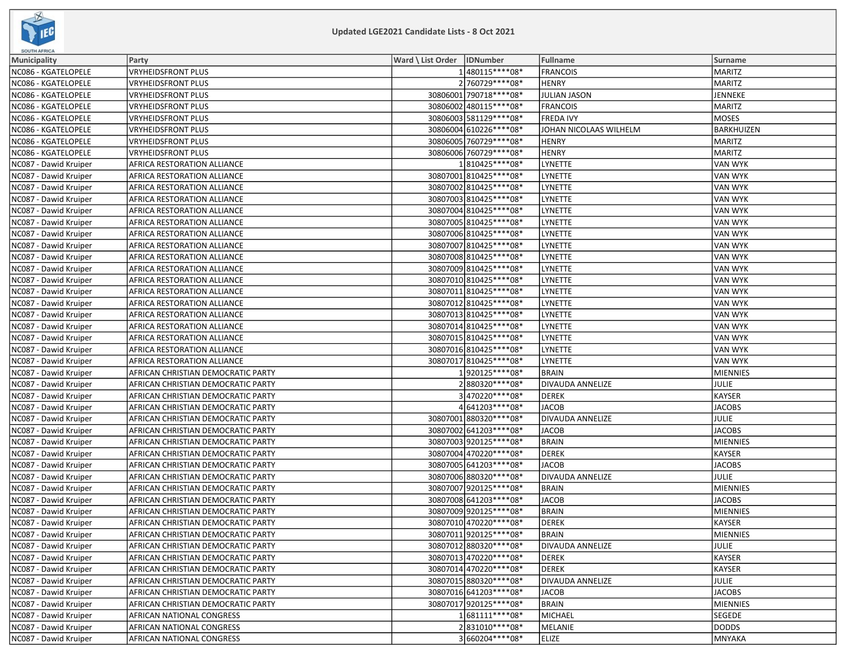

| <b>SOUTH AFRICA</b>   |                                    |                              |                          |                         |                   |
|-----------------------|------------------------------------|------------------------------|--------------------------|-------------------------|-------------------|
| <b>Municipality</b>   | Party                              | Ward \ List Order   IDNumber |                          | Fullname                | <b>Surname</b>    |
| NC086 - KGATELOPELE   | <b>VRYHEIDSFRONT PLUS</b>          |                              | 1480115 **** 08*         | <b>FRANCOIS</b>         | <b>MARITZ</b>     |
| NC086 - KGATELOPELE   | VRYHEIDSFRONT PLUS                 |                              | 2 760729 **** 08*        | <b>HENRY</b>            | <b>MARITZ</b>     |
| NC086 - KGATELOPELE   | VRYHEIDSFRONT PLUS                 |                              | 30806001 790718 **** 08* | <b>JULIAN JASON</b>     | JENNEKE           |
| NC086 - KGATELOPELE   | <b>VRYHEIDSFRONT PLUS</b>          |                              | 30806002 480115 **** 08* | <b>FRANCOIS</b>         | MARITZ            |
| NC086 - KGATELOPELE   | <b>VRYHEIDSFRONT PLUS</b>          |                              | 30806003 581129 **** 08* | <b>FREDA IVY</b>        | <b>MOSES</b>      |
| NC086 - KGATELOPELE   | <b>VRYHEIDSFRONT PLUS</b>          |                              | 30806004 610226 **** 08* | JOHAN NICOLAAS WILHELM  | <b>BARKHUIZEN</b> |
| NC086 - KGATELOPELE   | VRYHEIDSFRONT PLUS                 |                              | 30806005 760729 **** 08* | <b>HENRY</b>            | <b>MARITZ</b>     |
| NC086 - KGATELOPELE   | VRYHEIDSFRONT PLUS                 |                              | 30806006 760729 **** 08* | <b>HENRY</b>            | <b>MARITZ</b>     |
| NC087 - Dawid Kruiper | AFRICA RESTORATION ALLIANCE        |                              | 1810425 **** 08*         | <b>LYNETTE</b>          | <b>VAN WYK</b>    |
| NC087 - Dawid Kruiper | AFRICA RESTORATION ALLIANCE        |                              | 30807001810425 **** 08*  | <b>LYNETTE</b>          | <b>VAN WYK</b>    |
| NC087 - Dawid Kruiper | AFRICA RESTORATION ALLIANCE        |                              | 30807002 810425 **** 08* | LYNETTE                 | <b>VAN WYK</b>    |
| NC087 - Dawid Kruiper | AFRICA RESTORATION ALLIANCE        |                              | 30807003 810425 **** 08* | <b>LYNETTE</b>          | <b>VAN WYK</b>    |
| NC087 - Dawid Kruiper | AFRICA RESTORATION ALLIANCE        |                              | 30807004 810425 **** 08* | <b>LYNETTE</b>          | <b>VAN WYK</b>    |
| NC087 - Dawid Kruiper | AFRICA RESTORATION ALLIANCE        |                              | 30807005 810425 **** 08* | LYNETTE                 | <b>VAN WYK</b>    |
| NC087 - Dawid Kruiper | AFRICA RESTORATION ALLIANCE        |                              | 30807006 810425 **** 08* | <b>LYNETTE</b>          | <b>VAN WYK</b>    |
| NC087 - Dawid Kruiper | AFRICA RESTORATION ALLIANCE        |                              | 30807007 810425 **** 08* | <b>LYNETTE</b>          | <b>VAN WYK</b>    |
| NC087 - Dawid Kruiper | AFRICA RESTORATION ALLIANCE        |                              | 30807008 810425 **** 08* | LYNETTE                 | <b>VAN WYK</b>    |
| NC087 - Dawid Kruiper | AFRICA RESTORATION ALLIANCE        |                              | 30807009 810425 **** 08* | <b>LYNETTE</b>          | <b>VAN WYK</b>    |
| NC087 - Dawid Kruiper | AFRICA RESTORATION ALLIANCE        |                              | 30807010 810425 **** 08* | <b>LYNETTE</b>          | VAN WYK           |
| NC087 - Dawid Kruiper | AFRICA RESTORATION ALLIANCE        |                              | 30807011 810425 **** 08* | <b>LYNETTE</b>          | <b>VAN WYK</b>    |
| NC087 - Dawid Kruiper | AFRICA RESTORATION ALLIANCE        |                              | 30807012 810425 **** 08* | LYNETTE                 | <b>VAN WYK</b>    |
| NC087 - Dawid Kruiper | AFRICA RESTORATION ALLIANCE        |                              | 30807013 810425 **** 08* | LYNETTE                 | <b>VAN WYK</b>    |
| NC087 - Dawid Kruiper | AFRICA RESTORATION ALLIANCE        |                              | 30807014 810425 **** 08* | <b>LYNETTE</b>          | <b>VAN WYK</b>    |
| NC087 - Dawid Kruiper | AFRICA RESTORATION ALLIANCE        |                              | 30807015 810425 **** 08* | <b>LYNETTE</b>          | <b>VAN WYK</b>    |
| NC087 - Dawid Kruiper | AFRICA RESTORATION ALLIANCE        |                              | 30807016 810425 **** 08* | LYNETTE                 | <b>VAN WYK</b>    |
| NC087 - Dawid Kruiper | AFRICA RESTORATION ALLIANCE        |                              | 30807017 810425 **** 08* | LYNETTE                 | <b>VAN WYK</b>    |
| NC087 - Dawid Kruiper | AFRICAN CHRISTIAN DEMOCRATIC PARTY |                              | 1920125 **** 08*         | <b>BRAIN</b>            | <b>MIENNIES</b>   |
| NC087 - Dawid Kruiper | AFRICAN CHRISTIAN DEMOCRATIC PARTY |                              | 2880320 **** 08*         | DIVAUDA ANNELIZE        | JULIE             |
| NC087 - Dawid Kruiper | AFRICAN CHRISTIAN DEMOCRATIC PARTY |                              | 3470220 **** 08*         | <b>DEREK</b>            | <b>KAYSER</b>     |
| NC087 - Dawid Kruiper | AFRICAN CHRISTIAN DEMOCRATIC PARTY |                              | 4 641203***** 08*        | <b>JACOB</b>            | <b>JACOBS</b>     |
| NC087 - Dawid Kruiper | AFRICAN CHRISTIAN DEMOCRATIC PARTY |                              | 30807001 880320 **** 08* | <b>DIVAUDA ANNELIZE</b> | <b>JULIE</b>      |
| NC087 - Dawid Kruiper | AFRICAN CHRISTIAN DEMOCRATIC PARTY |                              | 30807002 641203 **** 08* | <b>JACOB</b>            | <b>JACOBS</b>     |
| NC087 - Dawid Kruiper | AFRICAN CHRISTIAN DEMOCRATIC PARTY |                              | 30807003 920125 **** 08* | <b>BRAIN</b>            | <b>MIENNIES</b>   |
| NC087 - Dawid Kruiper | AFRICAN CHRISTIAN DEMOCRATIC PARTY |                              | 30807004 470220 **** 08* | <b>DEREK</b>            | <b>KAYSER</b>     |
| NC087 - Dawid Kruiper | AFRICAN CHRISTIAN DEMOCRATIC PARTY |                              | 30807005 641203 **** 08* | <b>JACOB</b>            | <b>JACOBS</b>     |
| NC087 - Dawid Kruiper | AFRICAN CHRISTIAN DEMOCRATIC PARTY |                              | 30807006 880320 **** 08* | <b>DIVAUDA ANNELIZE</b> | JULIE             |
| NC087 - Dawid Kruiper | AFRICAN CHRISTIAN DEMOCRATIC PARTY |                              | 30807007 920125 **** 08* | <b>BRAIN</b>            | <b>MIENNIES</b>   |
| NC087 - Dawid Kruiper | AFRICAN CHRISTIAN DEMOCRATIC PARTY |                              | 30807008 641203 **** 08* | <b>JACOB</b>            | <b>JACOBS</b>     |
| NC087 - Dawid Kruiper | AFRICAN CHRISTIAN DEMOCRATIC PARTY |                              | 30807009 920125 **** 08* | <b>BRAIN</b>            | <b>MIENNIES</b>   |
| NC087 - Dawid Kruiper | AFRICAN CHRISTIAN DEMOCRATIC PARTY |                              | 30807010 470220 **** 08* | <b>DEREK</b>            | <b>KAYSER</b>     |
| NC087 - Dawid Kruiper | AFRICAN CHRISTIAN DEMOCRATIC PARTY |                              | 30807011 920125 **** 08* | BRAIN                   | MIENNIES          |
| NC087 - Dawid Kruiper | AFRICAN CHRISTIAN DEMOCRATIC PARTY |                              | 30807012 880320 **** 08* | DIVAUDA ANNELIZE        | JULIE             |
| NC087 - Dawid Kruiper | AFRICAN CHRISTIAN DEMOCRATIC PARTY |                              | 30807013 470220 **** 08* | <b>DEREK</b>            | KAYSER            |
| NC087 - Dawid Kruiper | AFRICAN CHRISTIAN DEMOCRATIC PARTY |                              | 30807014 470220****08*   | <b>DEREK</b>            | <b>KAYSER</b>     |
| NC087 - Dawid Kruiper | AFRICAN CHRISTIAN DEMOCRATIC PARTY |                              | 30807015 880320 **** 08* | <b>DIVAUDA ANNELIZE</b> | <b>JULIE</b>      |
| NC087 - Dawid Kruiper | AFRICAN CHRISTIAN DEMOCRATIC PARTY |                              | 30807016 641203 **** 08* | <b>JACOB</b>            | <b>JACOBS</b>     |
| NC087 - Dawid Kruiper | AFRICAN CHRISTIAN DEMOCRATIC PARTY |                              | 30807017 920125 **** 08* | <b>BRAIN</b>            | <b>MIENNIES</b>   |
| NC087 - Dawid Kruiper | AFRICAN NATIONAL CONGRESS          |                              | 1681111****08*           | MICHAEL                 | <b>SEGEDE</b>     |
| NC087 - Dawid Kruiper | AFRICAN NATIONAL CONGRESS          |                              | 2831010 **** 08*         | MELANIE                 | DODDS             |
| NC087 - Dawid Kruiper | AFRICAN NATIONAL CONGRESS          |                              | 3660204 **** 08*         | <b>ELIZE</b>            | MNYAKA            |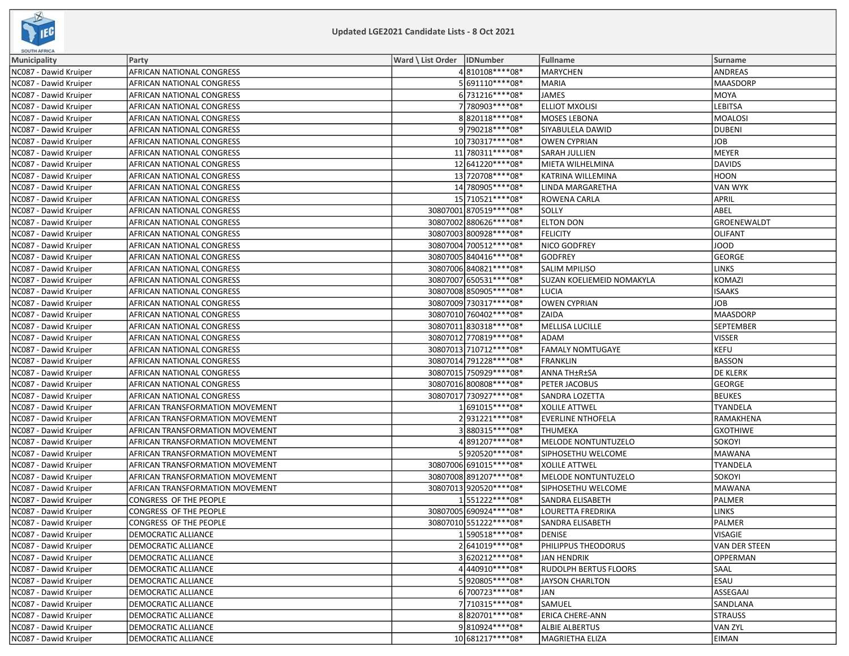

| <b>SUUTH AFRICA</b>   |                                 |                              |                          |                                  |                 |
|-----------------------|---------------------------------|------------------------------|--------------------------|----------------------------------|-----------------|
| <b>Municipality</b>   | Party                           | Ward \ List Order   IDNumber |                          | Fullname                         | Surname         |
| NC087 - Dawid Kruiper | AFRICAN NATIONAL CONGRESS       |                              | 4810108 **** 08*         | <b>MARYCHEN</b>                  | <b>ANDREAS</b>  |
| NC087 - Dawid Kruiper | AFRICAN NATIONAL CONGRESS       |                              | 5 691110****08*          | <b>MARIA</b>                     | MAASDORP        |
| NC087 - Dawid Kruiper | AFRICAN NATIONAL CONGRESS       |                              | 6731216 **** 08*         | <b>JAMES</b>                     | MOYA            |
| NC087 - Dawid Kruiper | AFRICAN NATIONAL CONGRESS       |                              | 7780903 **** 08*         | <b>ELLIOT MXOLISI</b>            | LEBITSA         |
| NC087 - Dawid Kruiper | AFRICAN NATIONAL CONGRESS       |                              | 8820118 **** 08*         | <b>MOSES LEBONA</b>              | MOALOSI         |
| NC087 - Dawid Kruiper | AFRICAN NATIONAL CONGRESS       |                              | 9 790218 **** 08*        | SIYABULELA DAWID                 | DUBENI          |
| NC087 - Dawid Kruiper | AFRICAN NATIONAL CONGRESS       |                              | 10 730317 **** 08*       | <b>OWEN CYPRIAN</b>              | JOB             |
| NC087 - Dawid Kruiper | AFRICAN NATIONAL CONGRESS       |                              | 11 780311 **** 08*       | <b>SARAH JULLIEN</b>             | MEYER           |
| NC087 - Dawid Kruiper | AFRICAN NATIONAL CONGRESS       |                              | 12 641220****08*         | MIETA WILHELMINA                 | DAVIDS          |
| NC087 - Dawid Kruiper | AFRICAN NATIONAL CONGRESS       |                              | 13 720708 **** 08*       | <b>KATRINA WILLEMINA</b>         | HOON            |
| NC087 - Dawid Kruiper | AFRICAN NATIONAL CONGRESS       |                              | 14 780905****08*         | LINDA MARGARETHA                 | VAN WYK         |
| NC087 - Dawid Kruiper | AFRICAN NATIONAL CONGRESS       |                              | 15 710521 **** 08*       | ROWENA CARLA                     | <b>APRIL</b>    |
| NC087 - Dawid Kruiper | AFRICAN NATIONAL CONGRESS       |                              | 30807001 870519 **** 08* | SOLLY                            | ABEL            |
| NC087 - Dawid Kruiper | AFRICAN NATIONAL CONGRESS       |                              | 30807002 880626 **** 08* | <b>ELTON DON</b>                 | GROENEWALDT     |
| NC087 - Dawid Kruiper | AFRICAN NATIONAL CONGRESS       |                              | 30807003 800928 **** 08* | <b>FELICITY</b>                  | OLIFANT         |
| NC087 - Dawid Kruiper | AFRICAN NATIONAL CONGRESS       |                              | 30807004 700512 **** 08* | NICO GODFREY                     | JOOD            |
| NC087 - Dawid Kruiper | AFRICAN NATIONAL CONGRESS       |                              | 30807005 840416 **** 08* | <b>GODFREY</b>                   | GEORGE          |
| NC087 - Dawid Kruiper | AFRICAN NATIONAL CONGRESS       |                              | 30807006 840821 **** 08* | <b>SALIM MPILISO</b>             | <b>LINKS</b>    |
| NC087 - Dawid Kruiper | AFRICAN NATIONAL CONGRESS       |                              | 30807007 650531 **** 08* | <b>SUZAN KOELIEMEID NOMAKYLA</b> | KOMAZI          |
| NC087 - Dawid Kruiper | AFRICAN NATIONAL CONGRESS       |                              | 30807008 850905 **** 08* | <b>LUCIA</b>                     | <b>ISAAKS</b>   |
| NC087 - Dawid Kruiper | AFRICAN NATIONAL CONGRESS       |                              | 30807009 730317 **** 08* | <b>OWEN CYPRIAN</b>              | <b>JOB</b>      |
| NC087 - Dawid Kruiper | AFRICAN NATIONAL CONGRESS       |                              | 30807010 760402 **** 08* | ZAIDA                            | MAASDORP        |
| NC087 - Dawid Kruiper | AFRICAN NATIONAL CONGRESS       |                              | 30807011 830318 **** 08* | MELLISA LUCILLE                  | SEPTEMBER       |
| NC087 - Dawid Kruiper | AFRICAN NATIONAL CONGRESS       |                              | 30807012 770819 **** 08* | ADAM                             | VISSER          |
| NC087 - Dawid Kruiper | AFRICAN NATIONAL CONGRESS       |                              | 30807013 710712 **** 08* | <b>FAMALY NOMTUGAYE</b>          | KEFU            |
| NC087 - Dawid Kruiper | AFRICAN NATIONAL CONGRESS       |                              | 30807014 791228 **** 08* | <b>FRANKLIN</b>                  | BASSON          |
| NC087 - Dawid Kruiper | AFRICAN NATIONAL CONGRESS       |                              | 30807015 750929 **** 08* | ANNA TH±R±SA                     | <b>DE KLERK</b> |
| NC087 - Dawid Kruiper | AFRICAN NATIONAL CONGRESS       |                              | 30807016 800808 **** 08* | PETER JACOBUS                    | GEORGE          |
| NC087 - Dawid Kruiper | AFRICAN NATIONAL CONGRESS       |                              | 30807017 730927 **** 08* | <b>SANDRA LOZETTA</b>            | <b>BEUKES</b>   |
| NC087 - Dawid Kruiper | AFRICAN TRANSFORMATION MOVEMENT |                              | 1 691015****08*          | <b>XOLILE ATTWEL</b>             | <b>TYANDELA</b> |
| NC087 - Dawid Kruiper | AFRICAN TRANSFORMATION MOVEMENT |                              | 2931221****08*           | <b>EVERLINE NTHOFELA</b>         | RAMAKHENA       |
| NC087 - Dawid Kruiper | AFRICAN TRANSFORMATION MOVEMENT |                              | 3880315 **** 08*         | <b>THUMEKA</b>                   | <b>GXOTHIWE</b> |
| NC087 - Dawid Kruiper | AFRICAN TRANSFORMATION MOVEMENT |                              | 4891207****08*           | MELODE NONTUNTUZELO              | sokoyi          |
| NC087 - Dawid Kruiper | AFRICAN TRANSFORMATION MOVEMENT |                              | 5920520 **** 08*         | SIPHOSETHU WELCOME               | MAWANA          |
| NC087 - Dawid Kruiper | AFRICAN TRANSFORMATION MOVEMENT |                              | 30807006 691015 **** 08* | <b>XOLILE ATTWEL</b>             | TYANDELA        |
| NC087 - Dawid Kruiper | AFRICAN TRANSFORMATION MOVEMENT |                              | 30807008891207****08*    | MELODE NONTUNTUZELO              | <b>SOKOYI</b>   |
| NC087 - Dawid Kruiper | AFRICAN TRANSFORMATION MOVEMENT |                              | 30807013920520 **** 08*  | SIPHOSETHU WELCOME               | MAWANA          |
| NC087 - Dawid Kruiper | CONGRESS OF THE PEOPLE          |                              | 1551222****08*           | <b>SANDRA ELISABETH</b>          | PALMER          |
| NC087 - Dawid Kruiper | CONGRESS OF THE PEOPLE          |                              | 30807005 690924**** 08*  | LOURETTA FREDRIKA                | <b>LINKS</b>    |
| NC087 - Dawid Kruiper | CONGRESS OF THE PEOPLE          |                              | 30807010 551222 **** 08* | SANDRA ELISABETH                 | PALMER          |
| NC087 - Dawid Kruiper | DEMOCRATIC ALLIANCE             |                              | 1590518****08*           | <b>DENISE</b>                    | VISAGIE         |
| NC087 - Dawid Kruiper | DEMOCRATIC ALLIANCE             |                              | 2641019 **** 08*         | PHILIPPUS THEODORUS              | VAN DER STEEN   |
| NC087 - Dawid Kruiper | <b>DEMOCRATIC ALLIANCE</b>      |                              | 3 620212 **** 08*        | JAN HENDRIK                      | OPPERMAN        |
| NC087 - Dawid Kruiper | DEMOCRATIC ALLIANCE             |                              | 4440910 **** 08*         | <b>RUDOLPH BERTUS FLOORS</b>     | <b>SAAL</b>     |
| NC087 - Dawid Kruiper | <b>DEMOCRATIC ALLIANCE</b>      |                              | 5920805 **** 08*         | <b>JAYSON CHARLTON</b>           | ESAU            |
| NC087 - Dawid Kruiper | <b>DEMOCRATIC ALLIANCE</b>      |                              | 6700723 **** 08*         | <b>JAN</b>                       | ASSEGAAI        |
| NC087 - Dawid Kruiper | DEMOCRATIC ALLIANCE             |                              | 7 710315 **** 08*        | SAMUEL                           | SANDLANA        |
| NC087 - Dawid Kruiper | <b>DEMOCRATIC ALLIANCE</b>      |                              | 8820701 **** 08*         | <b>ERICA CHERE-ANN</b>           | <b>STRAUSS</b>  |
| NC087 - Dawid Kruiper | <b>DEMOCRATIC ALLIANCE</b>      |                              | 9810924 **** 08*         | <b>ALBIE ALBERTUS</b>            | VAN ZYL         |
| NC087 - Dawid Kruiper | <b>DEMOCRATIC ALLIANCE</b>      |                              | 10 681217**** 08*        | MAGRIETHA ELIZA                  | <b>EIMAN</b>    |
|                       |                                 |                              |                          |                                  |                 |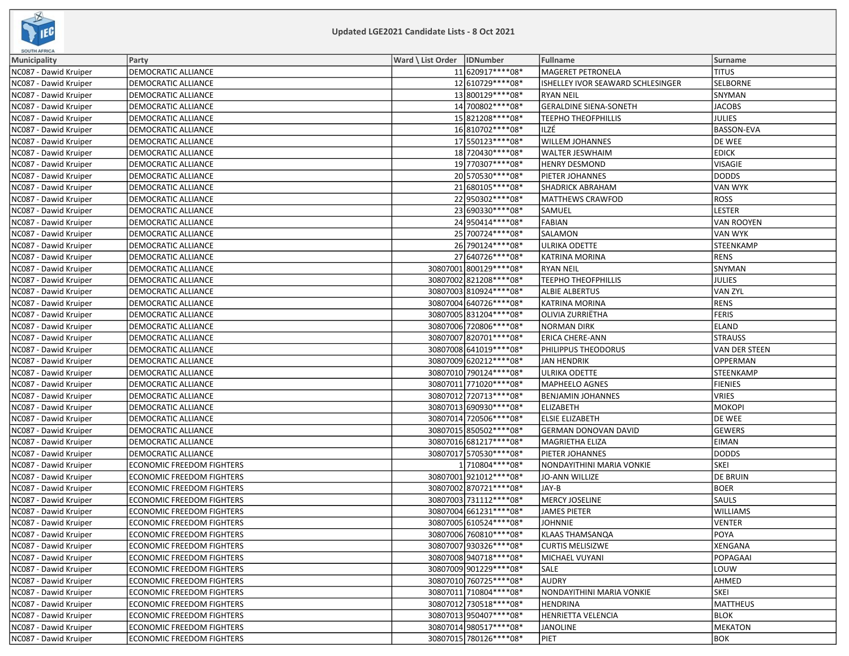

| <b>SOUTH AFRICA</b>   |                                  |                              |                          |                                   |                 |
|-----------------------|----------------------------------|------------------------------|--------------------------|-----------------------------------|-----------------|
| Municipality          | Party                            | Ward \ List Order   IDNumber |                          | Fullname                          | <b>Surname</b>  |
| NC087 - Dawid Kruiper | DEMOCRATIC ALLIANCE              |                              | 11 620917****08*         | <b>MAGERET PETRONELA</b>          | <b>TITUS</b>    |
| NC087 - Dawid Kruiper | DEMOCRATIC ALLIANCE              |                              | 12 610729 **** 08*       | ISHELLEY IVOR SEAWARD SCHLESINGER | SELBORNE        |
| NC087 - Dawid Kruiper | DEMOCRATIC ALLIANCE              |                              | 13 800129 **** 08*       | <b>RYAN NEIL</b>                  | SNYMAN          |
| NC087 - Dawid Kruiper | DEMOCRATIC ALLIANCE              |                              | 14 700802 **** 08*       | <b>GERALDINE SIENA-SONETH</b>     | <b>JACOBS</b>   |
| NC087 - Dawid Kruiper | DEMOCRATIC ALLIANCE              |                              | 15 821208 **** 08*       | <b>TEEPHO THEOFPHILLIS</b>        | JULIES          |
| NC087 - Dawid Kruiper | <b>DEMOCRATIC ALLIANCE</b>       |                              | 16 810702 **** 08*       | ILZÉ                              | BASSON-EVA      |
| NC087 - Dawid Kruiper | DEMOCRATIC ALLIANCE              |                              | 17 550123 **** 08*       | <b>WILLEM JOHANNES</b>            | DE WEE          |
| NC087 - Dawid Kruiper | DEMOCRATIC ALLIANCE              |                              | 18 720430 **** 08*       | WALTER JESWHAIM                   | <b>EDICK</b>    |
| NC087 - Dawid Kruiper | <b>DEMOCRATIC ALLIANCE</b>       |                              | 19 770307****08*         | <b>HENRY DESMOND</b>              | VISAGIE         |
| NC087 - Dawid Kruiper | DEMOCRATIC ALLIANCE              |                              | 20 570530 **** 08*       | PIETER JOHANNES                   | DODDS           |
| NC087 - Dawid Kruiper | <b>DEMOCRATIC ALLIANCE</b>       |                              | 21 680105 **** 08*       | <b>SHADRICK ABRAHAM</b>           | VAN WYK         |
| NC087 - Dawid Kruiper | DEMOCRATIC ALLIANCE              |                              | 22 950302 **** 08*       | <b>MATTHEWS CRAWFOD</b>           | <b>ROSS</b>     |
| NC087 - Dawid Kruiper | DEMOCRATIC ALLIANCE              |                              | 23 690330 **** 08*       | SAMUEL                            | LESTER          |
| NC087 - Dawid Kruiper | DEMOCRATIC ALLIANCE              |                              | 24 950414 **** 08*       | <b>FABIAN</b>                     | VAN ROOYEN      |
| NC087 - Dawid Kruiper | DEMOCRATIC ALLIANCE              |                              | 25 700724 **** 08*       | SALAMON                           | VAN WYK         |
| NC087 - Dawid Kruiper | <b>DEMOCRATIC ALLIANCE</b>       |                              | 26 790124 **** 08*       | <b>ULRIKA ODETTE</b>              | STEENKAMP       |
| NC087 - Dawid Kruiper | DEMOCRATIC ALLIANCE              |                              | 27 640726 **** 08*       | KATRINA MORINA                    | RENS            |
| NC087 - Dawid Kruiper | DEMOCRATIC ALLIANCE              |                              | 30807001 800129 **** 08* | <b>RYAN NEIL</b>                  | SNYMAN          |
| NC087 - Dawid Kruiper | <b>DEMOCRATIC ALLIANCE</b>       |                              | 30807002 821208 **** 08* | <b>TEEPHO THEOFPHILLIS</b>        | <b>JULIES</b>   |
| NC087 - Dawid Kruiper | DEMOCRATIC ALLIANCE              |                              | 30807003 810924 **** 08* | <b>ALBIE ALBERTUS</b>             | VAN ZYL         |
| NC087 - Dawid Kruiper | <b>DEMOCRATIC ALLIANCE</b>       |                              | 30807004 640726 **** 08* | <b>KATRINA MORINA</b>             | RENS            |
| NC087 - Dawid Kruiper | DEMOCRATIC ALLIANCE              |                              | 30807005 831204 **** 08* | <b>OLIVIA ZURRIËTHA</b>           | FERIS           |
| NC087 - Dawid Kruiper | DEMOCRATIC ALLIANCE              |                              | 30807006 720806 **** 08* | <b>NORMAN DIRK</b>                | ELAND           |
| NC087 - Dawid Kruiper | DEMOCRATIC ALLIANCE              |                              | 30807007 820701 **** 08* | ERICA CHERE-ANN                   | <b>STRAUSS</b>  |
| NC087 - Dawid Kruiper | DEMOCRATIC ALLIANCE              |                              | 30807008 641019 **** 08* | PHILIPPUS THEODORUS               | VAN DER STEEN   |
| NC087 - Dawid Kruiper | <b>DEMOCRATIC ALLIANCE</b>       |                              | 30807009 620212 **** 08* | JAN HENDRIK                       | OPPERMAN        |
| NC087 - Dawid Kruiper | DEMOCRATIC ALLIANCE              |                              | 30807010 790124 **** 08* | ULRIKA ODETTE                     | STEENKAMP       |
| NC087 - Dawid Kruiper | DEMOCRATIC ALLIANCE              |                              | 30807011 771020 **** 08* | MAPHEELO AGNES                    | <b>FIENIES</b>  |
| NC087 - Dawid Kruiper | DEMOCRATIC ALLIANCE              |                              | 30807012 720713 **** 08* | <b>BENJAMIN JOHANNES</b>          | VRIES           |
| NC087 - Dawid Kruiper | DEMOCRATIC ALLIANCE              |                              | 30807013 690930 **** 08* | ELIZABETH                         | МОКОРІ          |
| NC087 - Dawid Kruiper | <b>DEMOCRATIC ALLIANCE</b>       |                              | 30807014 720506 **** 08* | <b>ELSIE ELIZABETH</b>            | DE WEE          |
| NC087 - Dawid Kruiper | <b>DEMOCRATIC ALLIANCE</b>       |                              | 30807015 850502 **** 08* | GERMAN DONOVAN DAVID              | GEWERS          |
| NC087 - Dawid Kruiper | DEMOCRATIC ALLIANCE              |                              | 30807016 681217**** 08*  | MAGRIETHA ELIZA                   | <b>EIMAN</b>    |
| NC087 - Dawid Kruiper | DEMOCRATIC ALLIANCE              |                              | 30807017 570530 **** 08* | PIETER JOHANNES                   | DODDS           |
| NC087 - Dawid Kruiper | <b>ECONOMIC FREEDOM FIGHTERS</b> |                              | 1710804 **** 08*         | NONDAYITHINI MARIA VONKIE         | <b>SKEI</b>     |
| NC087 - Dawid Kruiper | <b>ECONOMIC FREEDOM FIGHTERS</b> |                              | 30807001921012 **** 08*  | JO-ANN WILLIZE                    | DE BRUIN        |
| NC087 - Dawid Kruiper | <b>ECONOMIC FREEDOM FIGHTERS</b> |                              | 30807002 870721 **** 08* | JAY-B                             | BOER            |
| NC087 - Dawid Kruiper | <b>ECONOMIC FREEDOM FIGHTERS</b> |                              | 30807003 731112 **** 08* | <b>MERCY JOSELINE</b>             | <b>SAULS</b>    |
| NC087 - Dawid Kruiper | <b>ECONOMIC FREEDOM FIGHTERS</b> |                              | 30807004 661231 **** 08* | <b>JAMES PIETER</b>               | <b>WILLIAMS</b> |
| NC087 - Dawid Kruiper | <b>ECONOMIC FREEDOM FIGHTERS</b> |                              | 30807005 610524**** 08*  | <b>JOHNNIE</b>                    | <b>VENTER</b>   |
| NC087 - Dawid Kruiper | ECONOMIC FREEDOM FIGHTERS        |                              | 30807006 760810 **** 08* | KLAAS THAMSANQA                   | <b>POYA</b>     |
| NC087 - Dawid Kruiper | <b>ECONOMIC FREEDOM FIGHTERS</b> |                              | 30807007 930326 **** 08* | <b>CURTIS MELISIZWE</b>           | XENGANA         |
| NC087 - Dawid Kruiper | ECONOMIC FREEDOM FIGHTERS        |                              | 30807008940718 **** 08*  | MICHAEL VUYANI                    | POPAGAAI        |
| NC087 - Dawid Kruiper | <b>ECONOMIC FREEDOM FIGHTERS</b> |                              | 30807009 901229 **** 08* | SALE                              | LOUW            |
| NC087 - Dawid Kruiper | <b>ECONOMIC FREEDOM FIGHTERS</b> |                              | 30807010 760725 **** 08* | <b>AUDRY</b>                      | <b>AHMED</b>    |
| NC087 - Dawid Kruiper | <b>ECONOMIC FREEDOM FIGHTERS</b> |                              | 30807011 710804 **** 08* | NONDAYITHINI MARIA VONKIE         | SKEI            |
| NC087 - Dawid Kruiper | <b>ECONOMIC FREEDOM FIGHTERS</b> |                              | 30807012 730518 **** 08* | <b>HENDRINA</b>                   | MATTHEUS        |
| NC087 - Dawid Kruiper | <b>ECONOMIC FREEDOM FIGHTERS</b> |                              | 30807013950407****08*    | HENRIETTA VELENCIA                | BLOK            |
| NC087 - Dawid Kruiper | <b>ECONOMIC FREEDOM FIGHTERS</b> |                              | 30807014 980517****08*   | <b>JANOLINE</b>                   | MEKATON         |
| NC087 - Dawid Kruiper | <b>ECONOMIC FREEDOM FIGHTERS</b> |                              | 30807015 780126****08*   | PIET                              | BOK             |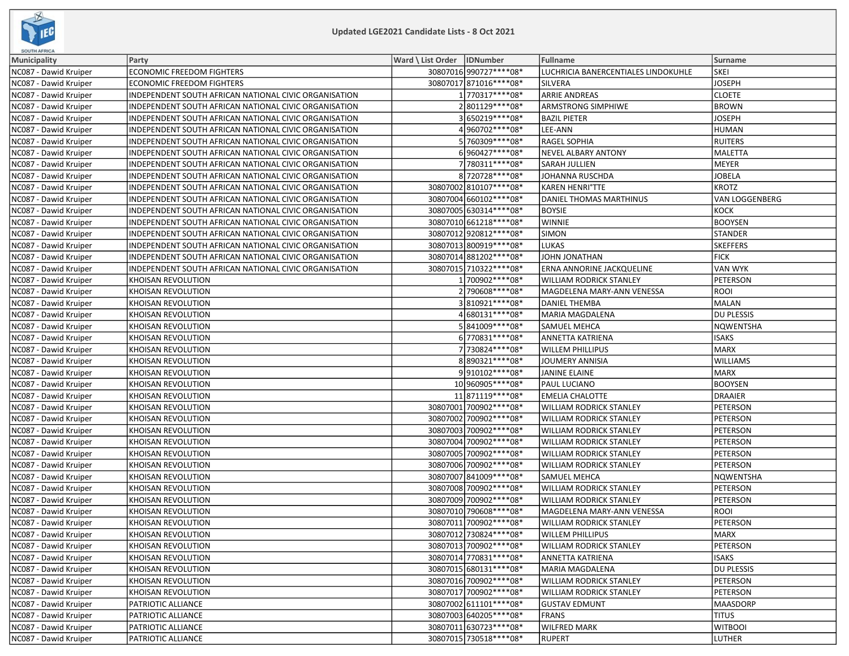

| SOUTH AFRICA          |                                                       |                              |                                     |                   |
|-----------------------|-------------------------------------------------------|------------------------------|-------------------------------------|-------------------|
| <b>Municipality</b>   | Party                                                 | Ward \ List Order   IDNumber | Fullname                            | <b>Surname</b>    |
| NC087 - Dawid Kruiper | <b>ECONOMIC FREEDOM FIGHTERS</b>                      | 30807016 990727**** 08*      | LUCHRICIA BANERCENTIALES LINDOKUHLE | <b>SKEI</b>       |
| NC087 - Dawid Kruiper | <b>ECONOMIC FREEDOM FIGHTERS</b>                      | 30807017 871016 **** 08*     | <b>SILVERA</b>                      | <b>JOSEPH</b>     |
| NC087 - Dawid Kruiper | INDEPENDENT SOUTH AFRICAN NATIONAL CIVIC ORGANISATION | 1770317****08*               | <b>ARRIE ANDREAS</b>                | <b>CLOETE</b>     |
| NC087 - Dawid Kruiper | INDEPENDENT SOUTH AFRICAN NATIONAL CIVIC ORGANISATION | 2801129 **** 08*             | <b>ARMSTRONG SIMPHIWE</b>           | <b>BROWN</b>      |
| NC087 - Dawid Kruiper | INDEPENDENT SOUTH AFRICAN NATIONAL CIVIC ORGANISATION | 3650219 **** 08*             | <b>BAZIL PIETER</b>                 | <b>JOSEPH</b>     |
| NC087 - Dawid Kruiper | INDEPENDENT SOUTH AFRICAN NATIONAL CIVIC ORGANISATION | 4960702 **** 08*             | LEE-ANN                             | HUMAN             |
| NC087 - Dawid Kruiper | INDEPENDENT SOUTH AFRICAN NATIONAL CIVIC ORGANISATION | 5 760309 **** 08*            | <b>RAGEL SOPHIA</b>                 | <b>RUITERS</b>    |
| NC087 - Dawid Kruiper | INDEPENDENT SOUTH AFRICAN NATIONAL CIVIC ORGANISATION | 6960427 **** 08*             | NEVEL ALBARY ANTONY                 | MALETTA           |
| NC087 - Dawid Kruiper | INDEPENDENT SOUTH AFRICAN NATIONAL CIVIC ORGANISATION | 7 780311 **** 08*            | SARAH JULLIEN                       | MEYER             |
| NC087 - Dawid Kruiper | INDEPENDENT SOUTH AFRICAN NATIONAL CIVIC ORGANISATION | 8720728 **** 08*             | JOHANNA RUSCHDA                     | <b>JOBELA</b>     |
| NC087 - Dawid Kruiper | INDEPENDENT SOUTH AFRICAN NATIONAL CIVIC ORGANISATION | 30807002 810107**** 08*      | <b>KAREN HENRI°TTE</b>              | KROTZ             |
| NC087 - Dawid Kruiper | INDEPENDENT SOUTH AFRICAN NATIONAL CIVIC ORGANISATION | 30807004 660102 **** 08*     | DANIEL THOMAS MARTHINUS             | VAN LOGGENBERG    |
| NC087 - Dawid Kruiper | INDEPENDENT SOUTH AFRICAN NATIONAL CIVIC ORGANISATION | 30807005 630314 **** 08*     | <b>BOYSIE</b>                       | KOCK              |
| NC087 - Dawid Kruiper | INDEPENDENT SOUTH AFRICAN NATIONAL CIVIC ORGANISATION | 30807010 661218 **** 08*     | <b>WINNIE</b>                       | <b>BOOYSEN</b>    |
| NC087 - Dawid Kruiper | INDEPENDENT SOUTH AFRICAN NATIONAL CIVIC ORGANISATION | 30807012 920812 **** 08*     | <b>SIMON</b>                        | STANDER           |
| NC087 - Dawid Kruiper | INDEPENDENT SOUTH AFRICAN NATIONAL CIVIC ORGANISATION | 30807013 800919 **** 08*     | <b>LUKAS</b>                        | <b>SKEFFERS</b>   |
| NC087 - Dawid Kruiper | INDEPENDENT SOUTH AFRICAN NATIONAL CIVIC ORGANISATION | 30807014 881202 **** 08*     | JOHN JONATHAN                       | <b>FICK</b>       |
| NC087 - Dawid Kruiper | INDEPENDENT SOUTH AFRICAN NATIONAL CIVIC ORGANISATION | 30807015 710322 **** 08*     | ERNA ANNORINE JACKQUELINE           | VAN WYK           |
| NC087 - Dawid Kruiper | KHOISAN REVOLUTION                                    | 1700902 **** 08*             | <b>WILLIAM RODRICK STANLEY</b>      | <b>PETERSON</b>   |
| NC087 - Dawid Kruiper | KHOISAN REVOLUTION                                    | 2 790608 **** 08*            | MAGDELENA MARY-ANN VENESSA          | ROOI              |
| NC087 - Dawid Kruiper | KHOISAN REVOLUTION                                    | 3810921 **** 08*             | <b>DANIEL THEMBA</b>                | MALAN             |
| NC087 - Dawid Kruiper | KHOISAN REVOLUTION                                    | 4 680131**** 08*             | <b>MARIA MAGDALENA</b>              | <b>DU PLESSIS</b> |
| NC087 - Dawid Kruiper | KHOISAN REVOLUTION                                    | 5841009 **** 08*             | SAMUEL MEHCA                        | NQWENTSHA         |
| NC087 - Dawid Kruiper | KHOISAN REVOLUTION                                    | 6 770831 **** 08*            | ANNETTA KATRIENA                    | <b>ISAKS</b>      |
| NC087 - Dawid Kruiper | KHOISAN REVOLUTION                                    | 7 730824 **** 08*            | <b>WILLEM PHILLIPUS</b>             | MARX              |
| NC087 - Dawid Kruiper | KHOISAN REVOLUTION                                    | 8890321 **** 08*             | <b>JOUMERY ANNISIA</b>              | <b>WILLIAMS</b>   |
| NC087 - Dawid Kruiper | KHOISAN REVOLUTION                                    | 9910102 **** 08*             | <b>JANINE ELAINE</b>                | MARX              |
| NC087 - Dawid Kruiper | KHOISAN REVOLUTION                                    | 10 960905 **** 08*           | PAUL LUCIANO                        | <b>BOOYSEN</b>    |
| NC087 - Dawid Kruiper | KHOISAN REVOLUTION                                    | 11 871119 **** 08*           | <b>EMELIA CHALOTTE</b>              | DRAAIER           |
| NC087 - Dawid Kruiper | KHOISAN REVOLUTION                                    | 30807001 700902 **** 08*     | <b>WILLIAM RODRICK STANLEY</b>      | <b>PETERSON</b>   |
| NC087 - Dawid Kruiper | KHOISAN REVOLUTION                                    | 30807002 700902 **** 08*     | <b>WILLIAM RODRICK STANLEY</b>      | PETERSON          |
| NC087 - Dawid Kruiper | KHOISAN REVOLUTION                                    | 30807003 700902 **** 08*     | <b>WILLIAM RODRICK STANLEY</b>      | PETERSON          |
| NC087 - Dawid Kruiper | KHOISAN REVOLUTION                                    | 30807004 700902 **** 08*     | <b>WILLIAM RODRICK STANLEY</b>      | PETERSON          |
| NC087 - Dawid Kruiper | KHOISAN REVOLUTION                                    | 30807005 700902 **** 08*     | <b>WILLIAM RODRICK STANLEY</b>      | PETERSON          |
| NC087 - Dawid Kruiper | KHOISAN REVOLUTION                                    | 30807006 700902 **** 08*     | <b>WILLIAM RODRICK STANLEY</b>      | <b>PETERSON</b>   |
| NC087 - Dawid Kruiper | KHOISAN REVOLUTION                                    | 30807007 841009 **** 08*     | <b>SAMUEL MEHCA</b>                 | NQWENTSHA         |
| NC087 - Dawid Kruiper | KHOISAN REVOLUTION                                    | 30807008 700902 **** 08*     | <b>WILLIAM RODRICK STANLEY</b>      | <b>PETERSON</b>   |
| NC087 - Dawid Kruiper | KHOISAN REVOLUTION                                    | 30807009 700902 **** 08*     | <b>WILLIAM RODRICK STANLEY</b>      | PETERSON          |
| NC087 - Dawid Kruiper | KHOISAN REVOLUTION                                    | 30807010 790608 **** 08*     | MAGDELENA MARY-ANN VENESSA          | <b>ROOI</b>       |
| NC087 - Dawid Kruiper | KHOISAN REVOLUTION                                    | 30807011 700902 **** 08*     | <b>WILLIAM RODRICK STANLEY</b>      | PETERSON          |
| NC087 - Dawid Kruiper | KHOISAN REVOLUTION                                    | 30807012 730824 **** 08*     | <b>WILLEM PHILLIPUS</b>             | MARX              |
| NC087 - Dawid Kruiper | KHOISAN REVOLUTION                                    | 30807013 700902 **** 08*     | <b>WILLIAM RODRICK STANLEY</b>      | PETERSON          |
| NC087 - Dawid Kruiper | KHOISAN REVOLUTION                                    | 30807014 770831 **** 08*     | ANNETTA KATRIENA                    | <b>ISAKS</b>      |
| NC087 - Dawid Kruiper | KHOISAN REVOLUTION                                    | 30807015 680131 **** 08*     | MARIA MAGDALENA                     | DU PLESSIS        |
| NC087 - Dawid Kruiper | KHOISAN REVOLUTION                                    | 30807016 700902 **** 08*     | <b>WILLIAM RODRICK STANLEY</b>      | PETERSON          |
| NC087 - Dawid Kruiper | KHOISAN REVOLUTION                                    | 30807017 700902 **** 08*     | <b>WILLIAM RODRICK STANLEY</b>      | PETERSON          |
| NC087 - Dawid Kruiper | PATRIOTIC ALLIANCE                                    | 30807002 611101 **** 08*     | <b>GUSTAV EDMUNT</b>                | MAASDORP          |
| NC087 - Dawid Kruiper | PATRIOTIC ALLIANCE                                    | 30807003 640205 **** 08*     | <b>FRANS</b>                        | <b>TITUS</b>      |
| NC087 - Dawid Kruiper | PATRIOTIC ALLIANCE                                    | 30807011 630723 **** 08*     | <b>WILFRED MARK</b>                 | <b>WITBOOI</b>    |
| NC087 - Dawid Kruiper | PATRIOTIC ALLIANCE                                    | 30807015 730518 **** 08*     | <b>RUPERT</b>                       | LUTHER            |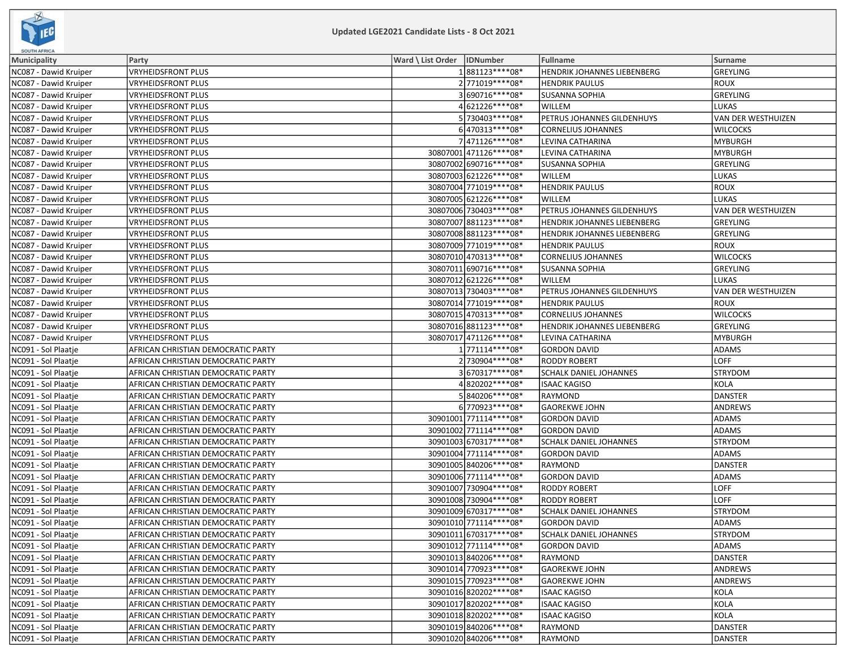

| <b>SOUTH AFRICA</b>   |                                    |                              |                          |                                    |                           |
|-----------------------|------------------------------------|------------------------------|--------------------------|------------------------------------|---------------------------|
| Municipality          | Party                              | Ward \ List Order   IDNumber |                          | Fullname                           | Surname                   |
| NC087 - Dawid Kruiper | VRYHEIDSFRONT PLUS                 |                              | 1881123 **** 08*         | <b>HENDRIK JOHANNES LIEBENBERG</b> | GREYLING                  |
| NC087 - Dawid Kruiper | <b>VRYHEIDSFRONT PLUS</b>          |                              | 2 771019 **** 08*        | <b>HENDRIK PAULUS</b>              | ROUX                      |
| NC087 - Dawid Kruiper | VRYHEIDSFRONT PLUS                 |                              | 3690716 **** 08*         | <b>SUSANNA SOPHIA</b>              | GREYLING                  |
| NC087 - Dawid Kruiper | <b>VRYHEIDSFRONT PLUS</b>          |                              | 4 621226 **** 08*        | WILLEM                             | LUKAS                     |
| NC087 - Dawid Kruiper | <b>VRYHEIDSFRONT PLUS</b>          |                              | 5730403 **** 08*         | PETRUS JOHANNES GILDENHUYS         | <b>VAN DER WESTHUIZEN</b> |
| NC087 - Dawid Kruiper | <b>VRYHEIDSFRONT PLUS</b>          |                              | 6470313 **** 08*         | <b>CORNELIUS JOHANNES</b>          | <b>WILCOCKS</b>           |
| NC087 - Dawid Kruiper | <b>VRYHEIDSFRONT PLUS</b>          |                              | 7471126 **** 08*         | LEVINA CATHARINA                   | <b>MYBURGH</b>            |
| NC087 - Dawid Kruiper | <b>VRYHEIDSFRONT PLUS</b>          |                              | 30807001 471126 **** 08* | LEVINA CATHARINA                   | MYBURGH                   |
| NC087 - Dawid Kruiper | <b>VRYHEIDSFRONT PLUS</b>          |                              | 30807002 690716 **** 08* | <b>SUSANNA SOPHIA</b>              | GREYLING                  |
| NC087 - Dawid Kruiper | <b>VRYHEIDSFRONT PLUS</b>          |                              | 30807003 621226 **** 08* | WILLEM                             | LUKAS                     |
| NC087 - Dawid Kruiper | <b>VRYHEIDSFRONT PLUS</b>          |                              | 30807004 771019 **** 08* | <b>HENDRIK PAULUS</b>              | ROUX                      |
| NC087 - Dawid Kruiper | <b>VRYHEIDSFRONT PLUS</b>          |                              | 30807005 621226 **** 08* | WILLEM                             | LUKAS                     |
| NC087 - Dawid Kruiper | VRYHEIDSFRONT PLUS                 |                              | 30807006 730403 **** 08* | PETRUS JOHANNES GILDENHUYS         | VAN DER WESTHUIZEN        |
| NC087 - Dawid Kruiper | <b>VRYHEIDSFRONT PLUS</b>          |                              | 30807007 881123 **** 08* | HENDRIK JOHANNES LIEBENBERG        | GREYLING                  |
| NC087 - Dawid Kruiper | <b>VRYHEIDSFRONT PLUS</b>          |                              | 30807008 881123 **** 08* | HENDRIK JOHANNES LIEBENBERG        | GREYLING                  |
| NC087 - Dawid Kruiper | <b>VRYHEIDSFRONT PLUS</b>          |                              | 30807009 771019 **** 08* | <b>HENDRIK PAULUS</b>              | <b>ROUX</b>               |
| NC087 - Dawid Kruiper | <b>VRYHEIDSFRONT PLUS</b>          |                              | 30807010 470313 **** 08* | <b>CORNELIUS JOHANNES</b>          | <b>WILCOCKS</b>           |
| NC087 - Dawid Kruiper | <b>VRYHEIDSFRONT PLUS</b>          |                              | 30807011 690716 **** 08* | <b>SUSANNA SOPHIA</b>              | GREYLING                  |
| NC087 - Dawid Kruiper | <b>VRYHEIDSFRONT PLUS</b>          |                              | 30807012 621226 **** 08* | WILLEM                             | LUKAS                     |
| NC087 - Dawid Kruiper | <b>VRYHEIDSFRONT PLUS</b>          |                              | 30807013 730403 **** 08* | PETRUS JOHANNES GILDENHUYS         | VAN DER WESTHUIZEN        |
| NC087 - Dawid Kruiper | <b>VRYHEIDSFRONT PLUS</b>          |                              | 30807014 771019 **** 08* | <b>HENDRIK PAULUS</b>              | <b>ROUX</b>               |
| NC087 - Dawid Kruiper | <b>VRYHEIDSFRONT PLUS</b>          |                              | 30807015 470313 **** 08* | <b>CORNELIUS JOHANNES</b>          | <b>WILCOCKS</b>           |
| NC087 - Dawid Kruiper | <b>VRYHEIDSFRONT PLUS</b>          |                              | 30807016 881123 **** 08* | HENDRIK JOHANNES LIEBENBERG        | GREYLING                  |
| NC087 - Dawid Kruiper | <b>VRYHEIDSFRONT PLUS</b>          |                              | 30807017 471126 **** 08* | LEVINA CATHARINA                   | <b>MYBURGH</b>            |
| NC091 - Sol Plaatje   | AFRICAN CHRISTIAN DEMOCRATIC PARTY |                              | 1 771114****08*          | <b>GORDON DAVID</b>                | <b>ADAMS</b>              |
| NC091 - Sol Plaatje   | AFRICAN CHRISTIAN DEMOCRATIC PARTY |                              | 2 730904 **** 08*        | <b>RODDY ROBERT</b>                | LOFF                      |
| NC091 - Sol Plaatje   | AFRICAN CHRISTIAN DEMOCRATIC PARTY |                              | 3670317****08*           | SCHALK DANIEL JOHANNES             | STRYDOM                   |
| NC091 - Sol Plaatje   | AFRICAN CHRISTIAN DEMOCRATIC PARTY |                              | 4820202 **** 08*         | <b>ISAAC KAGISO</b>                | KOLA                      |
| NC091 - Sol Plaatje   | AFRICAN CHRISTIAN DEMOCRATIC PARTY |                              | 5840206 **** 08*         | <b>RAYMOND</b>                     | DANSTER                   |
| NC091 - Sol Plaatje   | AFRICAN CHRISTIAN DEMOCRATIC PARTY |                              | 6770923 **** 08*         | <b>GAOREKWE JOHN</b>               | ANDREWS                   |
| NC091 - Sol Plaatje   | AFRICAN CHRISTIAN DEMOCRATIC PARTY |                              | 30901001 771114 **** 08* | <b>GORDON DAVID</b>                | <b>ADAMS</b>              |
| NC091 - Sol Plaatje   | AFRICAN CHRISTIAN DEMOCRATIC PARTY |                              | 30901002 771114 **** 08* | <b>GORDON DAVID</b>                | <b>ADAMS</b>              |
| NC091 - Sol Plaatje   | AFRICAN CHRISTIAN DEMOCRATIC PARTY |                              | 30901003 670317 **** 08* | SCHALK DANIEL JOHANNES             | <b>STRYDOM</b>            |
| NC091 - Sol Plaatje   | AFRICAN CHRISTIAN DEMOCRATIC PARTY |                              | 30901004 771114**** 08*  | <b>GORDON DAVID</b>                | ADAMS                     |
| NC091 - Sol Plaatje   | AFRICAN CHRISTIAN DEMOCRATIC PARTY |                              | 30901005 840206 **** 08* | RAYMOND                            | DANSTER                   |
| NC091 - Sol Plaatje   | AFRICAN CHRISTIAN DEMOCRATIC PARTY |                              | 30901006 771114**** 08*  | <b>GORDON DAVID</b>                | <b>ADAMS</b>              |
| NC091 - Sol Plaatje   | AFRICAN CHRISTIAN DEMOCRATIC PARTY |                              | 30901007 730904 **** 08* | <b>RODDY ROBERT</b>                | LOFF                      |
| NC091 - Sol Plaatje   | AFRICAN CHRISTIAN DEMOCRATIC PARTY |                              | 30901008 730904 **** 08* | <b>RODDY ROBERT</b>                | LOFF                      |
| NC091 - Sol Plaatje   | AFRICAN CHRISTIAN DEMOCRATIC PARTY |                              | 30901009 670317 **** 08* | SCHALK DANIEL JOHANNES             | <b>STRYDOM</b>            |
| NC091 - Sol Plaatie   | AFRICAN CHRISTIAN DEMOCRATIC PARTY |                              | 30901010 771114 **** 08* | <b>GORDON DAVID</b>                | <b>ADAMS</b>              |
| NC091 - Sol Plaatje   | AFRICAN CHRISTIAN DEMOCRATIC PARTY |                              | 30901011 670317**** 08*  | SCHALK DANIEL JOHANNES             | <b>STRYDOM</b>            |
| NC091 - Sol Plaatje   | AFRICAN CHRISTIAN DEMOCRATIC PARTY |                              | 30901012 771114 **** 08* | <b>GORDON DAVID</b>                | <b>ADAMS</b>              |
| NC091 - Sol Plaatje   | AFRICAN CHRISTIAN DEMOCRATIC PARTY |                              | 30901013 840206 **** 08* | RAYMOND                            | DANSTER                   |
| NC091 - Sol Plaatje   | AFRICAN CHRISTIAN DEMOCRATIC PARTY |                              | 30901014 770923 **** 08* | <b>GAOREKWE JOHN</b>               | ANDREWS                   |
| NC091 - Sol Plaatje   | AFRICAN CHRISTIAN DEMOCRATIC PARTY |                              | 30901015 770923 **** 08* | <b>GAOREKWE JOHN</b>               | ANDREWS                   |
| NC091 - Sol Plaatje   | AFRICAN CHRISTIAN DEMOCRATIC PARTY |                              | 30901016 820202 **** 08* | <b>ISAAC KAGISO</b>                | KOLA                      |
| NC091 - Sol Plaatie   | AFRICAN CHRISTIAN DEMOCRATIC PARTY |                              | 30901017 820202 **** 08* | <b>ISAAC KAGISO</b>                | KOLA                      |
| NC091 - Sol Plaatje   | AFRICAN CHRISTIAN DEMOCRATIC PARTY |                              | 30901018 820202 **** 08* | <b>ISAAC KAGISO</b>                | KOLA                      |
| NC091 - Sol Plaatje   | AFRICAN CHRISTIAN DEMOCRATIC PARTY |                              | 30901019 840206 **** 08* | <b>RAYMOND</b>                     | DANSTER                   |
| NC091 - Sol Plaatje   | AFRICAN CHRISTIAN DEMOCRATIC PARTY |                              | 30901020 840206 **** 08* | RAYMOND                            | DANSTER                   |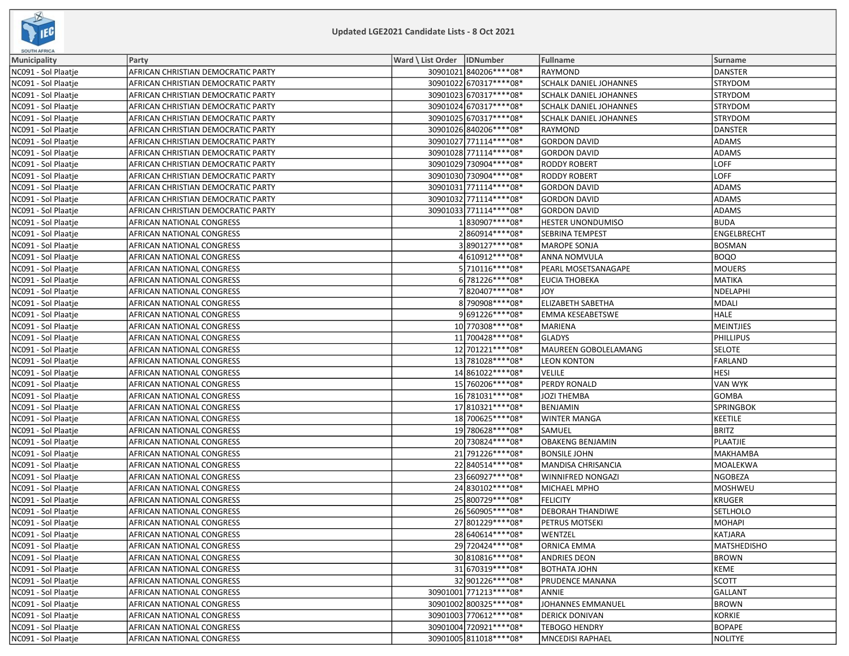

| <b>SOUTH AFRICA</b> |                                    |                              |                               |                    |
|---------------------|------------------------------------|------------------------------|-------------------------------|--------------------|
| Municipality        | Party                              | Ward \ List Order   IDNumber | Fullname                      | <b>Surname</b>     |
| NC091 - Sol Plaatje | AFRICAN CHRISTIAN DEMOCRATIC PARTY | 30901021 840206****08*       | RAYMOND                       | DANSTER            |
| NC091 - Sol Plaatje | AFRICAN CHRISTIAN DEMOCRATIC PARTY | 30901022 670317 **** 08*     | <b>SCHALK DANIEL JOHANNES</b> | <b>STRYDOM</b>     |
| NC091 - Sol Plaatje | AFRICAN CHRISTIAN DEMOCRATIC PARTY | 30901023 670317****08*       | SCHALK DANIEL JOHANNES        | STRYDOM            |
| NC091 - Sol Plaatje | AFRICAN CHRISTIAN DEMOCRATIC PARTY | 30901024 670317****08*       | SCHALK DANIEL JOHANNES        | <b>STRYDOM</b>     |
| NC091 - Sol Plaatje | AFRICAN CHRISTIAN DEMOCRATIC PARTY | 30901025 670317****08*       | <b>SCHALK DANIEL JOHANNES</b> | <b>STRYDOM</b>     |
| NC091 - Sol Plaatje | AFRICAN CHRISTIAN DEMOCRATIC PARTY | 30901026 840206 **** 08*     | RAYMOND                       | <b>DANSTER</b>     |
| NC091 - Sol Plaatje | AFRICAN CHRISTIAN DEMOCRATIC PARTY | 30901027 771114**** 08*      | <b>GORDON DAVID</b>           | <b>ADAMS</b>       |
| NC091 - Sol Plaatje | AFRICAN CHRISTIAN DEMOCRATIC PARTY | 30901028 771114 **** 08*     | <b>GORDON DAVID</b>           | <b>ADAMS</b>       |
| NC091 - Sol Plaatje | AFRICAN CHRISTIAN DEMOCRATIC PARTY | 30901029 730904 **** 08*     | <b>RODDY ROBERT</b>           | LOFF               |
| NC091 - Sol Plaatje | AFRICAN CHRISTIAN DEMOCRATIC PARTY | 30901030 730904 **** 08*     | <b>RODDY ROBERT</b>           | LOFF               |
| NC091 - Sol Plaatje | AFRICAN CHRISTIAN DEMOCRATIC PARTY | 30901031 771114**** 08*      | <b>GORDON DAVID</b>           | <b>ADAMS</b>       |
| NC091 - Sol Plaatje | AFRICAN CHRISTIAN DEMOCRATIC PARTY | 30901032 771114****08*       | <b>GORDON DAVID</b>           | <b>ADAMS</b>       |
| NC091 - Sol Plaatje | AFRICAN CHRISTIAN DEMOCRATIC PARTY | 30901033 771114**** 08*      | <b>GORDON DAVID</b>           | ADAMS              |
| NC091 - Sol Plaatje | AFRICAN NATIONAL CONGRESS          | 1830907****08*               | <b>HESTER UNONDUMISO</b>      | <b>BUDA</b>        |
| NC091 - Sol Plaatje | AFRICAN NATIONAL CONGRESS          | 2860914 **** 08*             | SEBRINA TEMPEST               | ENGELBRECHT        |
| NC091 - Sol Plaatje | AFRICAN NATIONAL CONGRESS          | 3890127****08*               | <b>MAROPE SONJA</b>           | BOSMAN             |
| NC091 - Sol Plaatje | AFRICAN NATIONAL CONGRESS          | 4610912 **** 08*             | <b>ANNA NOMVULA</b>           | <b>BOQO</b>        |
| NC091 - Sol Plaatje | AFRICAN NATIONAL CONGRESS          | 5 710116 **** 08*            | PEARL MOSETSANAGAPE           | <b>MOUERS</b>      |
| NC091 - Sol Plaatje | AFRICAN NATIONAL CONGRESS          | 6 781226 **** 08*            | EUCIA THOBEKA                 | MATIKA             |
| NC091 - Sol Plaatje | AFRICAN NATIONAL CONGRESS          | 7820407 **** 08*             | <b>JOY</b>                    | NDELAPHI           |
| NC091 - Sol Plaatje | AFRICAN NATIONAL CONGRESS          | 8 790908 **** 08*            | <b>ELIZABETH SABETHA</b>      | MDALI              |
| NC091 - Sol Plaatje | AFRICAN NATIONAL CONGRESS          | 9691226 **** 08*             | <b>EMMA KESEABETSWE</b>       | HALE               |
| NC091 - Sol Plaatje | AFRICAN NATIONAL CONGRESS          | 10 770308 **** 08*           | <b>MARIENA</b>                | <b>MEINTJIES</b>   |
| NC091 - Sol Plaatje | AFRICAN NATIONAL CONGRESS          | 11 700428 **** 08*           | <b>GLADYS</b>                 | PHILLIPUS          |
| NC091 - Sol Plaatje | AFRICAN NATIONAL CONGRESS          | 12 701221 **** 08*           | MAUREEN GOBOLELAMANG          | <b>SELOTE</b>      |
| NC091 - Sol Plaatje | AFRICAN NATIONAL CONGRESS          | 13 781028 **** 08*           | <b>LEON KONTON</b>            | FARLAND            |
| NC091 - Sol Plaatje | AFRICAN NATIONAL CONGRESS          | 14 861022 **** 08*           | <b>VELILE</b>                 | <b>HESI</b>        |
| NC091 - Sol Plaatje | AFRICAN NATIONAL CONGRESS          | 15 760206 **** 08*           | PERDY RONALD                  | <b>VAN WYK</b>     |
| NC091 - Sol Plaatje | AFRICAN NATIONAL CONGRESS          | 16 781031 **** 08*           | JOZI THEMBA                   | <b>GOMBA</b>       |
| NC091 - Sol Plaatje | AFRICAN NATIONAL CONGRESS          | 17 810321 **** 08*           | BENJAMIN                      | <b>SPRINGBOK</b>   |
| NC091 - Sol Plaatje | AFRICAN NATIONAL CONGRESS          | 18 700625 **** 08*           | <b>WINTER MANGA</b>           | KEETILE            |
| NC091 - Sol Plaatje | AFRICAN NATIONAL CONGRESS          | 19 780628 **** 08*           | SAMUEL                        | <b>BRITZ</b>       |
| NC091 - Sol Plaatje | AFRICAN NATIONAL CONGRESS          | 20 730824 **** 08*           | <b>OBAKENG BENJAMIN</b>       | PLAATJIE           |
| NC091 - Sol Plaatje | AFRICAN NATIONAL CONGRESS          | 21 791226 **** 08*           | <b>BONSILE JOHN</b>           | <b>MAKHAMBA</b>    |
| NC091 - Sol Plaatje | AFRICAN NATIONAL CONGRESS          | 22840514 **** 08*            | MANDISA CHRISANCIA            | MOALEKWA           |
| NC091 - Sol Plaatje | AFRICAN NATIONAL CONGRESS          | 23 660927 **** 08*           | WINNIFRED NONGAZI             | NGOBEZA            |
| NC091 - Sol Plaatje | AFRICAN NATIONAL CONGRESS          | 24 830102 **** 08*           | MICHAEL MPHO                  | <b>MOSHWEU</b>     |
| NC091 - Sol Plaatje | AFRICAN NATIONAL CONGRESS          | 25 800729 **** 08*           | <b>FELICITY</b>               | <b>KRUGER</b>      |
| NC091 - Sol Plaatje | AFRICAN NATIONAL CONGRESS          | 26 560905 **** 08*           | DEBORAH THANDIWE              | SETLHOLO           |
| NC091 - Sol Plaatje | AFRICAN NATIONAL CONGRESS          | 27 801229 **** 08*           | PETRUS MOTSEKI                | MOHAPI             |
| NC091 - Sol Plaatje | AFRICAN NATIONAL CONGRESS          | 28 640614****08*             | WENTZEL                       | KATJARA            |
| NC091 - Sol Plaatje | AFRICAN NATIONAL CONGRESS          | 29 720424 **** 08*           | <b>ORNICA EMMA</b>            | <b>MATSHEDISHO</b> |
| NC091 - Sol Plaatje | AFRICAN NATIONAL CONGRESS          | 30 810816 **** 08*           | <b>ANDRIES DEON</b>           | <b>BROWN</b>       |
| NC091 - Sol Plaatje | AFRICAN NATIONAL CONGRESS          | 31 670319 **** 08*           | <b>BOTHATA JOHN</b>           | KEME               |
| NC091 - Sol Plaatje | AFRICAN NATIONAL CONGRESS          | 32 901226 **** 08*           | PRUDENCE MANANA               | <b>SCOTT</b>       |
| NC091 - Sol Plaatje | AFRICAN NATIONAL CONGRESS          | 30901001 771213 **** 08*     | ANNIE                         | GALLANT            |
| NC091 - Sol Plaatje | AFRICAN NATIONAL CONGRESS          | 30901002 800325 **** 08*     | <b>JOHANNES EMMANUEL</b>      | <b>BROWN</b>       |
| NC091 - Sol Plaatje | AFRICAN NATIONAL CONGRESS          | 30901003 770612 **** 08*     | <b>DERICK DONIVAN</b>         | KORKIE             |
| NC091 - Sol Plaatje | AFRICAN NATIONAL CONGRESS          | 30901004 720921 **** 08*     | <b>TEBOGO HENDRY</b>          | <b>BOPAPE</b>      |
| NC091 - Sol Plaatje | AFRICAN NATIONAL CONGRESS          | 30901005 811018 **** 08*     | <b>MNCEDISI RAPHAEL</b>       | NOLITYE            |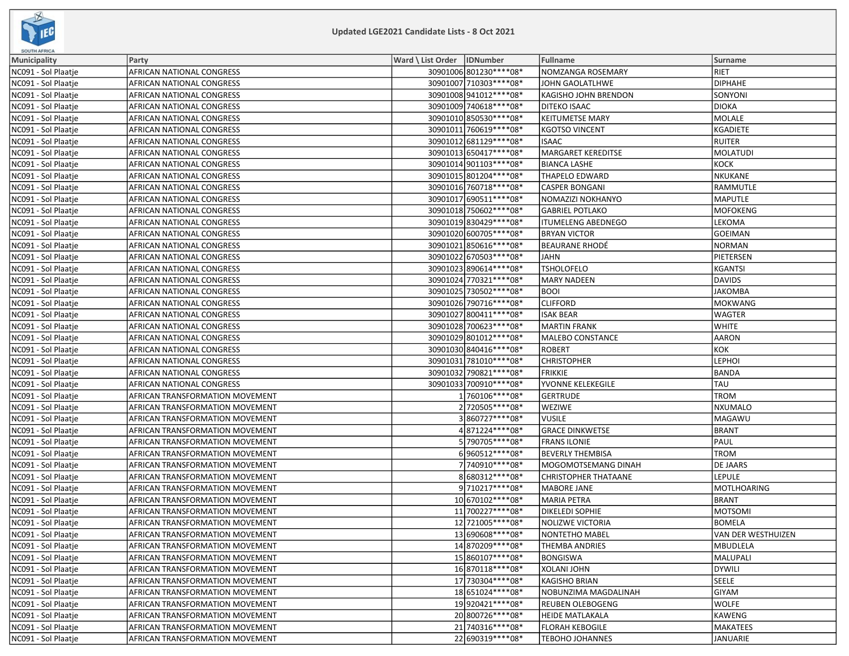

| <b>SOUTH AFRICA</b> |                                 |                              |                          |                             |                    |  |
|---------------------|---------------------------------|------------------------------|--------------------------|-----------------------------|--------------------|--|
| <b>Municipality</b> | Party                           | Ward \ List Order   IDNumber |                          | Fullname                    | <b>Surname</b>     |  |
| NC091 - Sol Plaatje | AFRICAN NATIONAL CONGRESS       |                              | 30901006 801230 **** 08* | NOMZANGA ROSEMARY           | RIET               |  |
| NC091 - Sol Plaatje | AFRICAN NATIONAL CONGRESS       |                              | 30901007 710303 **** 08* | JOHN GAOLATLHWE             | <b>DIPHAHE</b>     |  |
| NC091 - Sol Plaatje | AFRICAN NATIONAL CONGRESS       |                              | 30901008 941012 **** 08* | KAGISHO JOHN BRENDON        | SONYONI            |  |
| NC091 - Sol Plaatje | AFRICAN NATIONAL CONGRESS       |                              | 30901009 740618 **** 08* | <b>DITEKO ISAAC</b>         | <b>DIOKA</b>       |  |
| NC091 - Sol Plaatje | AFRICAN NATIONAL CONGRESS       |                              | 30901010 850530 **** 08* | <b>KEITUMETSE MARY</b>      | MOLALE             |  |
| NC091 - Sol Plaatje | AFRICAN NATIONAL CONGRESS       |                              | 30901011 760619 **** 08* | <b>KGOTSO VINCENT</b>       | <b>KGADIETE</b>    |  |
| NC091 - Sol Plaatje | AFRICAN NATIONAL CONGRESS       |                              | 30901012 681129 **** 08* | <b>ISAAC</b>                | <b>RUITER</b>      |  |
| NC091 - Sol Plaatje | AFRICAN NATIONAL CONGRESS       |                              | 30901013 650417****08*   | MARGARET KEREDITSE          | MOLATUDI           |  |
| NC091 - Sol Plaatje | AFRICAN NATIONAL CONGRESS       |                              | 30901014 901103 **** 08* | <b>BIANCA LASHE</b>         | KOCK               |  |
| NC091 - Sol Plaatje | AFRICAN NATIONAL CONGRESS       |                              | 30901015 801204****08*   | <b>THAPELO EDWARD</b>       | NKUKANE            |  |
| NC091 - Sol Plaatje | AFRICAN NATIONAL CONGRESS       |                              | 30901016 760718 **** 08* | <b>CASPER BONGANI</b>       | RAMMUTLE           |  |
| NC091 - Sol Plaatje | AFRICAN NATIONAL CONGRESS       |                              | 30901017 690511 **** 08* | NOMAZIZI NOKHANYO           | <b>MAPUTLE</b>     |  |
| NC091 - Sol Plaatje | AFRICAN NATIONAL CONGRESS       |                              | 30901018 750602 **** 08* | <b>GABRIEL POTLAKO</b>      | MOFOKENG           |  |
| NC091 - Sol Plaatje | AFRICAN NATIONAL CONGRESS       |                              | 30901019 830429 **** 08* | <b>ITUMELENG ABEDNEGO</b>   | LEKOMA             |  |
| NC091 - Sol Plaatje | AFRICAN NATIONAL CONGRESS       |                              | 30901020 600705 **** 08* | <b>BRYAN VICTOR</b>         | GOEIMAN            |  |
| NC091 - Sol Plaatje | AFRICAN NATIONAL CONGRESS       |                              | 30901021 850616****08*   | <b>BEAURANE RHODÉ</b>       | <b>NORMAN</b>      |  |
| NC091 - Sol Plaatje | AFRICAN NATIONAL CONGRESS       |                              | 30901022 670503 **** 08* | <b>JAHN</b>                 | PIETERSEN          |  |
| NC091 - Sol Plaatje | AFRICAN NATIONAL CONGRESS       |                              | 30901023 890614 **** 08* | <b>TSHOLOFELO</b>           | <b>KGANTSI</b>     |  |
| NC091 - Sol Plaatje | AFRICAN NATIONAL CONGRESS       |                              | 30901024 770321 **** 08* | <b>MARY NADEEN</b>          | DAVIDS             |  |
| NC091 - Sol Plaatje | AFRICAN NATIONAL CONGRESS       |                              | 30901025 730502 **** 08* | <b>BOOI</b>                 | <b>JAKOMBA</b>     |  |
| NC091 - Sol Plaatje | AFRICAN NATIONAL CONGRESS       |                              | 30901026 790716 **** 08* | <b>CLIFFORD</b>             | MOKWANG            |  |
| NC091 - Sol Plaatje | AFRICAN NATIONAL CONGRESS       |                              | 30901027 800411 **** 08* | <b>ISAK BEAR</b>            | <b>WAGTER</b>      |  |
| NC091 - Sol Plaatje | AFRICAN NATIONAL CONGRESS       |                              | 30901028 700623 **** 08* | <b>MARTIN FRANK</b>         | <b>WHITE</b>       |  |
| NC091 - Sol Plaatje | AFRICAN NATIONAL CONGRESS       |                              | 30901029 801012 **** 08* | MALEBO CONSTANCE            | AARON              |  |
| NC091 - Sol Plaatje | AFRICAN NATIONAL CONGRESS       |                              | 30901030 840416 **** 08* | <b>ROBERT</b>               | KOK                |  |
| NC091 - Sol Plaatje | AFRICAN NATIONAL CONGRESS       |                              | 30901031 781010 **** 08* | <b>CHRISTOPHER</b>          | <b>LEPHOI</b>      |  |
| NC091 - Sol Plaatje | AFRICAN NATIONAL CONGRESS       |                              | 30901032 790821 **** 08* | <b>FRIKKIE</b>              | BANDA              |  |
| NC091 - Sol Plaatje | AFRICAN NATIONAL CONGRESS       |                              | 30901033 700910 **** 08* | YVONNE KELEKEGILE           | TAU                |  |
| NC091 - Sol Plaatje | AFRICAN TRANSFORMATION MOVEMENT |                              | 1760106****08*           | <b>GERTRUDE</b>             | TROM               |  |
| NC091 - Sol Plaatje | AFRICAN TRANSFORMATION MOVEMENT |                              | 2 720505****08*          | <b>WEZIWE</b>               | NXUMALO            |  |
| NC091 - Sol Plaatje | AFRICAN TRANSFORMATION MOVEMENT |                              | 3860727****08*           | <b>VUSILE</b>               | MAGAWU             |  |
| NC091 - Sol Plaatje | AFRICAN TRANSFORMATION MOVEMENT |                              | 4871224 **** 08*         | <b>GRACE DINKWETSE</b>      | BRANT              |  |
| NC091 - Sol Plaatje | AFRICAN TRANSFORMATION MOVEMENT |                              | 5 790705 **** 08*        | <b>FRANS ILONIE</b>         | PAUL               |  |
| NC091 - Sol Plaatje | AFRICAN TRANSFORMATION MOVEMENT |                              | 6960512 **** 08*         | <b>BEVERLY THEMBISA</b>     | TROM               |  |
| NC091 - Sol Plaatje | AFRICAN TRANSFORMATION MOVEMENT |                              | 7 740910 **** 08*        | MOGOMOTSEMANG DINAH         | DE JAARS           |  |
| NC091 - Sol Plaatje | AFRICAN TRANSFORMATION MOVEMENT |                              | 8680312 **** 08*         | <b>CHRISTOPHER THATAANE</b> | <b>LEPULE</b>      |  |
| NC091 - Sol Plaatje | AFRICAN TRANSFORMATION MOVEMENT |                              | 9710217****08*           | MABORE JANE                 | <b>MOTLHOARING</b> |  |
| NC091 - Sol Plaatje | AFRICAN TRANSFORMATION MOVEMENT |                              | 10 670102 **** 08*       | <b>MARIA PETRA</b>          | BRANT              |  |
| NC091 - Sol Plaatje | AFRICAN TRANSFORMATION MOVEMENT |                              | 11 700227 **** 08*       | <b>DIKELEDI SOPHIE</b>      | <b>MOTSOMI</b>     |  |
| NC091 - Sol Plaatje | AFRICAN TRANSFORMATION MOVEMENT |                              | 12 721005 **** 08*       | <b>NOLIZWE VICTORIA</b>     | <b>BOMELA</b>      |  |
| NC091 - Sol Plaatje | AFRICAN TRANSFORMATION MOVEMENT |                              | 13 690608***** 08*       | <b>NONTETHO MABEL</b>       | VAN DER WESTHUIZEN |  |
| NC091 - Sol Plaatje | AFRICAN TRANSFORMATION MOVEMENT |                              | 14870209 **** 08*        | <b>THEMBA ANDRIES</b>       | <b>MBUDLELA</b>    |  |
| NC091 - Sol Plaatje | AFRICAN TRANSFORMATION MOVEMENT |                              | 15 860107****08*         | <b>BONGISWA</b>             | MALUPALI           |  |
| NC091 - Sol Plaatje | AFRICAN TRANSFORMATION MOVEMENT |                              | 16 870118 **** 08*       | XOLANI JOHN                 | DYWILI             |  |
| NC091 - Sol Plaatje | AFRICAN TRANSFORMATION MOVEMENT |                              | 17 730304 **** 08*       | <b>KAGISHO BRIAN</b>        | SEELE              |  |
| NC091 - Sol Plaatie | AFRICAN TRANSFORMATION MOVEMENT |                              | 18 651024 **** 08*       | NOBUNZIMA MAGDALINAH        | GIYAM              |  |
| NC091 - Sol Plaatje | AFRICAN TRANSFORMATION MOVEMENT |                              | 19920421 **** 08*        | <b>REUBEN OLEBOGENG</b>     | WOLFE              |  |
| NC091 - Sol Plaatje | AFRICAN TRANSFORMATION MOVEMENT |                              | 20 800726 **** 08*       | <b>HEIDE MATLAKALA</b>      | KAWENG             |  |
| NC091 - Sol Plaatje | AFRICAN TRANSFORMATION MOVEMENT |                              | 21 740316 **** 08*       | <b>FLORAH KEBOGILE</b>      | MAKATEES           |  |
| NC091 - Sol Plaatie | AFRICAN TRANSFORMATION MOVEMENT |                              | 22 690319 **** 08*       | <b>TEBOHO JOHANNES</b>      | JANUARIE           |  |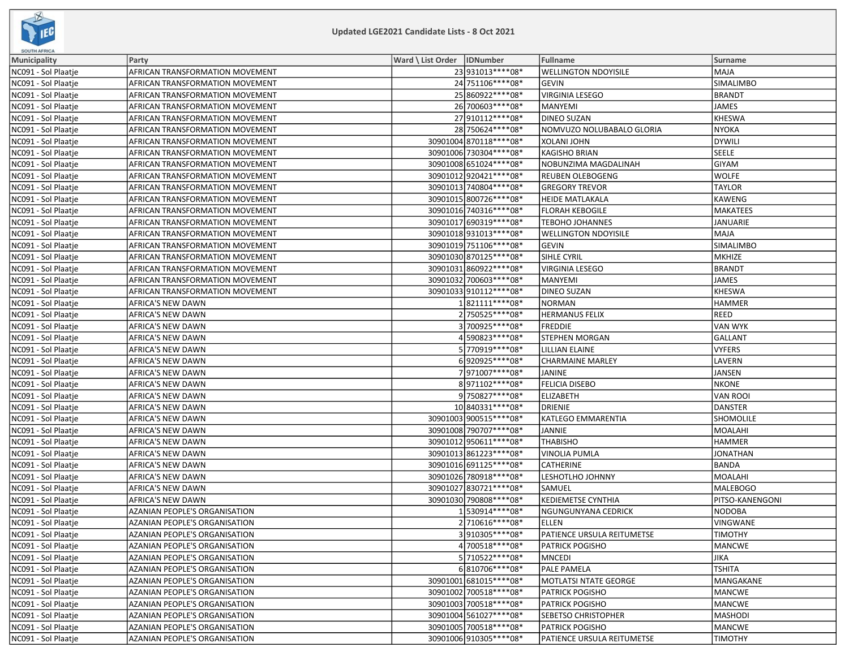

| SOUTH AFRICA        |                                 |                              |                                   |                  |
|---------------------|---------------------------------|------------------------------|-----------------------------------|------------------|
| Municipality        | Party                           | Ward \ List Order   IDNumber | Fullname                          | Surname          |
| NC091 - Sol Plaatje | AFRICAN TRANSFORMATION MOVEMENT | 23 931013 **** 08*           | <b>WELLINGTON NDOYISILE</b>       | <b>MAJA</b>      |
| NC091 - Sol Plaatje | AFRICAN TRANSFORMATION MOVEMENT | 24 751106****08*             | <b>GEVIN</b>                      | <b>SIMALIMBO</b> |
| NC091 - Sol Plaatje | AFRICAN TRANSFORMATION MOVEMENT | 25 860922 **** 08*           | <b>VIRGINIA LESEGO</b>            | <b>BRANDT</b>    |
| NC091 - Sol Plaatje | AFRICAN TRANSFORMATION MOVEMENT | 26 700603 **** 08*           | <b>MANYEMI</b>                    | JAMES            |
| NC091 - Sol Plaatje | AFRICAN TRANSFORMATION MOVEMENT | 27 910112 **** 08*           | <b>DINEO SUZAN</b>                | <b>KHESWA</b>    |
| NC091 - Sol Plaatje | AFRICAN TRANSFORMATION MOVEMENT | 28 750624**** 08*            | NOMVUZO NOLUBABALO GLORIA         | NYOKA            |
| NC091 - Sol Plaatje | AFRICAN TRANSFORMATION MOVEMENT | 30901004 870118 **** 08*     | XOLANI JOHN                       | DYWILI           |
| NC091 - Sol Plaatje | AFRICAN TRANSFORMATION MOVEMENT | 30901006 730304 **** 08*     | <b>KAGISHO BRIAN</b>              | SEELE            |
| NC091 - Sol Plaatje | AFRICAN TRANSFORMATION MOVEMENT | 30901008 651024 **** 08*     | NOBUNZIMA MAGDALINAH              | <b>GIYAM</b>     |
| NC091 - Sol Plaatje | AFRICAN TRANSFORMATION MOVEMENT | 30901012 920421 **** 08*     | <b>REUBEN OLEBOGENG</b>           | <b>WOLFE</b>     |
| NC091 - Sol Plaatje | AFRICAN TRANSFORMATION MOVEMENT | 30901013 740804 **** 08*     | <b>GREGORY TREVOR</b>             | <b>TAYLOR</b>    |
| NC091 - Sol Plaatje | AFRICAN TRANSFORMATION MOVEMENT | 30901015 800726 **** 08*     | <b>HEIDE MATLAKALA</b>            | KAWENG           |
| NC091 - Sol Plaatje | AFRICAN TRANSFORMATION MOVEMENT | 30901016 740316 **** 08*     | <b>FLORAH KEBOGILE</b>            | MAKATEES         |
| NC091 - Sol Plaatje | AFRICAN TRANSFORMATION MOVEMENT | 30901017 690319 **** 08*     | <b>TEBOHO JOHANNES</b>            | JANUARIE         |
| NC091 - Sol Plaatje | AFRICAN TRANSFORMATION MOVEMENT | 30901018 931013 **** 08*     | <b>WELLINGTON NDOYISILE</b>       | MAJA             |
| NC091 - Sol Plaatje | AFRICAN TRANSFORMATION MOVEMENT | 30901019 751106 **** 08*     | <b>GEVIN</b>                      | <b>SIMALIMBO</b> |
| NC091 - Sol Plaatje | AFRICAN TRANSFORMATION MOVEMENT | 30901030 870125 **** 08*     | SIHLE CYRIL                       | MKHIZE           |
| NC091 - Sol Plaatje | AFRICAN TRANSFORMATION MOVEMENT | 30901031 860922 **** 08*     | VIRGINIA LESEGO                   | <b>BRANDT</b>    |
| NC091 - Sol Plaatje | AFRICAN TRANSFORMATION MOVEMENT | 30901032 700603 **** 08*     | <b>MANYEMI</b>                    | JAMES            |
| NC091 - Sol Plaatje | AFRICAN TRANSFORMATION MOVEMENT | 30901033 910112 **** 08*     | <b>DINEO SUZAN</b>                | <b>KHESWA</b>    |
| NC091 - Sol Plaatje | AFRICA'S NEW DAWN               | 1821111****08*               | <b>NORMAN</b>                     | <b>HAMMER</b>    |
| NC091 - Sol Plaatje | <b>AFRICA'S NEW DAWN</b>        | 2750525 **** 08*             | <b>HERMANUS FELIX</b>             | REED             |
| NC091 - Sol Plaatje | AFRICA'S NEW DAWN               | 3700925 **** 08*             | <b>FREDDIE</b>                    | VAN WYK          |
| NC091 - Sol Plaatje | AFRICA'S NEW DAWN               | 4590823 **** 08*             | STEPHEN MORGAN                    | GALLANT          |
| NC091 - Sol Plaatje | AFRICA'S NEW DAWN               | 5770919 **** 08*             | LILLIAN ELAINE                    | <b>VYFERS</b>    |
| NC091 - Sol Plaatje | AFRICA'S NEW DAWN               | 6920925 **** 08*             | <b>CHARMAINE MARLEY</b>           | LAVERN           |
| NC091 - Sol Plaatje | AFRICA'S NEW DAWN               | 7971007****08*               | JANINE                            | JANSEN           |
| NC091 - Sol Plaatje | AFRICA'S NEW DAWN               | 8971102 **** 08*             | FELICIA DISEBO                    | NKONE            |
| NC091 - Sol Plaatje | AFRICA'S NEW DAWN               | 9750827****08*               | <b>ELIZABETH</b>                  | <b>VAN ROOI</b>  |
| NC091 - Sol Plaatje | AFRICA'S NEW DAWN               | 10 840331 **** 08*           | <b>DRIENIE</b>                    | <b>DANSTER</b>   |
| NC091 - Sol Plaatje | AFRICA'S NEW DAWN               | 30901003 900515 **** 08*     | KATLEGO EMMARENTIA                | <b>SHOMOLILE</b> |
| NC091 - Sol Plaatje | AFRICA'S NEW DAWN               | 30901008 790707****08*       | JANNIE                            | MOALAHI          |
| NC091 - Sol Plaatje | AFRICA'S NEW DAWN               | 30901012 950611 **** 08*     | <b>THABISHO</b>                   | <b>HAMMER</b>    |
| NC091 - Sol Plaatje | AFRICA'S NEW DAWN               | 30901013 861223 **** 08*     | <b>VINOLIA PUMLA</b>              | <b>JONATHAN</b>  |
| NC091 - Sol Plaatje | AFRICA'S NEW DAWN               | 30901016 691125 **** 08*     | <b>CATHERINE</b>                  | <b>BANDA</b>     |
| NC091 - Sol Plaatje | <b>AFRICA'S NEW DAWN</b>        | 30901026 780918 **** 08*     | LESHOTLHO JOHNNY                  | MOALAHI          |
| NC091 - Sol Plaatje | <b>AFRICA'S NEW DAWN</b>        | 30901027 830721 **** 08*     | SAMUEL                            | <b>MALEBOGO</b>  |
| NC091 - Sol Plaatje | AFRICA'S NEW DAWN               | 30901030 790808 **** 08*     | <b>KEDIEMETSE CYNTHIA</b>         | PITSO-KANENGONI  |
| NC091 - Sol Plaatje | AZANIAN PEOPLE'S ORGANISATION   | 1 530914 **** 08*            | <b>NGUNGUNYANA CEDRICK</b>        | <b>NODOBA</b>    |
| NC091 - Sol Plaatje | AZANIAN PEOPLE'S ORGANISATION   | 2710616 **** 08*             | <b>ELLEN</b>                      | <b>VINGWANE</b>  |
| NC091 - Sol Plaatje | AZANIAN PEOPLE'S ORGANISATION   | 3910305 **** 08*             | <b>PATIENCE URSULA REITUMETSE</b> | <b>TIMOTHY</b>   |
| NC091 - Sol Plaatje | AZANIAN PEOPLE'S ORGANISATION   | 4700518 **** 08*             | PATRICK POGISHO                   | MANCWE           |
| NC091 - Sol Plaatje | AZANIAN PEOPLE'S ORGANISATION   | 5 710522 **** 08*            | <b>MNCEDI</b>                     | JIKA             |
| NC091 - Sol Plaatje | AZANIAN PEOPLE'S ORGANISATION   | 6810706 **** 08*             | PALE PAMELA                       | <b>TSHITA</b>    |
| NC091 - Sol Plaatje | AZANIAN PEOPLE'S ORGANISATION   | 30901001 681015 **** 08*     | <b>MOTLATSI NTATE GEORGE</b>      | MANGAKANE        |
| NC091 - Sol Plaatje | AZANIAN PEOPLE'S ORGANISATION   | 30901002 700518 **** 08*     | <b>PATRICK POGISHO</b>            | MANCWE           |
| NC091 - Sol Plaatje | AZANIAN PEOPLE'S ORGANISATION   | 30901003 700518 **** 08*     | PATRICK POGISHO                   | MANCWE           |
| NC091 - Sol Plaatje | AZANIAN PEOPLE'S ORGANISATION   | 30901004 561027 **** 08*     | SEBETSO CHRISTOPHER               | MASHODI          |
| NC091 - Sol Plaatje | AZANIAN PEOPLE'S ORGANISATION   | 30901005 700518 **** 08*     | <b>PATRICK POGISHO</b>            | MANCWE           |
| NC091 - Sol Plaatje | AZANIAN PEOPLE'S ORGANISATION   | 30901006 910305 **** 08*     | PATIENCE URSULA REITUMETSE        | <b>TIMOTHY</b>   |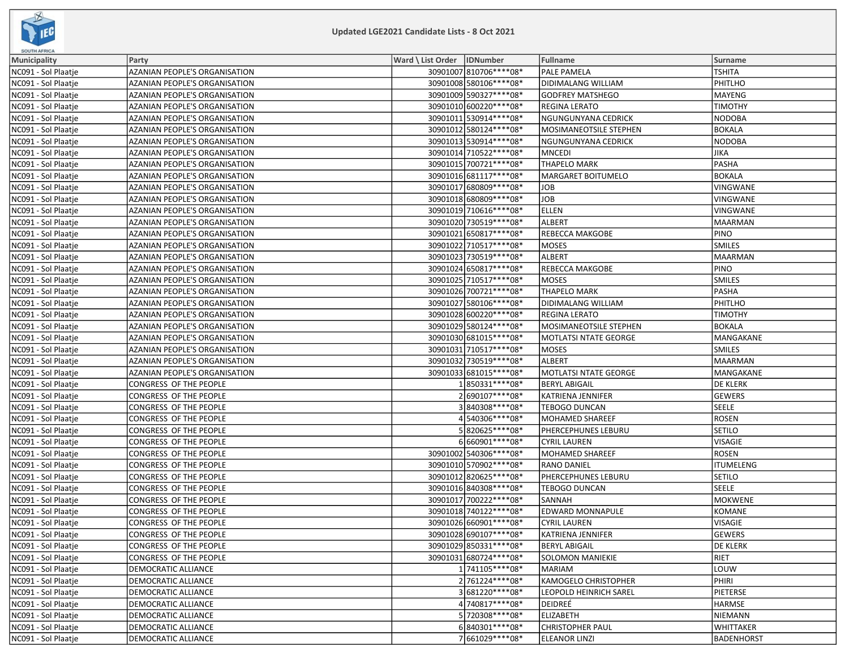

| <b>SOUTH AFRICA</b> |                                      |                              |                          |                              |                  |  |
|---------------------|--------------------------------------|------------------------------|--------------------------|------------------------------|------------------|--|
| Municipality        | Party                                | Ward \ List Order   IDNumber |                          | <b>Fullname</b>              | Surname          |  |
| NC091 - Sol Plaatje | AZANIAN PEOPLE'S ORGANISATION        |                              | 30901007 810706 **** 08* | PALE PAMELA                  | <b>TSHITA</b>    |  |
| NC091 - Sol Plaatje | <b>AZANIAN PEOPLE'S ORGANISATION</b> |                              | 30901008 580106****08*   | DIDIMALANG WILLIAM           | PHITLHO          |  |
| NC091 - Sol Plaatje | AZANIAN PEOPLE'S ORGANISATION        |                              | 30901009 590327 **** 08* | <b>GODFREY MATSHEGO</b>      | MAYENG           |  |
| NC091 - Sol Plaatje | AZANIAN PEOPLE'S ORGANISATION        |                              | 30901010 600220 **** 08* | REGINA LERATO                | <b>TIMOTHY</b>   |  |
| NC091 - Sol Plaatje | AZANIAN PEOPLE'S ORGANISATION        |                              | 30901011 530914 **** 08* | NGUNGUNYANA CEDRICK          | NODOBA           |  |
| NC091 - Sol Plaatje | AZANIAN PEOPLE'S ORGANISATION        |                              | 30901012 580124**** 08*  | MOSIMANEOTSILE STEPHEN       | <b>BOKALA</b>    |  |
| NC091 - Sol Plaatje | AZANIAN PEOPLE'S ORGANISATION        |                              | 30901013 530914 **** 08* | NGUNGUNYANA CEDRICK          | NODOBA           |  |
| NC091 - Sol Plaatje | AZANIAN PEOPLE'S ORGANISATION        |                              | 30901014 710522 **** 08* | <b>MNCEDI</b>                | <b>JIKA</b>      |  |
| NC091 - Sol Plaatje | AZANIAN PEOPLE'S ORGANISATION        |                              | 30901015 700721 **** 08* | <b>THAPELO MARK</b>          | <b>PASHA</b>     |  |
| NC091 - Sol Plaatje | <b>AZANIAN PEOPLE'S ORGANISATION</b> |                              | 30901016 681117**** 08*  | MARGARET BOITUMELO           | <b>BOKALA</b>    |  |
| NC091 - Sol Plaatje | AZANIAN PEOPLE'S ORGANISATION        |                              | 30901017 680809 **** 08* | JOB                          | VINGWANE         |  |
| NC091 - Sol Plaatje | AZANIAN PEOPLE'S ORGANISATION        |                              | 30901018 680809 **** 08* | <b>JOB</b>                   | VINGWANE         |  |
| NC091 - Sol Plaatje | AZANIAN PEOPLE'S ORGANISATION        |                              | 30901019 710616 **** 08* | <b>ELLEN</b>                 | VINGWANE         |  |
| NC091 - Sol Plaatje | AZANIAN PEOPLE'S ORGANISATION        |                              | 30901020 730519 **** 08* | <b>ALBERT</b>                | MAARMAN          |  |
| NC091 - Sol Plaatje | AZANIAN PEOPLE'S ORGANISATION        |                              | 30901021 650817****08*   | REBECCA MAKGOBE              | <b>PINO</b>      |  |
| NC091 - Sol Plaatje | AZANIAN PEOPLE'S ORGANISATION        |                              | 30901022 710517**** 08*  | <b>MOSES</b>                 | <b>SMILES</b>    |  |
| NC091 - Sol Plaatje | AZANIAN PEOPLE'S ORGANISATION        |                              | 30901023 730519 **** 08* | ALBERT                       | MAARMAN          |  |
| NC091 - Sol Plaatje | AZANIAN PEOPLE'S ORGANISATION        |                              | 30901024 650817**** 08*  | REBECCA MAKGOBE              | <b>PINO</b>      |  |
| NC091 - Sol Plaatje | AZANIAN PEOPLE'S ORGANISATION        |                              | 30901025 710517**** 08*  | <b>MOSES</b>                 | <b>SMILES</b>    |  |
| NC091 - Sol Plaatje | AZANIAN PEOPLE'S ORGANISATION        |                              | 30901026 700721 **** 08* | <b>THAPELO MARK</b>          | PASHA            |  |
| NC091 - Sol Plaatje | AZANIAN PEOPLE'S ORGANISATION        |                              | 30901027 580106 **** 08* | DIDIMALANG WILLIAM           | PHITLHO          |  |
| NC091 - Sol Plaatje | AZANIAN PEOPLE'S ORGANISATION        |                              | 30901028 600220 **** 08* | <b>REGINA LERATO</b>         | <b>TIMOTHY</b>   |  |
| NC091 - Sol Plaatje | <b>AZANIAN PEOPLE'S ORGANISATION</b> |                              | 30901029 580124 **** 08* | MOSIMANEOTSILE STEPHEN       | <b>BOKALA</b>    |  |
| NC091 - Sol Plaatje | AZANIAN PEOPLE'S ORGANISATION        |                              | 30901030 681015 **** 08* | <b>MOTLATSI NTATE GEORGE</b> | MANGAKANE        |  |
| NC091 - Sol Plaatje | AZANIAN PEOPLE'S ORGANISATION        |                              | 30901031 710517****08*   | <b>MOSES</b>                 | <b>SMILES</b>    |  |
| NC091 - Sol Plaatje | AZANIAN PEOPLE'S ORGANISATION        |                              | 30901032 730519 **** 08* | ALBERT                       | MAARMAN          |  |
| NC091 - Sol Plaatje | AZANIAN PEOPLE'S ORGANISATION        |                              | 30901033 681015 **** 08* | <b>MOTLATSI NTATE GEORGE</b> | MANGAKANE        |  |
| NC091 - Sol Plaatje | CONGRESS OF THE PEOPLE               |                              | 1850331 **** 08*         | <b>BERYL ABIGAIL</b>         | <b>DE KLERK</b>  |  |
| NC091 - Sol Plaatje | CONGRESS OF THE PEOPLE               |                              | 2690107****08*           | KATRIENA JENNIFER            | GEWERS           |  |
| NC091 - Sol Plaatje | CONGRESS OF THE PEOPLE               |                              | 3840308 **** 08*         | <b>TEBOGO DUNCAN</b>         | SEELE            |  |
| NC091 - Sol Plaatje | CONGRESS OF THE PEOPLE               |                              | 4540306 **** 08*         | MOHAMED SHAREEF              | ROSEN            |  |
| NC091 - Sol Plaatje | CONGRESS OF THE PEOPLE               |                              | 5820625 **** 08*         | PHERCEPHUNES LEBURU          | <b>SETILO</b>    |  |
| NC091 - Sol Plaatje | CONGRESS OF THE PEOPLE               |                              | 6660901 **** 08*         | <b>CYRIL LAUREN</b>          | VISAGIE          |  |
| NC091 - Sol Plaatje | CONGRESS OF THE PEOPLE               |                              | 30901002 540306 **** 08* | MOHAMED SHAREEF              | ROSEN            |  |
| NC091 - Sol Plaatje | CONGRESS OF THE PEOPLE               |                              | 30901010 570902 **** 08* | <b>RANO DANIEL</b>           | <b>ITUMELENG</b> |  |
| NC091 - Sol Plaatje | CONGRESS OF THE PEOPLE               |                              | 30901012 820625 **** 08* | PHERCEPHUNES LEBURU          | <b>SETILO</b>    |  |
| NC091 - Sol Plaatje | CONGRESS OF THE PEOPLE               |                              | 30901016 840308 **** 08* | <b>TEBOGO DUNCAN</b>         | <b>SEELE</b>     |  |
| NC091 - Sol Plaatje | CONGRESS OF THE PEOPLE               |                              | 30901017 700222 **** 08* | SANNAH                       | MOKWENE          |  |
| NC091 - Sol Plaatje | CONGRESS OF THE PEOPLE               |                              | 30901018 740122 **** 08* | <b>EDWARD MONNAPULE</b>      | KOMANE           |  |
| NC091 - Sol Plaatje | CONGRESS OF THE PEOPLE               |                              | 30901026 660901 **** 08* | <b>CYRIL LAUREN</b>          | <b>VISAGIE</b>   |  |
| NC091 - Sol Plaatje | CONGRESS OF THE PEOPLE               |                              | 30901028 690107**** 08*  | KATRIENA JENNIFER            | GEWERS           |  |
| NC091 - Sol Plaatje | CONGRESS OF THE PEOPLE               |                              | 30901029 850331 **** 08* | <b>BERYL ABIGAIL</b>         | <b>DE KLERK</b>  |  |
| NC091 - Sol Plaatie | CONGRESS OF THE PEOPLE               |                              | 30901031 680724**** 08*  | SOLOMON MANIEKIE             | <b>RIET</b>      |  |
| NC091 - Sol Plaatje | DEMOCRATIC ALLIANCE                  |                              | 1 741105****08*          | <b>MARIAM</b>                | LOUW             |  |
| NC091 - Sol Plaatje | DEMOCRATIC ALLIANCE                  |                              | 2 761224 **** 08*        | KAMOGELO CHRISTOPHER         | PHIRI            |  |
| NC091 - Sol Plaatie | DEMOCRATIC ALLIANCE                  |                              | 3681220 **** 08*         | LEOPOLD HEINRICH SAREL       | PIETERSE         |  |
| NC091 - Sol Plaatie | DEMOCRATIC ALLIANCE                  |                              | 4740817****08*           | DEIDREÉ                      | <b>HARMSE</b>    |  |
| NC091 - Sol Plaatje | DEMOCRATIC ALLIANCE                  |                              | 5720308 **** 08*         | <b>ELIZABETH</b>             | NIEMANN          |  |
| NC091 - Sol Plaatje | DEMOCRATIC ALLIANCE                  |                              | 6840301 **** 08*         | <b>CHRISTOPHER PAUL</b>      | <b>WHITTAKER</b> |  |
| NC091 - Sol Plaatje | DEMOCRATIC ALLIANCE                  |                              | 7 661029****08*          | <b>ELEANOR LINZI</b>         | BADENHORST       |  |
|                     |                                      |                              |                          |                              |                  |  |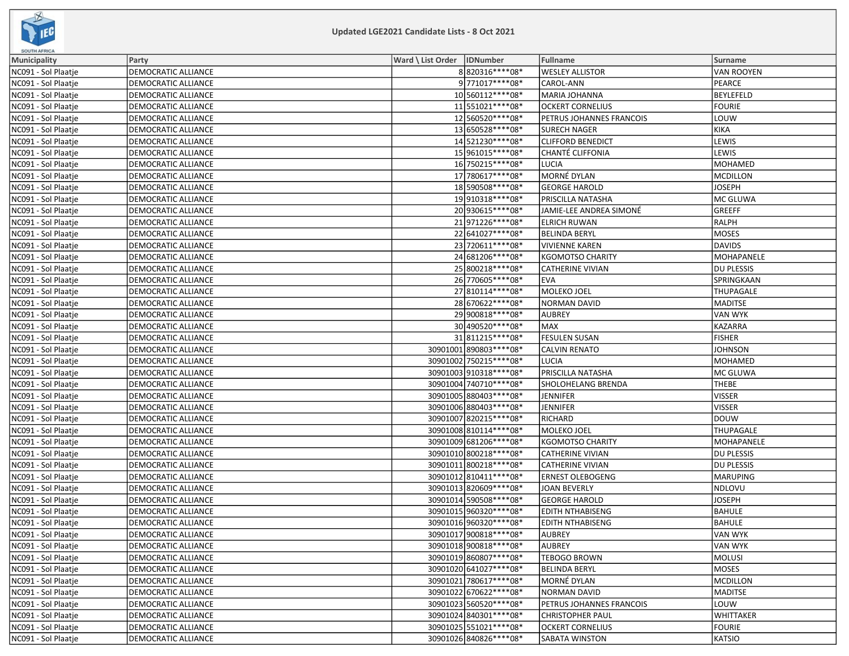

| <b>SOUTH AFRICA</b> |                            |                              |                          |                          |                   |
|---------------------|----------------------------|------------------------------|--------------------------|--------------------------|-------------------|
| <b>Municipality</b> | Party                      | Ward \ List Order   IDNumber |                          | <b>Fullname</b>          | <b>Surname</b>    |
| NC091 - Sol Plaatje | DEMOCRATIC ALLIANCE        |                              | 8820316 **** 08*         | <b>WESLEY ALLISTOR</b>   | VAN ROOYEN        |
| NC091 - Sol Plaatje | DEMOCRATIC ALLIANCE        |                              | 9771017****08*           | CAROL-ANN                | PEARCE            |
| NC091 - Sol Plaatje | DEMOCRATIC ALLIANCE        |                              | 10 560112 **** 08*       | MARIA JOHANNA            | BEYLEFELD         |
| NC091 - Sol Plaatje | DEMOCRATIC ALLIANCE        |                              | 11 551021 **** 08*       | <b>OCKERT CORNELIUS</b>  | <b>FOURIE</b>     |
| NC091 - Sol Plaatje | DEMOCRATIC ALLIANCE        |                              | 12560520 **** 08*        | PETRUS JOHANNES FRANCOIS | LOUW              |
| NC091 - Sol Plaatje | DEMOCRATIC ALLIANCE        |                              | 13 650528 **** 08*       | <b>SURECH NAGER</b>      | KIKA              |
| NC091 - Sol Plaatje | DEMOCRATIC ALLIANCE        |                              | 14 521230****08*         | <b>CLIFFORD BENEDICT</b> | LEWIS             |
| NC091 - Sol Plaatje | DEMOCRATIC ALLIANCE        |                              | 15 961015 **** 08*       | CHANTÉ CLIFFONIA         | LEWIS             |
| NC091 - Sol Plaatje | DEMOCRATIC ALLIANCE        |                              | 16 750215 **** 08*       | LUCIA                    | MOHAMED           |
| NC091 - Sol Plaatje | DEMOCRATIC ALLIANCE        |                              | 17 780617****08*         | MORNÉ DYLAN              | MCDILLON          |
| NC091 - Sol Plaatje | DEMOCRATIC ALLIANCE        |                              | 18 590508 **** 08*       | <b>GEORGE HAROLD</b>     | <b>JOSEPH</b>     |
| NC091 - Sol Plaatje | DEMOCRATIC ALLIANCE        |                              | 19910318 **** 08*        | PRISCILLA NATASHA        | MC GLUWA          |
| NC091 - Sol Plaatje | DEMOCRATIC ALLIANCE        |                              | 20 930615 **** 08*       | JAMIE-LEE ANDREA SIMONÉ  | GREEFF            |
| NC091 - Sol Plaatje | <b>DEMOCRATIC ALLIANCE</b> |                              | 21971226 **** 08*        | <b>ELRICH RUWAN</b>      | RALPH             |
| NC091 - Sol Plaatje | DEMOCRATIC ALLIANCE        |                              | 22 641027 **** 08*       | <b>BELINDA BERYL</b>     | MOSES             |
| NC091 - Sol Plaatje | DEMOCRATIC ALLIANCE        |                              | 23 720611 **** 08*       | <b>VIVIENNE KAREN</b>    | DAVIDS            |
| NC091 - Sol Plaatje | DEMOCRATIC ALLIANCE        |                              | 24 681206****08*         | <b>KGOMOTSO CHARITY</b>  | <b>MOHAPANELE</b> |
| NC091 - Sol Plaatje | DEMOCRATIC ALLIANCE        |                              | 25 800218 **** 08*       | <b>CATHERINE VIVIAN</b>  | DU PLESSIS        |
| NC091 - Sol Plaatje | DEMOCRATIC ALLIANCE        |                              | 26 770605 **** 08*       | EVA                      | SPRINGKAAN        |
| NC091 - Sol Plaatje | DEMOCRATIC ALLIANCE        |                              | 27 810114 **** 08*       | MOLEKO JOEL              | <b>THUPAGALE</b>  |
| NC091 - Sol Plaatje | DEMOCRATIC ALLIANCE        |                              | 28 670622 **** 08*       | <b>NORMAN DAVID</b>      | MADITSE           |
| NC091 - Sol Plaatje | DEMOCRATIC ALLIANCE        |                              | 29 900818 **** 08*       | <b>AUBREY</b>            | VAN WYK           |
| NC091 - Sol Plaatje | DEMOCRATIC ALLIANCE        |                              | 30 490520 **** 08*       | <b>MAX</b>               | KAZARRA           |
| NC091 - Sol Plaatje | DEMOCRATIC ALLIANCE        |                              | 31811215 **** 08*        | <b>FESULEN SUSAN</b>     | <b>FISHER</b>     |
| NC091 - Sol Plaatje | DEMOCRATIC ALLIANCE        |                              | 30901001890803 **** 08*  | <b>CALVIN RENATO</b>     | <b>JOHNSON</b>    |
| NC091 - Sol Plaatje | DEMOCRATIC ALLIANCE        |                              | 30901002 750215 **** 08* | <b>LUCIA</b>             | MOHAMED           |
| NC091 - Sol Plaatje | DEMOCRATIC ALLIANCE        |                              | 30901003 910318 **** 08* | PRISCILLA NATASHA        | MC GLUWA          |
| NC091 - Sol Plaatje | DEMOCRATIC ALLIANCE        |                              | 30901004 740710 **** 08* | SHOLOHELANG BRENDA       | <b>THEBE</b>      |
| NC091 - Sol Plaatje | <b>DEMOCRATIC ALLIANCE</b> |                              | 30901005 880403 **** 08* | <b>JENNIFER</b>          | VISSER            |
| NC091 - Sol Plaatje | DEMOCRATIC ALLIANCE        |                              | 30901006 880403 **** 08* | <b>JENNIFER</b>          | VISSER            |
| NC091 - Sol Plaatje | DEMOCRATIC ALLIANCE        |                              | 30901007 820215 **** 08* | RICHARD                  | DOUW              |
| NC091 - Sol Plaatje | DEMOCRATIC ALLIANCE        |                              | 30901008 810114 **** 08* | MOLEKO JOEL              | <b>THUPAGALE</b>  |
| NC091 - Sol Plaatje | DEMOCRATIC ALLIANCE        |                              | 30901009 681206 **** 08* | <b>KGOMOTSO CHARITY</b>  | MOHAPANELE        |
| NC091 - Sol Plaatje | <b>DEMOCRATIC ALLIANCE</b> |                              | 30901010 800218 **** 08* | <b>CATHERINE VIVIAN</b>  | <b>DU PLESSIS</b> |
| NC091 - Sol Plaatje | DEMOCRATIC ALLIANCE        |                              | 30901011 800218 **** 08* | <b>CATHERINE VIVIAN</b>  | DU PLESSIS        |
| NC091 - Sol Plaatje | DEMOCRATIC ALLIANCE        |                              | 30901012 810411 **** 08* | <b>ERNEST OLEBOGENG</b>  | MARUPING          |
| NC091 - Sol Plaatje | DEMOCRATIC ALLIANCE        |                              | 30901013 820609 **** 08* | <b>JOAN BEVERLY</b>      | NDLOVU            |
| NC091 - Sol Plaatje | DEMOCRATIC ALLIANCE        |                              | 30901014 590508 **** 08* | <b>GEORGE HAROLD</b>     | <b>JOSEPH</b>     |
| NC091 - Sol Plaatje | DEMOCRATIC ALLIANCE        |                              | 30901015 960320 **** 08* | <b>EDITH NTHABISENG</b>  | <b>BAHULE</b>     |
| NC091 - Sol Plaatje | <b>DEMOCRATIC ALLIANCE</b> |                              | 30901016 960320 **** 08* | <b>EDITH NTHABISENG</b>  | BAHULE            |
| NC091 - Sol Plaatje | <b>DEMOCRATIC ALLIANCE</b> |                              | 30901017 900818 **** 08* | AUBREY                   | VAN WYK           |
| NC091 - Sol Plaatje | DEMOCRATIC ALLIANCE        |                              | 30901018 900818 **** 08* | <b>AUBREY</b>            | VAN WYK           |
| NC091 - Sol Plaatje | DEMOCRATIC ALLIANCE        |                              | 30901019860807****08*    | <b>TEBOGO BROWN</b>      | MOLUSI            |
| NC091 - Sol Plaatje | DEMOCRATIC ALLIANCE        |                              | 30901020 641027**** 08*  | <b>BELINDA BERYL</b>     | MOSES             |
| NC091 - Sol Plaatje | DEMOCRATIC ALLIANCE        |                              | 30901021 780617****08*   | MORNÉ DYLAN              | MCDILLON          |
| NC091 - Sol Plaatje | DEMOCRATIC ALLIANCE        |                              | 30901022 670622 **** 08* | NORMAN DAVID             | MADITSE           |
| NC091 - Sol Plaatje | DEMOCRATIC ALLIANCE        |                              | 30901023560520 **** 08*  | PETRUS JOHANNES FRANCOIS | LOUW              |
| NC091 - Sol Plaatje | DEMOCRATIC ALLIANCE        |                              | 30901024 840301 **** 08* | <b>CHRISTOPHER PAUL</b>  | <b>WHITTAKER</b>  |
| NC091 - Sol Plaatje | DEMOCRATIC ALLIANCE        |                              | 30901025 551021 **** 08* | <b>OCKERT CORNELIUS</b>  | FOURIE            |
| NC091 - Sol Plaatje | DEMOCRATIC ALLIANCE        |                              | 30901026 840826 **** 08* | SABATA WINSTON           | KATSIO            |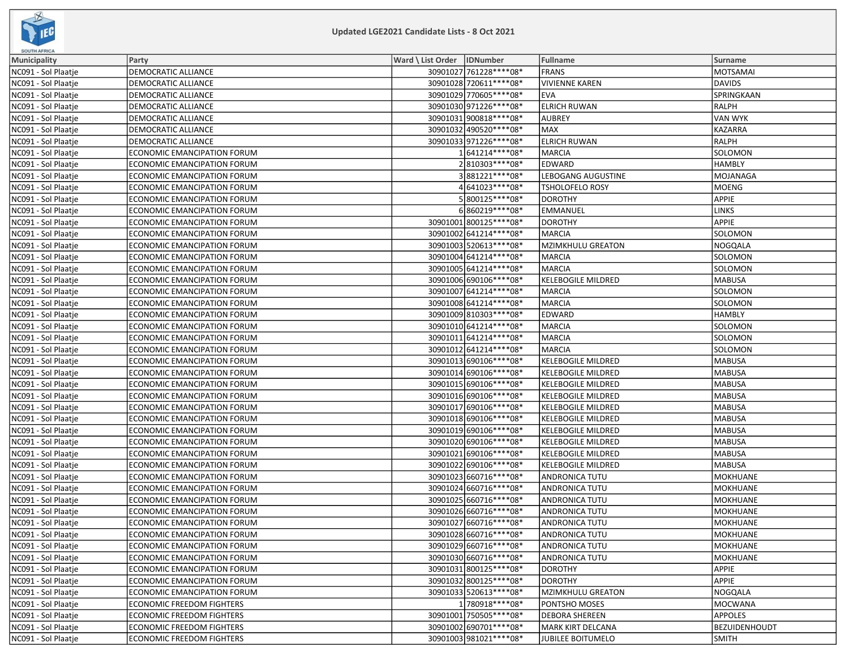

| <b>SOUTH AFRICA</b> |                                    |                              |                           |                 |
|---------------------|------------------------------------|------------------------------|---------------------------|-----------------|
| <b>Municipality</b> | Party                              | Ward \ List Order   IDNumber | Fullname                  | Surname         |
| NC091 - Sol Plaatje | DEMOCRATIC ALLIANCE                | 30901027 761228 **** 08*     | <b>FRANS</b>              | MOTSAMAI        |
| NC091 - Sol Plaatje | DEMOCRATIC ALLIANCE                | 30901028 720611 **** 08*     | <b>VIVIENNE KAREN</b>     | <b>DAVIDS</b>   |
| NC091 - Sol Plaatje | DEMOCRATIC ALLIANCE                | 30901029 770605 **** 08*     | <b>EVA</b>                | SPRINGKAAN      |
| NC091 - Sol Plaatje | DEMOCRATIC ALLIANCE                | 30901030 971226 **** 08*     | <b>ELRICH RUWAN</b>       | RALPH           |
| NC091 - Sol Plaatje | DEMOCRATIC ALLIANCE                | 30901031 900818 **** 08*     | <b>AUBREY</b>             | <b>VAN WYK</b>  |
| NC091 - Sol Plaatje | DEMOCRATIC ALLIANCE                | 30901032 490520 **** 08*     | <b>MAX</b>                | KAZARRA         |
| NC091 - Sol Plaatje | DEMOCRATIC ALLIANCE                | 30901033 971226 **** 08*     | <b>ELRICH RUWAN</b>       | RALPH           |
| NC091 - Sol Plaatje | ECONOMIC EMANCIPATION FORUM        | 1641214 **** 08*             | <b>MARCIA</b>             | SOLOMON         |
| NC091 - Sol Plaatje | ECONOMIC EMANCIPATION FORUM        | 2810303 **** 08*             | EDWARD                    | <b>HAMBLY</b>   |
| NC091 - Sol Plaatje | ECONOMIC EMANCIPATION FORUM        | 3881221 **** 08*             | LEBOGANG AUGUSTINE        | MOJANAGA        |
| NC091 - Sol Plaatje | ECONOMIC EMANCIPATION FORUM        | 4 641023 **** 08*            | TSHOLOFELO ROSY           | MOENG           |
| NC091 - Sol Plaatje | ECONOMIC EMANCIPATION FORUM        | 5800125 **** 08*             | <b>DOROTHY</b>            | <b>APPIE</b>    |
| NC091 - Sol Plaatje | ECONOMIC EMANCIPATION FORUM        | 6860219 **** 08*             | <b>EMMANUEL</b>           | <b>LINKS</b>    |
| NC091 - Sol Plaatje | ECONOMIC EMANCIPATION FORUM        | 30901001 800125 **** 08*     | <b>DOROTHY</b>            | <b>APPIE</b>    |
| NC091 - Sol Plaatje | ECONOMIC EMANCIPATION FORUM        | 30901002 641214 **** 08*     | <b>MARCIA</b>             | SOLOMON         |
| NC091 - Sol Plaatje | ECONOMIC EMANCIPATION FORUM        | 30901003 520613 **** 08*     | <b>MZIMKHULU GREATON</b>  | NOGQALA         |
| NC091 - Sol Plaatje | ECONOMIC EMANCIPATION FORUM        | 30901004 641214 **** 08*     | <b>MARCIA</b>             | SOLOMON         |
| NC091 - Sol Plaatje | ECONOMIC EMANCIPATION FORUM        | 30901005 641214 **** 08*     | <b>MARCIA</b>             | SOLOMON         |
| NC091 - Sol Plaatje | ECONOMIC EMANCIPATION FORUM        | 30901006 690106 **** 08*     | <b>KELEBOGILE MILDRED</b> | <b>MABUSA</b>   |
| NC091 - Sol Plaatje | ECONOMIC EMANCIPATION FORUM        | 30901007 641214 **** 08*     | <b>MARCIA</b>             | SOLOMON         |
| NC091 - Sol Plaatje | ECONOMIC EMANCIPATION FORUM        | 30901008 641214 **** 08*     | <b>MARCIA</b>             | <b>SOLOMON</b>  |
| NC091 - Sol Plaatje | ECONOMIC EMANCIPATION FORUM        | 30901009 810303 **** 08*     | EDWARD                    | <b>HAMBLY</b>   |
| NC091 - Sol Plaatje | ECONOMIC EMANCIPATION FORUM        | 30901010 641214 **** 08*     | <b>MARCIA</b>             | SOLOMON         |
| NC091 - Sol Plaatje | <b>ECONOMIC EMANCIPATION FORUM</b> | 30901011 641214**** 08*      | <b>MARCIA</b>             | SOLOMON         |
| NC091 - Sol Plaatje | ECONOMIC EMANCIPATION FORUM        | 30901012 641214 **** 08*     | <b>MARCIA</b>             | SOLOMON         |
| NC091 - Sol Plaatje | ECONOMIC EMANCIPATION FORUM        | 30901013 690106 **** 08*     | <b>KELEBOGILE MILDRED</b> | <b>MABUSA</b>   |
| NC091 - Sol Plaatje | ECONOMIC EMANCIPATION FORUM        | 30901014 690106****08*       | <b>KELEBOGILE MILDRED</b> | <b>MABUSA</b>   |
| NC091 - Sol Plaatje | ECONOMIC EMANCIPATION FORUM        | 30901015 690106 **** 08*     | <b>KELEBOGILE MILDRED</b> | <b>MABUSA</b>   |
| NC091 - Sol Plaatje | ECONOMIC EMANCIPATION FORUM        | 30901016 690106 **** 08*     | <b>KELEBOGILE MILDRED</b> | <b>MABUSA</b>   |
| NC091 - Sol Plaatje | ECONOMIC EMANCIPATION FORUM        | 30901017 690106**** 08*      | <b>KELEBOGILE MILDRED</b> | <b>MABUSA</b>   |
| NC091 - Sol Plaatje | ECONOMIC EMANCIPATION FORUM        | 30901018 690106 **** 08*     | <b>KELEBOGILE MILDRED</b> | <b>MABUSA</b>   |
| NC091 - Sol Plaatje | ECONOMIC EMANCIPATION FORUM        | 30901019 690106 **** 08*     | <b>KELEBOGILE MILDRED</b> | <b>MABUSA</b>   |
| NC091 - Sol Plaatje | ECONOMIC EMANCIPATION FORUM        | 30901020 690106 **** 08*     | <b>KELEBOGILE MILDRED</b> | <b>MABUSA</b>   |
| NC091 - Sol Plaatje | ECONOMIC EMANCIPATION FORUM        | 30901021 690106 **** 08*     | <b>KELEBOGILE MILDRED</b> | <b>MABUSA</b>   |
| NC091 - Sol Plaatje | ECONOMIC EMANCIPATION FORUM        | 30901022 690106 **** 08*     | <b>KELEBOGILE MILDRED</b> | <b>MABUSA</b>   |
| NC091 - Sol Plaatje | ECONOMIC EMANCIPATION FORUM        | 30901023 660716 **** 08*     | ANDRONICA TUTU            | MOKHUANE        |
| NC091 - Sol Plaatje | ECONOMIC EMANCIPATION FORUM        | 30901024 660716 **** 08*     | <b>ANDRONICA TUTU</b>     | <b>MOKHUANE</b> |
| NC091 - Sol Plaatje | ECONOMIC EMANCIPATION FORUM        | 30901025 660716 **** 08*     | <b>ANDRONICA TUTU</b>     | <b>MOKHUANE</b> |
| NC091 - Sol Plaatje | ECONOMIC EMANCIPATION FORUM        | 30901026 660716 **** 08*     | ANDRONICA TUTU            | MOKHUANE        |
| NC091 - Sol Plaatje | <b>ECONOMIC EMANCIPATION FORUM</b> | 30901027 660716 **** 08*     | <b>ANDRONICA TUTU</b>     | <b>MOKHUANE</b> |
| NC091 - Sol Plaatje | ECONOMIC EMANCIPATION FORUM        | 30901028 660716 **** 08*     | <b>ANDRONICA TUTU</b>     | MOKHUANE        |
| NC091 - Sol Plaatje | ECONOMIC EMANCIPATION FORUM        | 30901029 660716 **** 08*     | <b>ANDRONICA TUTU</b>     | <b>MOKHUANE</b> |
| NC091 - Sol Plaatje | ECONOMIC EMANCIPATION FORUM        | 30901030 660716 **** 08*     | ANDRONICA TUTU            | MOKHUANE        |
| NC091 - Sol Plaatje | ECONOMIC EMANCIPATION FORUM        | 30901031 800125 **** 08*     | <b>DOROTHY</b>            | APPIE           |
| NC091 - Sol Plaatje | ECONOMIC EMANCIPATION FORUM        | 30901032 800125 **** 08*     | <b>DOROTHY</b>            | APPIE           |
| NC091 - Sol Plaatje | ECONOMIC EMANCIPATION FORUM        | 30901033 520613 **** 08*     | <b>MZIMKHULU GREATON</b>  | NOGQALA         |
| NC091 - Sol Plaatje | ECONOMIC FREEDOM FIGHTERS          | 1780918 **** 08*             | PONTSHO MOSES             | <b>MOCWANA</b>  |
| NC091 - Sol Plaatje | ECONOMIC FREEDOM FIGHTERS          | 30901001 750505****08*       | <b>DEBORA SHEREEN</b>     | <b>APPOLES</b>  |
| NC091 - Sol Plaatje | <b>ECONOMIC FREEDOM FIGHTERS</b>   | 30901002 690701 **** 08*     | <b>MARK KIRT DELCANA</b>  | BEZUIDENHOUDT   |
| NC091 - Sol Plaatje | ECONOMIC FREEDOM FIGHTERS          | 30901003 981021 **** 08*     | <b>JUBILEE BOITUMELO</b>  | <b>SMITH</b>    |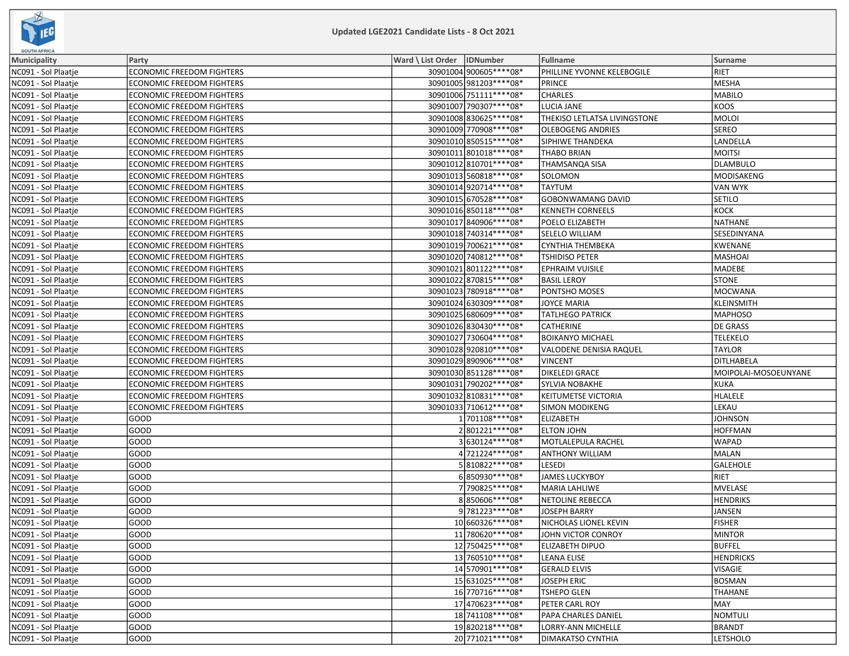

| <b>SOUTH AFRICA</b> |                                  |                              |                          |                              |                      |  |
|---------------------|----------------------------------|------------------------------|--------------------------|------------------------------|----------------------|--|
| Municipality        | Party                            | Ward \ List Order   IDNumber |                          | <b>Fullname</b>              | Surname              |  |
| NC091 - Sol Plaatje | ECONOMIC FREEDOM FIGHTERS        |                              | 30901004 900605 **** 08* | PHILLINE YVONNE KELEBOGILE   | <b>RIET</b>          |  |
| NC091 - Sol Plaatje | <b>ECONOMIC FREEDOM FIGHTERS</b> |                              | 30901005 981203 **** 08* | PRINCE                       | MESHA                |  |
| NC091 - Sol Plaatje | ECONOMIC FREEDOM FIGHTERS        |                              | 30901006 751111**** 08*  | <b>CHARLES</b>               | MABILO               |  |
| NC091 - Sol Plaatje | <b>ECONOMIC FREEDOM FIGHTERS</b> |                              | 30901007 790307 **** 08* | <b>LUCIA JANE</b>            | KOOS                 |  |
| NC091 - Sol Plaatie | <b>ECONOMIC FREEDOM FIGHTERS</b> |                              | 30901008 830625 **** 08* | THEKISO LETLATSA LIVINGSTONE | MOLOI                |  |
| NC091 - Sol Plaatje | ECONOMIC FREEDOM FIGHTERS        |                              | 30901009 770908 **** 08* | <b>OLEBOGENG ANDRIES</b>     | <b>SEREO</b>         |  |
| NC091 - Sol Plaatje | <b>ECONOMIC FREEDOM FIGHTERS</b> |                              | 30901010 850515 **** 08* | SIPHIWE THANDEKA             | LANDELLA             |  |
| NC091 - Sol Plaatje | ECONOMIC FREEDOM FIGHTERS        |                              | 30901011 801018 **** 08* | <b>THABO BRIAN</b>           | <b>MOITSI</b>        |  |
| NC091 - Sol Plaatje | ECONOMIC FREEDOM FIGHTERS        |                              | 30901012 810701 **** 08* | <b>THAMSANOA SISA</b>        | DLAMBULO             |  |
| NC091 - Sol Plaatje | ECONOMIC FREEDOM FIGHTERS        |                              | 30901013 560818 **** 08* | SOLOMON                      | MODISAKENG           |  |
| NC091 - Sol Plaatje | ECONOMIC FREEDOM FIGHTERS        |                              | 30901014 920714 **** 08* | TAYTUM                       | VAN WYK              |  |
| NC091 - Sol Plaatje | <b>ECONOMIC FREEDOM FIGHTERS</b> |                              | 30901015 670528 **** 08* | <b>GOBONWAMANG DAVID</b>     | SETILO               |  |
| NC091 - Sol Plaatje | ECONOMIC FREEDOM FIGHTERS        |                              | 30901016 850118 **** 08* | <b>KENNETH CORNEELS</b>      | KOCK                 |  |
| NC091 - Sol Plaatje | <b>ECONOMIC FREEDOM FIGHTERS</b> |                              | 30901017 840906 **** 08* | POELO ELIZABETH              | NATHANE              |  |
| NC091 - Sol Plaatje | <b>ECONOMIC FREEDOM FIGHTERS</b> |                              | 30901018 740314 **** 08* | SELELO WILLIAM               | <b>SESEDINYANA</b>   |  |
| NC091 - Sol Plaatje | <b>ECONOMIC FREEDOM FIGHTERS</b> |                              | 30901019 700621 **** 08* | CYNTHIA THEMBEKA             | KWENANE              |  |
| NC091 - Sol Plaatje | <b>ECONOMIC FREEDOM FIGHTERS</b> |                              | 30901020 740812 **** 08* | <b>TSHIDISO PETER</b>        | MASHOAI              |  |
| NC091 - Sol Plaatje | <b>ECONOMIC FREEDOM FIGHTERS</b> |                              | 30901021 801122**** 08*  | <b>EPHRAIM VUISILE</b>       | <b>MADEBE</b>        |  |
| NC091 - Sol Plaatje | <b>ECONOMIC FREEDOM FIGHTERS</b> |                              | 30901022 870815 **** 08* | <b>BASIL LEROY</b>           | <b>STONE</b>         |  |
| NC091 - Sol Plaatje | <b>ECONOMIC FREEDOM FIGHTERS</b> |                              | 30901023 780918 **** 08* | PONTSHO MOSES                | MOCWANA              |  |
| NC091 - Sol Plaatje | <b>ECONOMIC FREEDOM FIGHTERS</b> |                              | 30901024 630309 **** 08* | <b>JOYCE MARIA</b>           | KLEINSMITH           |  |
| NC091 - Sol Plaatje | <b>ECONOMIC FREEDOM FIGHTERS</b> |                              | 30901025 680609 **** 08* | <b>TATLHEGO PATRICK</b>      | <b>MAPHOSO</b>       |  |
| NC091 - Sol Plaatje | <b>ECONOMIC FREEDOM FIGHTERS</b> |                              | 30901026 830430 **** 08* | CATHERINE                    | <b>DE GRASS</b>      |  |
| NC091 - Sol Plaatje | <b>ECONOMIC FREEDOM FIGHTERS</b> |                              | 30901027 730604 **** 08* | <b>BOIKANYO MICHAEL</b>      | <b>TELEKELO</b>      |  |
| NC091 - Sol Plaatje | <b>ECONOMIC FREEDOM FIGHTERS</b> |                              | 30901028920810 **** 08*  | VALODENE DENISIA RAQUEL      | <b>TAYLOR</b>        |  |
| NC091 - Sol Plaatje | <b>ECONOMIC FREEDOM FIGHTERS</b> |                              | 30901029 890906 **** 08* | <b>VINCENT</b>               | DITLHABELA           |  |
| NC091 - Sol Plaatje | <b>ECONOMIC FREEDOM FIGHTERS</b> |                              | 30901030 851128 **** 08* | DIKELEDI GRACE               | MOIPOLAI-MOSOEUNYANE |  |
| NC091 - Sol Plaatje | <b>ECONOMIC FREEDOM FIGHTERS</b> |                              | 30901031 790202 **** 08* | <b>SYLVIA NOBAKHE</b>        | KUKA                 |  |
| NC091 - Sol Plaatje | <b>ECONOMIC FREEDOM FIGHTERS</b> |                              | 30901032 810831 **** 08* | KEITUMETSE VICTORIA          | <b>HLALELE</b>       |  |
| NC091 - Sol Plaatje | <b>ECONOMIC FREEDOM FIGHTERS</b> |                              | 30901033 710612 **** 08* | <b>SIMON MODIKENG</b>        | LEKAU                |  |
| NC091 - Sol Plaatje | GOOD                             |                              | 1 701108 **** 08*        | <b>ELIZABETH</b>             | <b>JOHNSON</b>       |  |
| NC091 - Sol Plaatje | GOOD                             |                              | 2801221 **** 08*         | <b>ELTON JOHN</b>            | <b>HOFFMAN</b>       |  |
| NC091 - Sol Plaatje | GOOD                             |                              | 3630124 **** 08*         | MOTLALEPULA RACHEL           | <b>WAPAD</b>         |  |
| NC091 - Sol Plaatje | GOOD                             |                              | 4 721224 **** 08*        | <b>ANTHONY WILLIAM</b>       | MALAN                |  |
| NC091 - Sol Plaatje | GOOD                             |                              | 5810822 **** 08*         | LESEDI                       | <b>GALEHOLE</b>      |  |
| NC091 - Sol Plaatje | GOOD                             |                              | 6850930 **** 08*         | <b>JAMES LUCKYBOY</b>        | RIET                 |  |
| NC091 - Sol Plaatje | GOOD                             |                              | 7 790825 **** 08*        | <b>MARIA LAHLIWE</b>         | MVELASE              |  |
| NC091 - Sol Plaatje | GOOD                             |                              | 8850606****08*           | NETOLINE REBECCA             | <b>HENDRIKS</b>      |  |
| NC091 - Sol Plaatie | GOOD                             |                              | 9 781223 **** 08*        | <b>JOSEPH BARRY</b>          | JANSEN               |  |
| NC091 - Sol Plaatje | GOOD                             |                              | 10 660326 **** 08*       | NICHOLAS LIONEL KEVIN        | <b>FISHER</b>        |  |
| NC091 - Sol Plaatje | GOOD                             |                              | 11 780620****08*         | JOHN VICTOR CONROY           | <b>MINTOR</b>        |  |
| NC091 - Sol Plaatje | GOOD                             |                              | 12 750425 **** 08*       | ELIZABETH DIPUO              | <b>BUFFEL</b>        |  |
| NC091 - Sol Plaatje | GOOD                             |                              | 13 760510****08*         | LEANA ELISE                  | <b>HENDRICKS</b>     |  |
| NC091 - Sol Plaatje | GOOD                             |                              | 14 570901 **** 08*       | <b>GERALD ELVIS</b>          | VISAGIE              |  |
| NC091 - Sol Plaatje | GOOD                             |                              | 15 631025 **** * 08*     | <b>JOSEPH ERIC</b>           | <b>BOSMAN</b>        |  |
| NC091 - Sol Plaatje | GOOD                             |                              | 16 770716****08*         | <b>TSHEPO GLEN</b>           | THAHANE              |  |
| NC091 - Sol Plaatje | GOOD                             |                              | 17 470623****08*         | PETER CARL ROY               | MAY]                 |  |
| NC091 - Sol Plaatje | GOOD                             |                              | 18 741108 **** 08*       | PAPA CHARLES DANIEL          | NOMTULI              |  |
| NC091 - Sol Plaatie | GOOD                             |                              | 19820218 **** 08*        | LORRY-ANN MICHELLE           | BRANDT               |  |
| NC091 - Sol Plaatje | GOOD                             |                              | 20 771021 **** 08*       | <b>DIMAKATSO CYNTHIA</b>     | <b>LETSHOLO</b>      |  |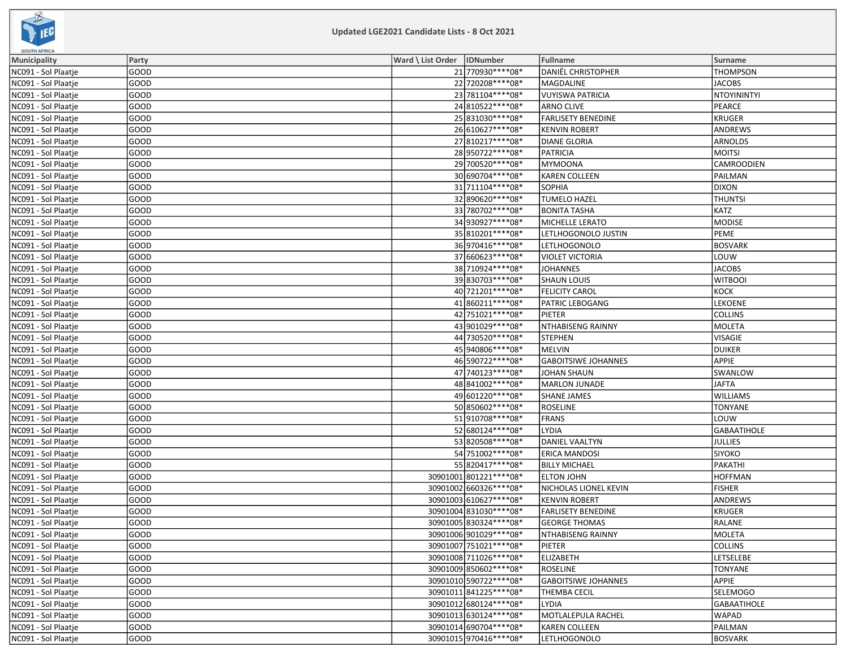

| <b>SOUTH AFRICA</b> |             |                              |                            |                    |
|---------------------|-------------|------------------------------|----------------------------|--------------------|
| <b>Municipality</b> | Party       | Ward \ List Order   IDNumber | Fullname                   | Surname            |
| NC091 - Sol Plaatje | GOOD        | 21 770930 **** 08*           | <b>DANIËL CHRISTOPHER</b>  | <b>THOMPSON</b>    |
| NC091 - Sol Plaatje | GOOD        | 22 720208 **** 08*           | MAGDALINE                  | <b>JACOBS</b>      |
| NC091 - Sol Plaatje | GOOD        | 23 781104 **** 08*           | <b>VUYISWA PATRICIA</b>    | NTOYININTYI        |
| NC091 - Sol Plaatje | GOOD        | 24 810522 **** 08*           | <b>ARNO CLIVE</b>          | PEARCE             |
| NC091 - Sol Plaatje | GOOD        | 25 831030 **** 08*           | <b>FARLISETY BENEDINE</b>  | <b>KRUGER</b>      |
| NC091 - Sol Plaatje | GOOD        | 26 610627****08*             | <b>KENVIN ROBERT</b>       | ANDREWS            |
| NC091 - Sol Plaatje | GOOD        | 27 810217****08*             | <b>DIANE GLORIA</b>        | ARNOLDS            |
| NC091 - Sol Plaatje | GOOD        | 28 950722 **** 08*           | PATRICIA                   | <b>MOITSI</b>      |
| NC091 - Sol Plaatje | GOOD        | 29 700520 **** 08*           | <b>MYMOONA</b>             | <b>CAMROODIEN</b>  |
| NC091 - Sol Plaatje | GOOD        | 30 690704 **** 08*           | <b>KAREN COLLEEN</b>       | PAILMAN            |
| NC091 - Sol Plaatje | GOOD        | 31 711104 **** 08*           | <b>SOPHIA</b>              | <b>DIXON</b>       |
| NC091 - Sol Plaatje | GOOD        | 32 890620 **** 08*           | <b>TUMELO HAZEL</b>        | <b>THUNTSI</b>     |
| NC091 - Sol Plaatje | GOOD        | 33 780702 **** 08*           | <b>BONITA TASHA</b>        | KATZ               |
| NC091 - Sol Plaatje | GOOD        | 34 930927 **** 08*           | MICHELLE LERATO            | MODISE             |
| NC091 - Sol Plaatje | GOOD        | 35 810201 **** 08*           | LETLHOGONOLO JUSTIN        | PEME               |
| NC091 - Sol Plaatje | GOOD        | 36 970416 **** 08*           | LETLHOGONOLO               | BOSVARK            |
| NC091 - Sol Plaatje | GOOD        | 37 660623 **** 08*           | <b>VIOLET VICTORIA</b>     | LOUW               |
| NC091 - Sol Plaatje | GOOD        | 38 710924 **** 08*           | <b>JOHANNES</b>            | <b>JACOBS</b>      |
| NC091 - Sol Plaatje | GOOD        | 39 830703 **** 08*           | <b>SHAUN LOUIS</b>         | <b>WITBOOI</b>     |
| NC091 - Sol Plaatje | GOOD        | 40 721201 **** 08*           | <b>FELICITY CAROL</b>      | <b>KOCK</b>        |
| NC091 - Sol Plaatje | GOOD        | 41 860211 **** 08*           | PATRIC LEBOGANG            | LEKOENE            |
| NC091 - Sol Plaatje | GOOD        | 42 751021 **** 08*           | <b>PIETER</b>              | <b>COLLINS</b>     |
| NC091 - Sol Plaatje | GOOD        | 43 901029 **** 08*           | <b>NTHABISENG RAINNY</b>   | MOLETA             |
| NC091 - Sol Plaatje | GOOD        | 44 730520 **** 08*           | <b>STEPHEN</b>             | <b>VISAGIE</b>     |
| NC091 - Sol Plaatje | GOOD        | 45 940806 **** 08*           | <b>MELVIN</b>              | <b>DUIKER</b>      |
| NC091 - Sol Plaatje | GOOD        | 46 590722 **** 08*           | <b>GABOITSIWE JOHANNES</b> | APPIE              |
| NC091 - Sol Plaatje | GOOD        | 47 740123 **** 08*           | <b>JOHAN SHAUN</b>         | <b>SWANLOW</b>     |
| NC091 - Sol Plaatje | GOOD        | 48 841002 **** 08*           | <b>MARLON JUNADE</b>       | JAFTA              |
| NC091 - Sol Plaatje | GOOD        | 49 601220 **** 08*           | <b>SHANE JAMES</b>         | <b>WILLIAMS</b>    |
| NC091 - Sol Plaatje | GOOD        | 50 850602 **** 08*           | <b>ROSELINE</b>            | <b>TONYANE</b>     |
| NC091 - Sol Plaatje | GOOD        | 51910708 **** 08*            | <b>FRANS</b>               | LOUW               |
| NC091 - Sol Plaatje | GOOD        | 52 680124 **** 08*           | <b>LYDIA</b>               | GABAATIHOLE        |
| NC091 - Sol Plaatje | GOOD        | 53820508 **** 08*            | <b>DANIEL VAALTYN</b>      | JULLIES            |
| NC091 - Sol Plaatje | GOOD        | 54 751002 **** 08*           | <b>ERICA MANDOSI</b>       | <b>SIYOKO</b>      |
| NC091 - Sol Plaatje | GOOD        | 55 820417 **** 08*           | <b>BILLY MICHAEL</b>       | PAKATHI            |
| NC091 - Sol Plaatje | GOOD        | 30901001801221 **** 08*      | <b>ELTON JOHN</b>          | <b>HOFFMAN</b>     |
| NC091 - Sol Plaatje | GOOD        | 30901002 660326 **** 08*     | NICHOLAS LIONEL KEVIN      | <b>FISHER</b>      |
| NC091 - Sol Plaatje | GOOD        | 30901003 610627****08*       | <b>KENVIN ROBERT</b>       | ANDREWS            |
| NC091 - Sol Plaatje | GOOD        | 30901004 831030 **** 08*     | <b>FARLISETY BENEDINE</b>  | KRUGER             |
| NC091 - Sol Plaatje | GOOD        | 30901005 830324 **** 08*     | <b>GEORGE THOMAS</b>       | RALANE             |
| NC091 - Sol Plaatje | GOOD        | 30901006 901029 **** 08*     | NTHABISENG RAINNY          | MOLETA             |
| NC091 - Sol Plaatje | GOOD        | 30901007 751021 **** 08*     | PIETER                     | <b>COLLINS</b>     |
| NC091 - Sol Plaatje | GOOD        | 30901008 711026 **** 08*     | <b>ELIZABETH</b>           | LETSELEBE          |
| NC091 - Sol Plaatje | lgood       | 30901009 850602 **** 08*     | <b>ROSELINE</b>            | <b>TONYANE</b>     |
| NC091 - Sol Plaatje | <b>GOOD</b> | 30901010 590722 **** 08*     | <b>GABOITSIWE JOHANNES</b> | APPIE              |
| NC091 - Sol Plaatje | GOOD        | 30901011 841225 **** 08*     | <b>THEMBA CECIL</b>        | <b>SELEMOGO</b>    |
| NC091 - Sol Plaatje | GOOD        | 30901012 680124**** 08*      | <b>LYDIA</b>               | <b>GABAATIHOLE</b> |
| NC091 - Sol Plaatje | GOOD        | 30901013 630124****08*       | MOTLALEPULA RACHEL         | WAPAD              |
| NC091 - Sol Plaatje | <b>GOOD</b> | 30901014 690704**** 08*      | <b>KAREN COLLEEN</b>       | PAILMAN            |
| NC091 - Sol Plaatje | <b>GOOD</b> | 30901015 970416 **** 08*     | LETLHOGONOLO               | <b>BOSVARK</b>     |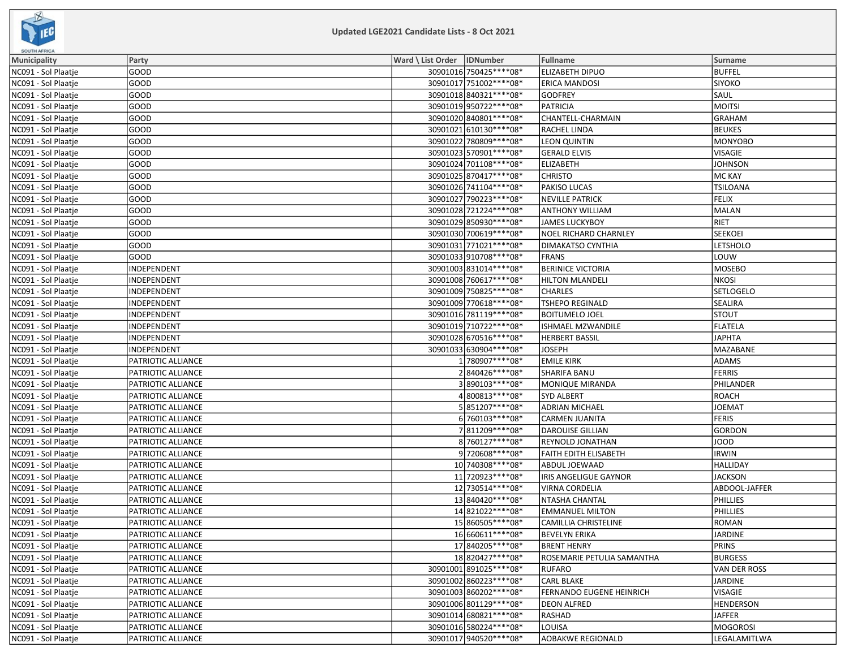

| <b><i>POULD MERINA</i></b> |                    |                              |                          |                             |                  |
|----------------------------|--------------------|------------------------------|--------------------------|-----------------------------|------------------|
| Municipality               | Party              | Ward \ List Order   IDNumber |                          | <b>Fullname</b>             | Surname          |
| NC091 - Sol Plaatje        | GOOD               |                              | 30901016 750425 **** 08* | ELIZABETH DIPUO             | <b>BUFFEL</b>    |
| NC091 - Sol Plaatje        | GOOD               |                              | 30901017 751002 **** 08* | <b>ERICA MANDOSI</b>        | <b>SIYOKO</b>    |
| NC091 - Sol Plaatje        | GOOD               |                              | 30901018 840321 **** 08* | <b>GODFREY</b>              | <b>SAUL</b>      |
| NC091 - Sol Plaatje        | GOOD               |                              | 30901019 950722 **** 08* | <b>PATRICIA</b>             | <b>MOITSI</b>    |
| NC091 - Sol Plaatje        | GOOD               |                              | 30901020 840801 **** 08* | CHANTELL-CHARMAIN           | GRAHAM           |
| NC091 - Sol Plaatje        | GOOD               |                              | 30901021 610130 **** 08* | RACHEL LINDA                | <b>BEUKES</b>    |
| NC091 - Sol Plaatje        | GOOD               |                              | 30901022 780809 **** 08* | <b>LEON QUINTIN</b>         | MONYOBO          |
| NC091 - Sol Plaatje        | GOOD               |                              | 30901023 570901 **** 08* | <b>GERALD ELVIS</b>         | <b>VISAGIE</b>   |
| NC091 - Sol Plaatje        | GOOD               |                              | 30901024 701108 **** 08* | <b>ELIZABETH</b>            | <b>JOHNSON</b>   |
| NC091 - Sol Plaatje        | GOOD               |                              | 30901025 870417****08*   | <b>CHRISTO</b>              | MC KAY           |
| NC091 - Sol Plaatje        | GOOD               |                              | 30901026 741104 **** 08* | PAKISO LUCAS                | <b>TSILOANA</b>  |
| NC091 - Sol Plaatje        | GOOD               |                              | 30901027 790223 **** 08* | <b>NEVILLE PATRICK</b>      | FELIX            |
| NC091 - Sol Plaatje        | GOOD               |                              | 30901028 721224 **** 08* | <b>ANTHONY WILLIAM</b>      | MALAN            |
| NC091 - Sol Plaatje        | GOOD               |                              | 30901029 850930 **** 08* | <b>JAMES LUCKYBOY</b>       | RIET             |
| NC091 - Sol Plaatje        | GOOD               |                              | 30901030 700619 **** 08* | NOEL RICHARD CHARNLEY       | SEEKOEI          |
| NC091 - Sol Plaatje        | GOOD               |                              | 30901031 771021 **** 08* | DIMAKATSO CYNTHIA           | LETSHOLO         |
| NC091 - Sol Plaatje        | GOOD               |                              | 30901033 910708 **** 08* | <b>FRANS</b>                | LOUW             |
| NC091 - Sol Plaatje        | INDEPENDENT        |                              | 30901003 831014 **** 08* | <b>BERINICE VICTORIA</b>    | MOSEBO           |
| NC091 - Sol Plaatje        | INDEPENDENT        |                              | 30901008 760617 **** 08* | <b>HILTON MLANDELI</b>      | NKOSI            |
| NC091 - Sol Plaatje        | INDEPENDENT        |                              | 30901009 750825 **** 08* | <b>CHARLES</b>              | <b>SETLOGELO</b> |
| NC091 - Sol Plaatje        | INDEPENDENT        |                              | 30901009 770618 **** 08* | <b>TSHEPO REGINALD</b>      | <b>SEALIRA</b>   |
| NC091 - Sol Plaatje        | INDEPENDENT        |                              | 30901016 781119 **** 08* | <b>BOITUMELO JOEL</b>       | <b>STOUT</b>     |
| NC091 - Sol Plaatje        | INDEPENDENT        |                              | 30901019 710722 **** 08* | ISHMAEL MZWANDILE           | FLATELA          |
| NC091 - Sol Plaatje        | INDEPENDENT        |                              | 30901028 670516 **** 08* | <b>HERBERT BASSIL</b>       | JAPHTA           |
| NC091 - Sol Plaatje        | INDEPENDENT        |                              | 30901033 630904 **** 08* | <b>JOSEPH</b>               | MAZABANE         |
| NC091 - Sol Plaatje        | PATRIOTIC ALLIANCE |                              | 1780907****08*           | <b>EMILE KIRK</b>           | ADAMS            |
| NC091 - Sol Plaatje        | PATRIOTIC ALLIANCE |                              | 2840426 **** 08*         | <b>SHARIFA BANU</b>         | FERRIS           |
| NC091 - Sol Plaatje        | PATRIOTIC ALLIANCE |                              | 3890103 **** 08*         | <b>MONIQUE MIRANDA</b>      | PHILANDER        |
| NC091 - Sol Plaatje        | PATRIOTIC ALLIANCE |                              | 4800813 **** 08*         | <b>SYD ALBERT</b>           | ROACH            |
| NC091 - Sol Plaatje        | PATRIOTIC ALLIANCE |                              | 5851207****08*           | <b>ADRIAN MICHAEL</b>       | JOEMAT           |
| NC091 - Sol Plaatje        | PATRIOTIC ALLIANCE |                              | 6 760103****08*          | <b>CARMEN JUANITA</b>       | FERIS            |
| NC091 - Sol Plaatje        | PATRIOTIC ALLIANCE |                              | 7811209 **** 08*         | <b>DAROUISE GILLIAN</b>     | GORDON           |
| NC091 - Sol Plaatje        | PATRIOTIC ALLIANCE |                              | 8760127****08*           | REYNOLD JONATHAN            | JOOD             |
| NC091 - Sol Plaatje        | PATRIOTIC ALLIANCE |                              | 9720608 **** 08*         | FAITH EDITH ELISABETH       | <b>IRWIN</b>     |
| NC091 - Sol Plaatje        | PATRIOTIC ALLIANCE |                              | 10 740308 **** 08*       | ABDUL JOEWAAD               | <b>HALLIDAY</b>  |
| NC091 - Sol Plaatje        | PATRIOTIC ALLIANCE |                              | 11 720923 **** 08*       | IRIS ANGELIGUE GAYNOR       | <b>JACKSON</b>   |
| NC091 - Sol Plaatje        | PATRIOTIC ALLIANCE |                              | 12 730514 **** 08*       | VIRNA CORDELIA              | ABDOOL-JAFFER    |
| NC091 - Sol Plaatje        | PATRIOTIC ALLIANCE |                              | 13840420 **** 08*        | NTASHA CHANTAL              | PHILLIES         |
| NC091 - Sol Plaatje        | PATRIOTIC ALLIANCE |                              | 14821022 **** 08*        | <b>EMMANUEL MILTON</b>      | PHILLIES         |
| NC091 - Sol Plaatje        | PATRIOTIC ALLIANCE |                              | 15 860505****08*         | <b>CAMILLIA CHRISTELINE</b> | ROMAN            |
| NC091 - Sol Plaatje        | PATRIOTIC ALLIANCE |                              | 16 660611****08*         | <b>BEVELYN ERIKA</b>        | JARDINE          |
| NC091 - Sol Plaatje        | PATRIOTIC ALLIANCE |                              | 17 840205 **** 08*       | <b>BRENT HENRY</b>          | PRINS            |
| NC091 - Sol Plaatje        | PATRIOTIC ALLIANCE |                              | 18820427****08*          | ROSEMARIE PETULIA SAMANTHA  | <b>BURGESS</b>   |
| NC091 - Sol Plaatje        | PATRIOTIC ALLIANCE |                              | 30901001 891025 **** 08* | <b>RUFARO</b>               | VAN DER ROSS     |
| NC091 - Sol Plaatje        | PATRIOTIC ALLIANCE |                              | 30901002 860223 **** 08* | <b>CARL BLAKE</b>           | JARDINE          |
| NC091 - Sol Plaatje        | PATRIOTIC ALLIANCE |                              | 30901003 860202 **** 08* | FERNANDO EUGENE HEINRICH    | <b>VISAGIE</b>   |
| NC091 - Sol Plaatje        | PATRIOTIC ALLIANCE |                              | 30901006801129 **** 08*  | <b>DEON ALFRED</b>          | <b>HENDERSON</b> |
| NC091 - Sol Plaatje        | PATRIOTIC ALLIANCE |                              | 30901014 680821 **** 08* | <b>RASHAD</b>               | <b>JAFFER</b>    |
| NC091 - Sol Plaatje        | PATRIOTIC ALLIANCE |                              | 30901016 580224 **** 08* | LOUISA                      | MOGOROSI         |
| NC091 - Sol Plaatje        | PATRIOTIC ALLIANCE |                              | 30901017 940520 **** 08* | AOBAKWE REGIONALD           | LEGALAMITLWA     |
|                            |                    |                              |                          |                             |                  |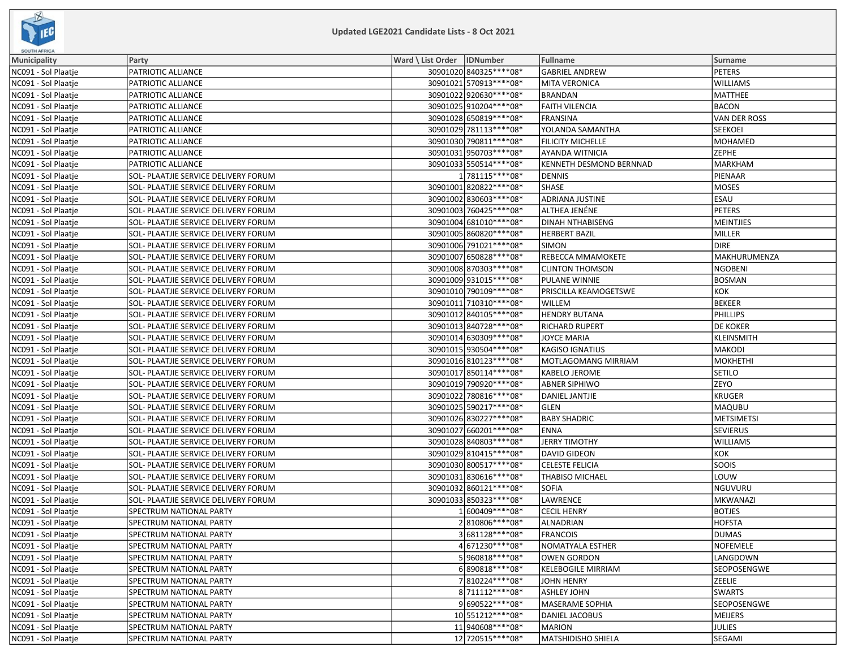

| <b>SOUTH AFRICA</b> |                                      |                              |                          |                           |                     |
|---------------------|--------------------------------------|------------------------------|--------------------------|---------------------------|---------------------|
| <b>Municipality</b> | Party                                | Ward \ List Order   IDNumber |                          | Fullname                  | <b>Surname</b>      |
| NC091 - Sol Plaatje | PATRIOTIC ALLIANCE                   |                              | 30901020 840325 **** 08* | <b>GABRIEL ANDREW</b>     | <b>PETERS</b>       |
| NC091 - Sol Plaatje | PATRIOTIC ALLIANCE                   |                              | 30901021 570913 **** 08* | <b>MITA VERONICA</b>      | <b>WILLIAMS</b>     |
| NC091 - Sol Plaatje | PATRIOTIC ALLIANCE                   |                              | 30901022 920630 **** 08* | <b>BRANDAN</b>            | MATTHEE             |
| NC091 - Sol Plaatje | PATRIOTIC ALLIANCE                   |                              | 30901025 910204 **** 08* | <b>FAITH VILENCIA</b>     | <b>BACON</b>        |
| NC091 - Sol Plaatje | PATRIOTIC ALLIANCE                   |                              | 30901028 650819 **** 08* | <b>FRANSINA</b>           | <b>VAN DER ROSS</b> |
| NC091 - Sol Plaatje | PATRIOTIC ALLIANCE                   |                              | 30901029 781113 **** 08* | YOLANDA SAMANTHA          | <b>SEEKOEI</b>      |
| NC091 - Sol Plaatje | PATRIOTIC ALLIANCE                   |                              | 30901030 790811 **** 08* | FILICITY MICHELLE         | <b>MOHAMED</b>      |
| NC091 - Sol Plaatje | PATRIOTIC ALLIANCE                   |                              | 30901031 950703 **** 08* | AYANDA WITNICIA           | ZEPHE               |
| NC091 - Sol Plaatje | PATRIOTIC ALLIANCE                   |                              | 30901033 550514 **** 08* | KENNETH DESMOND BERNNAD   | <b>MARKHAM</b>      |
| NC091 - Sol Plaatje | SOL- PLAATJIE SERVICE DELIVERY FORUM |                              | 1781115****08*           | <b>DENNIS</b>             | PIENAAR             |
| NC091 - Sol Plaatje | SOL- PLAATJIE SERVICE DELIVERY FORUM |                              | 30901001820822 **** 08*  | SHASE                     | <b>MOSES</b>        |
| NC091 - Sol Plaatje | SOL- PLAATJIE SERVICE DELIVERY FORUM |                              | 30901002 830603 **** 08* | <b>ADRIANA JUSTINE</b>    | ESAU                |
| NC091 - Sol Plaatje | SOL- PLAATJIE SERVICE DELIVERY FORUM |                              | 30901003 760425 **** 08* | ALTHEA JENÉNE             | PETERS              |
| NC091 - Sol Plaatje | SOL- PLAATJIE SERVICE DELIVERY FORUM |                              | 30901004 681010****08*   | <b>DINAH NTHABISENG</b>   | MEINTJIES           |
| NC091 - Sol Plaatje | SOL- PLAATJIE SERVICE DELIVERY FORUM |                              | 30901005 860820 **** 08* | <b>HERBERT BAZIL</b>      | MILLER              |
| NC091 - Sol Plaatje | SOL- PLAATJIE SERVICE DELIVERY FORUM |                              | 30901006 791021 **** 08* | SIMON                     | <b>DIRE</b>         |
| NC091 - Sol Plaatje | SOL- PLAATJIE SERVICE DELIVERY FORUM |                              | 30901007 650828 **** 08* | REBECCA MMAMOKETE         | MAKHURUMENZA        |
| NC091 - Sol Plaatje | SOL- PLAATJIE SERVICE DELIVERY FORUM |                              | 30901008 870303 **** 08* | <b>CLINTON THOMSON</b>    | <b>NGOBENI</b>      |
| NC091 - Sol Plaatje | SOL- PLAATJIE SERVICE DELIVERY FORUM |                              | 30901009931015 **** 08*  | PULANE WINNIE             | <b>BOSMAN</b>       |
| NC091 - Sol Plaatje | SOL- PLAATJIE SERVICE DELIVERY FORUM |                              | 30901010 790109 **** 08* | PRISCILLA KEAMOGETSWE     | KOK                 |
| NC091 - Sol Plaatje | SOL- PLAATJIE SERVICE DELIVERY FORUM |                              | 30901011 710310 **** 08* | WILLEM                    | BEKEER              |
| NC091 - Sol Plaatje | SOL- PLAATJIE SERVICE DELIVERY FORUM |                              | 30901012 840105 **** 08* | <b>HENDRY BUTANA</b>      | <b>PHILLIPS</b>     |
| NC091 - Sol Plaatje | SOL- PLAATJIE SERVICE DELIVERY FORUM |                              | 30901013 840728 **** 08* | <b>RICHARD RUPERT</b>     | DE KOKER            |
| NC091 - Sol Plaatje | SOL- PLAATJIE SERVICE DELIVERY FORUM |                              | 30901014 630309 **** 08* | <b>JOYCE MARIA</b>        | <b>KLEINSMITH</b>   |
| NC091 - Sol Plaatje | SOL- PLAATJIE SERVICE DELIVERY FORUM |                              | 30901015 930504 **** 08* | <b>KAGISO IGNATIUS</b>    | <b>MAKODI</b>       |
| NC091 - Sol Plaatje | SOL- PLAATJIE SERVICE DELIVERY FORUM |                              | 30901016 810123 **** 08* | MOTLAGOMANG MIRRIAM       | <b>MOKHETHI</b>     |
| NC091 - Sol Plaatje | SOL- PLAATJIE SERVICE DELIVERY FORUM |                              | 30901017 850114 **** 08* | KABELO JEROME             | <b>SETILO</b>       |
| NC091 - Sol Plaatje | SOL- PLAATJIE SERVICE DELIVERY FORUM |                              | 30901019 790920 **** 08* | <b>ABNER SIPHIWO</b>      | <b>ZEYO</b>         |
| NC091 - Sol Plaatje | SOL- PLAATJIE SERVICE DELIVERY FORUM |                              | 30901022 780816 **** 08* | DANIEL JANTJIE            | <b>KRUGER</b>       |
| NC091 - Sol Plaatje | SOL- PLAATJIE SERVICE DELIVERY FORUM |                              | 30901025 590217 **** 08* | GLEN                      | <b>MAQUBU</b>       |
| NC091 - Sol Plaatje | SOL- PLAATJIE SERVICE DELIVERY FORUM |                              | 30901026 830227****08*   | <b>BABY SHADRIC</b>       | <b>METSIMETSI</b>   |
| NC091 - Sol Plaatje | SOL- PLAATJIE SERVICE DELIVERY FORUM |                              | 30901027 660201 **** 08* | <b>ENNA</b>               | <b>SEVIERUS</b>     |
| NC091 - Sol Plaatje | SOL- PLAATJIE SERVICE DELIVERY FORUM |                              | 30901028 840803 **** 08* | <b>JERRY TIMOTHY</b>      | <b>WILLIAMS</b>     |
| NC091 - Sol Plaatje | SOL- PLAATJIE SERVICE DELIVERY FORUM |                              | 30901029 810415 **** 08* | <b>DAVID GIDEON</b>       | KOK                 |
| NC091 - Sol Plaatje | SOL- PLAATJIE SERVICE DELIVERY FORUM |                              | 30901030 800517**** 08*  | <b>CELESTE FELICIA</b>    | SOOIS               |
| NC091 - Sol Plaatje | SOL- PLAATJIE SERVICE DELIVERY FORUM |                              | 30901031 830616 **** 08* | <b>THABISO MICHAEL</b>    | LOUW                |
| NC091 - Sol Plaatje | SOL- PLAATJIE SERVICE DELIVERY FORUM |                              | 30901032 860121****08*   | <b>SOFIA</b>              | NGUVURU             |
| NC091 - Sol Plaatje | SOL- PLAATJIE SERVICE DELIVERY FORUM |                              | 30901033 850323 **** 08* | LAWRENCE                  | <b>MKWANAZI</b>     |
| NC091 - Sol Plaatje | SPECTRUM NATIONAL PARTY              |                              | 1600409 **** 08*         | <b>CECIL HENRY</b>        | <b>BOTJES</b>       |
| NC091 - Sol Plaatje | SPECTRUM NATIONAL PARTY              |                              | 2810806 **** 08*         | <b>ALNADRIAN</b>          | <b>HOFSTA</b>       |
| NC091 - Sol Plaatje | SPECTRUM NATIONAL PARTY              |                              | 3681128 **** 08*         | <b>FRANCOIS</b>           | <b>DUMAS</b>        |
| NC091 - Sol Plaatje | SPECTRUM NATIONAL PARTY              |                              | 4 671230****08*          | NOMATYALA ESTHER          | NOFEMELE            |
| NC091 - Sol Plaatje | SPECTRUM NATIONAL PARTY              |                              | 5960818 **** 08*         | <b>OWEN GORDON</b>        | LANGDOWN            |
| NC091 - Sol Plaatje | SPECTRUM NATIONAL PARTY              |                              | 6890818 **** 08*         | <b>KELEBOGILE MIRRIAM</b> | SEOPOSENGWE         |
| NC091 - Sol Plaatje | SPECTRUM NATIONAL PARTY              |                              | 7810224 **** 08*         | <b>JOHN HENRY</b>         | ZEELIE              |
| NC091 - Sol Plaatje | SPECTRUM NATIONAL PARTY              |                              | 8711112 **** 08*         | <b>ASHLEY JOHN</b>        | <b>SWARTS</b>       |
| NC091 - Sol Plaatje | SPECTRUM NATIONAL PARTY              |                              | 9690522 **** 08*         | MASERAME SOPHIA           | SEOPOSENGWE         |
| NC091 - Sol Plaatje | SPECTRUM NATIONAL PARTY              |                              | 10 551212 **** 08*       | DANIEL JACOBUS            | <b>MEIJERS</b>      |
| NC091 - Sol Plaatje | SPECTRUM NATIONAL PARTY              |                              | 11940608 **** 08*        | <b>MARION</b>             | JULIES              |
| NC091 - Sol Plaatje | SPECTRUM NATIONAL PARTY              |                              | 12 720515 **** 08*       | <b>MATSHIDISHO SHIELA</b> | <b>SEGAMI</b>       |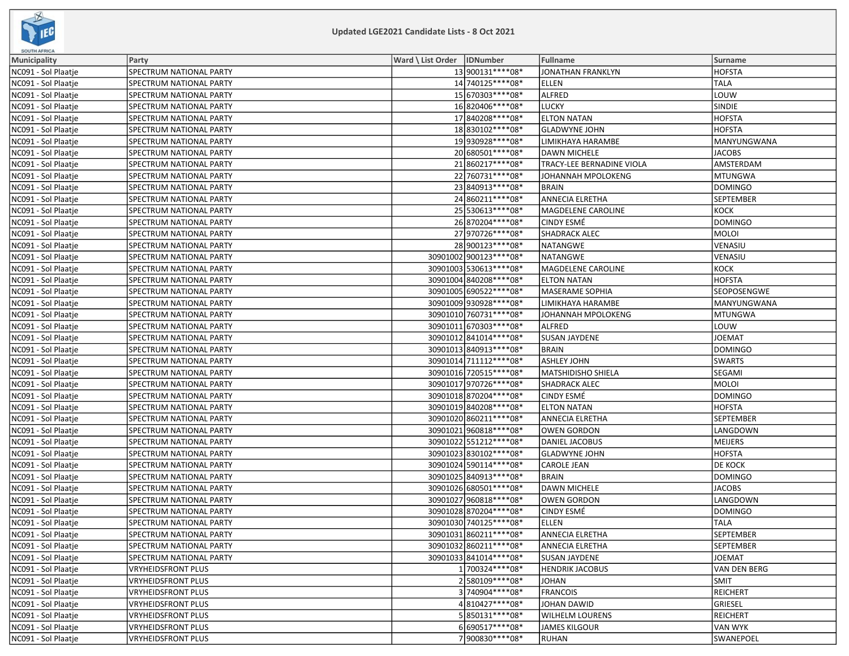

| <b>SOUTH AFRICA</b> |                           |                              |                          |                           |                |
|---------------------|---------------------------|------------------------------|--------------------------|---------------------------|----------------|
| <b>Municipality</b> | Party                     | Ward \ List Order   IDNumber |                          | Fullname                  | Surname        |
| NC091 - Sol Plaatje | SPECTRUM NATIONAL PARTY   |                              | 13 900131 **** 08*       | <b>JONATHAN FRANKLYN</b>  | <b>HOFSTA</b>  |
| NC091 - Sol Plaatje | SPECTRUM NATIONAL PARTY   |                              | 14 740125 **** 08*       | <b>ELLEN</b>              | <b>TALA</b>    |
| NC091 - Sol Plaatje | SPECTRUM NATIONAL PARTY   |                              | 15 670303 **** 08*       | ALFRED                    | LOUW           |
| NC091 - Sol Plaatje | SPECTRUM NATIONAL PARTY   |                              | 16820406 **** 08*        | LUCKY                     | <b>SINDIE</b>  |
| NC091 - Sol Plaatje | SPECTRUM NATIONAL PARTY   |                              | 17 840208****08*         | <b>ELTON NATAN</b>        | HOFSTA         |
| NC091 - Sol Plaatje | SPECTRUM NATIONAL PARTY   |                              | 18830102 **** 08*        | <b>GLADWYNE JOHN</b>      | <b>HOFSTA</b>  |
| NC091 - Sol Plaatje | SPECTRUM NATIONAL PARTY   |                              | 19930928 **** 08*        | LIMIKHAYA HARAMBE         | MANYUNGWANA    |
| NC091 - Sol Plaatje | SPECTRUM NATIONAL PARTY   |                              | 20 680501 **** 08*       | DAWN MICHELE              | JACOBS         |
| NC091 - Sol Plaatje | SPECTRUM NATIONAL PARTY   |                              | 21860217****08*          | TRACY-LEE BERNADINE VIOLA | AMSTERDAM      |
| NC091 - Sol Plaatje | SPECTRUM NATIONAL PARTY   |                              | 22 760731 **** 08*       | JOHANNAH MPOLOKENG        | MTUNGWA        |
| NC091 - Sol Plaatje | SPECTRUM NATIONAL PARTY   |                              | 23 840913 **** 08*       | <b>BRAIN</b>              | DOMINGO        |
| NC091 - Sol Plaatje | SPECTRUM NATIONAL PARTY   |                              | 24 860211 **** 08*       | <b>ANNECIA ELRETHA</b>    | SEPTEMBER      |
| NC091 - Sol Plaatje | SPECTRUM NATIONAL PARTY   |                              | 25 530613 **** 08*       | MAGDELENE CAROLINE        | KOCK           |
| NC091 - Sol Plaatje | SPECTRUM NATIONAL PARTY   |                              | 26 870204 **** 08*       | <b>CINDY ESMÉ</b>         | DOMINGO        |
| NC091 - Sol Plaatje | SPECTRUM NATIONAL PARTY   |                              | 27 970726 **** 08*       | <b>SHADRACK ALEC</b>      | MOLOI          |
| NC091 - Sol Plaatje | SPECTRUM NATIONAL PARTY   |                              | 28 900123 **** 08*       | <b>NATANGWE</b>           | VENASIU        |
| NC091 - Sol Plaatje | SPECTRUM NATIONAL PARTY   |                              | 30901002 900123 **** 08* | <b>NATANGWE</b>           | VENASIU        |
| NC091 - Sol Plaatje | SPECTRUM NATIONAL PARTY   |                              | 30901003 530613 **** 08* | MAGDELENE CAROLINE        | KOCK           |
| NC091 - Sol Plaatje | SPECTRUM NATIONAL PARTY   |                              | 30901004 840208 **** 08* | <b>ELTON NATAN</b>        | <b>HOFSTA</b>  |
| NC091 - Sol Plaatje | SPECTRUM NATIONAL PARTY   |                              | 30901005 690522 **** 08* | MASERAME SOPHIA           | SEOPOSENGWE    |
| NC091 - Sol Plaatje | SPECTRUM NATIONAL PARTY   |                              | 30901009 930928 **** 08* | LIMIKHAYA HARAMBE         | MANYUNGWANA    |
| NC091 - Sol Plaatje | SPECTRUM NATIONAL PARTY   |                              | 30901010 760731 **** 08* | JOHANNAH MPOLOKENG        | MTUNGWA        |
| NC091 - Sol Plaatje | SPECTRUM NATIONAL PARTY   |                              | 30901011 670303**** 08*  | <b>ALFRED</b>             | LOUW           |
| NC091 - Sol Plaatje | SPECTRUM NATIONAL PARTY   |                              | 30901012 841014 **** 08* | <b>SUSAN JAYDENE</b>      | <b>JOEMAT</b>  |
| NC091 - Sol Plaatje | SPECTRUM NATIONAL PARTY   |                              | 30901013 840913 **** 08* | <b>BRAIN</b>              | DOMINGO        |
| NC091 - Sol Plaatje | SPECTRUM NATIONAL PARTY   |                              | 30901014 711112 **** 08* | <b>ASHLEY JOHN</b>        | SWARTS         |
| NC091 - Sol Plaatje | SPECTRUM NATIONAL PARTY   |                              | 30901016 720515 **** 08* | MATSHIDISHO SHIELA        | SEGAMI         |
| NC091 - Sol Plaatje | SPECTRUM NATIONAL PARTY   |                              | 30901017 970726 **** 08* | <b>SHADRACK ALEC</b>      | <b>MOLOI</b>   |
| NC091 - Sol Plaatje | SPECTRUM NATIONAL PARTY   |                              | 30901018 870204 **** 08* | <b>CINDY ESMÉ</b>         | DOMINGO        |
| NC091 - Sol Plaatje | SPECTRUM NATIONAL PARTY   |                              | 30901019 840208 **** 08* | <b>ELTON NATAN</b>        | HOFSTA         |
| NC091 - Sol Plaatje | SPECTRUM NATIONAL PARTY   |                              | 30901020 860211 **** 08* | <b>ANNECIA ELRETHA</b>    | SEPTEMBER      |
| NC091 - Sol Plaatje | SPECTRUM NATIONAL PARTY   |                              | 30901021 960818 **** 08* | <b>OWEN GORDON</b>        | LANGDOWN       |
| NC091 - Sol Plaatje | SPECTRUM NATIONAL PARTY   |                              | 30901022 551212 **** 08* | DANIEL JACOBUS            | MEIJERS        |
| NC091 - Sol Plaatje | SPECTRUM NATIONAL PARTY   |                              | 30901023 830102 **** 08* | <b>GLADWYNE JOHN</b>      | <b>HOFSTA</b>  |
| NC091 - Sol Plaatje | SPECTRUM NATIONAL PARTY   |                              | 30901024 590114**** 08*  | <b>CAROLE JEAN</b>        | <b>DE KOCK</b> |
| NC091 - Sol Plaatje | SPECTRUM NATIONAL PARTY   |                              | 30901025 840913 **** 08* | <b>BRAIN</b>              | DOMINGO        |
| NC091 - Sol Plaatje | SPECTRUM NATIONAL PARTY   |                              | 30901026 680501 **** 08* | <b>DAWN MICHELE</b>       | <b>JACOBS</b>  |
| NC091 - Sol Plaatje | SPECTRUM NATIONAL PARTY   |                              | 30901027 960818 **** 08* | <b>OWEN GORDON</b>        | LANGDOWN       |
| NC091 - Sol Plaatje | SPECTRUM NATIONAL PARTY   |                              | 30901028870204 **** 08*  | <b>CINDY ESMÉ</b>         | DOMINGO        |
| NC091 - Sol Plaatje | SPECTRUM NATIONAL PARTY   |                              | 30901030 740125 **** 08* | <b>ELLEN</b>              | <b>TALA</b>    |
| NC091 - Sol Plaatje | SPECTRUM NATIONAL PARTY   |                              | 30901031 860211 **** 08* | <b>ANNECIA ELRETHA</b>    | SEPTEMBER      |
| NC091 - Sol Plaatje | SPECTRUM NATIONAL PARTY   |                              | 30901032 860211 **** 08* | <b>ANNECIA ELRETHA</b>    | SEPTEMBER      |
| NC091 - Sol Plaatje | SPECTRUM NATIONAL PARTY   |                              | 30901033841014 **** 08*  | <b>SUSAN JAYDENE</b>      | <b>JOEMAT</b>  |
| NC091 - Sol Plaatie | <b>VRYHEIDSFRONT PLUS</b> |                              | 1700324 **** 08*         | <b>HENDRIK JACOBUS</b>    | VAN DEN BERG   |
| NC091 - Sol Plaatje | <b>VRYHEIDSFRONT PLUS</b> |                              | 2580109 **** 08*         | <b>JOHAN</b>              | <b>SMIT</b>    |
| NC091 - Sol Plaatje | <b>VRYHEIDSFRONT PLUS</b> |                              | 3740904 **** 08*         | <b>FRANCOIS</b>           | REICHERT       |
| NC091 - Sol Plaatje | VRYHEIDSFRONT PLUS        |                              | 4810427****08*           | JOHAN DAWID               | GRIESEL        |
| NC091 - Sol Plaatje | <b>VRYHEIDSFRONT PLUS</b> |                              | 5850131 **** 08*         | <b>WILHELM LOURENS</b>    | REICHERT       |
| NC091 - Sol Plaatie | <b>VRYHEIDSFRONT PLUS</b> |                              | 6690517****08*           | <b>JAMES KILGOUR</b>      | VAN WYK        |
| NC091 - Sol Plaatje | VRYHEIDSFRONT PLUS        |                              | 7900830 **** 08*         | <b>RUHAN</b>              | SWANEPOEL      |
|                     |                           |                              |                          |                           |                |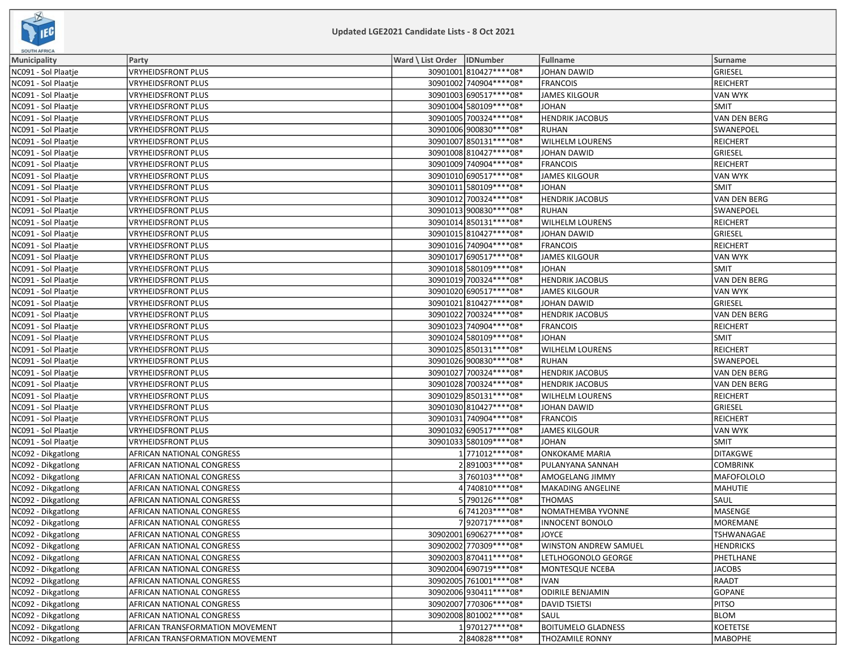

| <b>SUUIMAFRICA</b>                         |                                    |                                                         |                              |                     |
|--------------------------------------------|------------------------------------|---------------------------------------------------------|------------------------------|---------------------|
| <b>Municipality</b><br>NC091 - Sol Plaatje | Party<br><b>VRYHEIDSFRONT PLUS</b> | Ward \ List Order   IDNumber<br>30901001 810427**** 08* | Fullname<br>JOHAN DAWID      | Surname<br>GRIESEL  |
| NC091 - Sol Plaatje                        | VRYHEIDSFRONT PLUS                 | 30901002 740904 **** 08*                                | <b>FRANCOIS</b>              | REICHERT            |
| NC091 - Sol Plaatje                        | <b>VRYHEIDSFRONT PLUS</b>          | 30901003 690517****08*                                  | <b>JAMES KILGOUR</b>         | VAN WYK             |
| NC091 - Sol Plaatje                        | <b>VRYHEIDSFRONT PLUS</b>          | 30901004 580109 **** 08*                                | <b>JOHAN</b>                 | <b>SMIT</b>         |
| NC091 - Sol Plaatje                        | VRYHEIDSFRONT PLUS                 | 30901005 700324 **** 08*                                | <b>HENDRIK JACOBUS</b>       | VAN DEN BERG        |
| NC091 - Sol Plaatje                        | VRYHEIDSFRONT PLUS                 | 30901006 900830 **** 08*                                | <b>RUHAN</b>                 | SWANEPOEL           |
| NC091 - Sol Plaatje                        | VRYHEIDSFRONT PLUS                 | 30901007 850131 **** 08*                                | <b>WILHELM LOURENS</b>       | REICHERT            |
| NC091 - Sol Plaatje                        | <b>VRYHEIDSFRONT PLUS</b>          | 30901008 810427 **** 08*                                | JOHAN DAWID                  | GRIESEL             |
| NC091 - Sol Plaatje                        | VRYHEIDSFRONT PLUS                 | 30901009 740904 **** 08*                                | <b>FRANCOIS</b>              | REICHERT            |
| NC091 - Sol Plaatje                        | VRYHEIDSFRONT PLUS                 | 30901010 690517**** 08*                                 | <b>JAMES KILGOUR</b>         | VAN WYK             |
| NC091 - Sol Plaatje                        | VRYHEIDSFRONT PLUS                 | 30901011 580109 **** 08*                                | <b>JOHAN</b>                 | <b>SMIT</b>         |
| NC091 - Sol Plaatje                        | VRYHEIDSFRONT PLUS                 | 30901012 700324 **** 08*                                | <b>HENDRIK JACOBUS</b>       | VAN DEN BERG        |
| NC091 - Sol Plaatje                        | VRYHEIDSFRONT PLUS                 | 30901013 900830 **** 08*                                | RUHAN                        | <b>SWANEPOEL</b>    |
| NC091 - Sol Plaatje                        | VRYHEIDSFRONT PLUS                 | 30901014 850131 **** 08*                                | <b>WILHELM LOURENS</b>       | REICHERT            |
| NC091 - Sol Plaatje                        | VRYHEIDSFRONT PLUS                 | 30901015 810427**** 08*                                 | JOHAN DAWID                  | GRIESEL             |
| NC091 - Sol Plaatje                        | VRYHEIDSFRONT PLUS                 | 30901016 740904 **** 08*                                | <b>FRANCOIS</b>              | REICHERT            |
| NC091 - Sol Plaatje                        | VRYHEIDSFRONT PLUS                 | 30901017 690517**** 08*                                 | <b>JAMES KILGOUR</b>         | <b>VAN WYK</b>      |
| NC091 - Sol Plaatje                        | <b>VRYHEIDSFRONT PLUS</b>          | 30901018 580109 **** 08*                                | <b>JOHAN</b>                 | SMIT                |
| NC091 - Sol Plaatje                        | VRYHEIDSFRONT PLUS                 | 30901019 700324 **** 08*                                | <b>HENDRIK JACOBUS</b>       | VAN DEN BERG        |
| NC091 - Sol Plaatje                        | VRYHEIDSFRONT PLUS                 | 30901020 690517 **** 08*                                | <b>JAMES KILGOUR</b>         | VAN WYK             |
| NC091 - Sol Plaatje                        | VRYHEIDSFRONT PLUS                 | 30901021 810427 **** 08*                                | <b>JOHAN DAWID</b>           | GRIESEL             |
| NC091 - Sol Plaatje                        | VRYHEIDSFRONT PLUS                 | 30901022 700324 **** 08*                                | <b>HENDRIK JACOBUS</b>       | <b>VAN DEN BERG</b> |
| NC091 - Sol Plaatje                        | VRYHEIDSFRONT PLUS                 | 30901023 740904 **** 08*                                | <b>FRANCOIS</b>              | REICHERT            |
| NC091 - Sol Plaatje                        | VRYHEIDSFRONT PLUS                 | 30901024 580109 **** 08*                                | <b>JOHAN</b>                 | <b>SMIT</b>         |
| NC091 - Sol Plaatje                        | VRYHEIDSFRONT PLUS                 | 30901025 850131 **** 08*                                | <b>WILHELM LOURENS</b>       | REICHERT            |
| NC091 - Sol Plaatje                        | VRYHEIDSFRONT PLUS                 | 30901026 900830 **** 08*                                | <b>RUHAN</b>                 | SWANEPOEL           |
| NC091 - Sol Plaatje                        | VRYHEIDSFRONT PLUS                 | 30901027 700324 **** 08*                                | <b>HENDRIK JACOBUS</b>       | VAN DEN BERG        |
| NC091 - Sol Plaatje                        | <b>VRYHEIDSFRONT PLUS</b>          | 30901028 700324 **** 08*                                | <b>HENDRIK JACOBUS</b>       | VAN DEN BERG        |
| NC091 - Sol Plaatje                        | VRYHEIDSFRONT PLUS                 | 30901029 850131 **** 08*                                | <b>WILHELM LOURENS</b>       | REICHERT            |
| NC091 - Sol Plaatje                        | VRYHEIDSFRONT PLUS                 | 30901030 810427****08*                                  | JOHAN DAWID                  | GRIESEL             |
| NC091 - Sol Plaatje                        | VRYHEIDSFRONT PLUS                 | 30901031 740904 **** 08*                                | <b>FRANCOIS</b>              | <b>REICHERT</b>     |
| NC091 - Sol Plaatje                        | VRYHEIDSFRONT PLUS                 | 30901032 690517 **** 08*                                | <b>JAMES KILGOUR</b>         | <b>VAN WYK</b>      |
| NC091 - Sol Plaatje                        | <b>VRYHEIDSFRONT PLUS</b>          | 30901033 580109 **** 08*                                | <b>JOHAN</b>                 | <b>SMIT</b>         |
| NC092 - Dikgatlong                         | AFRICAN NATIONAL CONGRESS          | 1771012 **** 08*                                        | <b>ONKOKAME MARIA</b>        | <b>DITAKGWE</b>     |
| NC092 - Dikgatlong                         | AFRICAN NATIONAL CONGRESS          | 2891003 **** 08*                                        | PULANYANA SANNAH             | <b>COMBRINK</b>     |
| NC092 - Dikgatlong                         | AFRICAN NATIONAL CONGRESS          | 3760103****08*                                          | AMOGELANG JIMMY              | MAFOFOLOLO          |
| NC092 - Dikgatlong                         | AFRICAN NATIONAL CONGRESS          | 4 740810 **** 08*                                       | <b>MAKADING ANGELINE</b>     | <b>MAHUTIE</b>      |
| NC092 - Dikgatlong                         | AFRICAN NATIONAL CONGRESS          | 5790126 **** 08*                                        | <b>THOMAS</b>                | SAUL                |
| NC092 - Dikgatlong                         | AFRICAN NATIONAL CONGRESS          | 6 741203 **** 08*                                       | NOMATHEMBA YVONNE            | MASENGE             |
| NC092 - Dikgatlong                         | AFRICAN NATIONAL CONGRESS          | 7920717****08*                                          | <b>INNOCENT BONOLO</b>       | MOREMANE            |
| NC092 - Dikgatlong                         | AFRICAN NATIONAL CONGRESS          | 30902001 690627 **** 08*                                | <b>JOYCE</b>                 | TSHWANAGAE          |
| NC092 - Dikgatlong                         | AFRICAN NATIONAL CONGRESS          | 30902002 770309 **** 08*                                | <b>WINSTON ANDREW SAMUEL</b> | <b>HENDRICKS</b>    |
| NC092 - Dikgatlong                         | AFRICAN NATIONAL CONGRESS          | 30902003 870411 **** 08*                                | LETLHOGONOLO GEORGE          | PHETLHANE           |
| NC092 - Dikgatlong                         | AFRICAN NATIONAL CONGRESS          | 30902004 690719 **** 08*                                | MONTESQUE NCEBA              | <b>JACOBS</b>       |
| NC092 - Dikgatlong                         | AFRICAN NATIONAL CONGRESS          | 30902005 761001 **** 08*                                | <b>IVAN</b>                  | RAADT               |
| NC092 - Dikgatlong                         | AFRICAN NATIONAL CONGRESS          | 30902006 930411 **** 08*                                | <b>ODIRILE BENJAMIN</b>      | GOPANE              |
| NC092 - Dikgatlong                         | AFRICAN NATIONAL CONGRESS          | 30902007 770306 **** 08*                                | <b>DAVID TSIETSI</b>         | <b>PITSO</b>        |
| NC092 - Dikgatlong                         | AFRICAN NATIONAL CONGRESS          | 30902008 801002 **** 08*                                | SAUL                         | <b>BLOM</b>         |
| NC092 - Dikgatlong                         | AFRICAN TRANSFORMATION MOVEMENT    | 1970127****08*                                          | <b>BOITUMELO GLADNESS</b>    | KOETETSE            |
| NC092 - Dikgatlong                         | AFRICAN TRANSFORMATION MOVEMENT    | 2840828 **** 08*                                        | THOZAMILE RONNY              | MABOPHE             |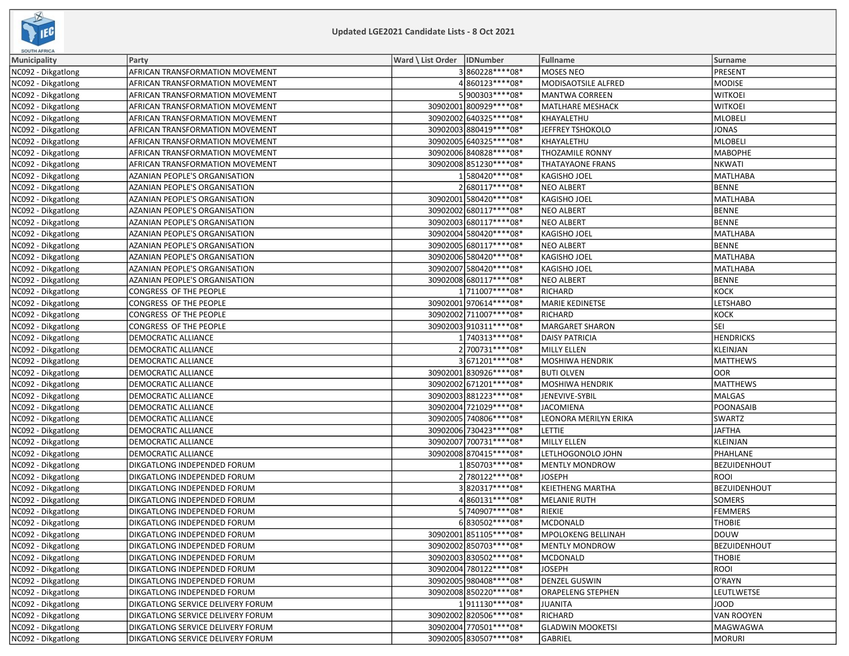

| SOUTH AFRICA       |                                      |                              |                          |                   |
|--------------------|--------------------------------------|------------------------------|--------------------------|-------------------|
| Municipality       | Party                                | Ward \ List Order   IDNumber | <b>Fullname</b>          | <b>Surname</b>    |
| NC092 - Dikgatlong | AFRICAN TRANSFORMATION MOVEMENT      | 3860228 **** 08*             | MOSES NEO                | PRESENT           |
| NC092 - Dikgatlong | AFRICAN TRANSFORMATION MOVEMENT      | 4860123 **** 08*             | MODISAOTSILE ALFRED      | MODISE            |
| NC092 - Dikgatlong | AFRICAN TRANSFORMATION MOVEMENT      | 5900303 **** 08*             | <b>MANTWA CORREEN</b>    | <b>WITKOEI</b>    |
| NC092 - Dikgatlong | AFRICAN TRANSFORMATION MOVEMENT      | 30902001 800929 **** 08*     | <b>MATLHARE MESHACK</b>  | <b>WITKOEI</b>    |
| NC092 - Dikgatlong | AFRICAN TRANSFORMATION MOVEMENT      | 30902002 640325 **** 08*     | KHAYALETHU               | MLOBELI           |
| NC092 - Dikgatlong | AFRICAN TRANSFORMATION MOVEMENT      | 30902003 880419 **** 08*     | JEFFREY TSHOKOLO         | JONAS             |
| NC092 - Dikgatlong | AFRICAN TRANSFORMATION MOVEMENT      | 30902005 640325 **** 08*     | KHAYALETHU               | MLOBELI           |
| NC092 - Dikgatlong | AFRICAN TRANSFORMATION MOVEMENT      | 30902006 840828 **** 08*     | <b>THOZAMILE RONNY</b>   | <b>MABOPHE</b>    |
| NC092 - Dikgatlong | AFRICAN TRANSFORMATION MOVEMENT      | 30902008 851230 **** 08*     | <b>THATAYAONE FRANS</b>  | <b>NKWATI</b>     |
| NC092 - Dikgatlong | AZANIAN PEOPLE'S ORGANISATION        | 1580420 **** 08*             | <b>KAGISHO JOEL</b>      | MATLHABA          |
| NC092 - Dikgatlong | <b>AZANIAN PEOPLE'S ORGANISATION</b> | 2680117****08*               | <b>NEO ALBERT</b>        | BENNE             |
| NC092 - Dikgatlong | AZANIAN PEOPLE'S ORGANISATION        | 30902001 580420 **** 08*     | <b>KAGISHO JOEL</b>      | MATLHABA          |
| NC092 - Dikgatlong | AZANIAN PEOPLE'S ORGANISATION        | 30902002 680117****08*       | <b>NEO ALBERT</b>        | <b>BENNE</b>      |
| NC092 - Dikgatlong | AZANIAN PEOPLE'S ORGANISATION        | 30902003 680117****08*       | <b>NEO ALBERT</b>        | BENNE             |
| NC092 - Dikgatlong | AZANIAN PEOPLE'S ORGANISATION        | 30902004 580420 **** 08*     | <b>KAGISHO JOEL</b>      | MATLHABA          |
| NC092 - Dikgatlong | AZANIAN PEOPLE'S ORGANISATION        | 30902005 680117****08*       | <b>NEO ALBERT</b>        | <b>BENNE</b>      |
| NC092 - Dikgatlong | AZANIAN PEOPLE'S ORGANISATION        | 30902006 580420 **** 08*     | <b>KAGISHO JOEL</b>      | <b>MATLHABA</b>   |
| NC092 - Dikgatlong | <b>AZANIAN PEOPLE'S ORGANISATION</b> | 30902007 580420 **** 08*     | KAGISHO JOEL             | <b>MATLHABA</b>   |
| NC092 - Dikgatlong | AZANIAN PEOPLE'S ORGANISATION        | 30902008 680117****08*       | <b>NEO ALBERT</b>        | BENNE             |
| NC092 - Dikgatlong | CONGRESS OF THE PEOPLE               | 1711007****08*               | RICHARD                  | коск              |
| NC092 - Dikgatlong | CONGRESS OF THE PEOPLE               | 30902001 970614 **** 08*     | MARIE KEDINETSE          | <b>LETSHABO</b>   |
| NC092 - Dikgatlong | CONGRESS OF THE PEOPLE               | 30902002 711007 **** 08*     | RICHARD                  | KOCK              |
| NC092 - Dikgatlong | CONGRESS OF THE PEOPLE               | 30902003 910311 **** 08*     | <b>MARGARET SHARON</b>   | SEI               |
| NC092 - Dikgatlong | DEMOCRATIC ALLIANCE                  | 1 740313 **** 08*            | <b>DAISY PATRICIA</b>    | <b>HENDRICKS</b>  |
| NC092 - Dikgatlong | <b>DEMOCRATIC ALLIANCE</b>           | 2 700731 **** 08*            | <b>MILLY ELLEN</b>       | KLEINJAN          |
| NC092 - Dikgatlong | <b>DEMOCRATIC ALLIANCE</b>           | 3671201 **** 08*             | MOSHIWA HENDRIK          | <b>MATTHEWS</b>   |
| NC092 - Dikgatlong | DEMOCRATIC ALLIANCE                  | 30902001 830926 **** 08*     | <b>BUTI OLVEN</b>        | loor              |
| NC092 - Dikgatlong | DEMOCRATIC ALLIANCE                  | 30902002 671201 **** 08*     | <b>MOSHIWA HENDRIK</b>   | <b>MATTHEWS</b>   |
| NC092 - Dikgatlong | DEMOCRATIC ALLIANCE                  | 30902003 881223 **** 08*     | JENEVIVE-SYBIL           | MALGAS            |
| NC092 - Dikgatlong | DEMOCRATIC ALLIANCE                  | 30902004 721029 **** 08*     | <b>JACOMIENA</b>         | POONASAIB         |
| NC092 - Dikgatlong | DEMOCRATIC ALLIANCE                  | 30902005 740806 **** 08*     | LEONORA MERILYN ERIKA    | SWARTZ            |
| NC092 - Dikgatlong | DEMOCRATIC ALLIANCE                  | 30902006 730423 **** 08*     | LETTIE                   | <b>JAFTHA</b>     |
| NC092 - Dikgatlong | DEMOCRATIC ALLIANCE                  | 30902007 700731 **** 08*     | MILLY ELLEN              | KLEINJAN          |
| NC092 - Dikgatlong | DEMOCRATIC ALLIANCE                  | 30902008 870415 **** 08*     | LETLHOGONOLO JOHN        | PHAHLANE          |
| NC092 - Dikgatlong | DIKGATLONG INDEPENDED FORUM          | 1850703 **** 08*             | <b>MENTLY MONDROW</b>    | BEZUIDENHOUT      |
| NC092 - Dikgatlong | DIKGATLONG INDEPENDED FORUM          | 2 780122 **** 08*            | <b>JOSEPH</b>            | <b>ROOI</b>       |
| NC092 - Dikgatlong | DIKGATLONG INDEPENDED FORUM          | 3820317 **** 08*             | <b>KEIETHENG MARTHA</b>  | BEZUIDENHOUT      |
| NC092 - Dikgatlong | DIKGATLONG INDEPENDED FORUM          | 4860131 **** 08*             | <b>MELANIE RUTH</b>      | <b>SOMERS</b>     |
| NC092 - Dikgatlong | DIKGATLONG INDEPENDED FORUM          | 5 740907****08*              | RIEKIE                   | FEMMERS           |
| NC092 - Dikgatlong | DIKGATLONG INDEPENDED FORUM          | 6830502 **** 08*             | MCDONALD                 | <b>THOBIE</b>     |
| NC092 - Dikgatlong | DIKGATLONG INDEPENDED FORUM          | 30902001 851105 **** 08*     | MPOLOKENG BELLINAH       | DOUW              |
| NC092 - Dikgatlong | DIKGATLONG INDEPENDED FORUM          | 30902002 850703 **** 08*     | <b>MENTLY MONDROW</b>    | BEZUIDENHOUT      |
| NC092 - Dikgatlong | DIKGATLONG INDEPENDED FORUM          | 30902003 830502 **** 08*     | <b>MCDONALD</b>          | <b>THOBIE</b>     |
| NC092 - Dikgatlong | DIKGATLONG INDEPENDED FORUM          | 30902004 780122 **** 08*     | <b>JOSEPH</b>            | ROOI              |
| NC092 - Dikgatlong | DIKGATLONG INDEPENDED FORUM          | 30902005 980408 **** 08*     | <b>DENZEL GUSWIN</b>     | O'RAYN            |
| NC092 - Dikgatlong | DIKGATLONG INDEPENDED FORUM          | 30902008 850220 **** 08*     | <b>ORAPELENG STEPHEN</b> | LEUTLWETSE        |
| NC092 - Dikgatlong | DIKGATLONG SERVICE DELIVERY FORUM    | 1911130 **** 08*             | <b>JUANITA</b>           | JOOD              |
| NC092 - Dikgatlong | DIKGATLONG SERVICE DELIVERY FORUM    | 30902002 820506 **** 08*     | RICHARD                  | <b>VAN ROOYEN</b> |
| NC092 - Dikgatlong | DIKGATLONG SERVICE DELIVERY FORUM    | 30902004 770501 **** 08*     | <b>GLADWIN MOOKETSI</b>  | MAGWAGWA          |
| NC092 - Dikgatlong | DIKGATLONG SERVICE DELIVERY FORUM    | 30902005 830507 **** 08*     | <b>GABRIEL</b>           | MORURI            |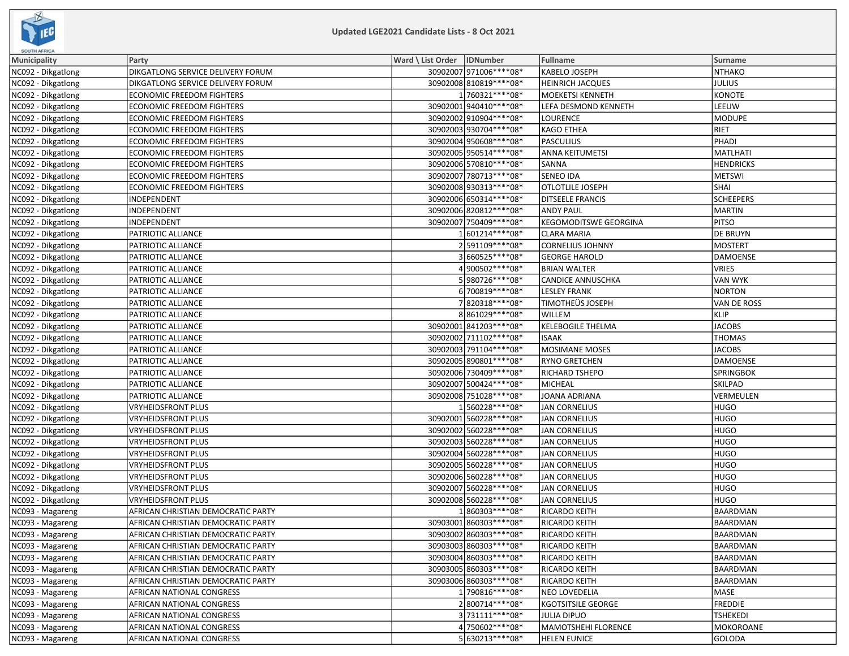

| <b>SOUTH AFRICA</b> |                                           |                              |                          |                              |                  |
|---------------------|-------------------------------------------|------------------------------|--------------------------|------------------------------|------------------|
| <b>Municipality</b> | Party                                     | Ward \ List Order   IDNumber |                          | <b>Fullname</b>              | Surname          |
| NC092 - Dikgatlong  | DIKGATLONG SERVICE DELIVERY FORUM         |                              | 30902007 971006 **** 08* | KABELO JOSEPH                | NTHAKO           |
| NC092 - Dikgatlong  | DIKGATLONG SERVICE DELIVERY FORUM         |                              | 30902008 810819 **** 08* | <b>HEINRICH JACQUES</b>      | JULIUS           |
| NC092 - Dikgatlong  | ECONOMIC FREEDOM FIGHTERS                 |                              | 1760321 **** 08*         | <b>MOEKETSI KENNETH</b>      | KONOTE           |
| NC092 - Dikgatlong  | <b>ECONOMIC FREEDOM FIGHTERS</b>          |                              | 30902001 940410 **** 08* | LEFA DESMOND KENNETH         | LEEUW            |
| NC092 - Dikgatlong  | ECONOMIC FREEDOM FIGHTERS                 |                              | 30902002 910904 **** 08* | <b>LOURENCE</b>              | MODUPE           |
| NC092 - Dikgatlong  | ECONOMIC FREEDOM FIGHTERS                 |                              | 30902003 930704 **** 08* | <b>KAGO ETHEA</b>            | RIET             |
| NC092 - Dikgatlong  | ECONOMIC FREEDOM FIGHTERS                 |                              | 30902004 950608 **** 08* | <b>PASCULIUS</b>             | PHADI            |
| NC092 - Dikgatlong  | ECONOMIC FREEDOM FIGHTERS                 |                              | 30902005 950514 **** 08* | <b>ANNA KEITUMETSI</b>       | MATLHATI         |
| NC092 - Dikgatlong  | <b>ECONOMIC FREEDOM FIGHTERS</b>          |                              | 30902006 570810 **** 08* | SANNA                        | <b>HENDRICKS</b> |
| NC092 - Dikgatlong  | <b>ECONOMIC FREEDOM FIGHTERS</b>          |                              | 30902007 780713 **** 08* | <b>SENEO IDA</b>             | METSWI           |
| NC092 - Dikgatlong  | ECONOMIC FREEDOM FIGHTERS                 |                              | 30902008 930313 **** 08* | <b>OTLOTLILE JOSEPH</b>      | <b>SHAI</b>      |
| NC092 - Dikgatlong  | INDEPENDENT                               |                              | 30902006 650314 **** 08* | <b>DITSEELE FRANCIS</b>      | <b>SCHEEPERS</b> |
| NC092 - Dikgatlong  | INDEPENDENT                               |                              | 30902006 820812 **** 08* | <b>ANDY PAUL</b>             | MARTIN           |
| NC092 - Dikgatlong  | INDEPENDENT                               |                              | 30902007 750409 **** 08* | <b>KEGOMODITSWE GEORGINA</b> | <b>PITSO</b>     |
| NC092 - Dikgatlong  | PATRIOTIC ALLIANCE                        |                              | 1601214 **** 08*         | <b>CLARA MARIA</b>           | <b>DE BRUYN</b>  |
| NC092 - Dikgatlong  | PATRIOTIC ALLIANCE                        |                              | 2591109 **** 08*         | <b>CORNELIUS JOHNNY</b>      | MOSTERT          |
| NC092 - Dikgatlong  | PATRIOTIC ALLIANCE                        |                              | 3660525 **** 08*         | <b>GEORGE HAROLD</b>         | DAMOENSE         |
| NC092 - Dikgatlong  | PATRIOTIC ALLIANCE                        |                              | 4900502 **** 08*         | <b>BRIAN WALTER</b>          | VRIES            |
| NC092 - Dikgatlong  | PATRIOTIC ALLIANCE                        |                              | 5980726 **** 08*         | <b>CANDICE ANNUSCHKA</b>     | VAN WYK          |
| NC092 - Dikgatlong  | PATRIOTIC ALLIANCE                        |                              | 6700819 **** 08*         | <b>LESLEY FRANK</b>          | NORTON           |
| NC092 - Dikgatlong  | PATRIOTIC ALLIANCE                        |                              | 7820318 **** 08*         | <b>TIMOTHEÜS JOSEPH</b>      | VAN DE ROSS      |
| NC092 - Dikgatlong  | PATRIOTIC ALLIANCE                        |                              | 8861029 **** 08*         | WILLEM                       | KLIP             |
| NC092 - Dikgatlong  | PATRIOTIC ALLIANCE                        |                              | 30902001 841203 **** 08* | <b>KELEBOGILE THELMA</b>     | <b>JACOBS</b>    |
| NC092 - Dikgatlong  | PATRIOTIC ALLIANCE                        |                              | 30902002 711102 **** 08* | <b>ISAAK</b>                 | <b>THOMAS</b>    |
| NC092 - Dikgatlong  | PATRIOTIC ALLIANCE                        |                              | 30902003 791104 **** 08* | MOSIMANE MOSES               | <b>JACOBS</b>    |
| NC092 - Dikgatlong  | PATRIOTIC ALLIANCE                        |                              | 30902005 890801 **** 08* | <b>RYNO GRETCHEN</b>         | DAMOENSE         |
| NC092 - Dikgatlong  | PATRIOTIC ALLIANCE                        |                              | 30902006 730409 **** 08* | RICHARD TSHEPO               | SPRINGBOK        |
| NC092 - Dikgatlong  | PATRIOTIC ALLIANCE                        |                              | 30902007 500424 **** 08* | <b>MICHEAL</b>               | <b>SKILPAD</b>   |
| NC092 - Dikgatlong  | PATRIOTIC ALLIANCE                        |                              | 30902008 751028 **** 08* | JOANA ADRIANA                | VERMEULEN        |
| NC092 - Dikgatlong  | <b>VRYHEIDSFRONT PLUS</b>                 |                              | 1560228 **** 08*         | <b>JAN CORNELIUS</b>         | HUGO             |
| NC092 - Dikgatlong  | <b>VRYHEIDSFRONT PLUS</b>                 |                              | 30902001 560228 **** 08* | <b>JAN CORNELIUS</b>         | HUGO             |
| NC092 - Dikgatlong  | <b>VRYHEIDSFRONT PLUS</b>                 |                              | 30902002 560228 **** 08* | <b>JAN CORNELIUS</b>         | HUGO             |
| NC092 - Dikgatlong  | VRYHEIDSFRONT PLUS                        |                              | 30902003 560228 **** 08* | <b>JAN CORNELIUS</b>         | HUGO             |
| NC092 - Dikgatlong  | <b>VRYHEIDSFRONT PLUS</b>                 |                              | 30902004 560228 **** 08* | <b>JAN CORNELIUS</b>         | HUGO             |
| NC092 - Dikgatlong  | <b>VRYHEIDSFRONT PLUS</b>                 |                              | 30902005 560228 **** 08* | <b>JAN CORNELIUS</b>         | HUGO             |
| NC092 - Dikgatlong  | <b>VRYHEIDSFRONT PLUS</b>                 |                              | 30902006560228 **** 08*  | <b>JAN CORNELIUS</b>         | HUGO             |
| NC092 - Dikgatlong  | <b>VRYHEIDSFRONT PLUS</b>                 |                              | 30902007560228 **** 08*  | <b>JAN CORNELIUS</b>         | HUGO             |
| NC092 - Dikgatlong  | <b>VRYHEIDSFRONT PLUS</b>                 |                              | 30902008 560228 **** 08* | <b>JAN CORNELIUS</b>         | HUGO             |
| NC093 - Magareng    | AFRICAN CHRISTIAN DEMOCRATIC PARTY        |                              | 1860303 **** 08*         | RICARDO KEITH                | BAARDMAN         |
| NC093 - Magareng    | AFRICAN CHRISTIAN DEMOCRATIC PARTY        |                              | 30903001 860303 **** 08* | <b>RICARDO KEITH</b>         | BAARDMAN         |
| NC093 - Magareng    | AFRICAN CHRISTIAN DEMOCRATIC PARTY        |                              | 30903002 860303 **** 08* | RICARDO KEITH                | BAARDMAN         |
| NC093 - Magareng    | AFRICAN CHRISTIAN DEMOCRATIC PARTY        |                              | 30903003 860303 **** 08* | RICARDO KEITH                | BAARDMAN         |
| NC093 - Magareng    | AFRICAN CHRISTIAN DEMOCRATIC PARTY        |                              | 30903004 860303 **** 08* | RICARDO KEITH                | BAARDMAN         |
| NC093 - Magareng    | AFRICAN CHRISTIAN DEMOCRATIC PARTY        |                              | 30903005 860303 **** 08* | <b>RICARDO KEITH</b>         | BAARDMAN         |
| NC093 - Magareng    | <b>AFRICAN CHRISTIAN DEMOCRATIC PARTY</b> |                              | 30903006 860303 **** 08* | <b>RICARDO KEITH</b>         | BAARDMAN         |
| NC093 - Magareng    | AFRICAN NATIONAL CONGRESS                 |                              | 1790816 **** 08*         | <b>NEO LOVEDELIA</b>         | MASE             |
| NC093 - Magareng    | AFRICAN NATIONAL CONGRESS                 |                              | 2800714 **** 08*         | <b>KGOTSITSILE GEORGE</b>    | FREDDIE          |
| NC093 - Magareng    | AFRICAN NATIONAL CONGRESS                 |                              | 3731111****08*           | <b>JULIA DIPUO</b>           | <b>TSHEKEDI</b>  |
| NC093 - Magareng    | AFRICAN NATIONAL CONGRESS                 |                              | 4 750602 **** 08*        | MAMOTSHEHI FLORENCE          | MOKOROANE        |
| NC093 - Magareng    | AFRICAN NATIONAL CONGRESS                 |                              | 5 630213***** 08*        | <b>HELEN EUNICE</b>          | GOLODA           |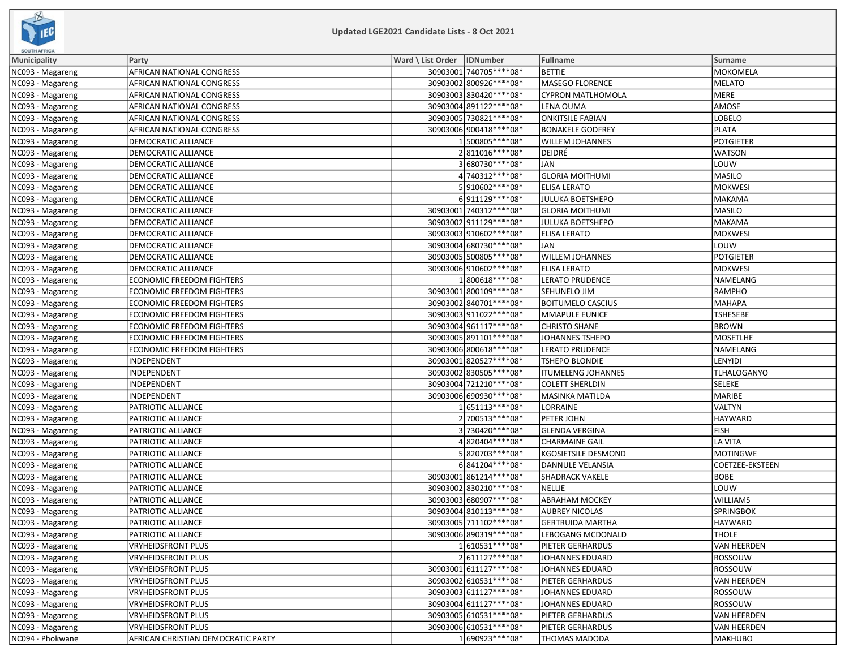

| <b>SOUTH AFRICA</b> |                                    |                              |                          |                           |                    |
|---------------------|------------------------------------|------------------------------|--------------------------|---------------------------|--------------------|
| Municipality        | Party                              | Ward \ List Order   IDNumber |                          | <b>Fullname</b>           | <b>Surname</b>     |
| NC093 - Magareng    | AFRICAN NATIONAL CONGRESS          |                              | 30903001 740705 **** 08* | <b>BETTIE</b>             | MOKOMELA           |
| NC093 - Magareng    | AFRICAN NATIONAL CONGRESS          |                              | 30903002 800926 **** 08* | MASEGO FLORENCE           | MELATO             |
| NC093 - Magareng    | AFRICAN NATIONAL CONGRESS          |                              | 30903003 830420 **** 08* | CYPRON MATLHOMOLA         | MERE               |
| NC093 - Magareng    | AFRICAN NATIONAL CONGRESS          |                              | 30903004 891122 **** 08* | LENA OUMA                 | AMOSE              |
| NC093 - Magareng    | AFRICAN NATIONAL CONGRESS          |                              | 30903005 730821 **** 08* | <b>ONKITSILE FABIAN</b>   | <b>LOBELO</b>      |
| NC093 - Magareng    | AFRICAN NATIONAL CONGRESS          |                              | 30903006900418 **** 08*  | <b>BONAKELE GODFREY</b>   | <b>PLATA</b>       |
| NC093 - Magareng    | DEMOCRATIC ALLIANCE                |                              | 1500805 **** 08*         | <b>WILLEM JOHANNES</b>    | <b>POTGIETER</b>   |
| NC093 - Magareng    | DEMOCRATIC ALLIANCE                |                              | 2811016 **** 08*         | DEIDRÉ                    | <b>WATSON</b>      |
| NC093 - Magareng    | DEMOCRATIC ALLIANCE                |                              | 3680730 **** 08*         | <b>JAN</b>                | LOUW               |
| NC093 - Magareng    | DEMOCRATIC ALLIANCE                |                              | 4 740312 **** 08*        | <b>GLORIA MOITHUMI</b>    | MASILO             |
| NC093 - Magareng    | DEMOCRATIC ALLIANCE                |                              | 5910602 **** 08*         | <b>ELISA LERATO</b>       | <b>MOKWESI</b>     |
| NC093 - Magareng    | DEMOCRATIC ALLIANCE                |                              | 6911129 **** 08*         | <b>JULUKA BOETSHEPO</b>   | MAKAMA             |
| NC093 - Magareng    | DEMOCRATIC ALLIANCE                |                              | 30903001 740312 **** 08* | <b>GLORIA MOITHUMI</b>    | MASILO             |
| NC093 - Magareng    | DEMOCRATIC ALLIANCE                |                              | 30903002 911129 **** 08* | JULUKA BOETSHEPO          | MAKAMA             |
| NC093 - Magareng    | DEMOCRATIC ALLIANCE                |                              | 30903003910602 **** 08*  | <b>ELISA LERATO</b>       | <b>MOKWESI</b>     |
| NC093 - Magareng    | DEMOCRATIC ALLIANCE                |                              | 30903004 680730 **** 08* | <b>JAN</b>                | LOUW               |
| NC093 - Magareng    | DEMOCRATIC ALLIANCE                |                              | 30903005 500805 **** 08* | <b>WILLEM JOHANNES</b>    | <b>POTGIETER</b>   |
| NC093 - Magareng    | DEMOCRATIC ALLIANCE                |                              | 30903006 910602 **** 08* | <b>ELISA LERATO</b>       | <b>MOKWESI</b>     |
| NC093 - Magareng    | ECONOMIC FREEDOM FIGHTERS          |                              | 1800618 **** 08*         | <b>LERATO PRUDENCE</b>    | NAMELANG           |
| NC093 - Magareng    | ECONOMIC FREEDOM FIGHTERS          |                              | 30903001 800109 **** 08* | SEHUNELO JIM              | RAMPHO             |
| NC093 - Magareng    | ECONOMIC FREEDOM FIGHTERS          |                              | 30903002 840701 **** 08* | <b>BOITUMELO CASCIUS</b>  | MAHAPA             |
| NC093 - Magareng    | <b>ECONOMIC FREEDOM FIGHTERS</b>   |                              | 30903003 911022 **** 08* | MMAPULE EUNICE            | <b>TSHESEBE</b>    |
| NC093 - Magareng    | ECONOMIC FREEDOM FIGHTERS          |                              | 30903004 961117****08*   | <b>CHRISTO SHANE</b>      | <b>BROWN</b>       |
| NC093 - Magareng    | ECONOMIC FREEDOM FIGHTERS          |                              | 30903005 891101 **** 08* | <b>JOHANNES TSHEPO</b>    | MOSETLHE           |
| NC093 - Magareng    | ECONOMIC FREEDOM FIGHTERS          |                              | 30903006 800618 **** 08* | <b>LERATO PRUDENCE</b>    | NAMELANG           |
| NC093 - Magareng    | INDEPENDENT                        |                              | 30903001820527****08*    | TSHEPO BLONDIE            | LENYIDI            |
| NC093 - Magareng    | INDEPENDENT                        |                              | 30903002 830505****08*   | <b>ITUMELENG JOHANNES</b> | TLHALOGANYO        |
| NC093 - Magareng    | INDEPENDENT                        |                              | 30903004 721210 **** 08* | <b>COLETT SHERLDIN</b>    | SELEKE             |
| NC093 - Magareng    | INDEPENDENT                        |                              | 30903006 690930 **** 08* | MASINKA MATILDA           | MARIBE             |
| NC093 - Magareng    | PATRIOTIC ALLIANCE                 |                              | 1651113 **** 08*         | LORRAINE                  | VALTYN             |
| NC093 - Magareng    | PATRIOTIC ALLIANCE                 |                              | 2700513 **** 08*         | PETER JOHN                | HAYWARD            |
| NC093 - Magareng    | PATRIOTIC ALLIANCE                 |                              | 3730420 **** 08*         | <b>GLENDA VERGINA</b>     | FISH               |
| NC093 - Magareng    | PATRIOTIC ALLIANCE                 |                              | 4820404 **** 08*         | <b>CHARMAINE GAIL</b>     | LA VITA            |
| NC093 - Magareng    | PATRIOTIC ALLIANCE                 |                              | 5820703 **** 08*         | KGOSIETSILE DESMOND       | MOTINGWE           |
| NC093 - Magareng    | PATRIOTIC ALLIANCE                 |                              | 6841204 **** 08*         | DANNULE VELANSIA          | COETZEE-EKSTEEN    |
| NC093 - Magareng    | PATRIOTIC ALLIANCE                 |                              | 30903001861214 **** 08*  | <b>SHADRACK VAKELE</b>    | <b>BOBE</b>        |
| NC093 - Magareng    | PATRIOTIC ALLIANCE                 |                              | 30903002 830210 **** 08* | <b>NELLIE</b>             | LOUW               |
| NC093 - Magareng    | PATRIOTIC ALLIANCE                 |                              | 30903003 680907 **** 08* | <b>ABRAHAM MOCKEY</b>     | <b>WILLIAMS</b>    |
| NC093 - Magareng    | PATRIOTIC ALLIANCE                 |                              | 30903004 810113 **** 08* | <b>AUBREY NICOLAS</b>     | <b>SPRINGBOK</b>   |
| NC093 - Magareng    | <b>PATRIOTIC ALLIANCE</b>          |                              | 30903005 711102 **** 08* | <b>GERTRUIDA MARTHA</b>   | HAYWARD            |
| NC093 - Magareng    | PATRIOTIC ALLIANCE                 |                              | 30903006 890319 **** 08* | LEBOGANG MCDONALD         | <b>THOLE</b>       |
| NC093 - Magareng    | VRYHEIDSFRONT PLUS                 |                              | 1610531 **** 08*         | PIETER GERHARDUS          | VAN HEERDEN        |
| NC093 - Magareng    | <b>VRYHEIDSFRONT PLUS</b>          |                              | 2611127 **** 08*         | JOHANNES EDUARD           | ROSSOUW            |
| NC093 - Magareng    | <b>VRYHEIDSFRONT PLUS</b>          |                              | 30903001 611127***** 08* | JOHANNES EDUARD           | ROSSOUW            |
| NC093 - Magareng    | <b>VRYHEIDSFRONT PLUS</b>          |                              | 30903002 610531 **** 08* | PIETER GERHARDUS          | VAN HEERDEN        |
| NC093 - Magareng    | VRYHEIDSFRONT PLUS                 |                              | 30903003 611127****08*   | JOHANNES EDUARD           | <b>ROSSOUW</b>     |
| NC093 - Magareng    | VRYHEIDSFRONT PLUS                 |                              | 30903004 611127****08*   | <b>JOHANNES EDUARD</b>    | ROSSOUW            |
| NC093 - Magareng    | VRYHEIDSFRONT PLUS                 |                              | 30903005 610531 **** 08* | PIETER GERHARDUS          | <b>VAN HEERDEN</b> |
| NC093 - Magareng    | <b>VRYHEIDSFRONT PLUS</b>          |                              | 30903006 610531 **** 08* | PIETER GERHARDUS          | VAN HEERDEN        |
| NC094 - Phokwane    | AFRICAN CHRISTIAN DEMOCRATIC PARTY |                              | 1690923 **** 08*         | <b>THOMAS MADODA</b>      | MAKHUBO            |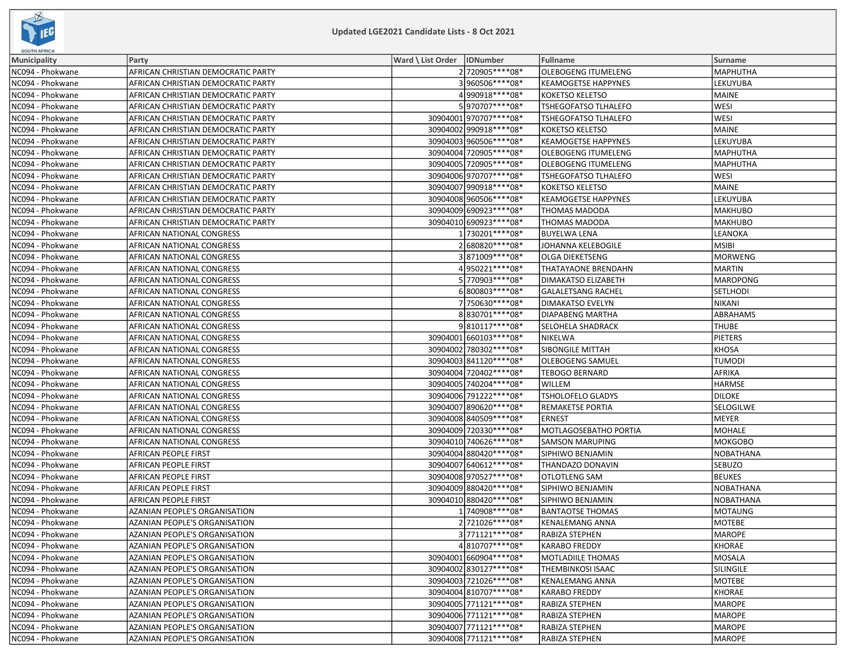

| <b>SOUTH AFRICA</b> |                                      |                              |                          |                             |                  |
|---------------------|--------------------------------------|------------------------------|--------------------------|-----------------------------|------------------|
| <b>Municipality</b> | Party                                | Ward \ List Order   IDNumber |                          | Fullname                    | Surname          |
| NC094 - Phokwane    | AFRICAN CHRISTIAN DEMOCRATIC PARTY   |                              | 2720905 **** 08*         | OLEBOGENG ITUMELENG         | MAPHUTHA         |
| NC094 - Phokwane    | AFRICAN CHRISTIAN DEMOCRATIC PARTY   |                              | 3960506****08*           | <b>KEAMOGETSE HAPPYNES</b>  | LEKUYUBA         |
| NC094 - Phokwane    | AFRICAN CHRISTIAN DEMOCRATIC PARTY   |                              | 4990918****08*           | <b>KOKETSO KELETSO</b>      | MAINE            |
| NC094 - Phokwane    | AFRICAN CHRISTIAN DEMOCRATIC PARTY   |                              | 5970707****08*           | <b>TSHEGOFATSO TLHALEFO</b> | <b>WESI</b>      |
| NC094 - Phokwane    | AFRICAN CHRISTIAN DEMOCRATIC PARTY   |                              | 30904001 970707**** 08*  | <b>TSHEGOFATSO TLHALEFO</b> | <b>WESI</b>      |
| NC094 - Phokwane    | AFRICAN CHRISTIAN DEMOCRATIC PARTY   |                              | 30904002 990918 **** 08* | <b>KOKETSO KELETSO</b>      | MAINE            |
| NC094 - Phokwane    | AFRICAN CHRISTIAN DEMOCRATIC PARTY   |                              | 30904003 960506 **** 08* | <b>KEAMOGETSE HAPPYNES</b>  | LEKUYUBA         |
| NC094 - Phokwane    | AFRICAN CHRISTIAN DEMOCRATIC PARTY   |                              | 30904004 720905 **** 08* | OLEBOGENG ITUMELENG         | <b>MAPHUTHA</b>  |
| NC094 - Phokwane    | AFRICAN CHRISTIAN DEMOCRATIC PARTY   |                              | 30904005 720905 **** 08* | OLEBOGENG ITUMELENG         | MAPHUTHA         |
| NC094 - Phokwane    | AFRICAN CHRISTIAN DEMOCRATIC PARTY   |                              | 30904006 970707**** 08*  | <b>TSHEGOFATSO TLHALEFO</b> | <b>WESI</b>      |
| NC094 - Phokwane    | AFRICAN CHRISTIAN DEMOCRATIC PARTY   |                              | 30904007 990918 **** 08* | <b>KOKETSO KELETSO</b>      | MAINE            |
| NC094 - Phokwane    | AFRICAN CHRISTIAN DEMOCRATIC PARTY   |                              | 30904008 960506 **** 08* | <b>KEAMOGETSE HAPPYNES</b>  | LEKUYUBA         |
| NC094 - Phokwane    | AFRICAN CHRISTIAN DEMOCRATIC PARTY   |                              | 30904009 690923 **** 08* | THOMAS MADODA               | MAKHUBO          |
| NC094 - Phokwane    | AFRICAN CHRISTIAN DEMOCRATIC PARTY   |                              | 30904010 690923 **** 08* | THOMAS MADODA               | MAKHUBO          |
| NC094 - Phokwane    | AFRICAN NATIONAL CONGRESS            |                              | 1730201****08*           | <b>BUYELWA LENA</b>         | LEANOKA          |
| NC094 - Phokwane    | AFRICAN NATIONAL CONGRESS            |                              | 2680820 **** 08*         | JOHANNA KELEBOGILE          | MSIBI            |
| NC094 - Phokwane    | AFRICAN NATIONAL CONGRESS            |                              | 3871009 **** 08*         | <b>OLGA DIEKETSENG</b>      | MORWENG          |
| NC094 - Phokwane    | AFRICAN NATIONAL CONGRESS            |                              | 4950221****08*           | <b>THATAYAONE BRENDAHN</b>  | <b>MARTIN</b>    |
| NC094 - Phokwane    | AFRICAN NATIONAL CONGRESS            |                              | 5770903 **** 08*         | <b>DIMAKATSO ELIZABETH</b>  | MAROPONG         |
| NC094 - Phokwane    | AFRICAN NATIONAL CONGRESS            |                              | 6800803 **** 08*         | <b>GALALETSANG RACHEL</b>   | <b>SETLHODI</b>  |
| NC094 - Phokwane    | AFRICAN NATIONAL CONGRESS            |                              | 7750630 **** 08*         | DIMAKATSO EVELYN            | NIKANI           |
| NC094 - Phokwane    | AFRICAN NATIONAL CONGRESS            |                              | 8830701 **** 08*         | <b>DIAPABENG MARTHA</b>     | ABRAHAMS         |
| NC094 - Phokwane    | AFRICAN NATIONAL CONGRESS            |                              | 9810117****08*           | SELOHELA SHADRACK           | <b>THUBE</b>     |
| NC094 - Phokwane    | AFRICAN NATIONAL CONGRESS            |                              | 30904001 660103 **** 08* | NIKELWA                     | <b>PIETERS</b>   |
| NC094 - Phokwane    | AFRICAN NATIONAL CONGRESS            |                              | 30904002 780302 **** 08* | SIBONGILE MITTAH            | <b>KHOSA</b>     |
| NC094 - Phokwane    | AFRICAN NATIONAL CONGRESS            |                              | 30904003 841120 **** 08* | <b>OLEBOGENG SAMUEL</b>     | <b>TUMODI</b>    |
| NC094 - Phokwane    | AFRICAN NATIONAL CONGRESS            |                              | 30904004 720402 **** 08* | <b>TEBOGO BERNARD</b>       | AFRIKA           |
| NC094 - Phokwane    | AFRICAN NATIONAL CONGRESS            |                              | 30904005 740204 **** 08* | WILLEM                      | <b>HARMSE</b>    |
| NC094 - Phokwane    | AFRICAN NATIONAL CONGRESS            |                              | 30904006 791222 **** 08* | <b>TSHOLOFELO GLADYS</b>    | <b>DILOKE</b>    |
| NC094 - Phokwane    | AFRICAN NATIONAL CONGRESS            |                              | 30904007 890620 **** 08* | <b>REMAKETSE PORTIA</b>     | SELOGILWE        |
| NC094 - Phokwane    | AFRICAN NATIONAL CONGRESS            |                              | 30904008840509 **** 08*  | <b>ERNEST</b>               | MEYER            |
| NC094 - Phokwane    | AFRICAN NATIONAL CONGRESS            |                              | 30904009 720330 **** 08* | MOTLAGOSEBATHO PORTIA       | MOHALE           |
| NC094 - Phokwane    | AFRICAN NATIONAL CONGRESS            |                              | 30904010 740626 **** 08* | <b>SAMSON MARUPING</b>      | <b>MOKGOBO</b>   |
| NC094 - Phokwane    | AFRICAN PEOPLE FIRST                 |                              | 30904004 880420 **** 08* | SIPHIWO BENJAMIN            | <b>NOBATHANA</b> |
| NC094 - Phokwane    | AFRICAN PEOPLE FIRST                 |                              | 30904007 640612 **** 08* | THANDAZO DONAVIN            | <b>SEBUZO</b>    |
| NC094 - Phokwane    | AFRICAN PEOPLE FIRST                 |                              | 30904008970527****08*    | <b>OTLOTLENG SAM</b>        | <b>BEUKES</b>    |
| NC094 - Phokwane    | AFRICAN PEOPLE FIRST                 |                              | 30904009880420 **** 08*  | SIPHIWO BENJAMIN            | NOBATHANA        |
| NC094 - Phokwane    | <b>AFRICAN PEOPLE FIRST</b>          |                              | 30904010 880420 **** 08* | SIPHIWO BENJAMIN            | <b>NOBATHANA</b> |
| NC094 - Phokwane    | <b>AZANIAN PEOPLE'S ORGANISATION</b> |                              | 1740908 **** 08*         | <b>BANTAOTSE THOMAS</b>     | <b>MOTAUNG</b>   |
| NC094 - Phokwane    | <b>AZANIAN PEOPLE'S ORGANISATION</b> |                              | 2721026 **** 08*         | <b>KENALEMANG ANNA</b>      | MOTEBE           |
| NC094 - Phokwane    | AZANIAN PEOPLE'S ORGANISATION        |                              | 3771121****08*           | RABIZA STEPHEN              | MAROPE           |
| NC094 - Phokwane    | <b>AZANIAN PEOPLE'S ORGANISATION</b> |                              | 4810707****08*           | <b>KARABO FREDDY</b>        | KHORAE           |
| NC094 - Phokwane    | AZANIAN PEOPLE'S ORGANISATION        |                              | 30904001 660904 **** 08* | <b>MOTLADIILE THOMAS</b>    | MOSALA           |
| NC094 - Phokwane    | <b>AZANIAN PEOPLE'S ORGANISATION</b> |                              | 30904002 830127****08*   | THEMBINKOSI ISAAC           | SILINGILE        |
| NC094 - Phokwane    | <b>AZANIAN PEOPLE'S ORGANISATION</b> |                              | 30904003 721026 **** 08* | <b>KENALEMANG ANNA</b>      | MOTEBE           |
| NC094 - Phokwane    | <b>AZANIAN PEOPLE'S ORGANISATION</b> |                              | 30904004 810707****08*   | <b>KARABO FREDDY</b>        | KHORAE           |
| NC094 - Phokwane    | <b>AZANIAN PEOPLE'S ORGANISATION</b> |                              | 30904005 771121**** 08*  | RABIZA STEPHEN              | MAROPE           |
| NC094 - Phokwane    | <b>AZANIAN PEOPLE'S ORGANISATION</b> |                              | 30904006 771121 **** 08* | RABIZA STEPHEN              | MAROPE           |
| NC094 - Phokwane    | <b>AZANIAN PEOPLE'S ORGANISATION</b> |                              | 30904007 771121 **** 08* | <b>RABIZA STEPHEN</b>       | MAROPE           |
| NC094 - Phokwane    | <b>AZANIAN PEOPLE'S ORGANISATION</b> |                              | 30904008 771121 **** 08* | <b>RABIZA STEPHEN</b>       | MAROPE           |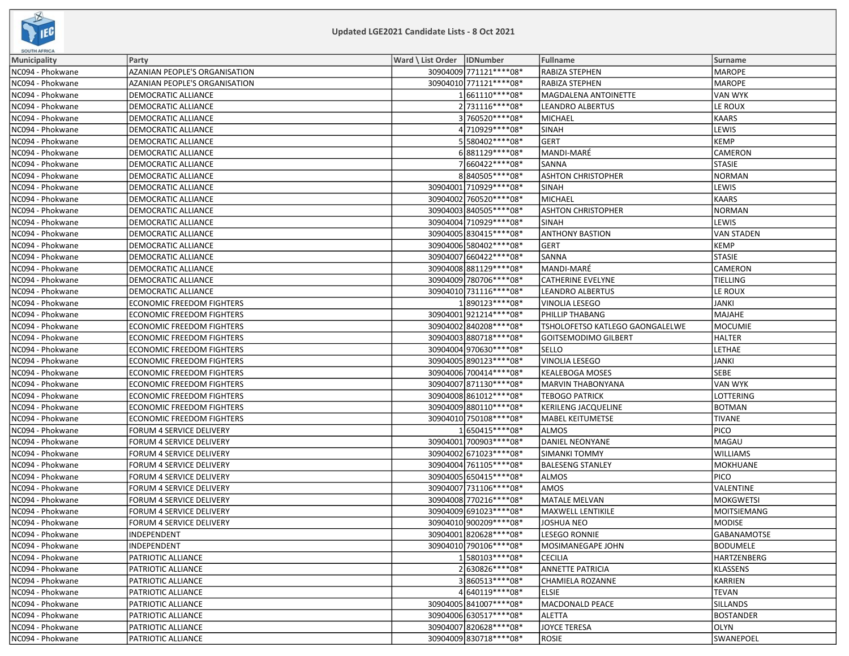

| <b>SOUTH AFRICA</b> |                                      |                              |                          |                                 |                  |
|---------------------|--------------------------------------|------------------------------|--------------------------|---------------------------------|------------------|
| Municipality        | Party                                | Ward \ List Order   IDNumber |                          | Fullname                        | <b>Surname</b>   |
| NC094 - Phokwane    | AZANIAN PEOPLE'S ORGANISATION        |                              | 30904009 771121 **** 08* | RABIZA STEPHEN                  | MAROPE           |
| NC094 - Phokwane    | <b>AZANIAN PEOPLE'S ORGANISATION</b> |                              | 30904010 771121 **** 08* | <b>RABIZA STEPHEN</b>           | MAROPE           |
| NC094 - Phokwane    | DEMOCRATIC ALLIANCE                  |                              | 1661110 **** 08*         | MAGDALENA ANTOINETTE            | VAN WYK          |
| NC094 - Phokwane    | DEMOCRATIC ALLIANCE                  |                              | 2 731116****08*          | <b>LEANDRO ALBERTUS</b>         | LE ROUX          |
| NC094 - Phokwane    | DEMOCRATIC ALLIANCE                  |                              | 3760520 **** 08*         | <b>MICHAEL</b>                  | KAARS            |
| NC094 - Phokwane    | DEMOCRATIC ALLIANCE                  |                              | 4710929 **** 08*         | <b>SINAH</b>                    | LEWIS            |
| NC094 - Phokwane    | DEMOCRATIC ALLIANCE                  |                              | 55580402 **** 08*        | <b>GERT</b>                     | KEMP             |
| NC094 - Phokwane    | DEMOCRATIC ALLIANCE                  |                              | 6881129 **** 08*         | MANDI-MARÉ                      | <b>CAMERON</b>   |
| NC094 - Phokwane    | DEMOCRATIC ALLIANCE                  |                              | 7660422 **** 08*         | SANNA                           | <b>STASIE</b>    |
| NC094 - Phokwane    | DEMOCRATIC ALLIANCE                  |                              | 8840505 **** 08*         | <b>ASHTON CHRISTOPHER</b>       | NORMAN           |
| NC094 - Phokwane    | <b>DEMOCRATIC ALLIANCE</b>           |                              | 30904001 710929 **** 08* | <b>SINAH</b>                    | <b>LEWIS</b>     |
| NC094 - Phokwane    | DEMOCRATIC ALLIANCE                  |                              | 30904002 760520 **** 08* | <b>MICHAEL</b>                  | KAARS            |
| NC094 - Phokwane    | DEMOCRATIC ALLIANCE                  |                              | 30904003 840505 **** 08* | <b>ASHTON CHRISTOPHER</b>       | NORMAN           |
| NC094 - Phokwane    | DEMOCRATIC ALLIANCE                  |                              | 30904004 710929 **** 08* | <b>SINAH</b>                    | LEWIS            |
| NC094 - Phokwane    | DEMOCRATIC ALLIANCE                  |                              | 30904005 830415 **** 08* | <b>ANTHONY BASTION</b>          | VAN STADEN       |
| NC094 - Phokwane    | DEMOCRATIC ALLIANCE                  |                              | 30904006 580402 **** 08* | <b>GERT</b>                     | KEMP             |
| NC094 - Phokwane    | DEMOCRATIC ALLIANCE                  |                              | 30904007 660422 **** 08* | SANNA                           | STASIE           |
| NC094 - Phokwane    | DEMOCRATIC ALLIANCE                  |                              | 30904008 881129 **** 08* | MANDI-MARÉ                      | <b>CAMERON</b>   |
| NC094 - Phokwane    | DEMOCRATIC ALLIANCE                  |                              | 30904009 780706 **** 08* | <b>CATHERINE EVELYNE</b>        | <b>TIELLING</b>  |
| NC094 - Phokwane    | DEMOCRATIC ALLIANCE                  |                              | 30904010 731116 **** 08* | LEANDRO ALBERTUS                | LE ROUX          |
| NC094 - Phokwane    | <b>ECONOMIC FREEDOM FIGHTERS</b>     |                              | 1890123 **** 08*         | VINOLIA LESEGO                  | JANKI            |
| NC094 - Phokwane    | <b>ECONOMIC FREEDOM FIGHTERS</b>     |                              | 30904001 921214**** 08*  | PHILLIP THABANG                 | <b>IMAJAHE</b>   |
| NC094 - Phokwane    | <b>ECONOMIC FREEDOM FIGHTERS</b>     |                              | 30904002 840208 **** 08* | TSHOLOFETSO KATLEGO GAONGALELWE | MOCUMIE          |
| NC094 - Phokwane    | <b>ECONOMIC FREEDOM FIGHTERS</b>     |                              | 30904003 880718 **** 08* | <b>GOITSEMODIMO GILBERT</b>     | HALTER           |
| NC094 - Phokwane    | <b>ECONOMIC FREEDOM FIGHTERS</b>     |                              | 30904004 970630 **** 08* | SELLO                           | LETHAE           |
| NC094 - Phokwane    | <b>ECONOMIC FREEDOM FIGHTERS</b>     |                              | 30904005 890123 **** 08* | VINOLIA LESEGO                  | JANKI            |
| NC094 - Phokwane    | <b>ECONOMIC FREEDOM FIGHTERS</b>     |                              | 30904006 700414 **** 08* | <b>KEALEBOGA MOSES</b>          | <b>SEBE</b>      |
| NC094 - Phokwane    | <b>ECONOMIC FREEDOM FIGHTERS</b>     |                              | 30904007 871130**** 08*  | MARVIN THABONYANA               | VAN WYK          |
| NC094 - Phokwane    | ECONOMIC FREEDOM FIGHTERS            |                              | 30904008 861012 **** 08* | <b>TEBOGO PATRICK</b>           | LOTTERING        |
| NC094 - Phokwane    | <b>ECONOMIC FREEDOM FIGHTERS</b>     |                              | 30904009880110 **** 08*  | <b>KERILENG JACQUELINE</b>      | <b>BOTMAN</b>    |
| NC094 - Phokwane    | <b>ECONOMIC FREEDOM FIGHTERS</b>     |                              | 30904010 750108 **** 08* | <b>MABEL KEITUMETSE</b>         | <b>TIVANE</b>    |
| NC094 - Phokwane    | FORUM 4 SERVICE DELIVERY             |                              | 1650415 **** 08*         | <b>ALMOS</b>                    | <b>PICO</b>      |
| NC094 - Phokwane    | FORUM 4 SERVICE DELIVERY             |                              | 30904001 700903 **** 08* | DANIEL NEONYANE                 | MAGAU            |
| NC094 - Phokwane    | FORUM 4 SERVICE DELIVERY             |                              | 30904002 671023 **** 08* | <b>SIMANKI TOMMY</b>            | <b>WILLIAMS</b>  |
| NC094 - Phokwane    | FORUM 4 SERVICE DELIVERY             |                              | 30904004 761105 **** 08* | <b>BALESENG STANLEY</b>         | MOKHUANE         |
| NC094 - Phokwane    | FORUM 4 SERVICE DELIVERY             |                              | 30904005 650415 **** 08* | <b>ALMOS</b>                    | <b>PICO</b>      |
| NC094 - Phokwane    | FORUM 4 SERVICE DELIVERY             |                              | 30904007 731106 **** 08* | AMOS                            | VALENTINE        |
| NC094 - Phokwane    | FORUM 4 SERVICE DELIVERY             |                              | 30904008 770216 **** 08* | <b>MATALE MELVAN</b>            | <b>MOKGWETSI</b> |
| NC094 - Phokwane    | FORUM 4 SERVICE DELIVERY             |                              | 30904009 691023 **** 08* | MAXWELL LENTIKILE               | MOITSIEMANG      |
| NC094 - Phokwane    | FORUM 4 SERVICE DELIVERY             |                              | 30904010 900209 **** 08* | <b>JOSHUA NEO</b>               | <b>MODISE</b>    |
| NC094 - Phokwane    | INDEPENDENT                          |                              | 30904001 820628 **** 08* | <b>LESEGO RONNIE</b>            | GABANAMOTSE      |
| NC094 - Phokwane    | INDEPENDENT                          |                              | 30904010 790106 **** 08* | MOSIMANEGAPE JOHN               | BODUMELE         |
| NC094 - Phokwane    | PATRIOTIC ALLIANCE                   |                              | 1580103 **** 08*         | <b>CECILIA</b>                  | HARTZENBERG      |
| NC094 - Phokwane    | PATRIOTIC ALLIANCE                   |                              | 2630826 **** 08*         | <b>ANNETTE PATRICIA</b>         | KLASSENS         |
| NC094 - Phokwane    | PATRIOTIC ALLIANCE                   |                              | 3860513****08*           | <b>CHAMIELA ROZANNE</b>         | KARRIEN          |
| NC094 - Phokwane    | PATRIOTIC ALLIANCE                   |                              | 4640119 **** 08*         | <b>ELSIE</b>                    | <b>TEVAN</b>     |
| NC094 - Phokwane    | PATRIOTIC ALLIANCE                   |                              | 30904005 841007****08*   | <b>MACDONALD PEACE</b>          | <b>SILLANDS</b>  |
| NC094 - Phokwane    | PATRIOTIC ALLIANCE                   |                              | 30904006 630517**** 08*  | <b>ALETTA</b>                   | BOSTANDER        |
| NC094 - Phokwane    | <b>PATRIOTIC ALLIANCE</b>            |                              | 30904007 820628 **** 08* | JOYCE TERESA                    | OLYN             |
| NC094 - Phokwane    | PATRIOTIC ALLIANCE                   |                              | 30904009830718 **** 08*  | ROSIE                           | SWANEPOEL        |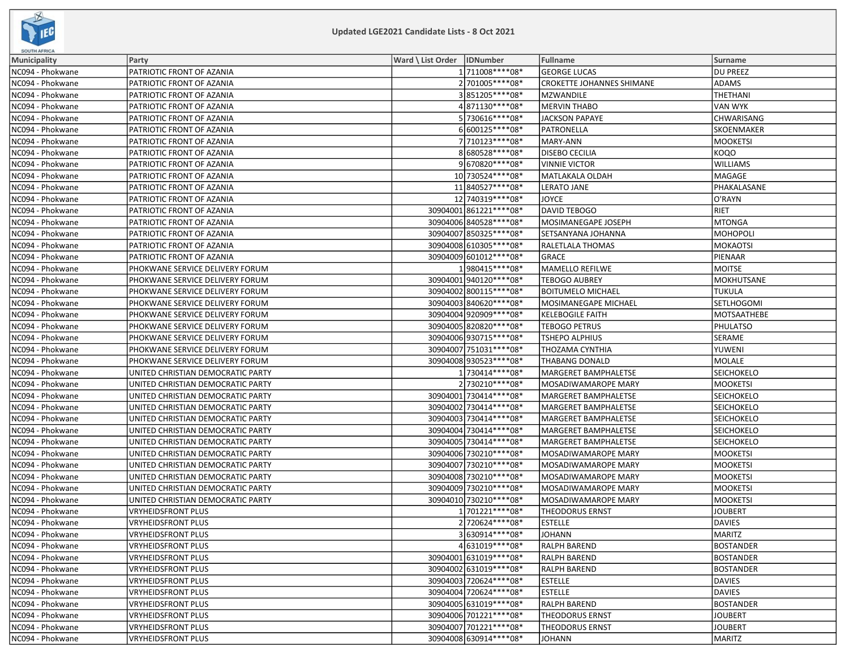

| <b>SOUTH AFRICA</b> |                                   |                              |                          |                           |                   |
|---------------------|-----------------------------------|------------------------------|--------------------------|---------------------------|-------------------|
| <b>Municipality</b> | Party                             | Ward \ List Order   IDNumber |                          | Fullname                  | Surname           |
| NC094 - Phokwane    | PATRIOTIC FRONT OF AZANIA         |                              | 1 711008 **** 08*        | <b>GEORGE LUCAS</b>       | <b>DU PREEZ</b>   |
| NC094 - Phokwane    | PATRIOTIC FRONT OF AZANIA         |                              | 2 701005 **** 08*        | CROKETTE JOHANNES SHIMANE | <b>ADAMS</b>      |
| NC094 - Phokwane    | PATRIOTIC FRONT OF AZANIA         |                              | 3851205 **** 08*         | <b>MZWANDILE</b>          | THETHANI          |
| NC094 - Phokwane    | PATRIOTIC FRONT OF AZANIA         |                              | 4871130 **** 08*         | <b>MERVIN THABO</b>       | VAN WYK           |
| NC094 - Phokwane    | PATRIOTIC FRONT OF AZANIA         |                              | 5730616 **** 08*         | <b>JACKSON PAPAYE</b>     | <b>CHWARISANG</b> |
| NC094 - Phokwane    | PATRIOTIC FRONT OF AZANIA         |                              | 6600125 **** 08*         | PATRONELLA                | <b>SKOENMAKER</b> |
| NC094 - Phokwane    | PATRIOTIC FRONT OF AZANIA         |                              | 7 710123 **** 08*        | MARY-ANN                  | <b>MOOKETSI</b>   |
| NC094 - Phokwane    | PATRIOTIC FRONT OF AZANIA         |                              | 8680528 **** 08*         | <b>DISEBO CECILIA</b>     | <b>KOQO</b>       |
| NC094 - Phokwane    | PATRIOTIC FRONT OF AZANIA         |                              | 9670820 **** 08*         | <b>VINNIE VICTOR</b>      | <b>WILLIAMS</b>   |
| NC094 - Phokwane    | PATRIOTIC FRONT OF AZANIA         |                              | 10 730524 **** 08*       | MATLAKALA OLDAH           | MAGAGE            |
| NC094 - Phokwane    | PATRIOTIC FRONT OF AZANIA         |                              | 11 840527****08*         | LERATO JANE               | PHAKALASANE       |
| NC094 - Phokwane    | PATRIOTIC FRONT OF AZANIA         |                              | 12 740319 **** 08*       | <b>JOYCE</b>              | O'RAYN            |
| NC094 - Phokwane    | PATRIOTIC FRONT OF AZANIA         |                              | 30904001 861221 **** 08* | DAVID TEBOGO              | <b>RIET</b>       |
| NC094 - Phokwane    | PATRIOTIC FRONT OF AZANIA         |                              | 30904006 840528 **** 08* | MOSIMANEGAPE JOSEPH       | <b>MTONGA</b>     |
| NC094 - Phokwane    | PATRIOTIC FRONT OF AZANIA         |                              | 30904007 850325 **** 08* | SETSANYANA JOHANNA        | MOHOPOLI          |
| NC094 - Phokwane    | PATRIOTIC FRONT OF AZANIA         |                              | 30904008 610305 **** 08* | RALETLALA THOMAS          | MOKAOTSI          |
| NC094 - Phokwane    | PATRIOTIC FRONT OF AZANIA         |                              | 30904009 601012 **** 08* | <b>GRACE</b>              | PIENAAR           |
| NC094 - Phokwane    | PHOKWANE SERVICE DELIVERY FORUM   |                              | 1980415****08*           | MAMELLO REFILWE           | MOITSE            |
| NC094 - Phokwane    | PHOKWANE SERVICE DELIVERY FORUM   |                              | 30904001 940120**** 08*  | <b>TEBOGO AUBREY</b>      | MOKHUTSANE        |
| NC094 - Phokwane    | PHOKWANE SERVICE DELIVERY FORUM   |                              | 30904002 800115 **** 08* | <b>BOITUMELO MICHAEL</b>  | <b>TUKULA</b>     |
| NC094 - Phokwane    | PHOKWANE SERVICE DELIVERY FORUM   |                              | 30904003 840620 **** 08* | MOSIMANEGAPE MICHAEL      | <b>SETLHOGOMI</b> |
| NC094 - Phokwane    | PHOKWANE SERVICE DELIVERY FORUM   |                              | 30904004 920909 **** 08* | <b>KELEBOGILE FAITH</b>   | MOTSAATHEBE       |
| NC094 - Phokwane    | PHOKWANE SERVICE DELIVERY FORUM   |                              | 30904005 820820 **** 08* | <b>TEBOGO PETRUS</b>      | PHULATSO          |
| NC094 - Phokwane    | PHOKWANE SERVICE DELIVERY FORUM   |                              | 30904006930715 **** 08*  | TSHEPO ALPHIUS            | SERAME            |
| NC094 - Phokwane    | PHOKWANE SERVICE DELIVERY FORUM   |                              | 30904007 751031 **** 08* | THOZAMA CYNTHIA           | YUWENI            |
| NC094 - Phokwane    | PHOKWANE SERVICE DELIVERY FORUM   |                              | 30904008 930523 **** 08* | <b>THABANG DONALD</b>     | MOLALE            |
| NC094 - Phokwane    | UNITED CHRISTIAN DEMOCRATIC PARTY |                              | 1730414****08*           | MARGERET BAMPHALETSE      | <b>SEICHOKELO</b> |
| NC094 - Phokwane    | UNITED CHRISTIAN DEMOCRATIC PARTY |                              | 2 730210 **** 08*        | MOSADIWAMAROPE MARY       | <b>MOOKETSI</b>   |
| NC094 - Phokwane    | UNITED CHRISTIAN DEMOCRATIC PARTY |                              | 30904001 730414 **** 08* | MARGERET BAMPHALETSE      | <b>SEICHOKELO</b> |
| NC094 - Phokwane    | UNITED CHRISTIAN DEMOCRATIC PARTY |                              | 30904002 730414 **** 08* | MARGERET BAMPHALETSE      | <b>SEICHOKELO</b> |
| NC094 - Phokwane    | UNITED CHRISTIAN DEMOCRATIC PARTY |                              | 30904003 730414 **** 08* | MARGERET BAMPHALETSE      | <b>SEICHOKELO</b> |
| NC094 - Phokwane    | UNITED CHRISTIAN DEMOCRATIC PARTY |                              | 30904004 730414 **** 08* | MARGERET BAMPHALETSE      | <b>SEICHOKELO</b> |
| NC094 - Phokwane    | UNITED CHRISTIAN DEMOCRATIC PARTY |                              | 30904005 730414 **** 08* | MARGERET BAMPHALETSE      | <b>SEICHOKELO</b> |
| NC094 - Phokwane    | UNITED CHRISTIAN DEMOCRATIC PARTY |                              | 30904006 730210 **** 08* | MOSADIWAMAROPE MARY       | <b>MOOKETSI</b>   |
| NC094 - Phokwane    | UNITED CHRISTIAN DEMOCRATIC PARTY |                              | 30904007 730210 **** 08* | MOSADIWAMAROPE MARY       | <b>MOOKETSI</b>   |
| NC094 - Phokwane    | UNITED CHRISTIAN DEMOCRATIC PARTY |                              | 30904008 730210 **** 08* | MOSADIWAMAROPE MARY       | <b>MOOKETSI</b>   |
| NC094 - Phokwane    | UNITED CHRISTIAN DEMOCRATIC PARTY |                              | 30904009 730210 **** 08* | MOSADIWAMAROPE MARY       | <b>MOOKETSI</b>   |
| NC094 - Phokwane    | UNITED CHRISTIAN DEMOCRATIC PARTY |                              | 30904010 730210 **** 08* | MOSADIWAMAROPE MARY       | <b>MOOKETSI</b>   |
| NC094 - Phokwane    | <b>VRYHEIDSFRONT PLUS</b>         |                              | 1701221****08*           | <b>THEODORUS ERNST</b>    | <b>JOUBERT</b>    |
| NC094 - Phokwane    | <b>VRYHEIDSFRONT PLUS</b>         |                              | 2720624 **** 08*         | <b>ESTELLE</b>            | <b>DAVIES</b>     |
| NC094 - Phokwane    | VRYHEIDSFRONT PLUS                |                              | 3630914 **** 08*         | <b>JOHANN</b>             | MARITZ            |
| NC094 - Phokwane    | <b>VRYHEIDSFRONT PLUS</b>         |                              | 4631019 **** 08*         | <b>RALPH BAREND</b>       | BOSTANDER         |
| NC094 - Phokwane    | <b>VRYHEIDSFRONT PLUS</b>         |                              | 30904001 631019 **** 08* | <b>RALPH BAREND</b>       | <b>BOSTANDER</b>  |
| NC094 - Phokwane    | <b>VRYHEIDSFRONT PLUS</b>         |                              | 30904002 631019 **** 08* | <b>RALPH BAREND</b>       | BOSTANDER         |
| NC094 - Phokwane    | <b>VRYHEIDSFRONT PLUS</b>         |                              | 30904003 720624 **** 08* | <b>ESTELLE</b>            | <b>DAVIES</b>     |
| NC094 - Phokwane    | <b>VRYHEIDSFRONT PLUS</b>         |                              | 30904004 720624 **** 08* | <b>ESTELLE</b>            | DAVIES            |
| NC094 - Phokwane    | <b>VRYHEIDSFRONT PLUS</b>         |                              | 30904005 631019 **** 08* | <b>RALPH BAREND</b>       | <b>BOSTANDER</b>  |
| NC094 - Phokwane    | VRYHEIDSFRONT PLUS                |                              | 30904006 701221 **** 08* | <b>THEODORUS ERNST</b>    | <b>JOUBERT</b>    |
| NC094 - Phokwane    | <b>VRYHEIDSFRONT PLUS</b>         |                              | 30904007 701221 **** 08* | <b>THEODORUS ERNST</b>    | JOUBERT           |
| NC094 - Phokwane    | VRYHEIDSFRONT PLUS                |                              | 30904008 630914 **** 08* | <b>JOHANN</b>             | MARITZ            |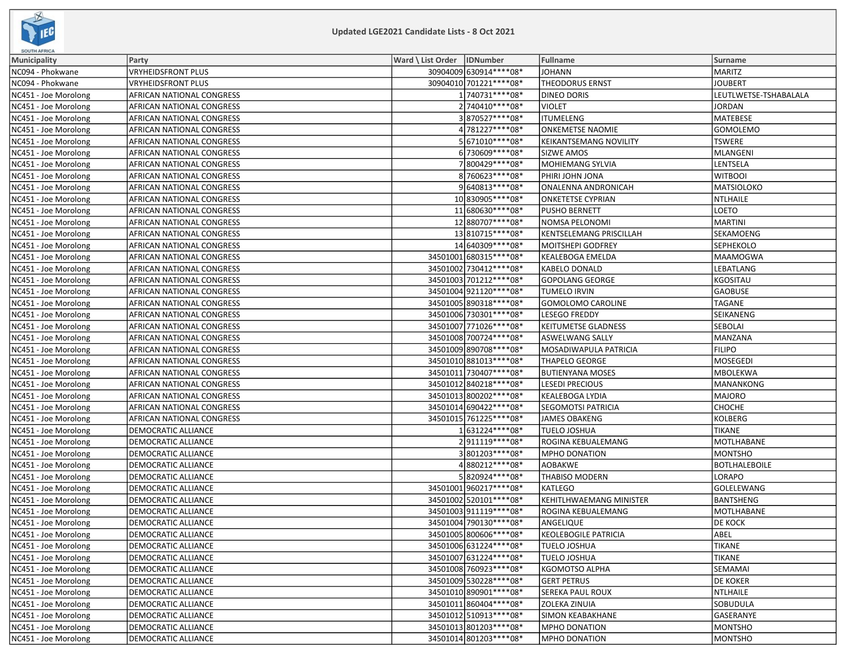

| <b>SOUTH AFRICA</b>  |                            |                              |                          |                                |                       |
|----------------------|----------------------------|------------------------------|--------------------------|--------------------------------|-----------------------|
| Municipality         | Party                      | Ward \ List Order   IDNumber |                          | <b>Fullname</b>                | Surname               |
| NC094 - Phokwane     | VRYHEIDSFRONT PLUS         |                              | 30904009 630914 **** 08* | <b>JOHANN</b>                  | MARITZ                |
| NC094 - Phokwane     | VRYHEIDSFRONT PLUS         |                              | 30904010 701221 **** 08* | <b>THEODORUS ERNST</b>         | <b>JOUBERT</b>        |
| NC451 - Joe Morolong | AFRICAN NATIONAL CONGRESS  |                              | 1740731 **** 08*         | DINEO DORIS                    | LEUTLWETSE-TSHABALALA |
| NC451 - Joe Morolong | AFRICAN NATIONAL CONGRESS  |                              | 2 740410 **** 08*        | <b>VIOLET</b>                  | JORDAN                |
| NC451 - Joe Morolong | AFRICAN NATIONAL CONGRESS  |                              | 3870527****08*           | <b>ITUMELENG</b>               | MATEBESE              |
| NC451 - Joe Morolong | AFRICAN NATIONAL CONGRESS  |                              | 4781227 **** 08*         | <b>ONKEMETSE NAOMIE</b>        | <b>GOMOLEMO</b>       |
| NC451 - Joe Morolong | AFRICAN NATIONAL CONGRESS  |                              | 5671010 **** 08*         | <b>KEIKANTSEMANG NOVILITY</b>  | TSWERE                |
| NC451 - Joe Morolong | AFRICAN NATIONAL CONGRESS  |                              | 6 730609 **** 08*        | <b>SIZWE AMOS</b>              | <b>MLANGENI</b>       |
| NC451 - Joe Morolong | AFRICAN NATIONAL CONGRESS  |                              | 7800429 **** 08*         | MOHIEMANG SYLVIA               | LENTSELA              |
| NC451 - Joe Morolong | AFRICAN NATIONAL CONGRESS  |                              | 8760623 **** 08*         | PHIRI JOHN JONA                | <b>WITBOOI</b>        |
| NC451 - Joe Morolong | AFRICAN NATIONAL CONGRESS  |                              | 9640813 **** 08*         | ONALENNA ANDRONICAH            | MATSIOLOKO            |
| NC451 - Joe Morolong | AFRICAN NATIONAL CONGRESS  |                              | 10 830905 **** 08*       | <b>ONKETETSE CYPRIAN</b>       | <b>NTLHAILE</b>       |
| NC451 - Joe Morolong | AFRICAN NATIONAL CONGRESS  |                              | 11 680630****08*         | PUSHO BERNETT                  | LOETO                 |
| NC451 - Joe Morolong | AFRICAN NATIONAL CONGRESS  |                              | 12 880707****08*         | NOMSA PELONOMI                 | MARTINI               |
| NC451 - Joe Morolong | AFRICAN NATIONAL CONGRESS  |                              | 13 810715 **** 08*       | <b>KENTSELEMANG PRISCILLAH</b> | SEKAMOENG             |
| NC451 - Joe Morolong | AFRICAN NATIONAL CONGRESS  |                              | 14 640309 **** 08*       | MOITSHEPI GODFREY              | SEPHEKOLO             |
| NC451 - Joe Morolong | AFRICAN NATIONAL CONGRESS  |                              | 34501001 680315 **** 08* | KEALEBOGA EMELDA               | <b>MAAMOGWA</b>       |
| NC451 - Joe Morolong | AFRICAN NATIONAL CONGRESS  |                              | 34501002 730412 **** 08* | <b>KABELO DONALD</b>           | LEBATLANG             |
| NC451 - Joe Morolong | AFRICAN NATIONAL CONGRESS  |                              | 34501003 701212 **** 08* | <b>GOPOLANG GEORGE</b>         | <b>KGOSITAU</b>       |
| NC451 - Joe Morolong | AFRICAN NATIONAL CONGRESS  |                              | 34501004921120 **** 08*  | <b>TUMELO IRVIN</b>            | <b>GAOBUSE</b>        |
| NC451 - Joe Morolong | AFRICAN NATIONAL CONGRESS  |                              | 34501005 890318 **** 08* | <b>GOMOLOMO CAROLINE</b>       | TAGANE                |
| NC451 - Joe Morolong | AFRICAN NATIONAL CONGRESS  |                              | 34501006 730301 **** 08* | <b>LESEGO FREDDY</b>           | SEIKANENG             |
| NC451 - Joe Morolong | AFRICAN NATIONAL CONGRESS  |                              | 34501007 771026 **** 08* | KEITUMETSE GLADNESS            | <b>SEBOLAI</b>        |
| NC451 - Joe Morolong | AFRICAN NATIONAL CONGRESS  |                              | 34501008 700724 **** 08* | <b>ASWELWANG SALLY</b>         | MANZANA               |
| NC451 - Joe Morolong | AFRICAN NATIONAL CONGRESS  |                              | 34501009 890708 **** 08* | MOSADIWAPULA PATRICIA          | <b>FILIPO</b>         |
| NC451 - Joe Morolong | AFRICAN NATIONAL CONGRESS  |                              | 34501010 881013 **** 08* | <b>THAPELO GEORGE</b>          | <b>MOSEGEDI</b>       |
| NC451 - Joe Morolong | AFRICAN NATIONAL CONGRESS  |                              | 34501011 730407****08*   | <b>BUTIENYANA MOSES</b>        | <b>MBOLEKWA</b>       |
| NC451 - Joe Morolong | AFRICAN NATIONAL CONGRESS  |                              | 34501012 840218 **** 08* | <b>LESEDI PRECIOUS</b>         | MANANKONG             |
| NC451 - Joe Morolong | AFRICAN NATIONAL CONGRESS  |                              | 34501013 800202 **** 08* | <b>KEALEBOGA LYDIA</b>         | MAJORO                |
| NC451 - Joe Morolong | AFRICAN NATIONAL CONGRESS  |                              | 34501014 690422 **** 08* | <b>SEGOMOTSI PATRICIA</b>      | <b>СНОСНЕ</b>         |
| NC451 - Joe Morolong | AFRICAN NATIONAL CONGRESS  |                              | 34501015 761225 **** 08* | JAMES OBAKENG                  | KOLBERG               |
| NC451 - Joe Morolong | DEMOCRATIC ALLIANCE        |                              | 1631224 **** 08*         | <b>TUELO JOSHUA</b>            | <b>TIKANE</b>         |
| NC451 - Joe Morolong | DEMOCRATIC ALLIANCE        |                              | 2911119 **** 08*         | ROGINA KEBUALEMANG             | MOTLHABANE            |
| NC451 - Joe Morolong | DEMOCRATIC ALLIANCE        |                              | 3801203 **** 08*         | MPHO DONATION                  | MONTSHO               |
| NC451 - Joe Morolong | DEMOCRATIC ALLIANCE        |                              | 4880212 **** 08*         | AOBAKWE                        | <b>BOTLHALEBOILE</b>  |
| NC451 - Joe Morolong | DEMOCRATIC ALLIANCE        |                              | 5820924 **** 08*         | <b>THABISO MODERN</b>          | LORAPO                |
| NC451 - Joe Morolong | DEMOCRATIC ALLIANCE        |                              | 34501001 960217**** 08*  | <b>KATLEGO</b>                 | GOLELEWANG            |
| NC451 - Joe Morolong | DEMOCRATIC ALLIANCE        |                              | 34501002 520101**** 08*  | KEHITLHWAEMANG MINISTER        | BANTSHENG             |
| NC451 - Joe Morolong | DEMOCRATIC ALLIANCE        |                              | 34501003 911119 **** 08* | ROGINA KEBUALEMANG             | MOTLHABANE            |
| NC451 - Joe Morolong | DEMOCRATIC ALLIANCE        |                              | 34501004 790130 **** 08* | ANGELIQUE                      | <b>DE KOCK</b>        |
| NC451 - Joe Morolong | <b>DEMOCRATIC ALLIANCE</b> |                              | 34501005 800606***** 08* | <b>KEOLEBOGILE PATRICIA</b>    | ABEL                  |
| NC451 - Joe Morolong | DEMOCRATIC ALLIANCE        |                              | 34501006 631224 **** 08* | <b>TUELO JOSHUA</b>            | <b>TIKANE</b>         |
| NC451 - Joe Morolong | DEMOCRATIC ALLIANCE        |                              | 34501007 631224 **** 08* | <b>TUELO JOSHUA</b>            | <b>TIKANE</b>         |
| NC451 - Joe Morolong | DEMOCRATIC ALLIANCE        |                              | 34501008 760923 **** 08* | KGOMOTSO ALPHA                 | <b>SEMAMAI</b>        |
| NC451 - Joe Morolong | DEMOCRATIC ALLIANCE        |                              | 34501009 530228 **** 08* | <b>GERT PETRUS</b>             | <b>DE KOKER</b>       |
| NC451 - Joe Morolong | DEMOCRATIC ALLIANCE        |                              | 34501010 890901 **** 08* | <b>SEREKA PAUL ROUX</b>        | NTLHAILE              |
| NC451 - Joe Morolong | DEMOCRATIC ALLIANCE        |                              | 34501011 860404**** 08*  | <b>ZOLEKA ZINUIA</b>           | SOBUDULA              |
| NC451 - Joe Morolong | DEMOCRATIC ALLIANCE        |                              | 34501012 510913 **** 08* | SIMON KEABAKHANE               | GASERANYE             |
| NC451 - Joe Morolong | DEMOCRATIC ALLIANCE        |                              | 34501013 801203 **** 08* | <b>MPHO DONATION</b>           | MONTSHO               |
| NC451 - Joe Morolong | DEMOCRATIC ALLIANCE        |                              | 34501014 801203 **** 08* | <b>MPHO DONATION</b>           | MONTSHO               |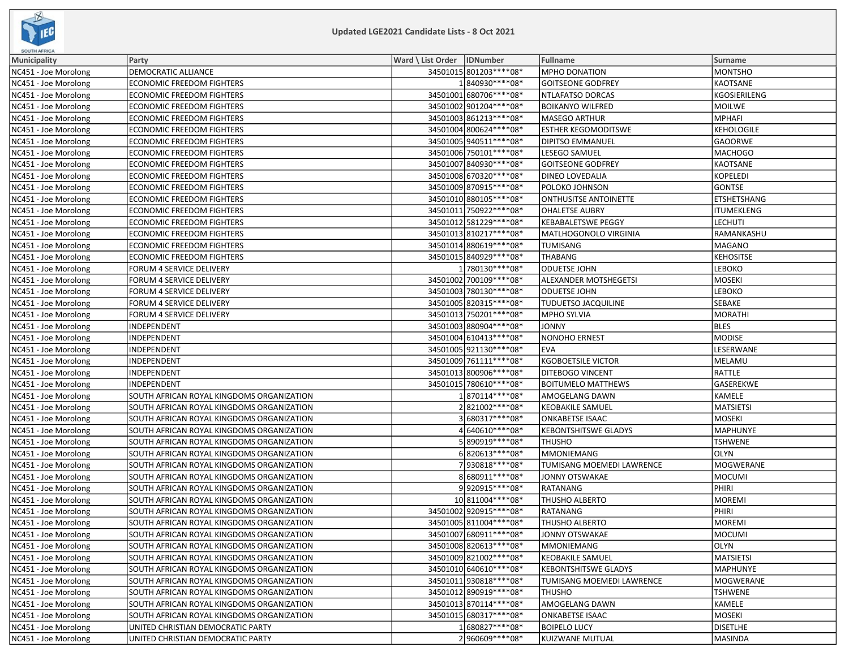

| <b>SOUTH AFRICA</b>  |                                           |                              |                              |                   |
|----------------------|-------------------------------------------|------------------------------|------------------------------|-------------------|
| <b>Municipality</b>  | Party                                     | Ward \ List Order   IDNumber | Fullname                     | <b>Surname</b>    |
| NC451 - Joe Morolong | <b>DEMOCRATIC ALLIANCE</b>                | 34501015 801203 **** 08*     | MPHO DONATION                | <b>MONTSHO</b>    |
| NC451 - Joe Morolong | <b>ECONOMIC FREEDOM FIGHTERS</b>          | 1840930 **** 08*             | <b>GOITSEONE GODFREY</b>     | KAOTSANE          |
| NC451 - Joe Morolong | <b>ECONOMIC FREEDOM FIGHTERS</b>          | 34501001 680706 **** 08*     | NTLAFATSO DORCAS             | KGOSIERILENG      |
| NC451 - Joe Morolong | <b>ECONOMIC FREEDOM FIGHTERS</b>          | 34501002901204 **** 08*      | <b>BOIKANYO WILFRED</b>      | <b>MOILWE</b>     |
| NC451 - Joe Morolong | <b>ECONOMIC FREEDOM FIGHTERS</b>          | 34501003 861213 **** 08*     | <b>MASEGO ARTHUR</b>         | MPHAFI            |
| NC451 - Joe Morolong | <b>ECONOMIC FREEDOM FIGHTERS</b>          | 34501004 800624 **** 08*     | <b>ESTHER KEGOMODITSWE</b>   | KEHOLOGILE        |
| NC451 - Joe Morolong | <b>ECONOMIC FREEDOM FIGHTERS</b>          | 34501005 940511 **** 08*     | DIPITSO EMMANUEL             | <b>GAOORWE</b>    |
| NC451 - Joe Morolong | <b>ECONOMIC FREEDOM FIGHTERS</b>          | 34501006 750101 **** 08*     | LESEGO SAMUEL                | <b>MACHOGO</b>    |
| NC451 - Joe Morolong | <b>ECONOMIC FREEDOM FIGHTERS</b>          | 34501007 840930 **** 08*     | <b>GOITSEONE GODFREY</b>     | KAOTSANE          |
| NC451 - Joe Morolong | <b>ECONOMIC FREEDOM FIGHTERS</b>          | 34501008 670320 **** 08*     | DINEO LOVEDALIA              | <b>KOPELEDI</b>   |
| NC451 - Joe Morolong | <b>ECONOMIC FREEDOM FIGHTERS</b>          | 34501009 870915 **** 08*     | POLOKO JOHNSON               | <b>GONTSE</b>     |
| NC451 - Joe Morolong | <b>ECONOMIC FREEDOM FIGHTERS</b>          | 34501010 880105 **** 08*     | <b>ONTHUSITSE ANTOINETTE</b> | ETSHETSHANG       |
| NC451 - Joe Morolong | <b>ECONOMIC FREEDOM FIGHTERS</b>          | 34501011 750922 **** 08*     | <b>OHALETSE AUBRY</b>        | <b>ITUMEKLENG</b> |
| NC451 - Joe Morolong | <b>ECONOMIC FREEDOM FIGHTERS</b>          | 34501012 581229 **** 08*     | <b>KEBABALETSWE PEGGY</b>    | LECHUTI           |
| NC451 - Joe Morolong | <b>ECONOMIC FREEDOM FIGHTERS</b>          | 34501013 810217**** 08*      | MATLHOGONOLO VIRGINIA        | RAMANKASHU        |
| NC451 - Joe Morolong | <b>ECONOMIC FREEDOM FIGHTERS</b>          | 34501014 880619 **** 08*     | <b>TUMISANG</b>              | <b>MAGANO</b>     |
| NC451 - Joe Morolong | <b>ECONOMIC FREEDOM FIGHTERS</b>          | 34501015 840929 **** 08*     | THABANG                      | KEHOSITSE         |
| NC451 - Joe Morolong | FORUM 4 SERVICE DELIVERY                  | 1780130****08*               | <b>ODUETSE JOHN</b>          | LEBOKO            |
| NC451 - Joe Morolong | <b>FORUM 4 SERVICE DELIVERY</b>           | 34501002 700109 **** 08*     | ALEXANDER MOTSHEGETSI        | <b>MOSEKI</b>     |
| NC451 - Joe Morolong | FORUM 4 SERVICE DELIVERY                  | 34501003 780130**** 08*      | <b>ODUETSE JOHN</b>          | LEBOKO            |
| NC451 - Joe Morolong | FORUM 4 SERVICE DELIVERY                  | 34501005 820315 **** 08*     | <b>TUDUETSO JACQUILINE</b>   | SEBAKE            |
| NC451 - Joe Morolong | FORUM 4 SERVICE DELIVERY                  | 34501013 750201 **** 08*     | MPHO SYLVIA                  | <b>MORATHI</b>    |
| NC451 - Joe Morolong | INDEPENDENT                               | 34501003 880904 **** 08*     | <b>JONNY</b>                 | <b>BLES</b>       |
| NC451 - Joe Morolong | INDEPENDENT                               | 34501004 610413 **** 08*     | <b>NONOHO ERNEST</b>         | <b>MODISE</b>     |
| NC451 - Joe Morolong | INDEPENDENT                               | 34501005 921130 **** 08*     | <b>EVA</b>                   | LESERWANE         |
| NC451 - Joe Morolong | INDEPENDENT                               | 34501009 761111 **** 08*     | <b>KGOBOETSILE VICTOR</b>    | MELAMU            |
| NC451 - Joe Morolong | INDEPENDENT                               | 34501013 800906 **** 08*     | <b>DITEBOGO VINCENT</b>      | RATTLE            |
| NC451 - Joe Morolong | INDEPENDENT                               | 34501015 780610 **** 08*     | <b>BOITUMELO MATTHEWS</b>    | GASEREKWE         |
| NC451 - Joe Morolong | SOUTH AFRICAN ROYAL KINGDOMS ORGANIZATION | 1870114****08*               | AMOGELANG DAWN               | <b>KAMELE</b>     |
| NC451 - Joe Morolong | SOUTH AFRICAN ROYAL KINGDOMS ORGANIZATION | 2821002 **** 08*             | <b>KEOBAKILE SAMUEL</b>      | <b>MATSIETSI</b>  |
| NC451 - Joe Morolong | SOUTH AFRICAN ROYAL KINGDOMS ORGANIZATION | 3680317 **** 08*             | <b>ONKABETSE ISAAC</b>       | <b>MOSEKI</b>     |
| NC451 - Joe Morolong | SOUTH AFRICAN ROYAL KINGDOMS ORGANIZATION | 4 640610****08*              | <b>KEBONTSHITSWE GLADYS</b>  | <b>MAPHUNYE</b>   |
| NC451 - Joe Morolong | SOUTH AFRICAN ROYAL KINGDOMS ORGANIZATION | 5890919 **** 08*             | <b>THUSHO</b>                | <b>TSHWENE</b>    |
| NC451 - Joe Morolong | SOUTH AFRICAN ROYAL KINGDOMS ORGANIZATION | 6820613 **** 08*             | MMONIEMANG                   | <b>OLYN</b>       |
| NC451 - Joe Morolong | SOUTH AFRICAN ROYAL KINGDOMS ORGANIZATION | 7 930818 **** 08*            | TUMISANG MOEMEDI LAWRENCE    | MOGWERANE         |
| NC451 - Joe Morolong | SOUTH AFRICAN ROYAL KINGDOMS ORGANIZATION | 8680911 **** 08*             | JONNY OTSWAKAE               | <b>MOCUMI</b>     |
| NC451 - Joe Morolong | SOUTH AFRICAN ROYAL KINGDOMS ORGANIZATION | 9920915 **** 08*             | RATANANG                     | PHIRI             |
| NC451 - Joe Morolong | SOUTH AFRICAN ROYAL KINGDOMS ORGANIZATION | 10 811004 **** 08*           | THUSHO ALBERTO               | <b>MOREMI</b>     |
| NC451 - Joe Morolong | SOUTH AFRICAN ROYAL KINGDOMS ORGANIZATION | 34501002 920915 **** 08*     | <b>RATANANG</b>              | PHIRI             |
| NC451 - Joe Morolong | SOUTH AFRICAN ROYAL KINGDOMS ORGANIZATION | 34501005 811004 **** 08*     | <b>THUSHO ALBERTO</b>        | <b>MOREMI</b>     |
| NC451 - Joe Morolong | SOUTH AFRICAN ROYAL KINGDOMS ORGANIZATION | 34501007 680911 **** 08*     | JONNY OTSWAKAE               | MOCUMI            |
| NC451 - Joe Morolong | SOUTH AFRICAN ROYAL KINGDOMS ORGANIZATION | 34501008 820613 **** 08*     | <b>MMONIEMANG</b>            | <b>OLYN</b>       |
| NC451 - Joe Morolong | SOUTH AFRICAN ROYAL KINGDOMS ORGANIZATION | 34501009 821002 **** 08*     | <b>KEOBAKILE SAMUEL</b>      | MATSIETSI         |
| NC451 - Joe Morolong | SOUTH AFRICAN ROYAL KINGDOMS ORGANIZATION | 34501010 640610**** 08*      | <b>KEBONTSHITSWE GLADYS</b>  | MAPHUNYE          |
| NC451 - Joe Morolong | SOUTH AFRICAN ROYAL KINGDOMS ORGANIZATION | 34501011 930818 **** 08*     | TUMISANG MOEMEDI LAWRENCE    | MOGWERANE         |
| NC451 - Joe Morolong | SOUTH AFRICAN ROYAL KINGDOMS ORGANIZATION | 34501012 890919 **** 08*     | <b>THUSHO</b>                | <b>TSHWENE</b>    |
| NC451 - Joe Morolong | SOUTH AFRICAN ROYAL KINGDOMS ORGANIZATION | 34501013 870114**** 08*      | AMOGELANG DAWN               | KAMELE            |
| NC451 - Joe Morolong | SOUTH AFRICAN ROYAL KINGDOMS ORGANIZATION | 34501015 680317****08*       | <b>ONKABETSE ISAAC</b>       | <b>MOSEKI</b>     |
| NC451 - Joe Morolong | UNITED CHRISTIAN DEMOCRATIC PARTY         | 1680827 **** 08*             | <b>BOIPELO LUCY</b>          | <b>DISETLHE</b>   |
| NC451 - Joe Morolong | UNITED CHRISTIAN DEMOCRATIC PARTY         | 2960609 **** 08*             | KUIZWANE MUTUAL              | <b>MASINDA</b>    |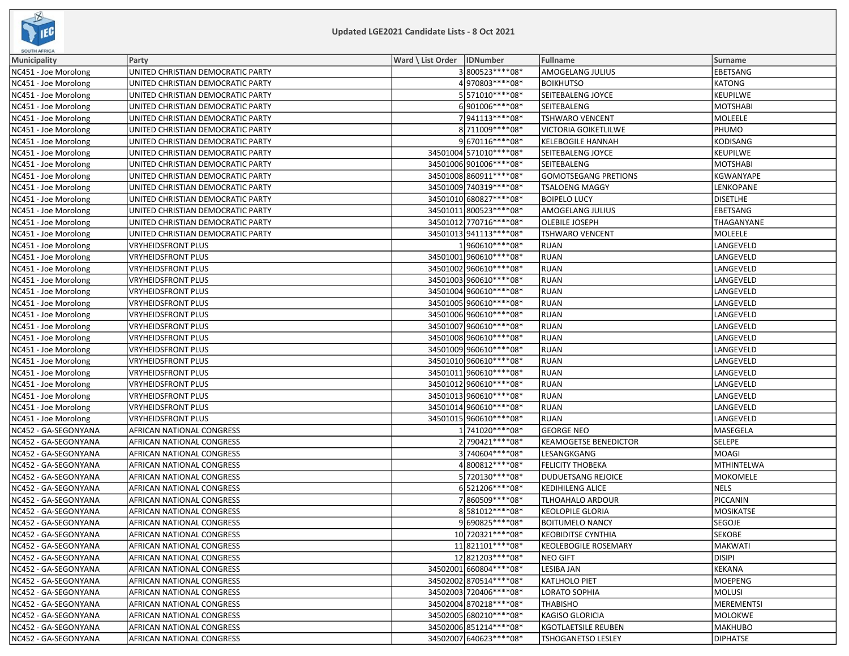

| <b>SOUTH AFRICA</b>  |                                   |                              |                          |                              |                   |
|----------------------|-----------------------------------|------------------------------|--------------------------|------------------------------|-------------------|
| <b>Municipality</b>  | Party                             | Ward \ List Order   IDNumber |                          | <b>Fullname</b>              | <b>Surname</b>    |
| NC451 - Joe Morolong | UNITED CHRISTIAN DEMOCRATIC PARTY |                              | 3800523 **** 08*         | AMOGELANG JULIUS             | <b>EBETSANG</b>   |
| NC451 - Joe Morolong | UNITED CHRISTIAN DEMOCRATIC PARTY |                              | 4970803 **** 08*         | <b>BOIKHUTSO</b>             | <b>KATONG</b>     |
| NC451 - Joe Morolong | UNITED CHRISTIAN DEMOCRATIC PARTY |                              | 5571010 **** 08*         | SEITEBALENG JOYCE            | <b>KEUPILWE</b>   |
| NC451 - Joe Morolong | UNITED CHRISTIAN DEMOCRATIC PARTY |                              | 6901006 **** 08*         | SEITEBALENG                  | <b>MOTSHABI</b>   |
| NC451 - Joe Morolong | UNITED CHRISTIAN DEMOCRATIC PARTY |                              | 7 941113 **** 08*        | <b>TSHWARO VENCENT</b>       | MOLEELE           |
| NC451 - Joe Morolong | UNITED CHRISTIAN DEMOCRATIC PARTY |                              | 8 711009 **** 08*        | <b>VICTORIA GOIKETLILWE</b>  | PHUMO             |
| NC451 - Joe Morolong | UNITED CHRISTIAN DEMOCRATIC PARTY |                              | 9670116 **** 08*         | <b>KELEBOGILE HANNAH</b>     | <b>KODISANG</b>   |
| NC451 - Joe Morolong | UNITED CHRISTIAN DEMOCRATIC PARTY |                              | 34501004 571010 **** 08* | SEITEBALENG JOYCE            | <b>KEUPILWE</b>   |
| NC451 - Joe Morolong | UNITED CHRISTIAN DEMOCRATIC PARTY |                              | 34501006 901006 **** 08* | SEITEBALENG                  | <b>MOTSHABI</b>   |
| NC451 - Joe Morolong | UNITED CHRISTIAN DEMOCRATIC PARTY |                              | 34501008 860911 **** 08* | <b>GOMOTSEGANG PRETIONS</b>  | KGWANYAPE         |
| NC451 - Joe Morolong | UNITED CHRISTIAN DEMOCRATIC PARTY |                              | 34501009 740319 **** 08* | <b>TSALOENG MAGGY</b>        | LENKOPANE         |
| NC451 - Joe Morolong | UNITED CHRISTIAN DEMOCRATIC PARTY |                              | 34501010 680827**** 08*  | <b>BOIPELO LUCY</b>          | <b>DISETLHE</b>   |
| NC451 - Joe Morolong | UNITED CHRISTIAN DEMOCRATIC PARTY |                              | 34501011 800523 **** 08* | AMOGELANG JULIUS             | EBETSANG          |
| NC451 - Joe Morolong | UNITED CHRISTIAN DEMOCRATIC PARTY |                              | 34501012 770716 **** 08* | OLEBILE JOSEPH               | THAGANYANE        |
| NC451 - Joe Morolong | UNITED CHRISTIAN DEMOCRATIC PARTY |                              | 34501013 941113 **** 08* | <b>TSHWARO VENCENT</b>       | MOLEELE           |
| NC451 - Joe Morolong | <b>VRYHEIDSFRONT PLUS</b>         |                              | 1960610 **** 08*         | <b>RUAN</b>                  | LANGEVELD         |
| NC451 - Joe Morolong | <b>VRYHEIDSFRONT PLUS</b>         |                              | 34501001 960610 **** 08* | <b>RUAN</b>                  | LANGEVELD         |
| NC451 - Joe Morolong | <b>VRYHEIDSFRONT PLUS</b>         |                              | 34501002 960610 **** 08* | <b>RUAN</b>                  | LANGEVELD         |
| NC451 - Joe Morolong | <b>VRYHEIDSFRONT PLUS</b>         |                              | 34501003 960610 **** 08* | <b>RUAN</b>                  | LANGEVELD         |
| NC451 - Joe Morolong | <b>VRYHEIDSFRONT PLUS</b>         |                              | 34501004 960610 **** 08* | <b>RUAN</b>                  | LANGEVELD         |
| NC451 - Joe Morolong | <b>VRYHEIDSFRONT PLUS</b>         |                              | 34501005 960610 **** 08* | <b>RUAN</b>                  | LANGEVELD         |
| NC451 - Joe Morolong | <b>VRYHEIDSFRONT PLUS</b>         |                              | 34501006 960610 **** 08* | <b>RUAN</b>                  | LANGEVELD         |
| NC451 - Joe Morolong | <b>VRYHEIDSFRONT PLUS</b>         |                              | 34501007 960610 **** 08* | <b>RUAN</b>                  | LANGEVELD         |
| NC451 - Joe Morolong | <b>VRYHEIDSFRONT PLUS</b>         |                              | 34501008 960610 **** 08* | <b>RUAN</b>                  | LANGEVELD         |
| NC451 - Joe Morolong | <b>VRYHEIDSFRONT PLUS</b>         |                              | 34501009 960610 **** 08* | <b>RUAN</b>                  | LANGEVELD         |
| NC451 - Joe Morolong | <b>VRYHEIDSFRONT PLUS</b>         |                              | 34501010 960610 **** 08* | <b>RUAN</b>                  | LANGEVELD         |
| NC451 - Joe Morolong | <b>VRYHEIDSFRONT PLUS</b>         |                              | 34501011 960610**** 08*  | <b>RUAN</b>                  | LANGEVELD         |
| NC451 - Joe Morolong | <b>VRYHEIDSFRONT PLUS</b>         |                              | 34501012 960610 **** 08* | <b>RUAN</b>                  | LANGEVELD         |
| NC451 - Joe Morolong | <b>VRYHEIDSFRONT PLUS</b>         |                              | 34501013 960610 **** 08* | <b>RUAN</b>                  | LANGEVELD         |
| NC451 - Joe Morolong | <b>VRYHEIDSFRONT PLUS</b>         |                              | 34501014 960610 **** 08* | <b>RUAN</b>                  | LANGEVELD         |
| NC451 - Joe Morolong | <b>VRYHEIDSFRONT PLUS</b>         |                              | 34501015 960610 **** 08* | <b>RUAN</b>                  | LANGEVELD         |
| NC452 - GA-SEGONYANA | <b>AFRICAN NATIONAL CONGRESS</b>  |                              | 1 741020****08*          | <b>GEORGE NEO</b>            | MASEGELA          |
| NC452 - GA-SEGONYANA | AFRICAN NATIONAL CONGRESS         |                              | 2790421****08*           | <b>KEAMOGETSE BENEDICTOR</b> | SELEPE            |
| NC452 - GA-SEGONYANA | AFRICAN NATIONAL CONGRESS         |                              | 3 740604 **** 08*        | LESANGKGANG                  | <b>MOAGI</b>      |
| NC452 - GA-SEGONYANA | AFRICAN NATIONAL CONGRESS         |                              | 4800812 **** 08*         | <b>FELICITY THOBEKA</b>      | <b>MTHINTELWA</b> |
| NC452 - GA-SEGONYANA | <b>AFRICAN NATIONAL CONGRESS</b>  |                              | 5 720130****08*          | <b>DUDUETSANG REJOICE</b>    | <b>MOKOMELE</b>   |
| NC452 - GA-SEGONYANA | <b>AFRICAN NATIONAL CONGRESS</b>  |                              | 6521206 **** 08*         | <b>KEDIHILENG ALICE</b>      | NELS              |
| NC452 - GA-SEGONYANA | <b>AFRICAN NATIONAL CONGRESS</b>  |                              | 7860509 **** 08*         | <b>TLHOAHALO ARDOUR</b>      | PICCANIN          |
| NC452 - GA-SEGONYANA | <b>AFRICAN NATIONAL CONGRESS</b>  |                              | 8581012 **** 08*         | <b>KEOLOPILE GLORIA</b>      | <b>MOSIKATSE</b>  |
| NC452 - GA-SEGONYANA | <b>AFRICAN NATIONAL CONGRESS</b>  |                              | 9690825 **** 08*         | <b>BOITUMELO NANCY</b>       | <b>SEGOJE</b>     |
| NC452 - GA-SEGONYANA | AFRICAN NATIONAL CONGRESS         |                              | 10 720321 **** 08*       | <b>KEOBIDITSE CYNTHIA</b>    | <b>SEKOBE</b>     |
| NC452 - GA-SEGONYANA | <b>AFRICAN NATIONAL CONGRESS</b>  |                              | 11 821101 **** 08*       | <b>KEOLEBOGILE ROSEMARY</b>  | <b>MAKWATI</b>    |
| NC452 - GA-SEGONYANA | <b>AFRICAN NATIONAL CONGRESS</b>  |                              | 12 821203 **** 08*       | <b>NEO GIFT</b>              | DISIPI            |
| NC452 - GA-SEGONYANA | <b>AFRICAN NATIONAL CONGRESS</b>  |                              | 34502001 660804****08*   | LESIBA JAN                   | <b>KEKANA</b>     |
| NC452 - GA-SEGONYANA | <b>AFRICAN NATIONAL CONGRESS</b>  |                              | 34502002 870514 **** 08* | <b>KATLHOLO PIET</b>         | MOEPENG           |
| NC452 - GA-SEGONYANA | <b>AFRICAN NATIONAL CONGRESS</b>  |                              | 34502003 720406 **** 08* | LORATO SOPHIA                | MOLUSI            |
| NC452 - GA-SEGONYANA | <b>AFRICAN NATIONAL CONGRESS</b>  |                              | 34502004 870218 **** 08* | <b>THABISHO</b>              | MEREMENTSI        |
| NC452 - GA-SEGONYANA | <b>AFRICAN NATIONAL CONGRESS</b>  |                              | 34502005 680210 **** 08* | KAGISO GLORICIA              | MOLOKWE           |
| NC452 - GA-SEGONYANA | <b>AFRICAN NATIONAL CONGRESS</b>  |                              | 34502006 851214**** 08*  | KGOTLAETSILE REUBEN          | MAKHUBO           |
| NC452 - GA-SEGONYANA | <b>AFRICAN NATIONAL CONGRESS</b>  |                              | 34502007 640623 **** 08* | <b>TSHOGANETSO LESLEY</b>    | <b>DIPHATSE</b>   |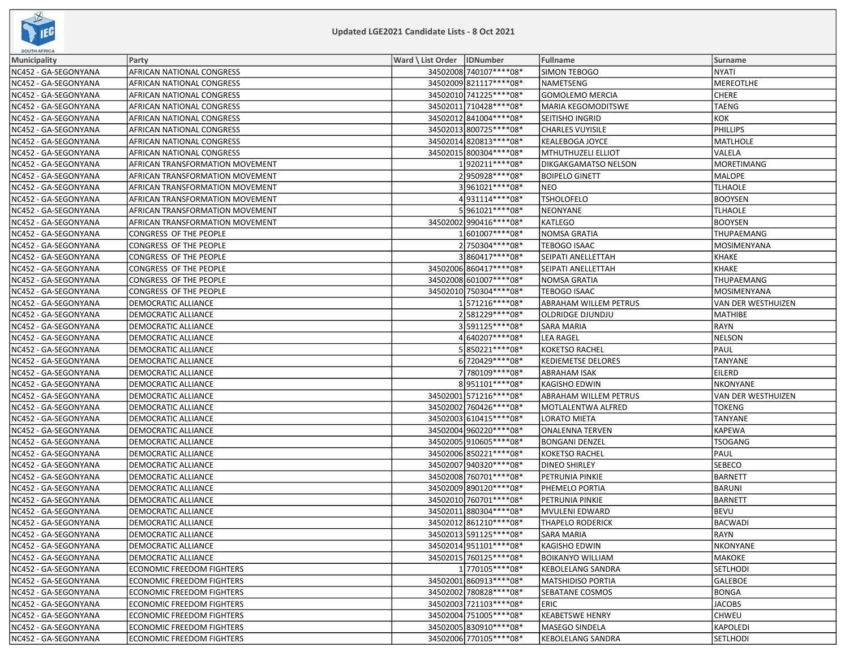

| <b>SOUTH AFRICA</b>  |                                  |                              |                          |                             |                    |
|----------------------|----------------------------------|------------------------------|--------------------------|-----------------------------|--------------------|
| <b>Municipality</b>  | Party                            | Ward \ List Order   IDNumber |                          | Fullname                    | <b>Surname</b>     |
| NC452 - GA-SEGONYANA | AFRICAN NATIONAL CONGRESS        |                              | 34502008 740107****08*   | SIMON TEBOGO                | <b>NYATI</b>       |
| NC452 - GA-SEGONYANA | AFRICAN NATIONAL CONGRESS        |                              | 34502009 821117**** 08*  | NAMETSENG                   | <b>MEREOTLHE</b>   |
| NC452 - GA-SEGONYANA | AFRICAN NATIONAL CONGRESS        |                              | 34502010 741225 **** 08* | <b>GOMOLEMO MERCIA</b>      | <b>CHERE</b>       |
| NC452 - GA-SEGONYANA | AFRICAN NATIONAL CONGRESS        |                              | 34502011 710428 **** 08* | <b>MARIA KEGOMODITSWE</b>   | <b>TAENG</b>       |
| NC452 - GA-SEGONYANA | AFRICAN NATIONAL CONGRESS        |                              | 34502012 841004 **** 08* | SEITISHO INGRID             | KOK                |
| NC452 - GA-SEGONYANA | AFRICAN NATIONAL CONGRESS        |                              | 34502013 800725 **** 08* | <b>CHARLES VUYISILE</b>     | <b>PHILLIPS</b>    |
| NC452 - GA-SEGONYANA | AFRICAN NATIONAL CONGRESS        |                              | 34502014 820813 **** 08* | <b>KEALEBOGA JOYCE</b>      | <b>MATLHOLE</b>    |
| NC452 - GA-SEGONYANA | AFRICAN NATIONAL CONGRESS        |                              | 34502015 800304 **** 08* | MTHUTHUZELI ELLIOT          | VALELA             |
| NC452 - GA-SEGONYANA | AFRICAN TRANSFORMATION MOVEMENT  |                              | 1920211 **** 08*         | <b>DIKGAKGAMATSO NELSON</b> | MORETIMANG         |
| NC452 - GA-SEGONYANA | AFRICAN TRANSFORMATION MOVEMENT  |                              | 2950928 **** 08*         | <b>BOIPELO GINETT</b>       | <b>MALOPE</b>      |
| NC452 - GA-SEGONYANA | AFRICAN TRANSFORMATION MOVEMENT  |                              | 3961021 **** 08*         | <b>NEO</b>                  | <b>TLHAOLE</b>     |
| NC452 - GA-SEGONYANA | AFRICAN TRANSFORMATION MOVEMENT  |                              | 4931114****08*           | <b>TSHOLOFELO</b>           | <b>BOOYSEN</b>     |
| NC452 - GA-SEGONYANA | AFRICAN TRANSFORMATION MOVEMENT  |                              | 5961021 **** 08*         | <b>NEONYANE</b>             | <b>TLHAOLE</b>     |
| NC452 - GA-SEGONYANA | AFRICAN TRANSFORMATION MOVEMENT  |                              | 34502002 990416 **** 08* | <b>KATLEGO</b>              | <b>BOOYSEN</b>     |
| NC452 - GA-SEGONYANA | CONGRESS OF THE PEOPLE           |                              | 1601007 **** 08*         | <b>NOMSA GRATIA</b>         | THUPAEMANG         |
| NC452 - GA-SEGONYANA | CONGRESS OF THE PEOPLE           |                              | 2750304 **** 08*         | <b>TEBOGO ISAAC</b>         | MOSIMENYANA        |
| NC452 - GA-SEGONYANA | CONGRESS OF THE PEOPLE           |                              | 3860417****08*           | SEIPATI ANELLETTAH          | <b>KHAKE</b>       |
| NC452 - GA-SEGONYANA | CONGRESS OF THE PEOPLE           |                              | 34502006 860417**** 08*  | SEIPATI ANELLETTAH          | KHAKE              |
| NC452 - GA-SEGONYANA | CONGRESS OF THE PEOPLE           |                              | 34502008 601007 **** 08* | NOMSA GRATIA                | THUPAEMANG         |
| NC452 - GA-SEGONYANA | CONGRESS OF THE PEOPLE           |                              | 34502010 750304 **** 08* | <b>TEBOGO ISAAC</b>         | MOSIMENYANA        |
| NC452 - GA-SEGONYANA | DEMOCRATIC ALLIANCE              |                              | 1571216 **** 08*         | ABRAHAM WILLEM PETRUS       | VAN DER WESTHUIZEN |
| NC452 - GA-SEGONYANA | DEMOCRATIC ALLIANCE              |                              | 2581229 **** 08*         | <b>OLDRIDGE DJUNDJU</b>     | <b>MATHIBE</b>     |
| NC452 - GA-SEGONYANA | DEMOCRATIC ALLIANCE              |                              | 3591125****08*           | <b>SARA MARIA</b>           | <b>RAYN</b>        |
| NC452 - GA-SEGONYANA | DEMOCRATIC ALLIANCE              |                              | 4640207****08*           | <b>LEA RAGEL</b>            | NELSON             |
| NC452 - GA-SEGONYANA | DEMOCRATIC ALLIANCE              |                              | 5850221 **** 08*         | <b>KOKETSO RACHEL</b>       | PAUL               |
| NC452 - GA-SEGONYANA | DEMOCRATIC ALLIANCE              |                              | 6720429 **** 08*         | <b>KEDIEMETSE DELORES</b>   | <b>TANYANE</b>     |
| NC452 - GA-SEGONYANA | DEMOCRATIC ALLIANCE              |                              | 7 780109 **** 08*        | <b>ABRAHAM ISAK</b>         | EILERD             |
| NC452 - GA-SEGONYANA | DEMOCRATIC ALLIANCE              |                              | 8951101 **** 08*         | KAGISHO EDWIN               | <b>NKONYANE</b>    |
| NC452 - GA-SEGONYANA | DEMOCRATIC ALLIANCE              |                              | 34502001 571216**** 08*  | ABRAHAM WILLEM PETRUS       | VAN DER WESTHUIZEN |
| NC452 - GA-SEGONYANA | DEMOCRATIC ALLIANCE              |                              | 34502002 760426 **** 08* | MOTLALENTWA ALFRED          | <b>TOKENG</b>      |
| NC452 - GA-SEGONYANA | DEMOCRATIC ALLIANCE              |                              | 34502003 610415 **** 08* | <b>LORATO MIETA</b>         | <b>TANYANE</b>     |
| NC452 - GA-SEGONYANA | DEMOCRATIC ALLIANCE              |                              | 34502004 960220 **** 08* | <b>ONALENNA TERVEN</b>      | <b>KAPEWA</b>      |
| NC452 - GA-SEGONYANA | DEMOCRATIC ALLIANCE              |                              | 34502005 910605 **** 08* | <b>BONGANI DENZEL</b>       | <b>TSOGANG</b>     |
| NC452 - GA-SEGONYANA | DEMOCRATIC ALLIANCE              |                              | 34502006 850221 **** 08* | <b>KOKETSO RACHEL</b>       | PAUL               |
| NC452 - GA-SEGONYANA | DEMOCRATIC ALLIANCE              |                              | 34502007 940320 **** 08* | <b>DINEO SHIRLEY</b>        | <b>SEBECO</b>      |
| NC452 - GA-SEGONYANA | DEMOCRATIC ALLIANCE              |                              | 34502008 760701 **** 08* | PETRUNIA PINKIE             | BARNETT            |
| NC452 - GA-SEGONYANA | DEMOCRATIC ALLIANCE              |                              | 34502009 890120 **** 08* | PHEMELO PORTIA              | BARUNI             |
| NC452 - GA-SEGONYANA | DEMOCRATIC ALLIANCE              |                              | 34502010 760701 **** 08* | PETRUNIA PINKIE             | BARNETT            |
| NC452 - GA-SEGONYANA | DEMOCRATIC ALLIANCE              |                              | 34502011 880304 **** 08* | <b>MVULENI EDWARD</b>       | BEVU               |
| NC452 - GA-SEGONYANA | DEMOCRATIC ALLIANCE              |                              | 34502012 861210 **** 08* | <b>THAPELO RODERICK</b>     | BACWADI            |
| NC452 - GA-SEGONYANA | <b>DEMOCRATIC ALLIANCE</b>       |                              | 34502013 591125 **** 08* | <b>SARA MARIA</b>           | RAYN               |
| NC452 - GA-SEGONYANA | DEMOCRATIC ALLIANCE              |                              | 34502014 951101**** 08*  | <b>KAGISHO EDWIN</b>        | Inkonyane          |
| NC452 - GA-SEGONYANA | DEMOCRATIC ALLIANCE              |                              | 34502015 760125 **** 08* | <b>BOIKANYO WILLIAM</b>     | MAKOKE             |
| NC452 - GA-SEGONYANA | <b>ECONOMIC FREEDOM FIGHTERS</b> |                              | 1770105 **** 08*         | <b>KEBOLELANG SANDRA</b>    | <b>SETLHODI</b>    |
| NC452 - GA-SEGONYANA | <b>ECONOMIC FREEDOM FIGHTERS</b> |                              | 34502001860913 **** 08*  | <b>MATSHIDISO PORTIA</b>    | GALEBOE            |
| NC452 - GA-SEGONYANA | <b>ECONOMIC FREEDOM FIGHTERS</b> |                              | 34502002 780828 **** 08* | SEBATANE COSMOS             | BONGA              |
| NC452 - GA-SEGONYANA | <b>ECONOMIC FREEDOM FIGHTERS</b> |                              | 34502003 721103 **** 08* | <b>ERIC</b>                 | <b>JACOBS</b>      |
| NC452 - GA-SEGONYANA | <b>ECONOMIC FREEDOM FIGHTERS</b> |                              | 34502004 751005 **** 08* | <b>KEABETSWE HENRY</b>      | <b>CHWEU</b>       |
| NC452 - GA-SEGONYANA | <b>ECONOMIC FREEDOM FIGHTERS</b> |                              | 34502005 830910 **** 08* | MASEGO SINDELA              | KAPOLEDI           |
| NC452 - GA-SEGONYANA | <b>ECONOMIC FREEDOM FIGHTERS</b> |                              | 34502006 770105 **** 08* | <b>KEBOLELANG SANDRA</b>    | <b>SETLHODI</b>    |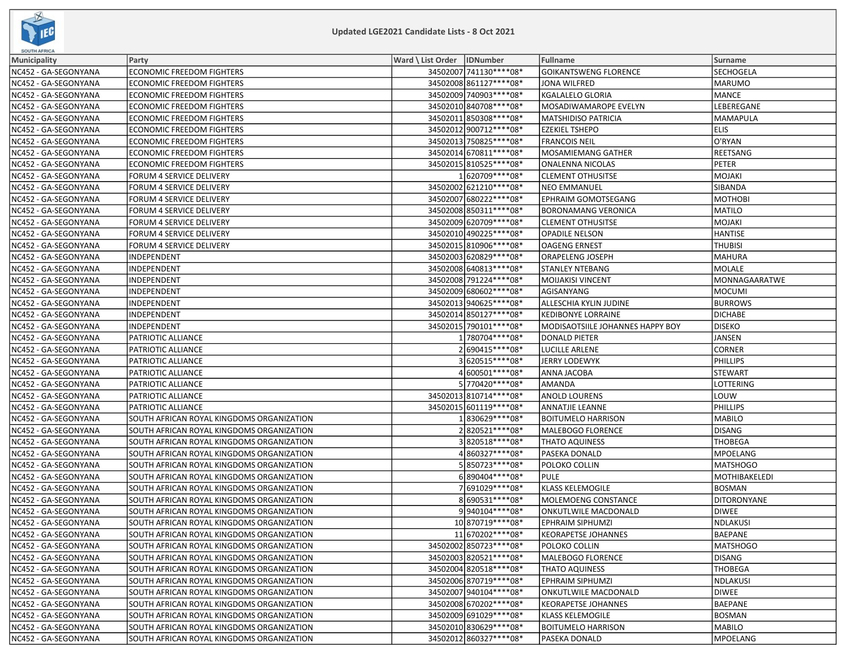

| <b>SOUTH AFRICA</b>  |                                           |                              |                          |                                  |                    |
|----------------------|-------------------------------------------|------------------------------|--------------------------|----------------------------------|--------------------|
| Municipality         | Party                                     | Ward \ List Order   IDNumber |                          | <b>Fullname</b>                  | Surname            |
| NC452 - GA-SEGONYANA | <b>ECONOMIC FREEDOM FIGHTERS</b>          |                              | 34502007 741130 **** 08* | <b>GOIKANTSWENG FLORENCE</b>     | <b>SECHOGELA</b>   |
| NC452 - GA-SEGONYANA | <b>ECONOMIC FREEDOM FIGHTERS</b>          |                              | 34502008861127****08*    | <b>JONA WILFRED</b>              | MARUMO             |
| NC452 - GA-SEGONYANA | ECONOMIC FREEDOM FIGHTERS                 |                              | 34502009 740903 **** 08* | KGALALELO GLORIA                 | MANCE              |
| NC452 - GA-SEGONYANA | <b>ECONOMIC FREEDOM FIGHTERS</b>          |                              | 34502010 840708 **** 08* | MOSADIWAMAROPE EVELYN            | LEBEREGANE         |
| NC452 - GA-SEGONYANA | <b>ECONOMIC FREEDOM FIGHTERS</b>          |                              | 34502011 850308 **** 08* | <b>MATSHIDISO PATRICIA</b>       | MAMAPULA           |
| NC452 - GA-SEGONYANA | ECONOMIC FREEDOM FIGHTERS                 |                              | 34502012 900712 **** 08* | <b>EZEKIEL TSHEPO</b>            | <b>ELIS</b>        |
| NC452 - GA-SEGONYANA | <b>ECONOMIC FREEDOM FIGHTERS</b>          |                              | 34502013 750825 **** 08* | <b>FRANCOIS NEIL</b>             | O'RYAN             |
| NC452 - GA-SEGONYANA | ECONOMIC FREEDOM FIGHTERS                 |                              | 34502014 670811 **** 08* | MOSAMIEMANG GATHER               | REETSANG           |
| NC452 - GA-SEGONYANA | ECONOMIC FREEDOM FIGHTERS                 |                              | 34502015 810525 **** 08* | ONALENNA NICOLAS                 | PETER              |
| NC452 - GA-SEGONYANA | FORUM 4 SERVICE DELIVERY                  |                              | 1620709 **** 08*         | <b>CLEMENT OTHUSITSE</b>         | MOJAKI             |
| NC452 - GA-SEGONYANA | FORUM 4 SERVICE DELIVERY                  |                              | 34502002 621210 **** 08* | <b>NEO EMMANUEL</b>              | SIBANDA            |
| NC452 - GA-SEGONYANA | FORUM 4 SERVICE DELIVERY                  |                              | 34502007 680222 **** 08* | EPHRAIM GOMOTSEGANG              | MOTHOBI            |
| NC452 - GA-SEGONYANA | FORUM 4 SERVICE DELIVERY                  |                              | 34502008 850311 **** 08* | <b>BORONAMANG VERONICA</b>       | MATILO             |
| NC452 - GA-SEGONYANA | FORUM 4 SERVICE DELIVERY                  |                              | 34502009 620709 **** 08* | <b>CLEMENT OTHUSITSE</b>         | MOJAKI             |
| NC452 - GA-SEGONYANA | FORUM 4 SERVICE DELIVERY                  |                              | 34502010 490225 **** 08* | <b>OPADILE NELSON</b>            | <b>HANTISE</b>     |
| NC452 - GA-SEGONYANA | FORUM 4 SERVICE DELIVERY                  |                              | 34502015 810906 **** 08* | <b>OAGENG ERNEST</b>             | <b>THUBISI</b>     |
| NC452 - GA-SEGONYANA | INDEPENDENT                               |                              | 34502003 620829 **** 08* | ORAPELENG JOSEPH                 | <b>MAHURA</b>      |
| NC452 - GA-SEGONYANA | INDEPENDENT                               |                              | 34502008 640813 **** 08* | STANLEY NTEBANG                  | MOLALE             |
| NC452 - GA-SEGONYANA | INDEPENDENT                               |                              | 34502008 791224 **** 08* | <b>MOIJAKISI VINCENT</b>         | MONNAGAARATWE      |
| NC452 - GA-SEGONYANA | INDEPENDENT                               |                              | 34502009 680602 **** 08* | AGISANYANG                       | MOCUMI             |
| NC452 - GA-SEGONYANA | INDEPENDENT                               |                              | 34502013 940625 **** 08* | ALLESCHIA KYLIN JUDINE           | <b>BURROWS</b>     |
| NC452 - GA-SEGONYANA | <b>INDEPENDENT</b>                        |                              | 34502014 850127**** 08*  | <b>KEDIBONYE LORRAINE</b>        | DICHABE            |
| NC452 - GA-SEGONYANA | INDEPENDENT                               |                              | 34502015 790101 **** 08* | MODISAOTSIILE JOHANNES HAPPY BOY | <b>DISEKO</b>      |
| NC452 - GA-SEGONYANA | PATRIOTIC ALLIANCE                        |                              | 1780704 **** 08*         | DONALD PIETER                    | JANSEN             |
| NC452 - GA-SEGONYANA | PATRIOTIC ALLIANCE                        |                              | 2690415 **** 08*         | LUCILLE ARLENE                   | <b>CORNER</b>      |
| NC452 - GA-SEGONYANA | PATRIOTIC ALLIANCE                        |                              | 3620515 **** 08*         | <b>JERRY LODEWYK</b>             | PHILLIPS           |
| NC452 - GA-SEGONYANA | PATRIOTIC ALLIANCE                        |                              | 4 600501****08*          | ANNA JACOBA                      | <b>STEWART</b>     |
| NC452 - GA-SEGONYANA | PATRIOTIC ALLIANCE                        |                              | 5 770420****08*          | AMANDA                           | LOTTERING          |
| NC452 - GA-SEGONYANA | PATRIOTIC ALLIANCE                        |                              | 34502013 810714 **** 08* | <b>ANOLD LOURENS</b>             | LOUW               |
| NC452 - GA-SEGONYANA | PATRIOTIC ALLIANCE                        |                              | 34502015 601119 **** 08* | <b>ANNATJIE LEANNE</b>           | PHILLIPS           |
| NC452 - GA-SEGONYANA | SOUTH AFRICAN ROYAL KINGDOMS ORGANIZATION |                              | 1830629****08*           | <b>BOITUMELO HARRISON</b>        | MABILO             |
| NC452 - GA-SEGONYANA | SOUTH AFRICAN ROYAL KINGDOMS ORGANIZATION |                              | 2 820521****08*          | <b>MALEBOGO FLORENCE</b>         | <b>DISANG</b>      |
| NC452 - GA-SEGONYANA | SOUTH AFRICAN ROYAL KINGDOMS ORGANIZATION |                              | 3820518 **** 08*         | <b>THATO AQUINESS</b>            | THOBEGA            |
| NC452 - GA-SEGONYANA | SOUTH AFRICAN ROYAL KINGDOMS ORGANIZATION |                              | 4860327****08*           | PASEKA DONALD                    | MPOELANG           |
| NC452 - GA-SEGONYANA | SOUTH AFRICAN ROYAL KINGDOMS ORGANIZATION |                              | 5850723 **** 08*         | POLOKO COLLIN                    | <b>MATSHOGO</b>    |
| NC452 - GA-SEGONYANA | SOUTH AFRICAN ROYAL KINGDOMS ORGANIZATION |                              | 6890404 **** 08*         | <b>PULE</b>                      | MOTHIBAKELEDI      |
| NC452 - GA-SEGONYANA | SOUTH AFRICAN ROYAL KINGDOMS ORGANIZATION |                              | 7691029 **** 08*         | <b>KLASS KELEMOGILE</b>          | <b>BOSMAN</b>      |
| NC452 - GA-SEGONYANA | SOUTH AFRICAN ROYAL KINGDOMS ORGANIZATION |                              | 8690531 **** 08*         | MOLEMOENG CONSTANCE              | <b>DITORONYANE</b> |
| NC452 - GA-SEGONYANA | SOUTH AFRICAN ROYAL KINGDOMS ORGANIZATION |                              | 9940104 **** 08*         | ONKUTLWILE MACDONALD             | <b>DIWEE</b>       |
| NC452 - GA-SEGONYANA | SOUTH AFRICAN ROYAL KINGDOMS ORGANIZATION |                              | 10 870719 **** 08*       | <b>EPHRAIM SIPHUMZI</b>          | NDLAKUSI           |
| NC452 - GA-SEGONYANA | SOUTH AFRICAN ROYAL KINGDOMS ORGANIZATION |                              | 11 670202 **** 08*       | <b>KEORAPETSE JOHANNES</b>       | BAEPANE            |
| NC452 - GA-SEGONYANA | SOUTH AFRICAN ROYAL KINGDOMS ORGANIZATION |                              | 34502002 850723 **** 08* | POLOKO COLLIN                    | <b>MATSHOGO</b>    |
| NC452 - GA-SEGONYANA | SOUTH AFRICAN ROYAL KINGDOMS ORGANIZATION |                              | 34502003 820521 **** 08* | MALEBOGO FLORENCE                | DISANG             |
| NC452 - GA-SEGONYANA | SOUTH AFRICAN ROYAL KINGDOMS ORGANIZATION |                              | 34502004 820518**** 08*  | <b>THATO AQUINESS</b>            | <b>THOBEGA</b>     |
| NC452 - GA-SEGONYANA | SOUTH AFRICAN ROYAL KINGDOMS ORGANIZATION |                              | 34502006 870719 **** 08* | EPHRAIM SIPHUMZI                 | NDLAKUSI           |
| NC452 - GA-SEGONYANA | SOUTH AFRICAN ROYAL KINGDOMS ORGANIZATION |                              | 34502007 940104 **** 08* | ONKUTLWILE MACDONALD             | DIWEE              |
| NC452 - GA-SEGONYANA | SOUTH AFRICAN ROYAL KINGDOMS ORGANIZATION |                              | 34502008 670202 **** 08* | <b>KEORAPETSE JOHANNES</b>       | BAEPANE            |
| NC452 - GA-SEGONYANA | SOUTH AFRICAN ROYAL KINGDOMS ORGANIZATION |                              | 34502009 691029 **** 08* | <b>KLASS KELEMOGILE</b>          | <b>BOSMAN</b>      |
| NC452 - GA-SEGONYANA | SOUTH AFRICAN ROYAL KINGDOMS ORGANIZATION |                              | 34502010 830629 **** 08* | <b>BOITUMELO HARRISON</b>        | MABILO             |
| NC452 - GA-SEGONYANA | SOUTH AFRICAN ROYAL KINGDOMS ORGANIZATION |                              | 34502012 860327 **** 08* | PASEKA DONALD                    | MPOELANG           |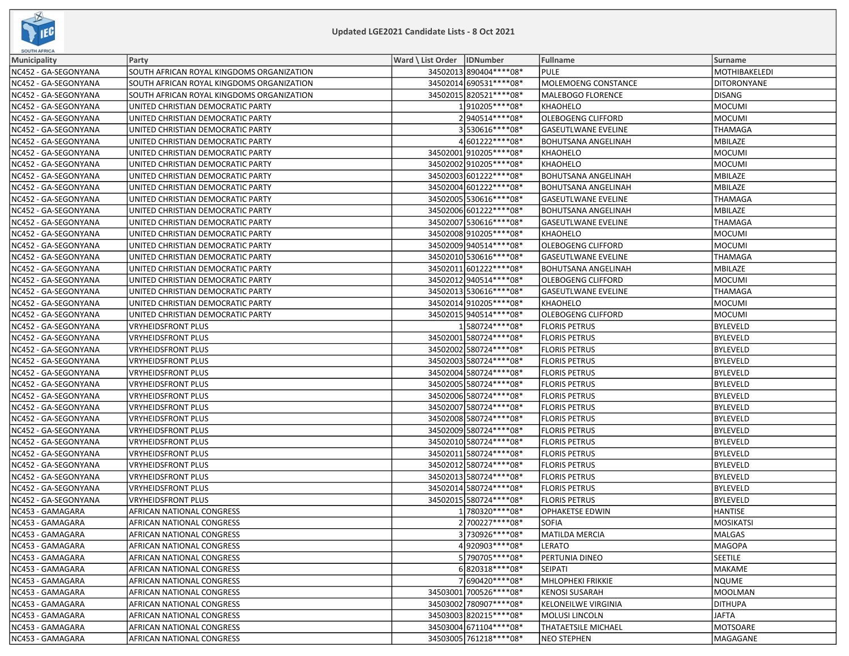

| SOUTH AFRICA         |                                           |                              |                          |                            |                  |
|----------------------|-------------------------------------------|------------------------------|--------------------------|----------------------------|------------------|
| Municipality         | Party                                     | Ward \ List Order   IDNumber |                          | Fullname                   | <b>Surname</b>   |
| NC452 - GA-SEGONYANA | SOUTH AFRICAN ROYAL KINGDOMS ORGANIZATION |                              | 34502013 890404 **** 08* | <b>PULE</b>                | MOTHIBAKELEDI    |
| NC452 - GA-SEGONYANA | SOUTH AFRICAN ROYAL KINGDOMS ORGANIZATION |                              | 34502014 690531 **** 08* | <b>MOLEMOENG CONSTANCE</b> | DITORONYANE      |
| NC452 - GA-SEGONYANA | SOUTH AFRICAN ROYAL KINGDOMS ORGANIZATION |                              | 34502015 820521 **** 08* | MALEBOGO FLORENCE          | <b>DISANG</b>    |
| NC452 - GA-SEGONYANA | UNITED CHRISTIAN DEMOCRATIC PARTY         |                              | 1910205 **** 08*         | <b>KHAOHELO</b>            | <b>MOCUMI</b>    |
| NC452 - GA-SEGONYANA | UNITED CHRISTIAN DEMOCRATIC PARTY         |                              | 2940514 **** 08*         | <b>OLEBOGENG CLIFFORD</b>  | <b>MOCUMI</b>    |
| NC452 - GA-SEGONYANA | UNITED CHRISTIAN DEMOCRATIC PARTY         |                              | 3530616 **** 08*         | <b>GASEUTLWANE EVELINE</b> | <b>THAMAGA</b>   |
| NC452 - GA-SEGONYANA | UNITED CHRISTIAN DEMOCRATIC PARTY         |                              | 4601222****08*           | <b>BOHUTSANA ANGELINAH</b> | MBILAZE          |
| NC452 - GA-SEGONYANA | UNITED CHRISTIAN DEMOCRATIC PARTY         |                              | 34502001910205 **** 08*  | KHAOHELO                   | <b>MOCUMI</b>    |
| NC452 - GA-SEGONYANA | UNITED CHRISTIAN DEMOCRATIC PARTY         |                              | 34502002 910205 **** 08* | <b>KHAOHELO</b>            | <b>MOCUMI</b>    |
| NC452 - GA-SEGONYANA | UNITED CHRISTIAN DEMOCRATIC PARTY         |                              | 34502003 601222 **** 08* | <b>BOHUTSANA ANGELINAH</b> | MBILAZE          |
| NC452 - GA-SEGONYANA | UNITED CHRISTIAN DEMOCRATIC PARTY         |                              | 34502004 601222 **** 08* | <b>BOHUTSANA ANGELINAH</b> | MBILAZE          |
| NC452 - GA-SEGONYANA | UNITED CHRISTIAN DEMOCRATIC PARTY         |                              | 34502005 530616 **** 08* | <b>GASEUTLWANE EVELINE</b> | <b>THAMAGA</b>   |
| NC452 - GA-SEGONYANA | UNITED CHRISTIAN DEMOCRATIC PARTY         |                              | 34502006 601222 **** 08* | <b>BOHUTSANA ANGELINAH</b> | MBILAZE          |
| NC452 - GA-SEGONYANA | UNITED CHRISTIAN DEMOCRATIC PARTY         |                              | 34502007 530616 **** 08* | <b>GASEUTLWANE EVELINE</b> | <b>THAMAGA</b>   |
| NC452 - GA-SEGONYANA | UNITED CHRISTIAN DEMOCRATIC PARTY         |                              | 34502008 910205 **** 08* | <b>KHAOHELO</b>            | <b>MOCUMI</b>    |
| NC452 - GA-SEGONYANA | UNITED CHRISTIAN DEMOCRATIC PARTY         |                              | 34502009 940514 **** 08* | OLEBOGENG CLIFFORD         | <b>MOCUMI</b>    |
| NC452 - GA-SEGONYANA | UNITED CHRISTIAN DEMOCRATIC PARTY         |                              | 34502010 530616****08*   | <b>GASEUTLWANE EVELINE</b> | <b>THAMAGA</b>   |
| NC452 - GA-SEGONYANA | UNITED CHRISTIAN DEMOCRATIC PARTY         |                              | 34502011 601222 **** 08* | <b>BOHUTSANA ANGELINAH</b> | MBILAZE          |
| NC452 - GA-SEGONYANA | UNITED CHRISTIAN DEMOCRATIC PARTY         |                              | 34502012 940514 **** 08* | <b>OLEBOGENG CLIFFORD</b>  | <b>MOCUMI</b>    |
| NC452 - GA-SEGONYANA | UNITED CHRISTIAN DEMOCRATIC PARTY         |                              | 34502013 530616 **** 08* | <b>GASEUTLWANE EVELINE</b> | <b>THAMAGA</b>   |
| NC452 - GA-SEGONYANA | UNITED CHRISTIAN DEMOCRATIC PARTY         |                              | 34502014 910205 **** 08* | <b>KHAOHELO</b>            | <b>MOCUMI</b>    |
| NC452 - GA-SEGONYANA | UNITED CHRISTIAN DEMOCRATIC PARTY         |                              | 34502015 940514 **** 08* | <b>OLEBOGENG CLIFFORD</b>  | MOCUMI           |
| NC452 - GA-SEGONYANA | <b>VRYHEIDSFRONT PLUS</b>                 |                              | 1580724 **** 08*         | <b>FLORIS PETRUS</b>       | <b>BYLEVELD</b>  |
| NC452 - GA-SEGONYANA | <b>VRYHEIDSFRONT PLUS</b>                 |                              | 34502001 580724 **** 08* | <b>FLORIS PETRUS</b>       | <b>BYLEVELD</b>  |
| NC452 - GA-SEGONYANA | <b>VRYHEIDSFRONT PLUS</b>                 |                              | 34502002 580724 **** 08* | <b>FLORIS PETRUS</b>       | <b>BYLEVELD</b>  |
| NC452 - GA-SEGONYANA | <b>VRYHEIDSFRONT PLUS</b>                 |                              | 34502003 580724 **** 08* | <b>FLORIS PETRUS</b>       | <b>BYLEVELD</b>  |
| NC452 - GA-SEGONYANA | <b>VRYHEIDSFRONT PLUS</b>                 |                              | 34502004 580724 **** 08* | <b>FLORIS PETRUS</b>       | <b>BYLEVELD</b>  |
| NC452 - GA-SEGONYANA | <b>VRYHEIDSFRONT PLUS</b>                 |                              | 34502005 580724 **** 08* | <b>FLORIS PETRUS</b>       | <b>BYLEVELD</b>  |
| NC452 - GA-SEGONYANA | <b>VRYHEIDSFRONT PLUS</b>                 |                              | 34502006 580724 **** 08* | <b>FLORIS PETRUS</b>       | <b>BYLEVELD</b>  |
| NC452 - GA-SEGONYANA | <b>VRYHEIDSFRONT PLUS</b>                 |                              | 34502007 580724 **** 08* | <b>FLORIS PETRUS</b>       | <b>BYLEVELD</b>  |
| NC452 - GA-SEGONYANA | <b>VRYHEIDSFRONT PLUS</b>                 |                              | 34502008 580724 **** 08* | <b>FLORIS PETRUS</b>       | <b>BYLEVELD</b>  |
| NC452 - GA-SEGONYANA | <b>VRYHEIDSFRONT PLUS</b>                 |                              | 34502009 580724 **** 08* | <b>FLORIS PETRUS</b>       | <b>BYLEVELD</b>  |
| NC452 - GA-SEGONYANA | <b>VRYHEIDSFRONT PLUS</b>                 |                              | 34502010 580724 **** 08* | <b>FLORIS PETRUS</b>       | <b>BYLEVELD</b>  |
| NC452 - GA-SEGONYANA | <b>VRYHEIDSFRONT PLUS</b>                 |                              | 34502011 580724 **** 08* | <b>FLORIS PETRUS</b>       | <b>BYLEVELD</b>  |
| NC452 - GA-SEGONYANA | <b>VRYHEIDSFRONT PLUS</b>                 |                              | 34502012 580724 **** 08* | <b>FLORIS PETRUS</b>       | <b>BYLEVELD</b>  |
| NC452 - GA-SEGONYANA | <b>VRYHEIDSFRONT PLUS</b>                 |                              | 34502013 580724 **** 08* | <b>FLORIS PETRUS</b>       | <b>BYLEVELD</b>  |
| NC452 - GA-SEGONYANA | <b>VRYHEIDSFRONT PLUS</b>                 |                              | 34502014 580724 **** 08* | <b>FLORIS PETRUS</b>       | <b>BYLEVELD</b>  |
| NC452 - GA-SEGONYANA | <b>VRYHEIDSFRONT PLUS</b>                 |                              | 34502015 580724 **** 08* | <b>FLORIS PETRUS</b>       | <b>BYLEVELD</b>  |
| NC453 - GAMAGARA     | AFRICAN NATIONAL CONGRESS                 |                              | 1 780320****08*          | OPHAKETSE EDWIN            | <b>HANTISE</b>   |
| NC453 - GAMAGARA     | AFRICAN NATIONAL CONGRESS                 |                              | 2700227****08*           | <b>SOFIA</b>               | <b>MOSIKATSI</b> |
| NC453 - GAMAGARA     | AFRICAN NATIONAL CONGRESS                 |                              | 3730926 **** 08*         | MATILDA MERCIA             | MALGAS           |
| NC453 - GAMAGARA     | AFRICAN NATIONAL CONGRESS                 |                              | 4920903 **** 08*         | LERATO                     | MAGOPA           |
| NC453 - GAMAGARA     | AFRICAN NATIONAL CONGRESS                 |                              | 5790705 **** 08*         | PERTUNIA DINEO             | <b>SEETILE</b>   |
| NC453 - GAMAGARA     | AFRICAN NATIONAL CONGRESS                 |                              | 6820318 **** 08*         | <b>SEIPATI</b>             | MAKAME           |
| NC453 - GAMAGARA     | AFRICAN NATIONAL CONGRESS                 |                              | 7690420 **** 08*         | MHLOPHEKI FRIKKIE          | <b>NQUME</b>     |
| NC453 - GAMAGARA     | AFRICAN NATIONAL CONGRESS                 |                              | 34503001 700526 **** 08* | <b>KENOSI SUSARAH</b>      | MOOLMAN          |
| NC453 - GAMAGARA     | AFRICAN NATIONAL CONGRESS                 |                              | 34503002 780907****08*   | <b>KELONEILWE VIRGINIA</b> | <b>DITHUPA</b>   |
| NC453 - GAMAGARA     | AFRICAN NATIONAL CONGRESS                 |                              | 34503003820215 **** 08*  | <b>MOLUSI LINCOLN</b>      | JAFTA            |
| NC453 - GAMAGARA     | AFRICAN NATIONAL CONGRESS                 |                              | 34503004 671104****08*   | <b>THATAETSILE MICHAEL</b> | MOTSOARE         |
| NC453 - GAMAGARA     | AFRICAN NATIONAL CONGRESS                 |                              | 34503005 761218 **** 08* | <b>NEO STEPHEN</b>         | MAGAGANE         |
|                      |                                           |                              |                          |                            |                  |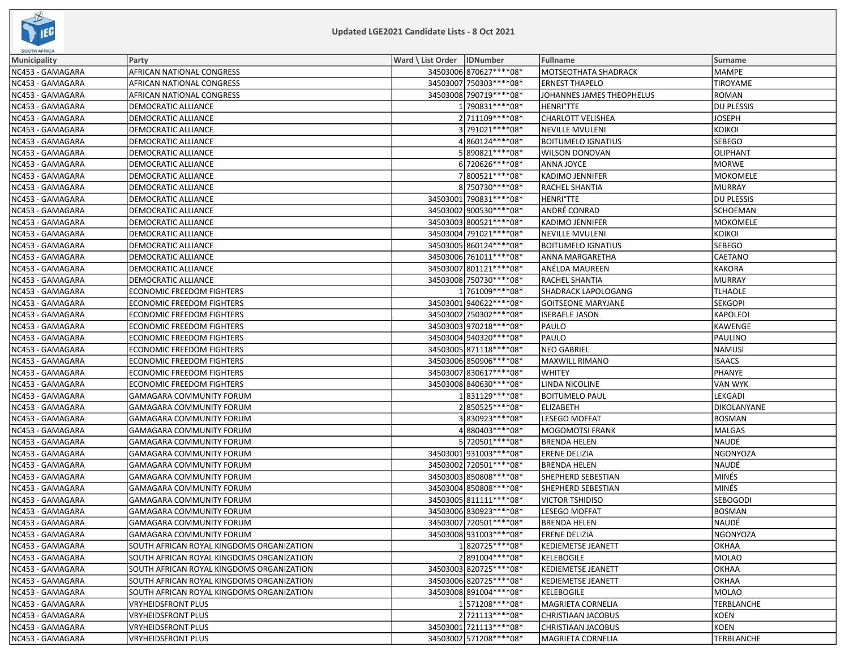

| <b>SOUTH AFRICA</b> |                                           |                              |                          |                           |                   |
|---------------------|-------------------------------------------|------------------------------|--------------------------|---------------------------|-------------------|
| Municipality        | Party                                     | Ward \ List Order   IDNumber |                          | <b>Fullname</b>           | <b>Surname</b>    |
| NC453 - GAMAGARA    | AFRICAN NATIONAL CONGRESS                 |                              | 34503006 870627**** 08*  | MOTSEOTHATA SHADRACK      | <b>MAMPE</b>      |
| NC453 - GAMAGARA    | AFRICAN NATIONAL CONGRESS                 |                              | 34503007 750303 **** 08* | <b>ERNEST THAPELO</b>     | <b>TIROYAME</b>   |
| NC453 - GAMAGARA    | AFRICAN NATIONAL CONGRESS                 |                              | 34503008 790719 **** 08* | JOHANNES JAMES THEOPHELUS | ROMAN             |
| NC453 - GAMAGARA    | DEMOCRATIC ALLIANCE                       |                              | 1790831 **** 08*         | <b>HENRI°TTE</b>          | <b>DU PLESSIS</b> |
| NC453 - GAMAGARA    | DEMOCRATIC ALLIANCE                       |                              | 2711109 **** 08*         | <b>CHARLOTT VELISHEA</b>  | <b>JOSEPH</b>     |
| NC453 - GAMAGARA    | DEMOCRATIC ALLIANCE                       |                              | 3791021 **** 08*         | <b>NEVILLE MVULENI</b>    | <b>KOIKOI</b>     |
| NC453 - GAMAGARA    | DEMOCRATIC ALLIANCE                       |                              | 4860124 **** 08*         | <b>BOITUMELO IGNATIUS</b> | <b>SEBEGO</b>     |
| NC453 - GAMAGARA    | DEMOCRATIC ALLIANCE                       |                              | 5890821 **** 08*         | WILSON DONOVAN            | <b>OLIPHANT</b>   |
| NC453 - GAMAGARA    | DEMOCRATIC ALLIANCE                       |                              | 6720626****08*           | ANNA JOYCE                | MORWE             |
| NC453 - GAMAGARA    | DEMOCRATIC ALLIANCE                       |                              | 7800521 **** 08*         | KADIMO JENNIFER           | MOKOMELE          |
| NC453 - GAMAGARA    | DEMOCRATIC ALLIANCE                       |                              | 8750730 **** 08*         | RACHEL SHANTIA            | MURRAY            |
| NC453 - GAMAGARA    | DEMOCRATIC ALLIANCE                       |                              | 34503001 790831 **** 08* | <b>HENRI°TTE</b>          | DU PLESSIS        |
| NC453 - GAMAGARA    | DEMOCRATIC ALLIANCE                       |                              | 34503002 900530 **** 08* | ANDRÉ CONRAD              | <b>SCHOEMAN</b>   |
| NC453 - GAMAGARA    | DEMOCRATIC ALLIANCE                       |                              | 34503003 800521 **** 08* | KADIMO JENNIFER           | MOKOMELE          |
| NC453 - GAMAGARA    | DEMOCRATIC ALLIANCE                       |                              | 34503004 791021 **** 08* | <b>NEVILLE MVULENI</b>    | κοικοι            |
| NC453 - GAMAGARA    | DEMOCRATIC ALLIANCE                       |                              | 34503005 860124 **** 08* | <b>BOITUMELO IGNATIUS</b> | SEBEGO            |
| NC453 - GAMAGARA    | DEMOCRATIC ALLIANCE                       |                              | 34503006 761011 **** 08* | ANNA MARGARETHA           | <b>CAETANO</b>    |
| NC453 - GAMAGARA    | DEMOCRATIC ALLIANCE                       |                              | 34503007 801121 **** 08* | ANÉLDA MAUREEN            | <b>KAKORA</b>     |
| NC453 - GAMAGARA    | DEMOCRATIC ALLIANCE                       |                              | 34503008 750730 **** 08* | <b>RACHEL SHANTIA</b>     | MURRAY            |
| NC453 - GAMAGARA    | ECONOMIC FREEDOM FIGHTERS                 |                              | 1 761009 **** 08*        | SHADRACK LAPOLOGANG       | <b>TLHAOLE</b>    |
| NC453 - GAMAGARA    | ECONOMIC FREEDOM FIGHTERS                 |                              | 34503001 940622 **** 08* | <b>GOITSEONE MARYJANE</b> | <b>SEKGOPI</b>    |
| NC453 - GAMAGARA    | ECONOMIC FREEDOM FIGHTERS                 |                              | 34503002 750302 **** 08* | <b>ISERAELE JASON</b>     | <b>KAPOLEDI</b>   |
| NC453 - GAMAGARA    | <b>ECONOMIC FREEDOM FIGHTERS</b>          |                              | 34503003 970218 **** 08* | PAULO                     | <b>KAWENGE</b>    |
| NC453 - GAMAGARA    | ECONOMIC FREEDOM FIGHTERS                 |                              | 34503004 940320 **** 08* | PAULO                     | PAULINO           |
| NC453 - GAMAGARA    | ECONOMIC FREEDOM FIGHTERS                 |                              | 34503005 871118 **** 08* | <b>NEO GABRIEL</b>        | NAMUSI            |
| NC453 - GAMAGARA    | ECONOMIC FREEDOM FIGHTERS                 |                              | 34503006 850906 **** 08* | MAXWILL RIMANO            | <b>ISAACS</b>     |
| NC453 - GAMAGARA    | ECONOMIC FREEDOM FIGHTERS                 |                              | 34503007 830617**** 08*  | <b>WHITEY</b>             | PHANYE            |
| NC453 - GAMAGARA    | ECONOMIC FREEDOM FIGHTERS                 |                              | 34503008 840630 **** 08* | LINDA NICOLINE            | <b>VAN WYK</b>    |
| NC453 - GAMAGARA    | GAMAGARA COMMUNITY FORUM                  |                              | 1831129 **** 08*         | <b>BOITUMELO PAUL</b>     | LEKGADI           |
| NC453 - GAMAGARA    | GAMAGARA COMMUNITY FORUM                  |                              | 2850525 **** 08*         | <b>ELIZABETH</b>          | DIKOLANYANE       |
| NC453 - GAMAGARA    | GAMAGARA COMMUNITY FORUM                  |                              | 3830923 **** 08*         | <b>LESEGO MOFFAT</b>      | <b>BOSMAN</b>     |
| NC453 - GAMAGARA    | GAMAGARA COMMUNITY FORUM                  |                              | 4880403 **** 08*         | <b>MOGOMOTSI FRANK</b>    | <b>MALGAS</b>     |
| NC453 - GAMAGARA    | GAMAGARA COMMUNITY FORUM                  |                              | 5 720501 **** 08*        | <b>BRENDA HELEN</b>       | NAUDÉ             |
| NC453 - GAMAGARA    | GAMAGARA COMMUNITY FORUM                  |                              | 34503001 931003 **** 08* | <b>ERENE DELIZIA</b>      | NGONYOZA          |
| NC453 - GAMAGARA    | GAMAGARA COMMUNITY FORUM                  |                              | 34503002 720501 **** 08* | <b>BRENDA HELEN</b>       | NAUDÉ             |
| NC453 - GAMAGARA    | GAMAGARA COMMUNITY FORUM                  |                              | 34503003 850808 **** 08* | SHEPHERD SEBESTIAN        | MINÉS             |
| NC453 - GAMAGARA    | GAMAGARA COMMUNITY FORUM                  |                              | 34503004 850808 **** 08* | SHEPHERD SEBESTIAN        | MINÉS             |
| NC453 - GAMAGARA    | GAMAGARA COMMUNITY FORUM                  |                              | 34503005 811111 **** 08* | <b>VICTOR TSHIDISO</b>    | <b>SEBOGODI</b>   |
| NC453 - GAMAGARA    | GAMAGARA COMMUNITY FORUM                  |                              | 34503006 830923 **** 08* | LESEGO MOFFAT             | <b>BOSMAN</b>     |
| NC453 - GAMAGARA    | <b>GAMAGARA COMMUNITY FORUM</b>           |                              | 34503007 720501 **** 08* | <b>BRENDA HELEN</b>       | NAUDÉ             |
| NC453 - GAMAGARA    | <b>GAMAGARA COMMUNITY FORUM</b>           |                              | 34503008 931003 **** 08* | <b>ERENE DELIZIA</b>      | NGONYOZA          |
| NC453 - GAMAGARA    | SOUTH AFRICAN ROYAL KINGDOMS ORGANIZATION |                              | 1820725 **** 08*         | <b>KEDIEMETSE JEANETT</b> | <b>OKHAA</b>      |
| NC453 - GAMAGARA    | SOUTH AFRICAN ROYAL KINGDOMS ORGANIZATION |                              | 2891004 **** 08*         | <b>KELEBOGILE</b>         | <b>MOLAO</b>      |
| NC453 - GAMAGARA    | SOUTH AFRICAN ROYAL KINGDOMS ORGANIZATION |                              | 34503003 820725 **** 08* | KEDIEMETSE JEANETT        | <b>OKHAA</b>      |
| NC453 - GAMAGARA    | SOUTH AFRICAN ROYAL KINGDOMS ORGANIZATION |                              | 34503006 820725 **** 08* | <b>KEDIEMETSE JEANETT</b> | <b>OKHAA</b>      |
| NC453 - GAMAGARA    | SOUTH AFRICAN ROYAL KINGDOMS ORGANIZATION |                              | 34503008 891004 **** 08* | <b>KELEBOGILE</b>         | MOLAO             |
| NC453 - GAMAGARA    | VRYHEIDSFRONT PLUS                        |                              | 1571208 **** 08*         | <b>MAGRIETA CORNELIA</b>  | TERBLANCHE        |
| NC453 - GAMAGARA    | VRYHEIDSFRONT PLUS                        |                              | 2721113 **** 08*         | CHRISTIAAN JACOBUS        | <b>KOEN</b>       |
| NC453 - GAMAGARA    | <b>VRYHEIDSFRONT PLUS</b>                 |                              | 34503001 721113 **** 08* | <b>CHRISTIAAN JACOBUS</b> | <b>KOEN</b>       |
| NC453 - GAMAGARA    | <b>VRYHEIDSFRONT PLUS</b>                 |                              | 34503002 571208 **** 08* | MAGRIETA CORNELIA         | TERBLANCHE        |